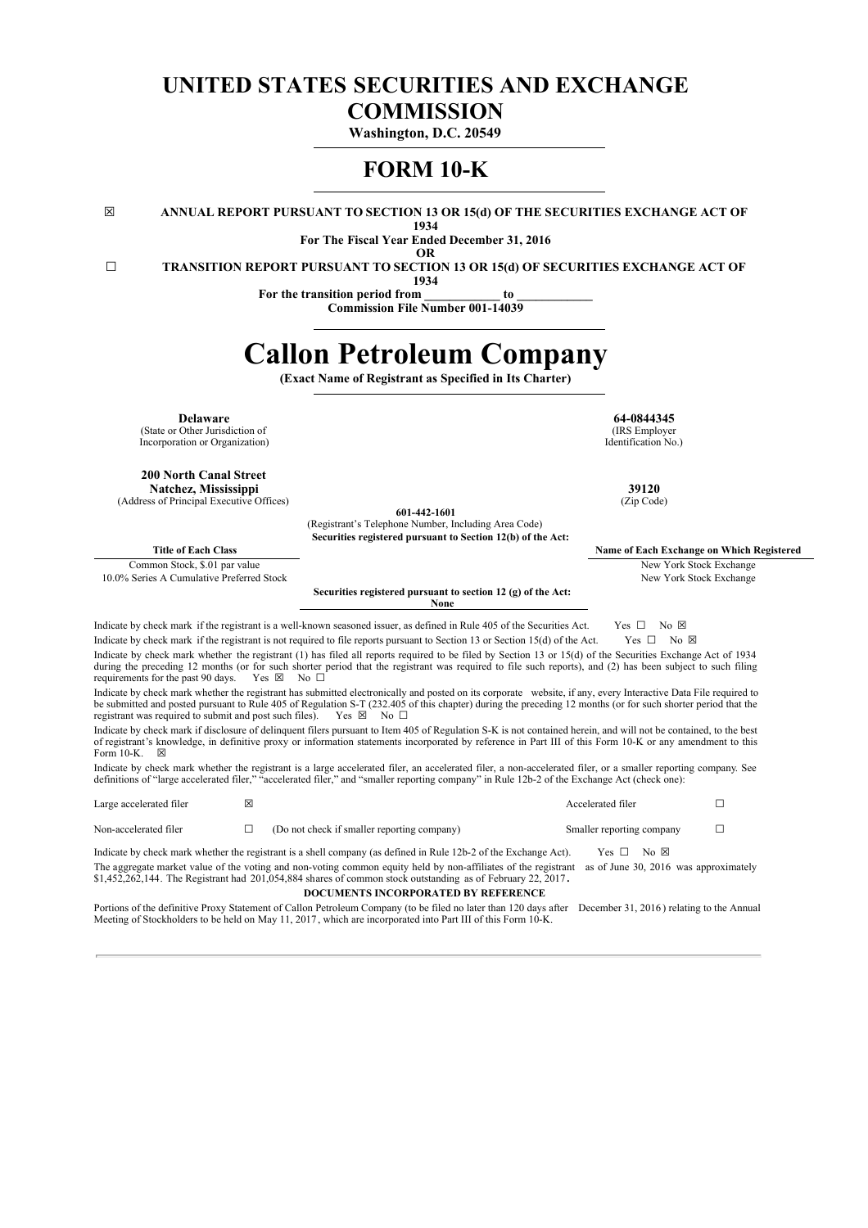# **UNITED STATES SECURITIES AND EXCHANGE COMMISSION**

**Washington, D.C. 20549**

# **FORM 10-K**

☒ **ANNUAL REPORT PURSUANT TO SECTION 13 OR 15(d) OF THE SECURITIES EXCHANGE ACT OF**

**1934 For The Fiscal Year Ended December 31, 2016**

**OR** ☐ **TRANSITION REPORT PURSUANT TO SECTION 13 OR 15(d) OF SECURITIES EXCHANGE ACT OF**

**1934**

**For the transition period from \_\_\_\_\_\_\_\_\_\_\_\_ to \_\_\_\_\_\_\_\_\_\_\_\_ Commission File Number 001-14039**

# **Callon Petroleum Company**

**(Exact Name of Registrant as Specified in Its Charter)**

**Delaware** (State or Other Jurisdiction of

Incorporation or Organization)

**200 North Canal Street Natchez, Mississippi**

(Address of Principal Executive Offices)

**601-442-1601**

(Registrant's Telephone Number, Including Area Code) **Securities registered pursuant to Section 12(b) of the Act:**

Common Stock, \$.01 par value New York Stock Exchange New York Stock Exchange New York Stock Exchange New York Stock Exchange 10.0% Series A Cumulative Preferred Stock

> **Securities registered pursuant to section 12 (g) of the Act: None**

Indicate by check mark if the registrant is a well-known seasoned issuer, as defined in Rule 405 of the Securities Act. Yes  $\Box$  No  $\boxtimes$ Indicate by check mark if the registrant is not required to file reports pursuant to Section 13 or Section 15(d) of the Act. Yes  $\Box$  No  $\boxtimes$ 

Indicate by check mark whether the registrant (1) has filed all reports required to be filed by Section 13 or 15(d) of the Securities Exchange Act of 1934 during the preceding 12 months (or for such shorter period that the registrant was required to file such reports), and (2) has been subject to such filing requirements for the past 90 days. Yes  $\boxtimes$  No  $\Box$ 

Indicate by check mark whether the registrant has submitted electronically and posted on its corporate website, if any, every Interactive Data File required to be submitted and posted pursuant to Rule 405 of Regulation S-T registrant was required to submit and post such files). Yes  $\boxtimes$  No  $\Box$ 

Indicate by check mark if disclosure of delinquent filers pursuant to Item 405 of Regulation S-K is not contained herein, and will not be contained, to the best of registrant's knowledge, in definitive proxy or information statements incorporated by reference in Part III of this Form 10-K or any amendment to this Form  $10\text{-K}$   $\overline{\text{N}}$ Form  $10-K$ .

Indicate by check mark whether the registrant is a large accelerated filer, an accelerated filer, a non-accelerated filer, or a smaller reporting company. See definitions of "large accelerated filer," "accelerated filer," and "smaller reporting company" in Rule 12b-2 of the Exchange Act (check one):

| Large accelerated filer |                                             | Accelerated filer         |  |
|-------------------------|---------------------------------------------|---------------------------|--|
| Non-accelerated filer   | (Do not check if smaller reporting company) | Smaller reporting company |  |

Indicate by check mark whether the registrant is a shell company (as defined in Rule 12b-2 of the Exchange Act). Yes  $\Box$  No  $\boxtimes$ The aggregate market value of the voting and non-voting common equity held by non-affiliates of the registrant as of June 30, 2016 was approximately \$1,452,262,144. The Registrant had 201,054,884 shares of common stock outstanding as of February 22, 2017 **.**

**DOCUMENTS INCORPORATED BY REFERENCE**

Portions of the definitive Proxy Statement of Callon Petroleum Company (to be filed no later than 120 days after December 31, 2016 ) relating to the Annual Meeting of Stockholders to be held on May 11, 2017, which are incorporated into Part III of this Form 10-K.

**64-0844345** (IRS Employer Identification No.)

> **39120** (Zip Code)

**Title of Each Class Name of Each Exchange on Which Registered**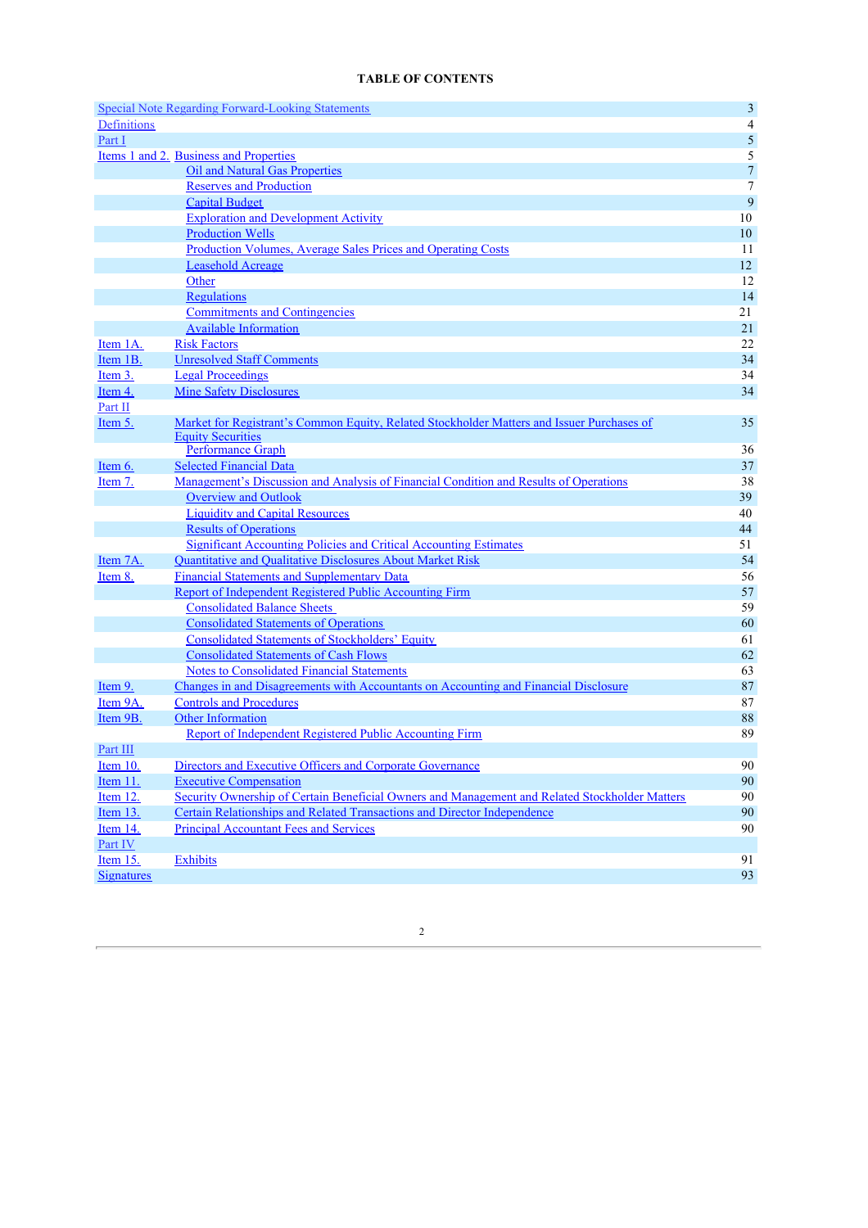# **TABLE OF CONTENTS**

|                   | Special Note Regarding Forward-Looking Statements                                              | 3                |
|-------------------|------------------------------------------------------------------------------------------------|------------------|
| Definitions       |                                                                                                | $\overline{4}$   |
| Part I            |                                                                                                | 5                |
|                   | Items 1 and 2. Business and Properties                                                         | 5                |
|                   | <b>Oil and Natural Gas Properties</b>                                                          | $\boldsymbol{7}$ |
|                   | <b>Reserves and Production</b>                                                                 | $\tau$           |
|                   | <b>Capital Budget</b>                                                                          | $\overline{9}$   |
|                   | <b>Exploration and Development Activity</b>                                                    | 10               |
|                   | <b>Production Wells</b>                                                                        | 10               |
|                   | Production Volumes, Average Sales Prices and Operating Costs                                   | 11               |
|                   | <b>Leasehold Acreage</b>                                                                       | 12               |
|                   | Other                                                                                          | 12               |
|                   | <b>Regulations</b>                                                                             | 14               |
|                   | <b>Commitments and Contingencies</b>                                                           | 21               |
|                   | <b>Available Information</b>                                                                   | 21               |
| Item 1A.          | <b>Risk Factors</b>                                                                            | 22               |
| Item 1B.          | <b>Unresolved Staff Comments</b>                                                               | 34               |
| Item $3.$         | <b>Legal Proceedings</b>                                                                       | 34               |
| Item 4.           | <b>Mine Safety Disclosures</b>                                                                 | 34               |
| Part II           |                                                                                                |                  |
| Item 5.           | Market for Registrant's Common Equity, Related Stockholder Matters and Issuer Purchases of     | 35               |
|                   | <b>Equity Securities</b>                                                                       |                  |
|                   | <b>Performance Graph</b>                                                                       | 36               |
| Item $6.$         | <b>Selected Financial Data</b>                                                                 | 37               |
| Item 7.           | Management's Discussion and Analysis of Financial Condition and Results of Operations          | 38               |
|                   | <b>Overview and Outlook</b>                                                                    | 39               |
|                   | <b>Liquidity and Capital Resources</b>                                                         | 40               |
|                   | <b>Results of Operations</b>                                                                   | 44               |
|                   | <b>Significant Accounting Policies and Critical Accounting Estimates</b>                       | 51               |
| Item 7A.          | <b>Quantitative and Qualitative Disclosures About Market Risk</b>                              | 54               |
| Item 8.           | <b>Financial Statements and Supplementary Data</b>                                             | 56               |
|                   | Report of Independent Registered Public Accounting Firm                                        | 57               |
|                   | <b>Consolidated Balance Sheets</b>                                                             | 59               |
|                   | <b>Consolidated Statements of Operations</b>                                                   | 60               |
|                   | <b>Consolidated Statements of Stockholders' Equity</b>                                         | 61               |
|                   | <b>Consolidated Statements of Cash Flows</b>                                                   | 62               |
|                   | <b>Notes to Consolidated Financial Statements</b>                                              | 63               |
| Item 9.           | <u>Changes in and Disagreements with Accountants on Accounting and Financial Disclosure</u>    | 87               |
| Item 9A.          | <b>Controls and Procedures</b>                                                                 | 87               |
| Item 9B.          | <b>Other Information</b>                                                                       | 88               |
|                   | Report of Independent Registered Public Accounting Firm                                        | 89               |
| Part III          |                                                                                                |                  |
| Item $10$ .       | Directors and Executive Officers and Corporate Governance                                      | 90               |
| Item 11.          | <b>Executive Compensation</b>                                                                  | 90               |
| Item 12.          | Security Ownership of Certain Beneficial Owners and Management and Related Stockholder Matters | 90               |
| <b>Item 13.</b>   | Certain Relationships and Related Transactions and Director Independence                       | 90               |
| <b>Item 14.</b>   | <b>Principal Accountant Fees and Services</b>                                                  | 90               |
| Part IV           |                                                                                                |                  |
| Item 15.          | <b>Exhibits</b>                                                                                | 91               |
| <b>Signatures</b> |                                                                                                | 93               |
|                   |                                                                                                |                  |

2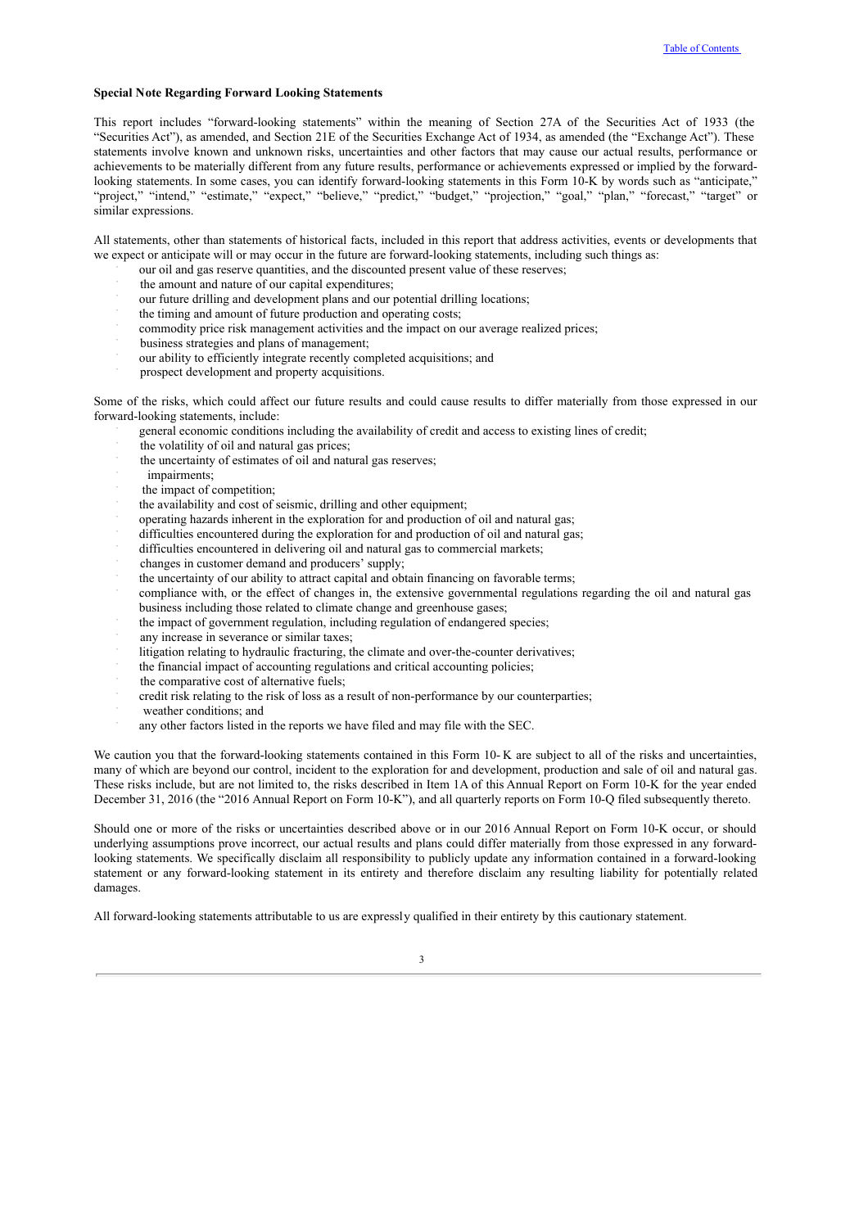#### **Special Note Regarding Forward Looking Statements**

This report includes "forward-looking statements" within the meaning of Section 27A of the Securities Act of 1933 (the "Securities Act"), as amended, and Section 21E of the Securities Exchange Act of 1934, as amended (the "Exchange Act"). These statements involve known and unknown risks, uncertainties and other factors that may cause our actual results, performance or achievements to be materially different from any future results, performance or achievements expressed or implied by the forwardlooking statements. In some cases, you can identify forward-looking statements in this Form 10-K by words such as "anticipate," "project," "intend," "estimate," "expect," "believe," "predict," "budget," "projection," "goal," "plan," "forecast," "target" or similar expressions.

All statements, other than statements of historical facts, included in this report that address activities, events or developments that we expect or anticipate will or may occur in the future are forward-looking statements, including such things as:

- our oil and gas reserve quantities, and the discounted present value of these reserves;
- · the amount and nature of our capital expenditures;
- our future drilling and development plans and our potential drilling locations;
- · the timing and amount of future production and operating costs;
- commodity price risk management activities and the impact on our average realized prices;
- business strategies and plans of management;
- our ability to efficiently integrate recently completed acquisitions; and
- prospect development and property acquisitions.

Some of the risks, which could affect our future results and could cause results to differ materially from those expressed in our forward-looking statements, include:

- general economic conditions including the availability of credit and access to existing lines of credit;
- · the volatility of oil and natural gas prices;
- · the uncertainty of estimates of oil and natural gas reserves;
- · impairments;
- · the impact of competition;
- · the availability and cost of seismic, drilling and other equipment;
- · operating hazards inherent in the exploration for and production of oil and natural gas;
- difficulties encountered during the exploration for and production of oil and natural gas;
- difficulties encountered in delivering oil and natural gas to commercial markets;
- changes in customer demand and producers' supply;
- · the uncertainty of our ability to attract capital and obtain financing on favorable terms;
- compliance with, or the effect of changes in, the extensive governmental regulations regarding the oil and natural gas business including those related to climate change and greenhouse gases;
- · the impact of government regulation, including regulation of endangered species;
- any increase in severance or similar taxes;
- · litigation relating to hydraulic fracturing, the climate and over-the-counter derivatives;
- · the financial impact of accounting regulations and critical accounting policies;
- · the comparative cost of alternative fuels;
- · credit risk relating to the risk of loss as a result of non-performance by our counterparties;
- weather conditions; and
- any other factors listed in the reports we have filed and may file with the SEC.

We caution you that the forward-looking statements contained in this Form 10-K are subject to all of the risks and uncertainties, many of which are beyond our control, incident to the exploration for and development, production and sale of oil and natural gas. These risks include, but are not limited to, the risks described in Item 1A of this Annual Report on Form 10-K for the year ended December 31, 2016 (the "2016 Annual Report on Form 10-K"), and all quarterly reports on Form 10-Q filed subsequently thereto.

Should one or more of the risks or uncertainties described above or in our 2016 Annual Report on Form 10-K occur, or should underlying assumptions prove incorrect, our actual results and plans could differ materially from those expressed in any forwardlooking statements. We specifically disclaim all responsibility to publicly update any information contained in a forward-looking statement or any forward-looking statement in its entirety and therefore disclaim any resulting liability for potentially related damages.

All forward-looking statements attributable to us are expressly qualified in their entirety by this cautionary statement.

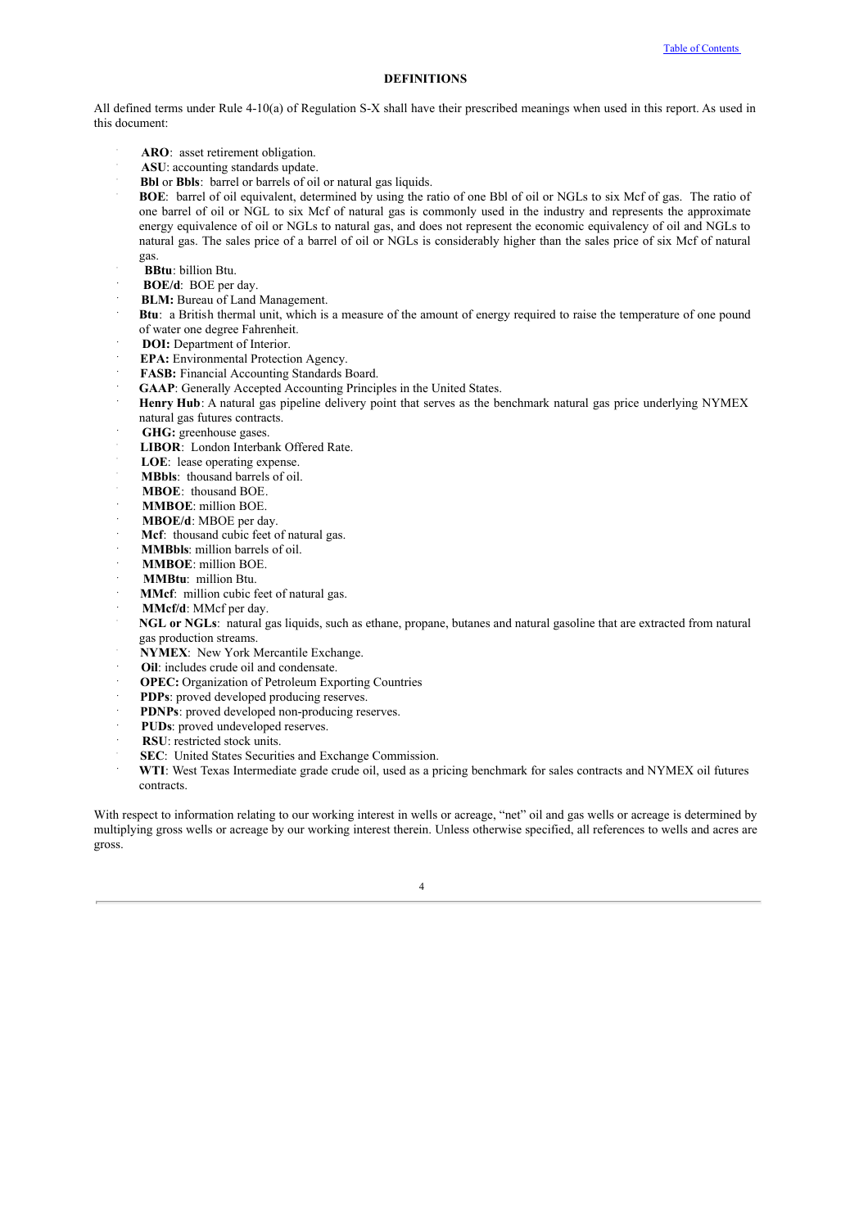# **DEFINITIONS**

All defined terms under Rule 4-10(a) of Regulation S-X shall have their prescribed meanings when used in this report. As used in this document:

- ARO: asset retirement obligation.
- ASU: accounting standards update.
- **Bbl** or **Bbls**: barrel or barrels of oil or natural gas liquids.
- **BOE:** barrel of oil equivalent, determined by using the ratio of one Bbl of oil or NGLs to six Mcf of gas. The ratio of one barrel of oil or NGL to six Mcf of natural gas is commonly used in the industry and represents the approximate energy equivalence of oil or NGLs to natural gas, and does not represent the economic equivalency of oil and NGLs to natural gas. The sales price of a barrel of oil or NGLs is considerably higher than the sales price of six Mcf of natural gas.
- · **BBtu**: billion Btu.
- **BOE/d:** BOE per day.
- · **BLM:** Bureau of Land Management.
- **Btu**: a British thermal unit, which is a measure of the amount of energy required to raise the temperature of one pound of water one degree Fahrenheit.
- **DOI:** Department of Interior.
- **EPA:** Environmental Protection Agency.
- · **FASB:** Financial Accounting Standards Board.
- GAAP: Generally Accepted Accounting Principles in the United States.
- · **Henry Hub**: A natural gas pipeline delivery point that serves as the benchmark natural gas price underlying NYMEX natural gas futures contracts.
- GHG: greenhouse gases.
- LIBOR: London Interbank Offered Rate.
- **LOE**: lease operating expense.
- **MBbls**: thousand barrels of oil.
- · **MBOE**: thousand BOE.
- · **MMBOE**: million BOE.
- **MBOE/d**: MBOE per day.
- Mcf: thousand cubic feet of natural gas.
- **MMBbls**: million barrels of oil.
- · **MMBOE**: million BOE.
- · **MMBtu**: million Btu.
- MMcf: million cubic feet of natural gas.
- MMcf/d: MMcf per day.
- · **NGL or NGLs**: natural gas liquids, such as ethane, propane, butanes and natural gasoline that are extracted from natural gas production streams.
- **NYMEX**: New York Mercantile Exchange.
- **Oil**: includes crude oil and condensate.
- **OPEC:** Organization of Petroleum Exporting Countries
- **PDPs**: proved developed producing reserves.
- **PDNPs**: proved developed non-producing reserves.
- PUDs: proved undeveloped reserves.
- **RSU**: restricted stock units.
- SEC: United States Securities and Exchange Commission.
- · **WTI**: West Texas Intermediate grade crude oil, used as a pricing benchmark for sales contracts and NYMEX oil futures contracts.

With respect to information relating to our working interest in wells or acreage, "net" oil and gas wells or acreage is determined by multiplying gross wells or acreage by our working interest therein. Unless otherwise specified, all references to wells and acres are gross.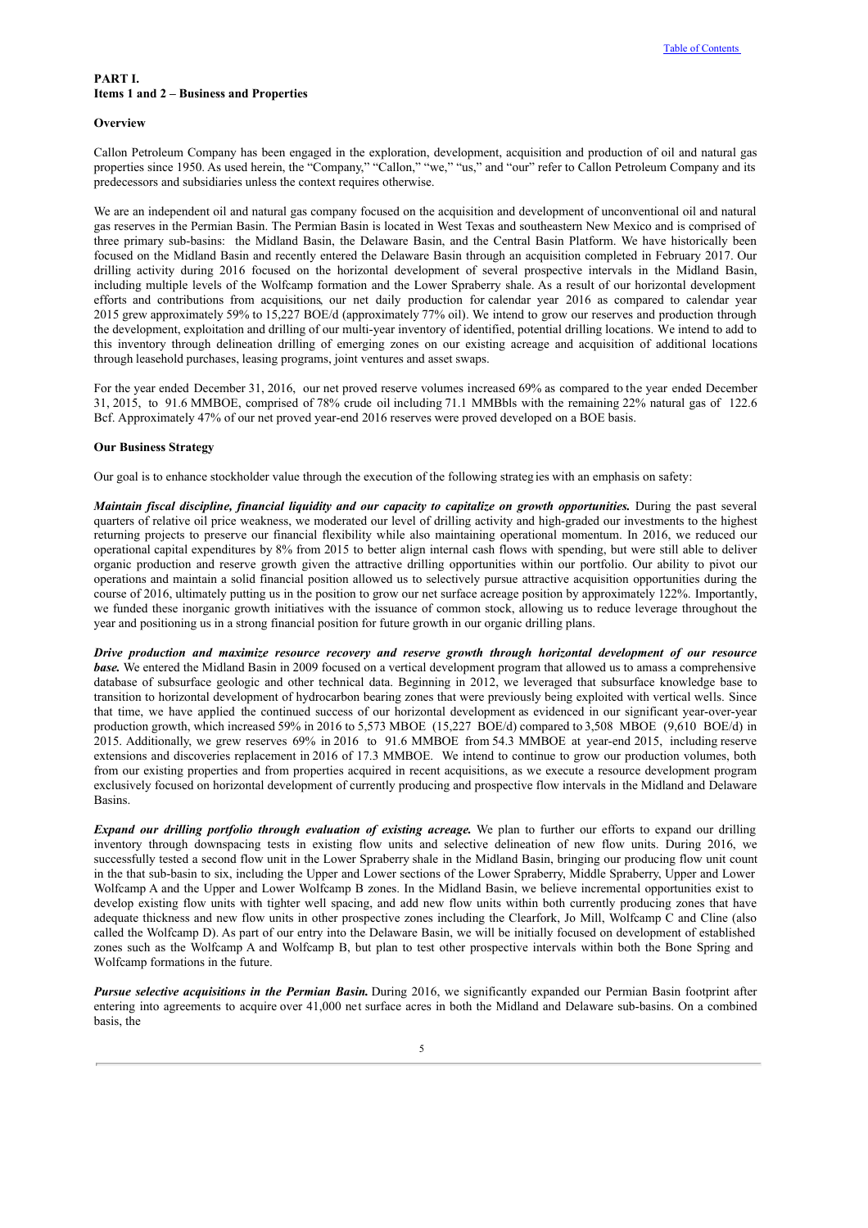# **PART I. Items 1 and 2 – Business and Properties**

#### **Overview**

Callon Petroleum Company has been engaged in the exploration, development, acquisition and production of oil and natural gas properties since 1950. As used herein, the "Company," "Callon," "we," "us," and "our" refer to Callon Petroleum Company and its predecessors and subsidiaries unless the context requires otherwise.

We are an independent oil and natural gas company focused on the acquisition and development of unconventional oil and natural gas reserves in the Permian Basin. The Permian Basin is located in West Texas and southeastern New Mexico and is comprised of three primary sub-basins: the Midland Basin, the Delaware Basin, and the Central Basin Platform. We have historically been focused on the Midland Basin and recently entered the Delaware Basin through an acquisition completed in February 2017. Our drilling activity during 2016 focused on the horizontal development of several prospective intervals in the Midland Basin, including multiple levels of the Wolfcamp formation and the Lower Spraberry shale. As a result of our horizontal development efforts and contributions from acquisitions, our net daily production for calendar year 2016 as compared to calendar year 2015 grew approximately 59% to 15,227 BOE/d (approximately 77% oil). We intend to grow our reserves and production through the development, exploitation and drilling of our multi-year inventory of identified, potential drilling locations. We intend to add to this inventory through delineation drilling of emerging zones on our existing acreage and acquisition of additional locations through leasehold purchases, leasing programs, joint ventures and asset swaps.

For the year ended December 31, 2016, our net proved reserve volumes increased 69% as compared to the year ended December 31, 2015, to 91.6 MMBOE, comprised of 78% crude oil including 71.1 MMBbls with the remaining 22% natural gas of 122.6 Bcf. Approximately 47% of our net proved year-end 2016 reserves were proved developed on a BOE basis.

#### **Our Business Strategy**

Our goal is to enhance stockholder value through the execution of the following strategies with an emphasis on safety:

*Maintain fiscal discipline, financial liquidity and our capacity to capitalize on growth opportunities.* During the past several quarters of relative oil price weakness, we moderated our level of drilling activity and high-graded our investments to the highest returning projects to preserve our financial flexibility while also maintaining operational momentum. In 2016, we reduced our operational capital expenditures by 8% from 2015 to better align internal cash flows with spending, but were still able to deliver organic production and reserve growth given the attractive drilling opportunities within our portfolio. Our ability to pivot our operations and maintain a solid financial position allowed us to selectively pursue attractive acquisition opportunities during the course of 2016, ultimately putting us in the position to grow our net surface acreage position by approximately 122%. Importantly, we funded these inorganic growth initiatives with the issuance of common stock, allowing us to reduce leverage throughout the year and positioning us in a strong financial position for future growth in our organic drilling plans.

*Drive production and maximize resource recovery and reserve growth through horizontal development of our resource base.* We entered the Midland Basin in 2009 focused on a vertical development program that allowed us to amass a comprehensive database of subsurface geologic and other technical data. Beginning in 2012, we leveraged that subsurface knowledge base to transition to horizontal development of hydrocarbon bearing zones that were previously being exploited with vertical wells. Since that time, we have applied the continued success of our horizontal development as evidenced in our significant year-over-year production growth, which increased 59% in 2016 to 5,573 MBOE (15,227 BOE/d) compared to3,508 MBOE (9,610 BOE/d) in 2015. Additionally, we grew reserves 69% in 2016 to 91.6 MMBOE from 54.3 MMBOE at year-end 2015, including reserve extensions and discoveries replacement in 2016 of 17.3 MMBOE. We intend to continue to grow our production volumes, both from our existing properties and from properties acquired in recent acquisitions, as we execute a resource development program exclusively focused on horizontal development of currently producing and prospective flow intervals in the Midland and Delaware Basins.

*Expand our drilling portfolio through evaluation of existing acreage.* We plan to further our efforts to expand our drilling inventory through downspacing tests in existing flow units and selective delineation of new flow units. During 2016, we successfully tested a second flow unit in the Lower Spraberry shale in the Midland Basin, bringing our producing flow unit count in the that sub-basin to six, including the Upper and Lower sections of the Lower Spraberry, Middle Spraberry, Upper and Lower Wolfcamp A and the Upper and Lower Wolfcamp B zones. In the Midland Basin, we believe incremental opportunities exist to develop existing flow units with tighter well spacing, and add new flow units within both currently producing zones that have adequate thickness and new flow units in other prospective zones including the Clearfork, Jo Mill, Wolfcamp C and Cline (also called the Wolfcamp D). As part of our entry into the Delaware Basin, we will be initially focused on development of established zones such as the Wolfcamp A and Wolfcamp B, but plan to test other prospective intervals within both the Bone Spring and Wolfcamp formations in the future.

*Pursue selective acquisitions in the Permian Basin.* During 2016, we significantly expanded our Permian Basin footprint after entering into agreements to acquire over 41,000 net surface acres in both the Midland and Delaware sub-basins. On a combined basis, the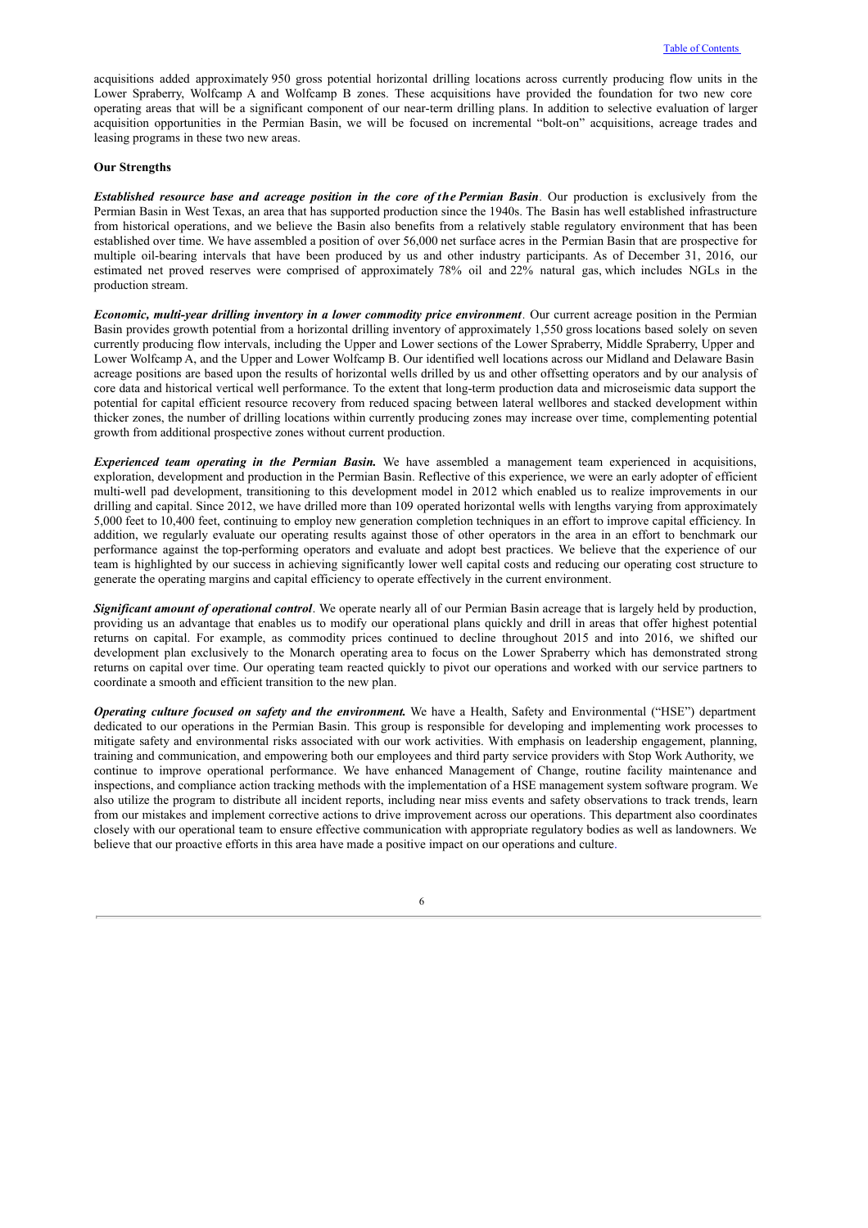acquisitions added approximately 950 gross potential horizontal drilling locations across currently producing flow units in the Lower Spraberry, Wolfcamp A and Wolfcamp B zones. These acquisitions have provided the foundation for two new core operating areas that will be a significant component of our near-term drilling plans. In addition to selective evaluation of larger acquisition opportunities in the Permian Basin, we will be focused on incremental "bolt-on" acquisitions, acreage trades and leasing programs in these two new areas.

# **Our Strengths**

*Established resource base and acreage position in the core of the Permian Basin.* Our production is exclusively from the Permian Basin in West Texas, an area that has supported production since the 1940s. The Basin has well established infrastructure from historical operations, and we believe the Basin also benefits from a relatively stable regulatory environment that has been established over time. We have assembled a position of over 56,000 net surface acres in the Permian Basin that are prospective for multiple oil-bearing intervals that have been produced by us and other industry participants. As of December 31, 2016, our estimated net proved reserves were comprised of approximately 78% oil and 22% natural gas, which includes NGLs in the production stream.

*Economic, multi-year drilling inventory in a lower commodity price environment.* Our current acreage position in the Permian Basin provides growth potential from a horizontal drilling inventory of approximately 1,550 gross locations based solely on seven currently producing flow intervals, including the Upper and Lower sections of the Lower Spraberry, Middle Spraberry, Upper and Lower Wolfcamp A, and the Upper and Lower Wolfcamp B. Our identified well locations across our Midland and Delaware Basin acreage positions are based upon the results of horizontal wells drilled by us and other offsetting operators and by our analysis of core data and historical vertical well performance. To the extent that long-term production data and microseismic data support the potential for capital efficient resource recovery from reduced spacing between lateral wellbores and stacked development within thicker zones, the number of drilling locations within currently producing zones may increase over time, complementing potential growth from additional prospective zones without current production.

*Experienced team operating in the Permian Basin.* We have assembled a management team experienced in acquisitions, exploration, development and production in the Permian Basin. Reflective of this experience, we were an early adopter of efficient multi-well pad development, transitioning to this development model in 2012 which enabled us to realize improvements in our drilling and capital. Since 2012, we have drilled more than 109 operated horizontal wells with lengths varying from approximately 5,000 feet to 10,400 feet, continuing to employ new generation completion techniques in an effort to improve capital efficiency. In addition, we regularly evaluate our operating results against those of other operators in the area in an effort to benchmark our performance against the top-performing operators and evaluate and adopt best practices. We believe that the experience of our team is highlighted by our success in achieving significantly lower well capital costs and reducing our operating cost structure to generate the operating margins and capital efficiency to operate effectively in the current environment.

*Significant amount of operational control*. We operate nearly all of our Permian Basin acreage that is largely held by production, providing us an advantage that enables us to modify our operational plans quickly and drill in areas that offer highest potential returns on capital. For example, as commodity prices continued to decline throughout 2015 and into 2016, we shifted our development plan exclusively to the Monarch operating area to focus on the Lower Spraberry which has demonstrated strong returns on capital over time. Our operating team reacted quickly to pivot our operations and worked with our service partners to coordinate a smooth and efficient transition to the new plan.

*Operating culture focused on safety and the environment.* We have a Health, Safety and Environmental ("HSE") department dedicated to our operations in the Permian Basin. This group is responsible for developing and implementing work processes to mitigate safety and environmental risks associated with our work activities. With emphasis on leadership engagement, planning, training and communication, and empowering both our employees and third party service providers with Stop Work Authority, we continue to improve operational performance. We have enhanced Management of Change, routine facility maintenance and inspections, and compliance action tracking methods with the implementation of a HSE management system software program. We also utilize the program to distribute all incident reports, including near miss events and safety observations to track trends, learn from our mistakes and implement corrective actions to drive improvement across our operations. This department also coordinates closely with our operational team to ensure effective communication with appropriate regulatory bodies as well as landowners. We believe that our proactive efforts in this area have made a positive impact on our operations and culture.

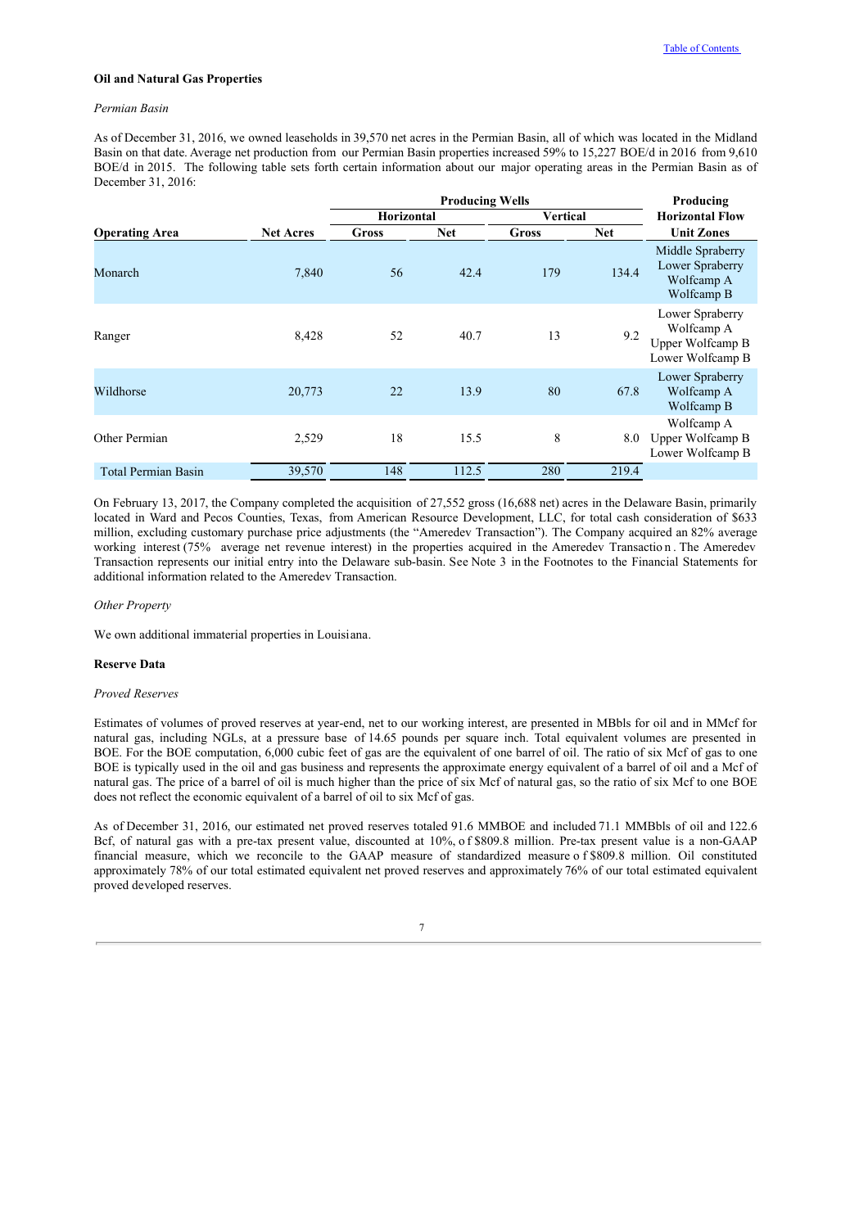# **Oil and Natural Gas Properties**

#### *Permian Basin*

As of December 31, 2016, we owned leaseholds in 39,570 net acres in the Permian Basin, all of which was located in the Midland Basin on that date. Average net production from our Permian Basin properties increased 59% to 15,227 BOE/d in 2016 from 9,610 BOE/d in 2015. The following table sets forth certain information about our major operating areas in the Permian Basin as of December 31, 2016:

|                            |                  |              | Producing  |                 |            |                                                                       |
|----------------------------|------------------|--------------|------------|-----------------|------------|-----------------------------------------------------------------------|
|                            |                  | Horizontal   |            | <b>Vertical</b> |            | <b>Horizontal Flow</b>                                                |
| <b>Operating Area</b>      | <b>Net Acres</b> | <b>Gross</b> | <b>Net</b> | <b>Gross</b>    | <b>Net</b> | <b>Unit Zones</b>                                                     |
| Monarch                    | 7,840            | 56           | 42.4       | 179             | 134.4      | Middle Spraberry<br>Lower Spraberry<br>Wolfcamp A<br>Wolfcamp B       |
| Ranger                     | 8,428            | 52           | 40.7       | 13              | 9.2        | Lower Spraberry<br>Wolfcamp A<br>Upper Wolfcamp B<br>Lower Wolfcamp B |
| Wildhorse                  | 20,773           | 22           | 13.9       | 80              | 67.8       | Lower Spraberry<br>Wolfcamp A<br>Wolfcamp B                           |
| Other Permian              | 2,529            | 18           | 15.5       | 8               | 8.0        | Wolfcamp A<br>Upper Wolfcamp B<br>Lower Wolfcamp B                    |
| <b>Total Permian Basin</b> | 39,570           | 148          | 112.5      | 280             | 219.4      |                                                                       |

On February 13, 2017, the Company completed the acquisition of 27,552 gross (16,688 net) acres in the Delaware Basin, primarily located in Ward and Pecos Counties, Texas, from American Resource Development, LLC, for total cash consideration of \$633 million, excluding customary purchase price adjustments (the "Ameredev Transaction"). The Company acquired an 82% average working interest (75% average net revenue interest) in the properties acquired in the Ameredev Transaction. The Ameredev Transaction represents our initial entry into the Delaware sub-basin. See Note 3 in the Footnotes to the Financial Statements for additional information related to the Ameredev Transaction.

#### *Other Property*

We own additional immaterial properties in Louisiana.

# **Reserve Data**

# *Proved Reserves*

Estimates of volumes of proved reserves at year-end, net to our working interest, are presented in MBbls for oil and in MMcf for natural gas, including NGLs, at a pressure base of 14.65 pounds per square inch. Total equivalent volumes are presented in BOE. For the BOE computation, 6,000 cubic feet of gas are the equivalent of one barrel of oil. The ratio of six Mcf of gas to one BOE is typically used in the oil and gas business and represents the approximate energy equivalent of a barrel of oil and a Mcf of natural gas. The price of a barrel of oil is much higher than the price of six Mcf of natural gas, so the ratio of six Mcf to one BOE does not reflect the economic equivalent of a barrel of oil to six Mcf of gas.

As of December 31, 2016, our estimated net proved reserves totaled 91.6 MMBOE and included71.1 MMBbls of oil and 122.6 Bcf, of natural gas with a pre-tax present value, discounted at 10%, of \$809.8 million. Pre-tax present value is a non-GAAP financial measure, which we reconcile to the GAAP measure of standardized measure o f \$809.8 million. Oil constituted approximately 78% of our total estimated equivalent net proved reserves and approximately 76% of our total estimated equivalent proved developed reserves.

7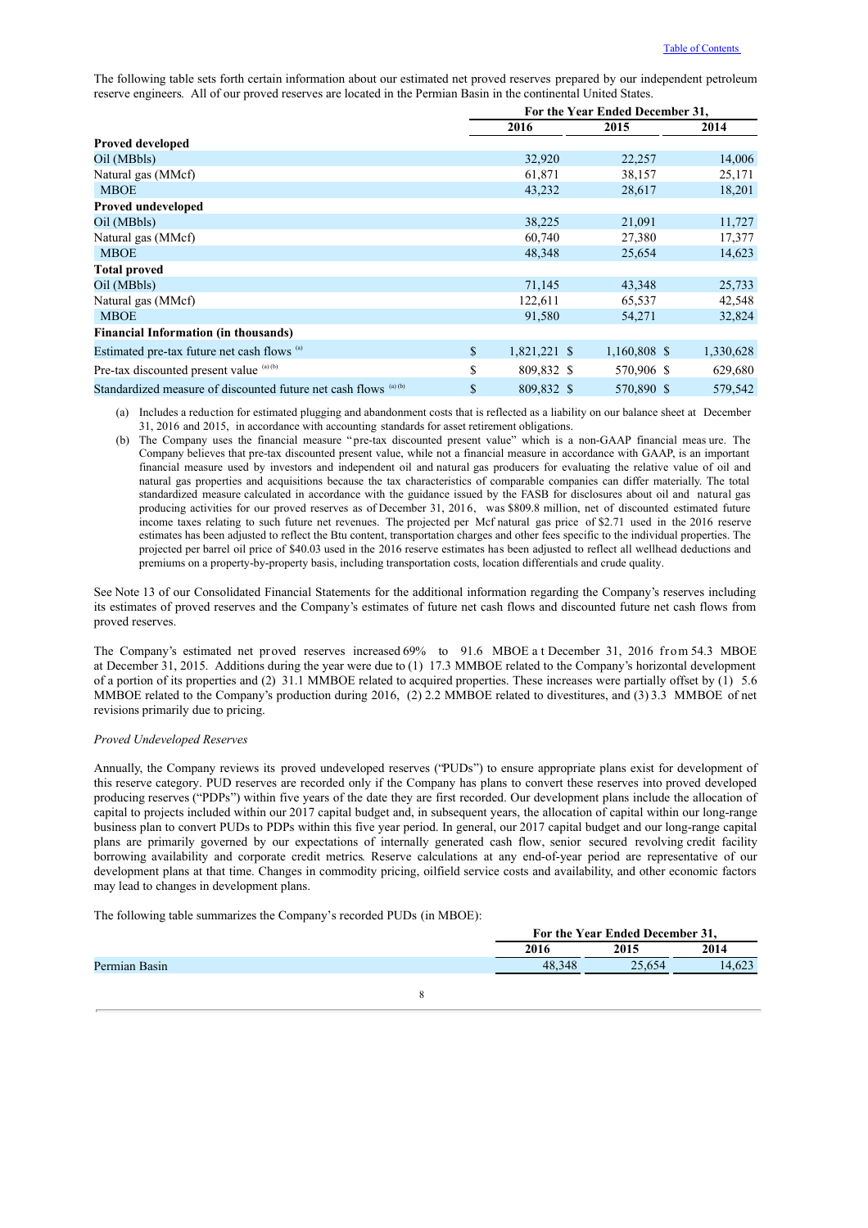The following table sets forth certain information about our estimated net proved reserves prepared by our independent petroleum reserve engineers. All of our proved reserves are located in the Permian Basin in the continental United States.

|                                                                  | For the Year Ended December 31, |              |              |           |  |
|------------------------------------------------------------------|---------------------------------|--------------|--------------|-----------|--|
|                                                                  |                                 | 2016         | 2015         | 2014      |  |
| <b>Proved developed</b>                                          |                                 |              |              |           |  |
| Oil (MBbls)                                                      |                                 | 32,920       | 22,257       | 14,006    |  |
| Natural gas (MMcf)                                               |                                 | 61,871       | 38,157       | 25,171    |  |
| <b>MBOE</b>                                                      |                                 | 43,232       | 28,617       | 18,201    |  |
| <b>Proved undeveloped</b>                                        |                                 |              |              |           |  |
| Oil (MBbls)                                                      |                                 | 38,225       | 21,091       | 11,727    |  |
| Natural gas (MMcf)                                               |                                 | 60,740       | 27,380       | 17,377    |  |
| <b>MBOE</b>                                                      |                                 | 48,348       | 25,654       | 14,623    |  |
| Total proved                                                     |                                 |              |              |           |  |
| Oil (MBbls)                                                      |                                 | 71,145       | 43,348       | 25,733    |  |
| Natural gas (MMcf)                                               |                                 | 122,611      | 65,537       | 42,548    |  |
| <b>MBOE</b>                                                      |                                 | 91,580       | 54,271       | 32,824    |  |
| <b>Financial Information (in thousands)</b>                      |                                 |              |              |           |  |
| Estimated pre-tax future net cash flows (a)                      | $\mathbf S$                     | 1,821,221 \$ | 1,160,808 \$ | 1,330,628 |  |
| Pre-tax discounted present value (a) (b)                         | \$                              | 809,832 \$   | 570,906 \$   | 629,680   |  |
| Standardized measure of discounted future net cash flows (a) (b) | $\mathbf{s}$                    | 809,832 \$   | 570,890 \$   | 579,542   |  |

(a) Includes a reduction for estimated plugging and abandonment costs that is reflected as a liability on our balance sheet at December 31, 2016 and 2015, in accordance with accounting standards for asset retirement obligations.

(b) The Company uses the financial measure " pre-tax discounted present value" which is a non-GAAP financial meas ure. The Company believes that pre-tax discounted present value, while not a financial measure in accordance with GAAP, is an important financial measure used by investors and independent oil and natural gas producers for evaluating the relative value of oil and natural gas properties and acquisitions because the tax characteristics of comparable companies can differ materially. The total standardized measure calculated in accordance with the guidance issued by the FASB for disclosures about oil and natural gas producing activities for our proved reserves as of December 31, 2016, was \$809.8 million, net of discounted estimated future income taxes relating to such future net revenues. The projected per Mcf natural gas price of \$2.71 used in the 2016 reserve estimates has been adjusted to reflect the Btu content, transportation charges and other fees specific to the individual properties. The projected per barrel oil price of \$40.03 used in the 2016 reserve estimates has been adjusted to reflect all wellhead deductions and premiums on a property-by-property basis, including transportation costs, location differentials and crude quality.

See Note 13 of our Consolidated Financial Statements for the additional information regarding the Company's reserves including its estimates of proved reserves and the Company's estimates of future net cash flows and discounted future net cash flows from proved reserves.

The Company's estimated net proved reserves increased 69% to 91.6 MBOE a t December 31, 2016 from 54.3 MBOE at December 31, 2015. Additions during the year were due to (1) 17.3 MMBOE related to the Company's horizontal development of a portion of its properties and (2) 31.1 MMBOE related to acquired properties. These increases were partially offset by (1) 5.6 MMBOE related to the Company's production during 2016, (2) 2.2 MMBOE related to divestitures, and (3) 3.3 MMBOE of net revisions primarily due to pricing.

#### *Proved Undeveloped Reserves*

Annually, the Company reviews its proved undeveloped reserves ("PUDs") to ensure appropriate plans exist for development of this reserve category. PUD reserves are recorded only if the Company has plans to convert these reserves into proved developed producing reserves ("PDPs") within five years of the date they are first recorded. Our development plans include the allocation of capital to projects included within our 2017 capital budget and, in subsequent years, the allocation of capital within our long-range business plan to convert PUDs to PDPs within this five year period. In general, our 2017 capital budget and our long-range capital plans are primarily governed by our expectations of internally generated cash flow, senior secured revolving credit facility borrowing availability and corporate credit metrics. Reserve calculations at any end-of-year period are representative of our development plans at that time. Changes in commodity pricing, oilfield service costs and availability, and other economic factors may lead to changes in development plans.

The following table summarizes the Company's recorded PUDs (in MBOE):

|               |        | For the Year Ended December 31, |        |  |  |
|---------------|--------|---------------------------------|--------|--|--|
|               | 2016   | 2015                            | 2014   |  |  |
| Permian Basin | 48.348 | 25.654                          | 14.623 |  |  |
|               |        |                                 |        |  |  |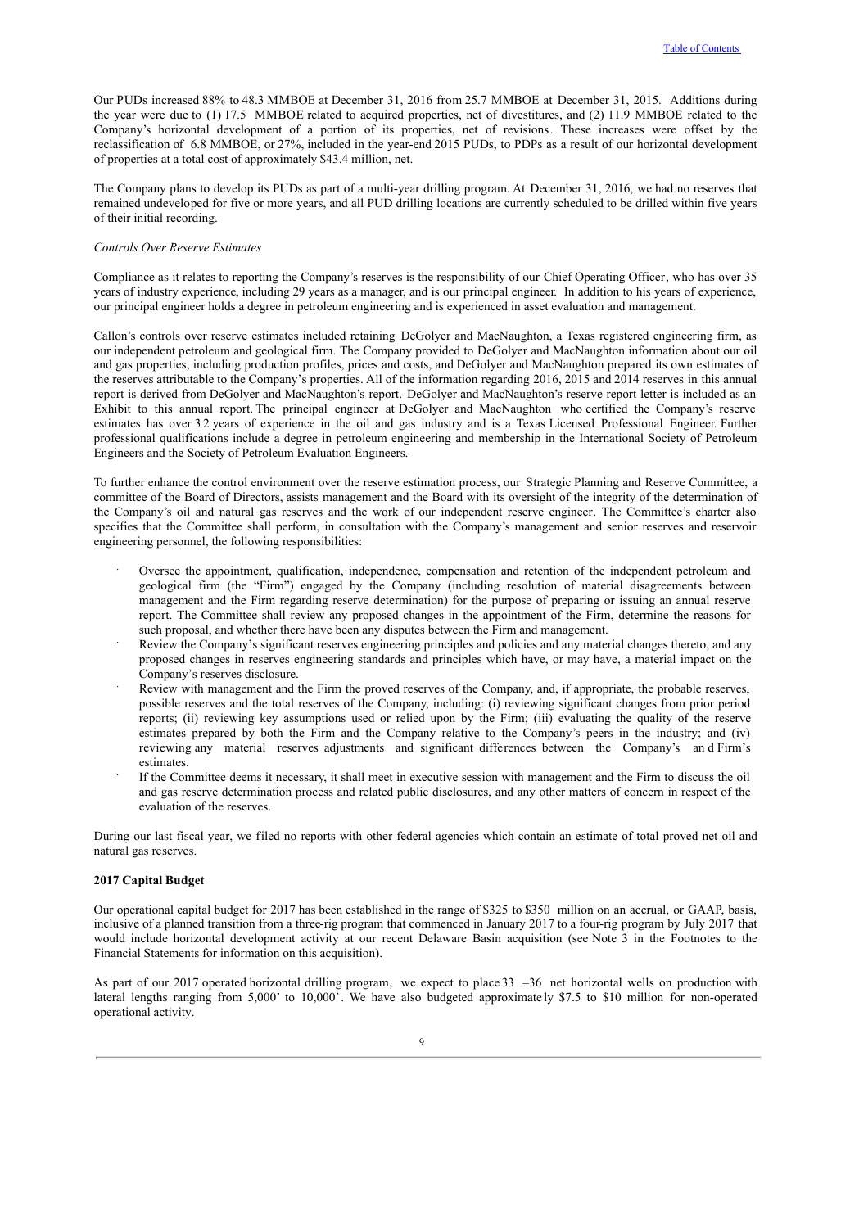Our PUDs increased 88% to 48.3 MMBOE at December 31, 2016 from 25.7 MMBOE at December 31, 2015. Additions during the year were due to (1) 17.5 MMBOE related to acquired properties, net of divestitures, and (2) 11.9 MMBOE related to the Company's horizontal development of a portion of its properties, net of revisions. These increases were offset by the reclassification of 6.8 MMBOE, or 27%, included in the year-end 2015 PUDs, to PDPs as a result of our horizontal development of properties at a total cost of approximately \$43.4 million, net.

The Company plans to develop its PUDs as part of a multi-year drilling program. At December 31, 2016, we had no reserves that remained undeveloped for five or more years, and all PUD drilling locations are currently scheduled to be drilled within five years of their initial recording.

#### *Controls Over Reserve Estimates*

Compliance as it relates to reporting the Company's reserves is the responsibility of our Chief Operating Officer, who has over 35 years of industry experience, including 29 years as a manager, and is our principal engineer. In addition to his years of experience, our principal engineer holds a degree in petroleum engineering and is experienced in asset evaluation and management.

Callon's controls over reserve estimates included retaining DeGolyer and MacNaughton, a Texas registered engineering firm, as our independent petroleum and geological firm. The Company provided to DeGolyer and MacNaughton information about our oil and gas properties, including production profiles, prices and costs, and DeGolyer and MacNaughton prepared its own estimates of the reserves attributable to the Company's properties. All of the information regarding 2016, 2015 and 2014 reserves in this annual report is derived from DeGolyer and MacNaughton's report. DeGolyer and MacNaughton's reserve report letter is included as an Exhibit to this annual report. The principal engineer at DeGolyer and MacNaughton who certified the Company's reserve estimates has over 32 years of experience in the oil and gas industry and is a Texas Licensed Professional Engineer. Further professional qualifications include a degree in petroleum engineering and membership in the International Society of Petroleum Engineers and the Society of Petroleum Evaluation Engineers.

To further enhance the control environment over the reserve estimation process, our Strategic Planning and Reserve Committee, a committee of the Board of Directors, assists management and the Board with its oversight of the integrity of the determination of the Company's oil and natural gas reserves and the work of our independent reserve engineer. The Committee's charter also specifies that the Committee shall perform, in consultation with the Company's management and senior reserves and reservoir engineering personnel, the following responsibilities:

- · Oversee the appointment, qualification, independence, compensation and retention of the independent petroleum and geological firm (the "Firm") engaged by the Company (including resolution of material disagreements between management and the Firm regarding reserve determination) for the purpose of preparing or issuing an annual reserve report. The Committee shall review any proposed changes in the appointment of the Firm, determine the reasons for such proposal, and whether there have been any disputes between the Firm and management.
- Review the Company's significant reserves engineering principles and policies and any material changes thereto, and any proposed changes in reserves engineering standards and principles which have, or may have, a material impact on the Company's reserves disclosure.
- Review with management and the Firm the proved reserves of the Company, and, if appropriate, the probable reserves, possible reserves and the total reserves of the Company, including: (i) reviewing significant changes from prior period reports; (ii) reviewing key assumptions used or relied upon by the Firm; (iii) evaluating the quality of the reserve estimates prepared by both the Firm and the Company relative to the Company's peers in the industry; and (iv) reviewing any material reserves adjustments and significant differences between the Company's an d Firm's estimates.
- If the Committee deems it necessary, it shall meet in executive session with management and the Firm to discuss the oil and gas reserve determination process and related public disclosures, and any other matters of concern in respect of the evaluation of the reserves.

During our last fiscal year, we filed no reports with other federal agencies which contain an estimate of total proved net oil and natural gas reserves.

#### **2017 Capital Budget**

Our operational capital budget for 2017 has been established in the range of \$325 to \$350 million on an accrual, or GAAP, basis, inclusive of a planned transition from a three-rig program that commenced in January 2017 to a four-rig program by July 2017 that would include horizontal development activity at our recent Delaware Basin acquisition (see Note 3 in the Footnotes to the Financial Statements for information on this acquisition).

As part of our 2017 operated horizontal drilling program, we expect to place 33 –36 net horizontal wells on production with lateral lengths ranging from 5,000' to 10,000'. We have also budgeted approximate ly \$7.5 to \$10 million for non-operated operational activity.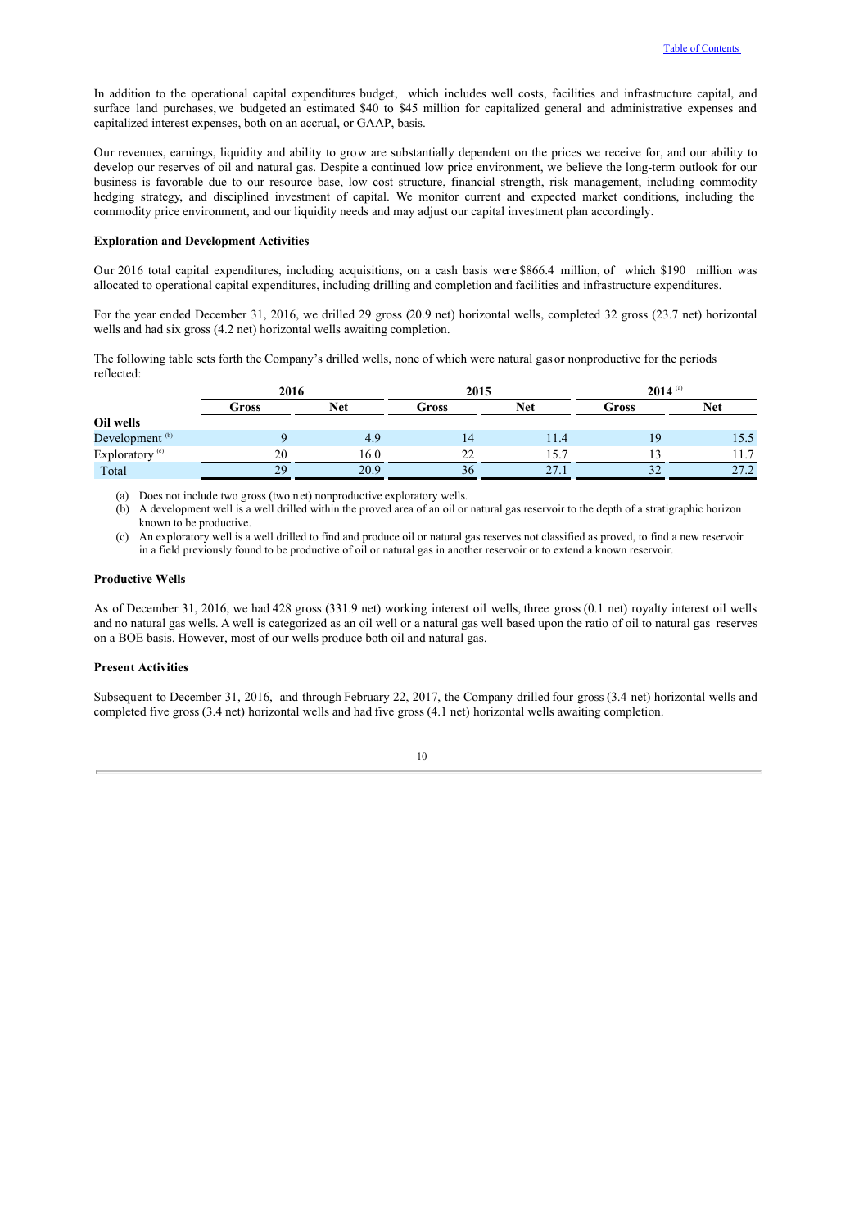In addition to the operational capital expenditures budget, which includes well costs, facilities and infrastructure capital, and surface land purchases, we budgeted an estimated \$40 to \$45 million for capitalized general and administrative expenses and capitalized interest expenses, both on an accrual, or GAAP, basis.

Our revenues, earnings, liquidity and ability to grow are substantially dependent on the prices we receive for, and our ability to develop our reserves of oil and natural gas. Despite a continued low price environment, we believe the long-term outlook for our business is favorable due to our resource base, low cost structure, financial strength, risk management, including commodity hedging strategy, and disciplined investment of capital. We monitor current and expected market conditions, including the commodity price environment, and our liquidity needs and may adjust our capital investment plan accordingly.

#### **Exploration and Development Activities**

Our 2016 total capital expenditures, including acquisitions, on a cash basis were \$866.4 million, of which \$190 million was allocated to operational capital expenditures, including drilling and completion and facilities and infrastructure expenditures.

For the year ended December 31, 2016, we drilled 29 gross (20.9 net) horizontal wells, completed 32 gross (23.7 net) horizontal wells and had six gross (4.2 net) horizontal wells awaiting completion.

The following table sets forth the Company's drilled wells, none of which were natural gasor nonproductive for the periods reflected:

|                            | 2016  |            | 2015  |      | $2014^{(a)}$ |      |  |
|----------------------------|-------|------------|-------|------|--------------|------|--|
|                            | Gross | <b>Net</b> | Gross | Net  | Gross        | Net  |  |
| Oil wells                  |       |            |       |      |              |      |  |
| Development <sup>(b)</sup> |       | 4.9        | 14    | 11.4 |              | 15.5 |  |
| Exploratory <sup>(c)</sup> | 20    | 16.0       | 22    | 15.7 |              |      |  |
| Total                      | 29    | 20.9       | 36    | 27.1 | ے ر          | 27.2 |  |

(a) Does not include two gross (two net) nonproductive exploratory wells.

(b) A development well is a well drilled within the proved area of an oil or natural gas reservoir to the depth of a stratigraphic horizon known to be productive.

(c) An exploratory well is a well drilled to find and produce oil or natural gas reserves not classified as proved, to find a new reservoir in a field previously found to be productive of oil or natural gas in another reservoir or to extend a known reservoir.

#### **Productive Wells**

As of December 31, 2016, we had 428 gross (331.9 net) working interest oil wells, three gross (0.1 net) royalty interest oil wells and no natural gas wells. A well is categorized as an oil well or a natural gas well based upon the ratio of oil to natural gas reserves on a BOE basis. However, most of our wells produce both oil and natural gas.

# **Present Activities**

Subsequent to December 31, 2016, and through February 22, 2017, the Company drilled four gross (3.4 net) horizontal wells and completed five gross (3.4 net) horizontal wells and had five gross (4.1 net) horizontal wells awaiting completion.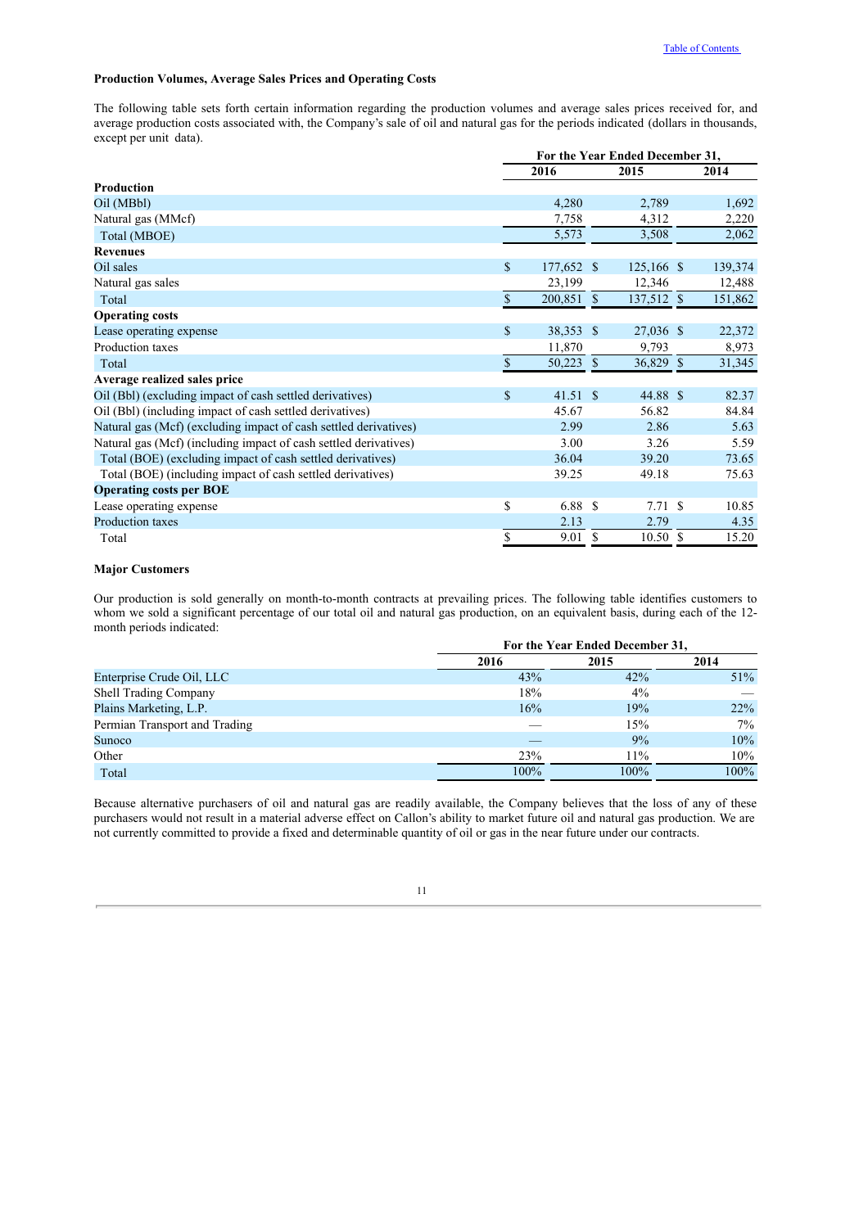# **Production Volumes, Average Sales Prices and Operating Costs**

The following table sets forth certain information regarding the production volumes and average sales prices received for, and average production costs associated with, the Company's sale of oil and natural gas for the periods indicated (dollars in thousands, except per unit data).

|                                                                  | For the Year Ended December 31, |            |               |            |  |         |
|------------------------------------------------------------------|---------------------------------|------------|---------------|------------|--|---------|
|                                                                  |                                 | 2016       |               | 2015       |  | 2014    |
| <b>Production</b>                                                |                                 |            |               |            |  |         |
| Oil (MBbl)                                                       |                                 | 4,280      |               | 2,789      |  | 1,692   |
| Natural gas (MMcf)                                               |                                 | 7,758      |               | 4,312      |  | 2,220   |
| Total (MBOE)                                                     |                                 | 5,573      |               | 3,508      |  | 2,062   |
| <b>Revenues</b>                                                  |                                 |            |               |            |  |         |
| Oil sales                                                        | $\mathbf S$                     | 177,652 \$ |               | 125,166 \$ |  | 139,374 |
| Natural gas sales                                                |                                 | 23,199     |               | 12,346     |  | 12,488  |
| Total                                                            | $\mathcal{S}$                   | 200,851 \$ |               | 137,512 \$ |  | 151,862 |
| <b>Operating costs</b>                                           |                                 |            |               |            |  |         |
| Lease operating expense                                          | $\mathbf S$                     | 38,353 \$  |               | 27,036 \$  |  | 22,372  |
| Production taxes                                                 |                                 | 11,870     |               | 9,793      |  | 8,973   |
| Total                                                            | \$                              | 50,223 \$  |               | 36,829 \$  |  | 31,345  |
| Average realized sales price                                     |                                 |            |               |            |  |         |
| Oil (Bbl) (excluding impact of cash settled derivatives)         | $\mathbf S$                     | $41.51$ \$ |               | 44.88 \$   |  | 82.37   |
| Oil (Bbl) (including impact of cash settled derivatives)         |                                 | 45.67      |               | 56.82      |  | 84.84   |
| Natural gas (Mcf) (excluding impact of cash settled derivatives) |                                 | 2.99       |               | 2.86       |  | 5.63    |
| Natural gas (Mcf) (including impact of cash settled derivatives) |                                 | 3.00       |               | 3.26       |  | 5.59    |
| Total (BOE) (excluding impact of cash settled derivatives)       |                                 | 36.04      |               | 39.20      |  | 73.65   |
| Total (BOE) (including impact of cash settled derivatives)       |                                 | 39.25      |               | 49.18      |  | 75.63   |
| <b>Operating costs per BOE</b>                                   |                                 |            |               |            |  |         |
| Lease operating expense                                          | \$                              | 6.88 \$    |               | 7.71S      |  | 10.85   |
| Production taxes                                                 |                                 | 2.13       |               | 2.79       |  | 4.35    |
| Total                                                            | \$                              | 9.01       | <sup>\$</sup> | 10.50 S    |  | 15.20   |

# **Major Customers**

Our production is sold generally on month-to-month contracts at prevailing prices. The following table identifies customers to whom we sold a significant percentage of our total oil and natural gas production, on an equivalent basis, during each of the 12 month periods indicated:

|                               |      | For the Year Ended December 31, |        |  |  |  |
|-------------------------------|------|---------------------------------|--------|--|--|--|
|                               | 2016 | 2015                            | 2014   |  |  |  |
| Enterprise Crude Oil, LLC     | 43%  | 42%                             | $51\%$ |  |  |  |
| <b>Shell Trading Company</b>  | 18%  | $4\%$                           |        |  |  |  |
| Plains Marketing, L.P.        | 16%  | 19%                             | $22\%$ |  |  |  |
| Permian Transport and Trading |      | 15%                             | 7%     |  |  |  |
| Sunoco                        |      | 9%                              | 10%    |  |  |  |
| Other                         | 23%  | 11%                             | 10%    |  |  |  |
| Total                         | 100% | 100%                            | 100%   |  |  |  |

Because alternative purchasers of oil and natural gas are readily available, the Company believes that the loss of any of these purchasers would not result in a material adverse effect on Callon's ability to market future oil and natural gas production. We are not currently committed to provide a fixed and determinable quantity of oil or gas in the near future under our contracts.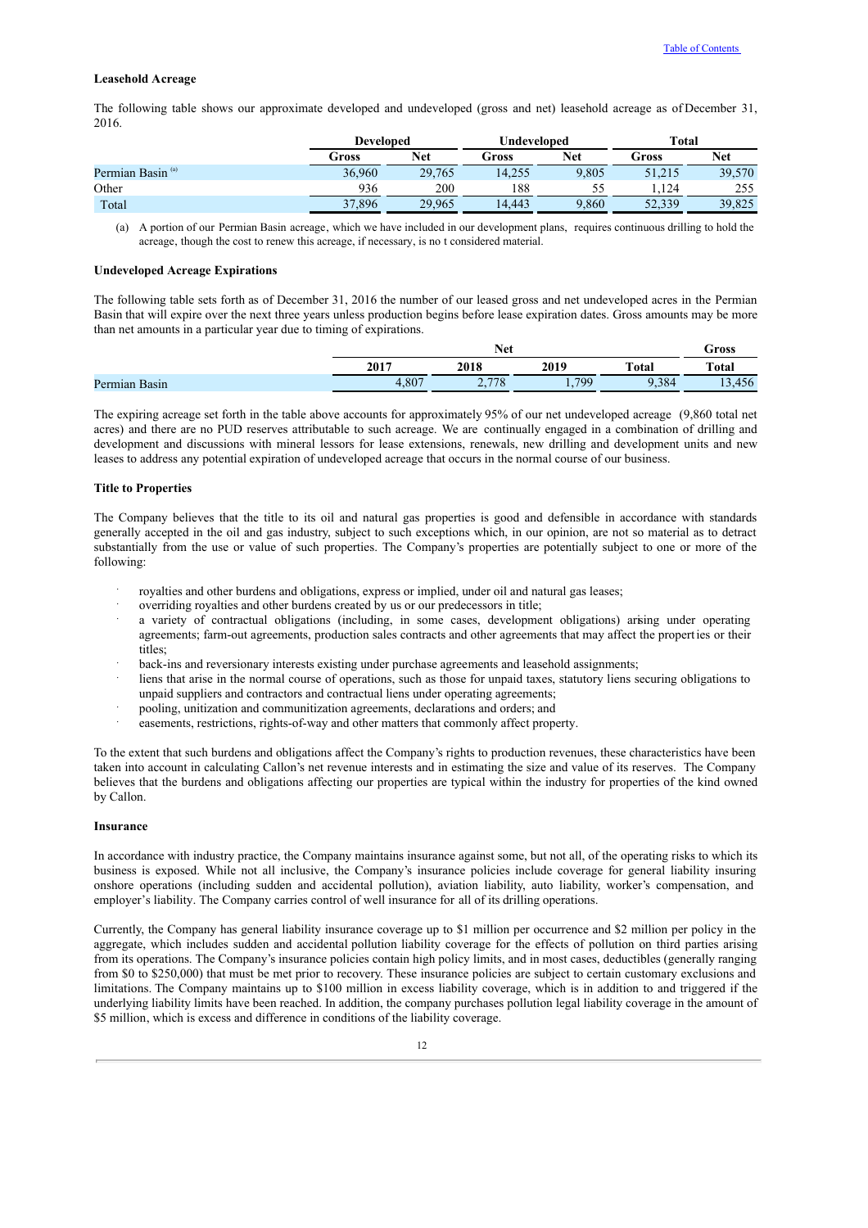## **Leasehold Acreage**

The following table shows our approximate developed and undeveloped (gross and net) leasehold acreage as of December 31, 2016.

|                              | <b>Developed</b> |            | Undeveloped |            | <b>Total</b> |            |
|------------------------------|------------------|------------|-------------|------------|--------------|------------|
|                              | Gross            | <b>Net</b> | Gross       | <b>Net</b> | Gross        | <b>Net</b> |
| Permian Basin <sup>(a)</sup> | 36.960           | 29,765     | 14.255      | 9.805      | 51.215       | 39.570     |
| Other                        | 936              | 200        | 188         |            | . 124        | 255        |
| Total                        | 37,896           | 29.965     | 14.443      | 9.860      | 52,339       | 39.825     |

(a) A portion of our Permian Basin acreage, which we have included in our development plans, requires continuous drilling to hold the acreage, though the cost to renew this acreage, if necessary, is no t considered material.

## **Undeveloped Acreage Expirations**

The following table sets forth as of December 31, 2016 the number of our leased gross and net undeveloped acres in the Permian Basin that will expire over the next three years unless production begins before lease expiration dates. Gross amounts may be more than net amounts in a particular year due to timing of expirations.

|                  | Na<br>INCL     |                        |      |       | 5ross           |  |
|------------------|----------------|------------------------|------|-------|-----------------|--|
|                  | 2017           | 2018                   | 2019 | Total | Total           |  |
| Permian<br>Basın | 0 <sub>0</sub> | 2770<br>70<br><u>.</u> | 799  | 9.384 | $1 - 1$<br>,456 |  |

The expiring acreage set forth in the table above accounts for approximately 95% of our net undeveloped acreage (9,860 total net acres) and there are no PUD reserves attributable to such acreage. We are continually engaged in a combination of drilling and development and discussions with mineral lessors for lease extensions, renewals, new drilling and development units and new leases to address any potential expiration of undeveloped acreage that occurs in the normal course of our business.

# **Title to Properties**

The Company believes that the title to its oil and natural gas properties is good and defensible in accordance with standards generally accepted in the oil and gas industry, subject to such exceptions which, in our opinion, are not so material as to detract substantially from the use or value of such properties. The Company's properties are potentially subject to one or more of the following:

- royalties and other burdens and obligations, express or implied, under oil and natural gas leases;
- overriding royalties and other burdens created by us or our predecessors in title;
- a variety of contractual obligations (including, in some cases, development obligations) arising under operating agreements; farm-out agreements, production sales contracts and other agreements that may affect the properties or their titles;
- back-ins and reversionary interests existing under purchase agreements and leasehold assignments;
- liens that arise in the normal course of operations, such as those for unpaid taxes, statutory liens securing obligations to unpaid suppliers and contractors and contractual liens under operating agreements;
- · pooling, unitization and communitization agreements, declarations and orders; and
- easements, restrictions, rights-of-way and other matters that commonly affect property.

To the extent that such burdens and obligations affect the Company's rights to production revenues, these characteristics have been taken into account in calculating Callon's net revenue interests and in estimating the size and value of its reserves. The Company believes that the burdens and obligations affecting our properties are typical within the industry for properties of the kind owned by Callon.

#### **Insurance**

In accordance with industry practice, the Company maintains insurance against some, but not all, of the operating risks to which its business is exposed. While not all inclusive, the Company's insurance policies include coverage for general liability insuring onshore operations (including sudden and accidental pollution), aviation liability, auto liability, worker's compensation, and employer's liability. The Company carries control of well insurance for all of its drilling operations.

Currently, the Company has general liability insurance coverage up to \$1 million per occurrence and \$2 million per policy in the aggregate, which includes sudden and accidental pollution liability coverage for the effects of pollution on third parties arising from its operations. The Company's insurance policies contain high policy limits, and in most cases, deductibles (generally ranging from \$0 to \$250,000) that must be met prior to recovery. These insurance policies are subject to certain customary exclusions and limitations. The Company maintains up to \$100 million in excess liability coverage, which is in addition to and triggered if the underlying liability limits have been reached. In addition, the company purchases pollution legal liability coverage in the amount of \$5 million, which is excess and difference in conditions of the liability coverage.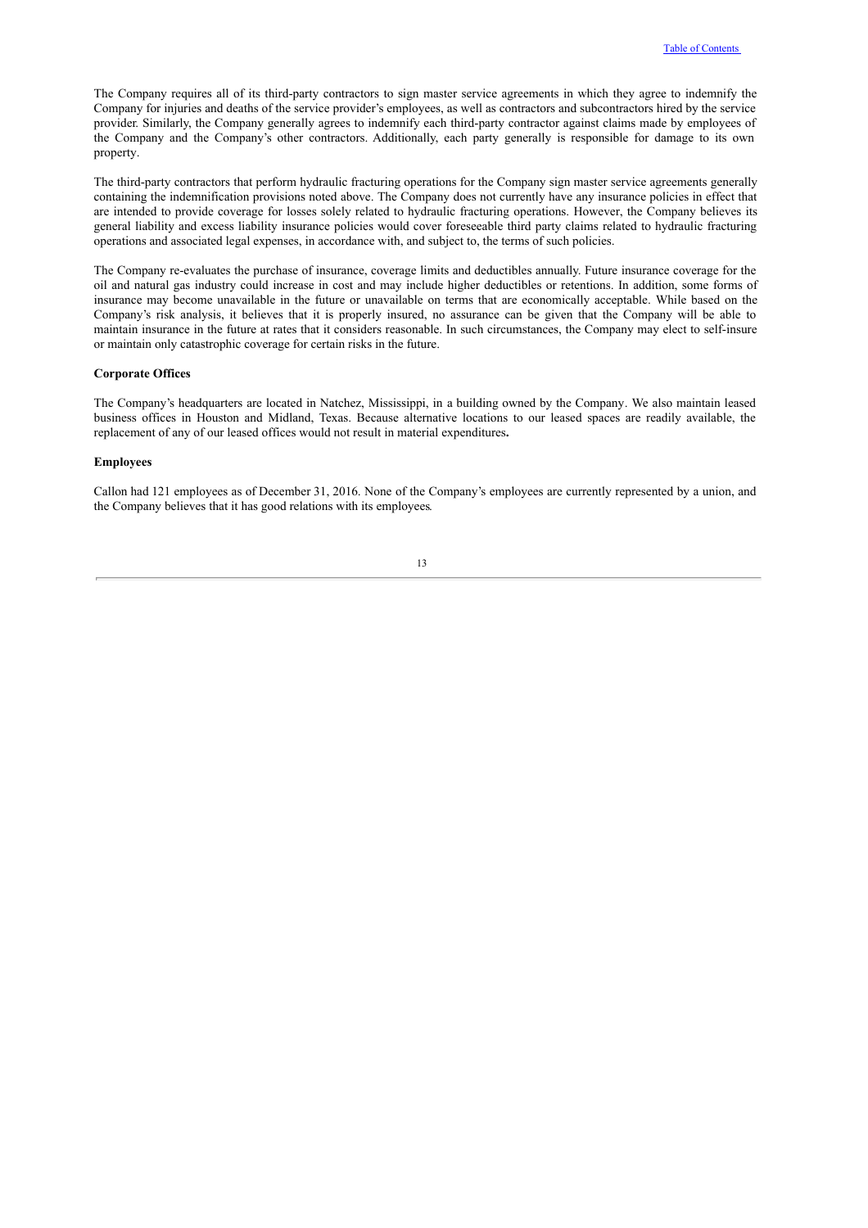The Company requires all of its third-party contractors to sign master service agreements in which they agree to indemnify the Company for injuries and deaths of the service provider's employees, as well as contractors and subcontractors hired by the service provider. Similarly, the Company generally agrees to indemnify each third-party contractor against claims made by employees of the Company and the Company's other contractors. Additionally, each party generally is responsible for damage to its own property.

The third-party contractors that perform hydraulic fracturing operations for the Company sign master service agreements generally containing the indemnification provisions noted above. The Company does not currently have any insurance policies in effect that are intended to provide coverage for losses solely related to hydraulic fracturing operations. However, the Company believes its general liability and excess liability insurance policies would cover foreseeable third party claims related to hydraulic fracturing operations and associated legal expenses, in accordance with, and subject to, the terms of such policies.

The Company re-evaluates the purchase of insurance, coverage limits and deductibles annually. Future insurance coverage for the oil and natural gas industry could increase in cost and may include higher deductibles or retentions. In addition, some forms of insurance may become unavailable in the future or unavailable on terms that are economically acceptable. While based on the Company's risk analysis, it believes that it is properly insured, no assurance can be given that the Company will be able to maintain insurance in the future at rates that it considers reasonable. In such circumstances, the Company may elect to self-insure or maintain only catastrophic coverage for certain risks in the future.

# **Corporate Offices**

The Company's headquarters are located in Natchez, Mississippi, in a building owned by the Company. We also maintain leased business offices in Houston and Midland, Texas. Because alternative locations to our leased spaces are readily available, the replacement of any of our leased offices would not result in material expenditures**.**

# **Employees**

Callon had 121 employees as of December 31, 2016. None of the Company's employees are currently represented by a union, and the Company believes that it has good relations with its employees.

#### 13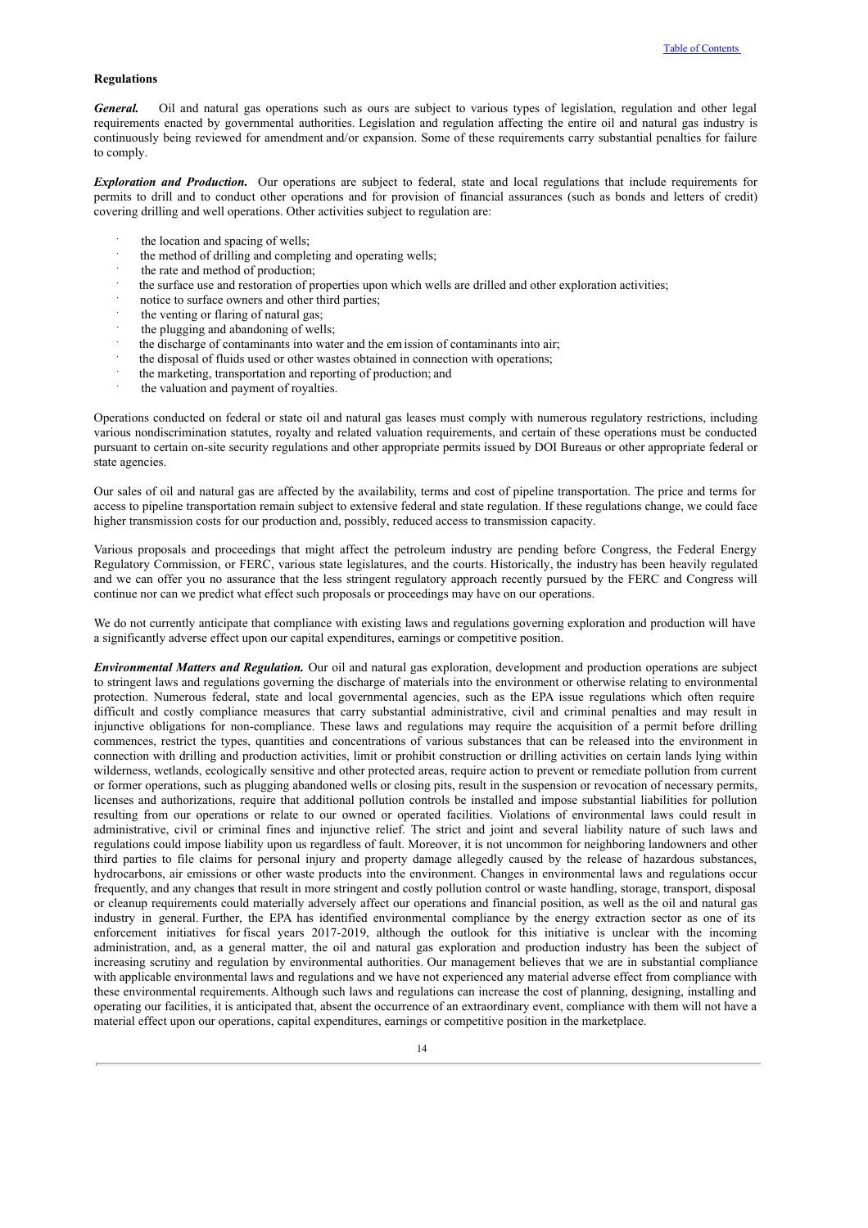# **Regulations**

*General.* Oil and natural gas operations such as ours are subject to various types of legislation, regulation and other legal requirements enacted by governmental authorities. Legislation and regulation affecting the entire oil and natural gas industry is continuously being reviewed for amendment and/or expansion. Some of these requirements carry substantial penalties for failure to comply.

*Exploration and Production***.** Our operations are subject to federal, state and local regulations that include requirements for permits to drill and to conduct other operations and for provision of financial assurances (such as bonds and letters of credit) covering drilling and well operations. Other activities subject to regulation are:

- the location and spacing of wells;
- the method of drilling and completing and operating wells;
- the rate and method of production;
- the surface use and restoration of properties upon which wells are drilled and other exploration activities;
- notice to surface owners and other third parties;
- the venting or flaring of natural gas;
- the plugging and abandoning of wells;
- the discharge of contaminants into water and the emission of contaminants into air;
- the disposal of fluids used or other wastes obtained in connection with operations;
- the marketing, transportation and reporting of production; and
- the valuation and payment of royalties.

Operations conducted on federal or state oil and natural gas leases must comply with numerous regulatory restrictions, including various nondiscrimination statutes, royalty and related valuation requirements, and certain of these operations must be conducted pursuant to certain on-site security regulations and other appropriate permits issued by DOI Bureaus or other appropriate federal or state agencies.

Our sales of oil and natural gas are affected by the availability, terms and cost of pipeline transportation. The price and terms for access to pipeline transportation remain subject to extensive federal and state regulation. If these regulations change, we could face higher transmission costs for our production and, possibly, reduced access to transmission capacity.

Various proposals and proceedings that might affect the petroleum industry are pending before Congress, the Federal Energy Regulatory Commission, or FERC, various state legislatures, and the courts. Historically, the industry has been heavily regulated and we can offer you no assurance that the less stringent regulatory approach recently pursued by the FERC and Congress will continue nor can we predict what effect such proposals or proceedings may have on our operations.

We do not currently anticipate that compliance with existing laws and regulations governing exploration and production will have a significantly adverse effect upon our capital expenditures, earnings or competitive position.

*Environmental Matters and Regulation.* Our oil and natural gas exploration, development and production operations are subject to stringent laws and regulations governing the discharge of materials into the environment or otherwise relating to environmental protection. Numerous federal, state and local governmental agencies, such as the EPA issue regulations which often require difficult and costly compliance measures that carry substantial administrative, civil and criminal penalties and may result in injunctive obligations for non-compliance. These laws and regulations may require the acquisition of a permit before drilling commences, restrict the types, quantities and concentrations of various substances that can be released into the environment in connection with drilling and production activities, limit or prohibit construction or drilling activities on certain lands lying within wilderness, wetlands, ecologically sensitive and other protected areas, require action to prevent or remediate pollution from current or former operations, such as plugging abandoned wells or closing pits, result in the suspension or revocation of necessary permits, licenses and authorizations, require that additional pollution controls be installed and impose substantial liabilities for pollution resulting from our operations or relate to our owned or operated facilities. Violations of environmental laws could result in administrative, civil or criminal fines and injunctive relief. The strict and joint and several liability nature of such laws and regulations could impose liability upon us regardless of fault. Moreover, it is not uncommon for neighboring landowners and other third parties to file claims for personal injury and property damage allegedly caused by the release of hazardous substances, hydrocarbons, air emissions or other waste products into the environment. Changes in environmental laws and regulations occur frequently, and any changes that result in more stringent and costly pollution control or waste handling, storage, transport, disposal or cleanup requirements could materially adversely affect our operations and financial position, as well as the oil and natural gas industry in general. Further, the EPA has identified environmental compliance by the energy extraction sector as one of its enforcement initiatives for fiscal years 2017-2019, although the outlook for this initiative is unclear with the incoming administration, and, as a general matter, the oil and natural gas exploration and production industry has been the subject of increasing scrutiny and regulation by environmental authorities. Our management believes that we are in substantial compliance with applicable environmental laws and regulations and we have not experienced any material adverse effect from compliance with these environmental requirements. Although such laws and regulations can increase the cost of planning, designing, installing and operating our facilities, it is anticipated that, absent the occurrence of an extraordinary event, compliance with them will not have a material effect upon our operations, capital expenditures, earnings or competitive position in the marketplace.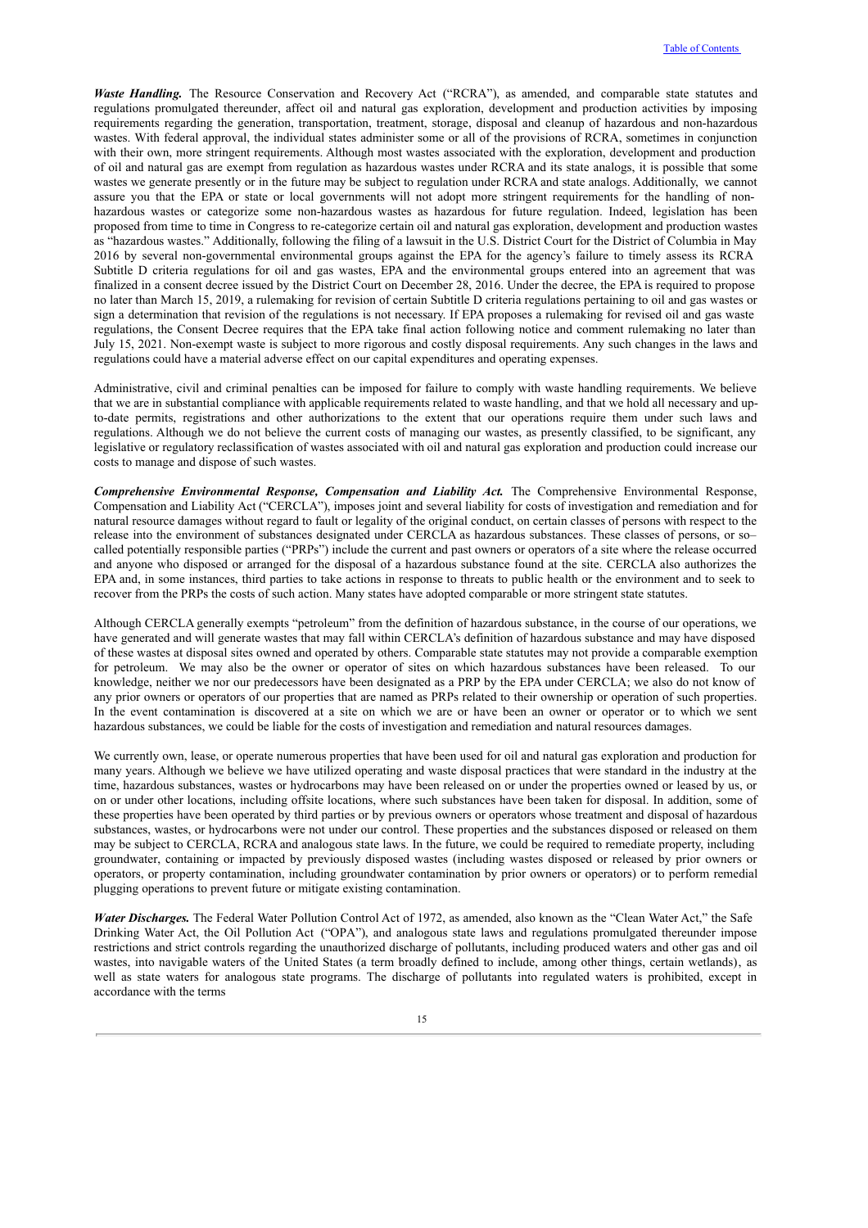*Waste Handling.* The Resource Conservation and Recovery Act ("RCRA"), as amended, and comparable state statutes and regulations promulgated thereunder, affect oil and natural gas exploration, development and production activities by imposing requirements regarding the generation, transportation, treatment, storage, disposal and cleanup of hazardous and non-hazardous wastes. With federal approval, the individual states administer some or all of the provisions of RCRA, sometimes in conjunction with their own, more stringent requirements. Although most wastes associated with the exploration, development and production of oil and natural gas are exempt from regulation as hazardous wastes under RCRA and its state analogs, it is possible that some wastes we generate presently or in the future may be subject to regulation under RCRA and state analogs. Additionally, we cannot assure you that the EPA or state or local governments will not adopt more stringent requirements for the handling of nonhazardous wastes or categorize some non-hazardous wastes as hazardous for future regulation. Indeed, legislation has been proposed from time to time in Congress to re-categorize certain oil and natural gas exploration, development and production wastes as "hazardous wastes." Additionally, following the filing of a lawsuit in the U.S. District Court for the District of Columbia in May 2016 by several non-governmental environmental groups against the EPA for the agency's failure to timely assess its RCRA Subtitle D criteria regulations for oil and gas wastes, EPA and the environmental groups entered into an agreement that was finalized in a consent decree issued by the District Court on December 28, 2016. Under the decree, the EPA is required to propose no later than March 15, 2019, a rulemaking for revision of certain Subtitle D criteria regulations pertaining to oil and gas wastes or sign a determination that revision of the regulations is not necessary. If EPA proposes a rulemaking for revised oil and gas waste regulations, the Consent Decree requires that the EPA take final action following notice and comment rulemaking no later than July 15, 2021. Non-exempt waste is subject to more rigorous and costly disposal requirements. Any such changes in the laws and regulations could have a material adverse effect on our capital expenditures and operating expenses.

Administrative, civil and criminal penalties can be imposed for failure to comply with waste handling requirements. We believe that we are in substantial compliance with applicable requirements related to waste handling, and that we hold all necessary and upto-date permits, registrations and other authorizations to the extent that our operations require them under such laws and regulations. Although we do not believe the current costs of managing our wastes, as presently classified, to be significant, any legislative or regulatory reclassification of wastes associated with oil and natural gas exploration and production could increase our costs to manage and dispose of such wastes.

*Comprehensive Environmental Response, Compensation and Liability Act.* The Comprehensive Environmental Response, Compensation and Liability Act ("CERCLA"), imposes joint and several liability for costs of investigation and remediation and for natural resource damages without regard to fault or legality of the original conduct, on certain classes of persons with respect to the release into the environment of substances designated under CERCLA as hazardous substances. These classes of persons, or so– called potentially responsible parties ("PRPs") include the current and past owners or operators of a site where the release occurred and anyone who disposed or arranged for the disposal of a hazardous substance found at the site. CERCLA also authorizes the EPA and, in some instances, third parties to take actions in response to threats to public health or the environment and to seek to recover from the PRPs the costs of such action. Many states have adopted comparable or more stringent state statutes.

Although CERCLA generally exempts "petroleum" from the definition of hazardous substance, in the course of our operations, we have generated and will generate wastes that may fall within CERCLA's definition of hazardous substance and may have disposed of these wastes at disposal sites owned and operated by others. Comparable state statutes may not provide a comparable exemption for petroleum. We may also be the owner or operator of sites on which hazardous substances have been released. To our knowledge, neither we nor our predecessors have been designated as a PRP by the EPA under CERCLA; we also do not know of any prior owners or operators of our properties that are named as PRPs related to their ownership or operation of such properties. In the event contamination is discovered at a site on which we are or have been an owner or operator or to which we sent hazardous substances, we could be liable for the costs of investigation and remediation and natural resources damages.

We currently own, lease, or operate numerous properties that have been used for oil and natural gas exploration and production for many years. Although we believe we have utilized operating and waste disposal practices that were standard in the industry at the time, hazardous substances, wastes or hydrocarbons may have been released on or under the properties owned or leased by us, or on or under other locations, including offsite locations, where such substances have been taken for disposal. In addition, some of these properties have been operated by third parties or by previous owners or operators whose treatment and disposal of hazardous substances, wastes, or hydrocarbons were not under our control. These properties and the substances disposed or released on them may be subject to CERCLA, RCRA and analogous state laws. In the future, we could be required to remediate property, including groundwater, containing or impacted by previously disposed wastes (including wastes disposed or released by prior owners or operators, or property contamination, including groundwater contamination by prior owners or operators) or to perform remedial plugging operations to prevent future or mitigate existing contamination.

*Water Discharges.* The Federal Water Pollution Control Act of 1972, as amended, also known as the "Clean Water Act," the Safe Drinking Water Act, the Oil Pollution Act ("OPA"), and analogous state laws and regulations promulgated thereunder impose restrictions and strict controls regarding the unauthorized discharge of pollutants, including produced waters and other gas and oil wastes, into navigable waters of the United States (a term broadly defined to include, among other things, certain wetlands), as well as state waters for analogous state programs. The discharge of pollutants into regulated waters is prohibited, except in accordance with the terms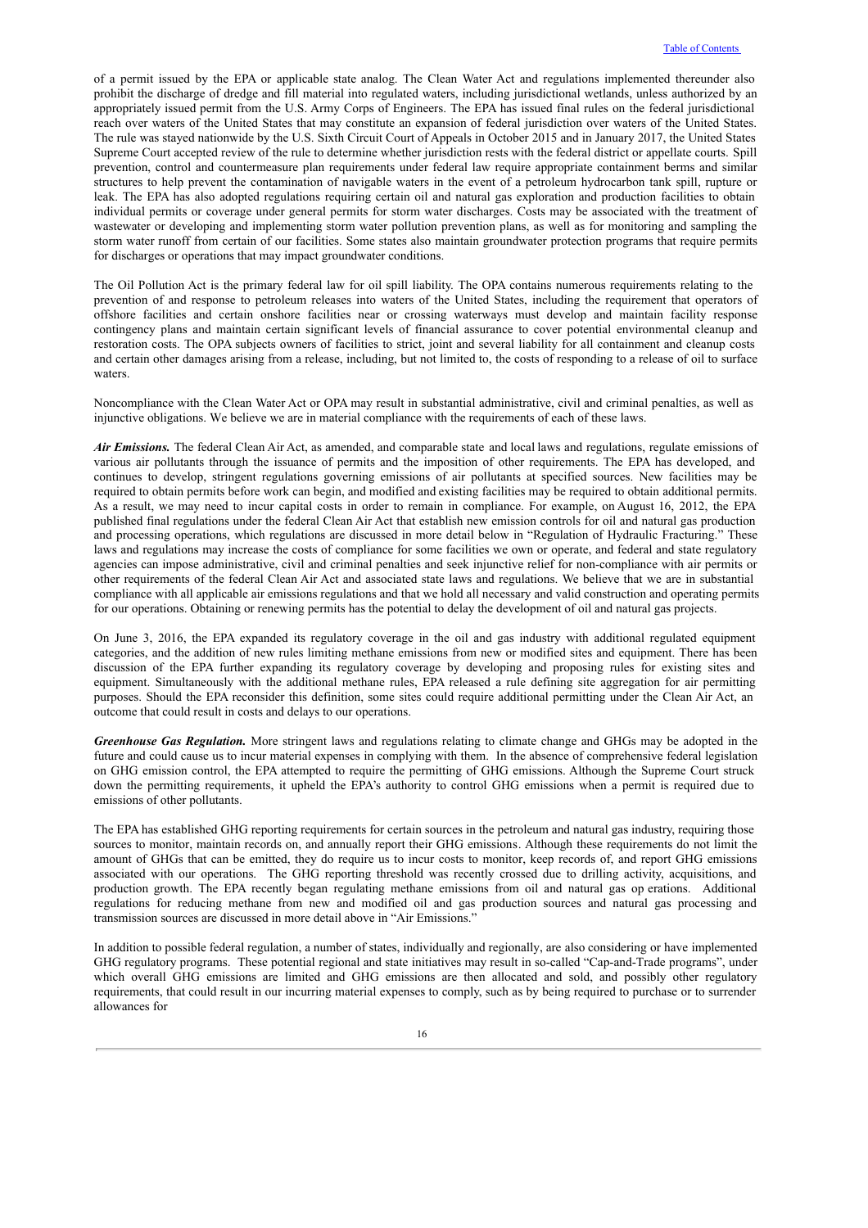of a permit issued by the EPA or applicable state analog. The Clean Water Act and regulations implemented thereunder also prohibit the discharge of dredge and fill material into regulated waters, including jurisdictional wetlands, unless authorized by an appropriately issued permit from the U.S. Army Corps of Engineers. The EPA has issued final rules on the federal jurisdictional reach over waters of the United States that may constitute an expansion of federal jurisdiction over waters of the United States. The rule was stayed nationwide by the U.S. Sixth Circuit Court of Appeals in October 2015 and in January 2017, the United States Supreme Court accepted review of the rule to determine whether jurisdiction rests with the federal district or appellate courts. Spill prevention, control and countermeasure plan requirements under federal law require appropriate containment berms and similar structures to help prevent the contamination of navigable waters in the event of a petroleum hydrocarbon tank spill, rupture or leak. The EPA has also adopted regulations requiring certain oil and natural gas exploration and production facilities to obtain individual permits or coverage under general permits for storm water discharges. Costs may be associated with the treatment of wastewater or developing and implementing storm water pollution prevention plans, as well as for monitoring and sampling the storm water runoff from certain of our facilities. Some states also maintain groundwater protection programs that require permits for discharges or operations that may impact groundwater conditions.

The Oil Pollution Act is the primary federal law for oil spill liability. The OPA contains numerous requirements relating to the prevention of and response to petroleum releases into waters of the United States, including the requirement that operators of offshore facilities and certain onshore facilities near or crossing waterways must develop and maintain facility response contingency plans and maintain certain significant levels of financial assurance to cover potential environmental cleanup and restoration costs. The OPA subjects owners of facilities to strict, joint and several liability for all containment and cleanup costs and certain other damages arising from a release, including, but not limited to, the costs of responding to a release of oil to surface waters.

Noncompliance with the Clean Water Act or OPA may result in substantial administrative, civil and criminal penalties, as well as injunctive obligations. We believe we are in material compliance with the requirements of each of these laws.

*Air Emissions.* The federal Clean Air Act, as amended, and comparable state and local laws and regulations, regulate emissions of various air pollutants through the issuance of permits and the imposition of other requirements. The EPA has developed, and continues to develop, stringent regulations governing emissions of air pollutants at specified sources. New facilities may be required to obtain permits before work can begin, and modified and existing facilities may be required to obtain additional permits. As a result, we may need to incur capital costs in order to remain in compliance. For example, on August 16, 2012, the EPA published final regulations under the federal Clean Air Act that establish new emission controls for oil and natural gas production and processing operations, which regulations are discussed in more detail below in "Regulation of Hydraulic Fracturing." These laws and regulations may increase the costs of compliance for some facilities we own or operate, and federal and state regulatory agencies can impose administrative, civil and criminal penalties and seek injunctive relief for non-compliance with air permits or other requirements of the federal Clean Air Act and associated state laws and regulations. We believe that we are in substantial compliance with all applicable air emissions regulations and that we hold all necessary and valid construction and operating permits for our operations. Obtaining or renewing permits has the potential to delay the development of oil and natural gas projects.

On June 3, 2016, the EPA expanded its regulatory coverage in the oil and gas industry with additional regulated equipment categories, and the addition of new rules limiting methane emissions from new or modified sites and equipment. There has been discussion of the EPA further expanding its regulatory coverage by developing and proposing rules for existing sites and equipment. Simultaneously with the additional methane rules, EPA released a rule defining site aggregation for air permitting purposes. Should the EPA reconsider this definition, some sites could require additional permitting under the Clean Air Act, an outcome that could result in costs and delays to our operations.

*Greenhouse Gas Regulation.* More stringent laws and regulations relating to climate change and GHGs may be adopted in the future and could cause us to incur material expenses in complying with them. In the absence of comprehensive federal legislation on GHG emission control, the EPA attempted to require the permitting of GHG emissions. Although the Supreme Court struck down the permitting requirements, it upheld the EPA's authority to control GHG emissions when a permit is required due to emissions of other pollutants.

The EPA has established GHG reporting requirements for certain sources in the petroleum and natural gas industry, requiring those sources to monitor, maintain records on, and annually report their GHG emissions. Although these requirements do not limit the amount of GHGs that can be emitted, they do require us to incur costs to monitor, keep records of, and report GHG emissions associated with our operations. The GHG reporting threshold was recently crossed due to drilling activity, acquisitions, and production growth. The EPA recently began regulating methane emissions from oil and natural gas op erations. Additional regulations for reducing methane from new and modified oil and gas production sources and natural gas processing and transmission sources are discussed in more detail above in "Air Emissions."

In addition to possible federal regulation, a number of states, individually and regionally, are also considering or have implemented GHG regulatory programs. These potential regional and state initiatives may result in so-called "Cap-and-Trade programs", under which overall GHG emissions are limited and GHG emissions are then allocated and sold, and possibly other regulatory requirements, that could result in our incurring material expenses to comply, such as by being required to purchase or to surrender allowances for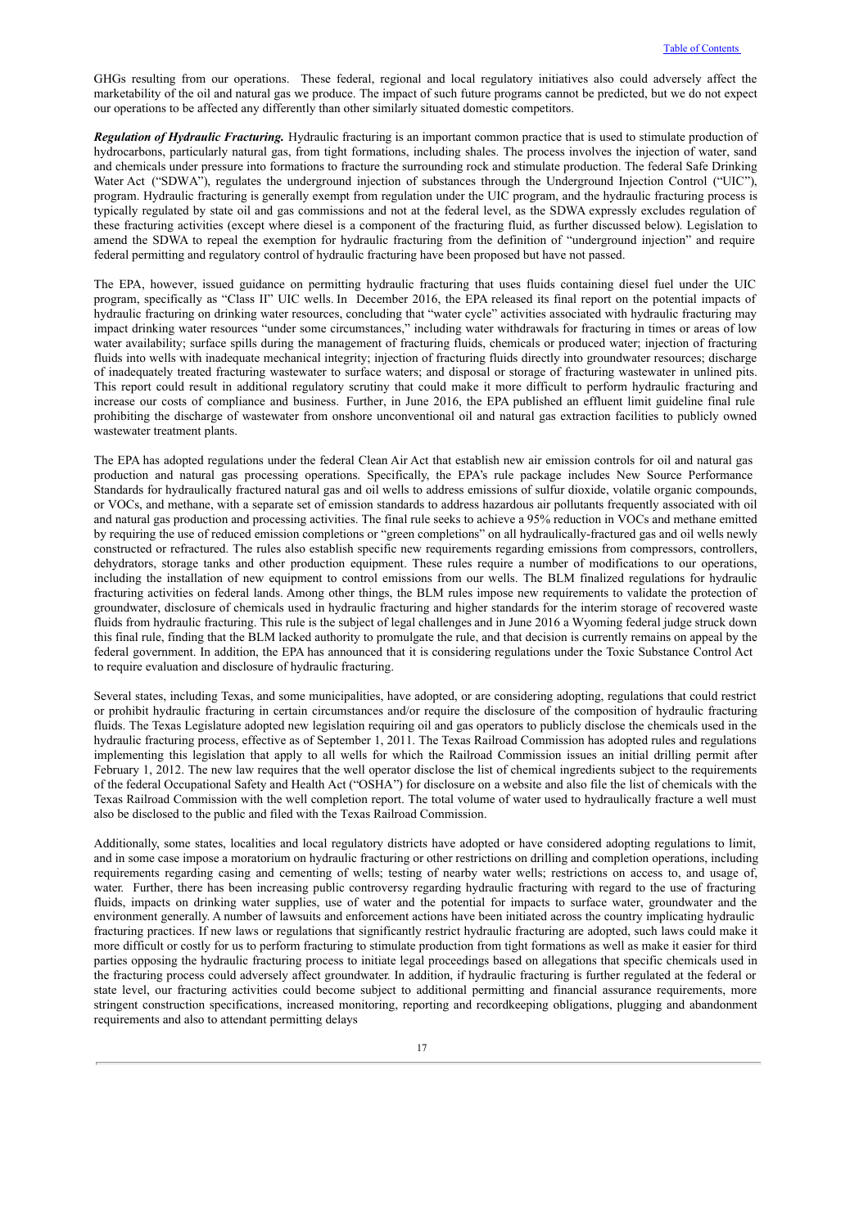GHGs resulting from our operations. These federal, regional and local regulatory initiatives also could adversely affect the marketability of the oil and natural gas we produce. The impact of such future programs cannot be predicted, but we do not expect our operations to be affected any differently than other similarly situated domestic competitors.

*Regulation of Hydraulic Fracturing.* Hydraulic fracturing is an important common practice that is used to stimulate production of hydrocarbons, particularly natural gas, from tight formations, including shales. The process involves the injection of water, sand and chemicals under pressure into formations to fracture the surrounding rock and stimulate production. The federal Safe Drinking Water Act ("SDWA"), regulates the underground injection of substances through the Underground Injection Control ("UIC"), program. Hydraulic fracturing is generally exempt from regulation under the UIC program, and the hydraulic fracturing process is typically regulated by state oil and gas commissions and not at the federal level, as the SDWA expressly excludes regulation of these fracturing activities (except where diesel is a component of the fracturing fluid, as further discussed below). Legislation to amend the SDWA to repeal the exemption for hydraulic fracturing from the definition of "underground injection" and require federal permitting and regulatory control of hydraulic fracturing have been proposed but have not passed.

The EPA, however, issued guidance on permitting hydraulic fracturing that uses fluids containing diesel fuel under the UIC program, specifically as "Class II" UIC wells. In December 2016, the EPA released its final report on the potential impacts of hydraulic fracturing on drinking water resources, concluding that "water cycle" activities associated with hydraulic fracturing may impact drinking water resources "under some circumstances," including water withdrawals for fracturing in times or areas of low water availability; surface spills during the management of fracturing fluids, chemicals or produced water; injection of fracturing fluids into wells with inadequate mechanical integrity; injection of fracturing fluids directly into groundwater resources; discharge of inadequately treated fracturing wastewater to surface waters; and disposal or storage of fracturing wastewater in unlined pits. This report could result in additional regulatory scrutiny that could make it more difficult to perform hydraulic fracturing and increase our costs of compliance and business. Further, in June 2016, the EPA published an effluent limit guideline final rule prohibiting the discharge of wastewater from onshore unconventional oil and natural gas extraction facilities to publicly owned wastewater treatment plants.

The EPA has adopted regulations under the federal Clean Air Act that establish new air emission controls for oil and natural gas production and natural gas processing operations. Specifically, the EPA's rule package includes New Source Performance Standards for hydraulically fractured natural gas and oil wells to address emissions of sulfur dioxide, volatile organic compounds, or VOCs, and methane, with a separate set of emission standards to address hazardous air pollutants frequently associated with oil and natural gas production and processing activities. The final rule seeks to achieve a 95% reduction in VOCs and methane emitted by requiring the use of reduced emission completions or "green completions" on all hydraulically-fractured gas and oil wells newly constructed or refractured. The rules also establish specific new requirements regarding emissions from compressors, controllers, dehydrators, storage tanks and other production equipment. These rules require a number of modifications to our operations, including the installation of new equipment to control emissions from our wells. The BLM finalized regulations for hydraulic fracturing activities on federal lands. Among other things, the BLM rules impose new requirements to validate the protection of groundwater, disclosure of chemicals used in hydraulic fracturing and higher standards for the interim storage of recovered waste fluids from hydraulic fracturing. This rule is the subject of legal challenges and in June 2016 a Wyoming federal judge struck down this final rule, finding that the BLM lacked authority to promulgate the rule, and that decision is currently remains on appeal by the federal government. In addition, the EPA has announced that it is considering regulations under the Toxic Substance Control Act to require evaluation and disclosure of hydraulic fracturing.

Several states, including Texas, and some municipalities, have adopted, or are considering adopting, regulations that could restrict or prohibit hydraulic fracturing in certain circumstances and/or require the disclosure of the composition of hydraulic fracturing fluids. The Texas Legislature adopted new legislation requiring oil and gas operators to publicly disclose the chemicals used in the hydraulic fracturing process, effective as of September 1, 2011. The Texas Railroad Commission has adopted rules and regulations implementing this legislation that apply to all wells for which the Railroad Commission issues an initial drilling permit after February 1, 2012. The new law requires that the well operator disclose the list of chemical ingredients subject to the requirements of the federal Occupational Safety and Health Act ("OSHA") for disclosure on a website and also file the list of chemicals with the Texas Railroad Commission with the well completion report. The total volume of water used to hydraulically fracture a well must also be disclosed to the public and filed with the Texas Railroad Commission.

Additionally, some states, localities and local regulatory districts have adopted or have considered adopting regulations to limit, and in some case impose a moratorium on hydraulic fracturing or other restrictions on drilling and completion operations, including requirements regarding casing and cementing of wells; testing of nearby water wells; restrictions on access to, and usage of, water. Further, there has been increasing public controversy regarding hydraulic fracturing with regard to the use of fracturing fluids, impacts on drinking water supplies, use of water and the potential for impacts to surface water, groundwater and the environment generally. A number of lawsuits and enforcement actions have been initiated across the country implicating hydraulic fracturing practices. If new laws or regulations that significantly restrict hydraulic fracturing are adopted, such laws could make it more difficult or costly for us to perform fracturing to stimulate production from tight formations as well as make it easier for third parties opposing the hydraulic fracturing process to initiate legal proceedings based on allegations that specific chemicals used in the fracturing process could adversely affect groundwater. In addition, if hydraulic fracturing is further regulated at the federal or state level, our fracturing activities could become subject to additional permitting and financial assurance requirements, more stringent construction specifications, increased monitoring, reporting and recordkeeping obligations, plugging and abandonment requirements and also to attendant permitting delays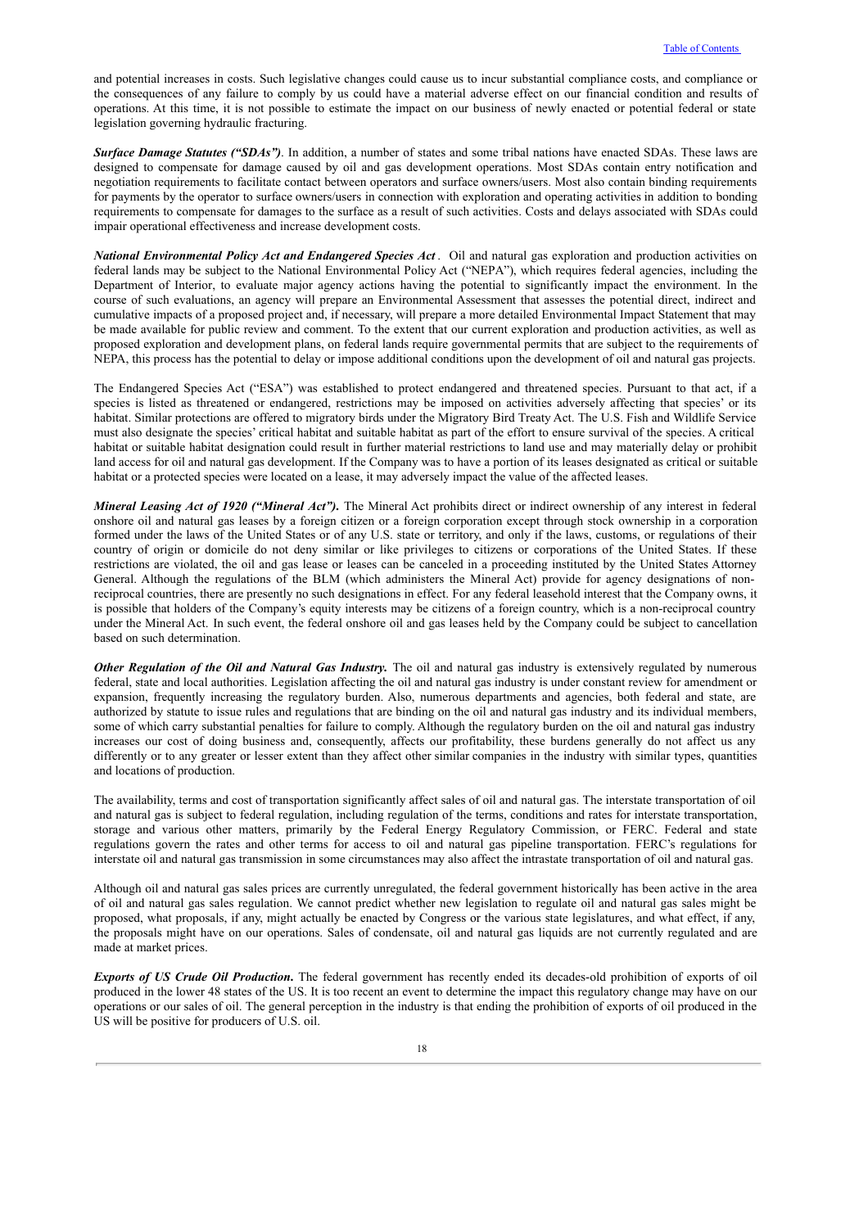and potential increases in costs. Such legislative changes could cause us to incur substantial compliance costs, and compliance or the consequences of any failure to comply by us could have a material adverse effect on our financial condition and results of operations. At this time, it is not possible to estimate the impact on our business of newly enacted or potential federal or state legislation governing hydraulic fracturing.

*Surface Damage Statutes ("SDAs")*. In addition, a number of states and some tribal nations have enacted SDAs. These laws are designed to compensate for damage caused by oil and gas development operations. Most SDAs contain entry notification and negotiation requirements to facilitate contact between operators and surface owners/users. Most also contain binding requirements for payments by the operator to surface owners/users in connection with exploration and operating activities in addition to bonding requirements to compensate for damages to the surface as a result of such activities. Costs and delays associated with SDAs could impair operational effectiveness and increase development costs.

*National Environmental Policy Act and Endangered Species Act* . Oil and natural gas exploration and production activities on federal lands may be subject to the National Environmental Policy Act ("NEPA"), which requires federal agencies, including the Department of Interior, to evaluate major agency actions having the potential to significantly impact the environment. In the course of such evaluations, an agency will prepare an Environmental Assessment that assesses the potential direct, indirect and cumulative impacts of a proposed project and, if necessary, will prepare a more detailed Environmental Impact Statement that may be made available for public review and comment. To the extent that our current exploration and production activities, as well as proposed exploration and development plans, on federal lands require governmental permits that are subject to the requirements of NEPA, this process has the potential to delay or impose additional conditions upon the development of oil and natural gas projects.

The Endangered Species Act ("ESA") was established to protect endangered and threatened species. Pursuant to that act, if a species is listed as threatened or endangered, restrictions may be imposed on activities adversely affecting that species' or its habitat. Similar protections are offered to migratory birds under the Migratory Bird Treaty Act. The U.S. Fish and Wildlife Service must also designate the species' critical habitat and suitable habitat as part of the effort to ensure survival of the species. A critical habitat or suitable habitat designation could result in further material restrictions to land use and may materially delay or prohibit land access for oil and natural gas development. If the Company was to have a portion of its leases designated as critical or suitable habitat or a protected species were located on a lease, it may adversely impact the value of the affected leases.

*Mineral Leasing Act of 1920 ("Mineral Act").* The Mineral Act prohibits direct or indirect ownership of any interest in federal onshore oil and natural gas leases by a foreign citizen or a foreign corporation except through stock ownership in a corporation formed under the laws of the United States or of any U.S. state or territory, and only if the laws, customs, or regulations of their country of origin or domicile do not deny similar or like privileges to citizens or corporations of the United States. If these restrictions are violated, the oil and gas lease or leases can be canceled in a proceeding instituted by the United States Attorney General. Although the regulations of the BLM (which administers the Mineral Act) provide for agency designations of nonreciprocal countries, there are presently no such designations in effect. For any federal leasehold interest that the Company owns, it is possible that holders of the Company's equity interests may be citizens of a foreign country, which is a non-reciprocal country under the Mineral Act. In such event, the federal onshore oil and gas leases held by the Company could be subject to cancellation based on such determination.

*Other Regulation of the Oil and Natural Gas Industry.* The oil and natural gas industry is extensively regulated by numerous federal, state and local authorities. Legislation affecting the oil and natural gas industry is under constant review for amendment or expansion, frequently increasing the regulatory burden. Also, numerous departments and agencies, both federal and state, are authorized by statute to issue rules and regulations that are binding on the oil and natural gas industry and its individual members, some of which carry substantial penalties for failure to comply. Although the regulatory burden on the oil and natural gas industry increases our cost of doing business and, consequently, affects our profitability, these burdens generally do not affect us any differently or to any greater or lesser extent than they affect other similar companies in the industry with similar types, quantities and locations of production.

The availability, terms and cost of transportation significantly affect sales of oil and natural gas. The interstate transportation of oil and natural gas is subject to federal regulation, including regulation of the terms, conditions and rates for interstate transportation, storage and various other matters, primarily by the Federal Energy Regulatory Commission, or FERC. Federal and state regulations govern the rates and other terms for access to oil and natural gas pipeline transportation. FERC's regulations for interstate oil and natural gas transmission in some circumstances may also affect the intrastate transportation of oil and natural gas.

Although oil and natural gas sales prices are currently unregulated, the federal government historically has been active in the area of oil and natural gas sales regulation. We cannot predict whether new legislation to regulate oil and natural gas sales might be proposed, what proposals, if any, might actually be enacted by Congress or the various state legislatures, and what effect, if any, the proposals might have on our operations. Sales of condensate, oil and natural gas liquids are not currently regulated and are made at market prices.

*Exports of US Crude Oil Production***.** The federal government has recently ended its decades-old prohibition of exports of oil produced in the lower 48 states of the US. It is too recent an event to determine the impact this regulatory change may have on our operations or our sales of oil. The general perception in the industry is that ending the prohibition of exports of oil produced in the US will be positive for producers of U.S. oil.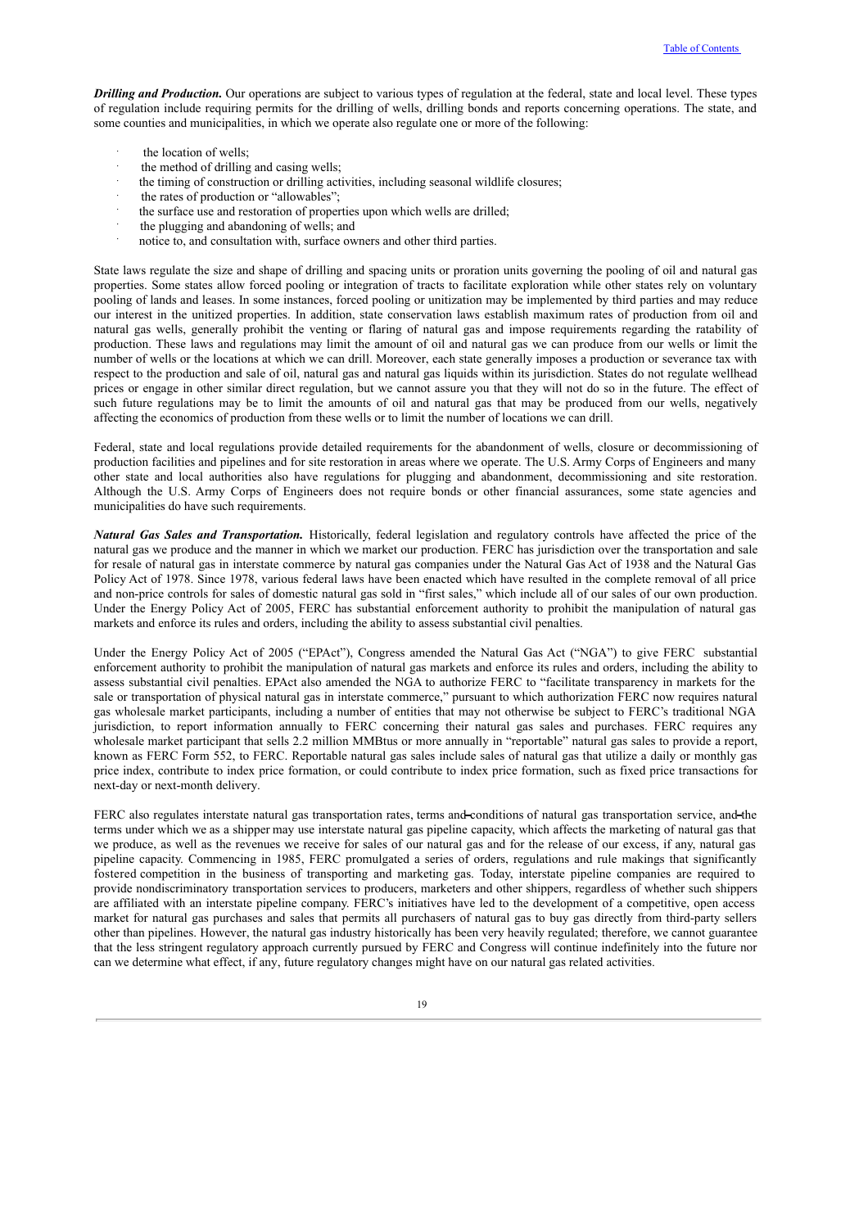*Drilling and Production.* Our operations are subject to various types of regulation at the federal, state and local level. These types of regulation include requiring permits for the drilling of wells, drilling bonds and reports concerning operations. The state, and some counties and municipalities, in which we operate also regulate one or more of the following:

- the location of wells:
- the method of drilling and casing wells;
- the timing of construction or drilling activities, including seasonal wildlife closures;
- the rates of production or "allowables";
- the surface use and restoration of properties upon which wells are drilled;
- the plugging and abandoning of wells; and
- notice to, and consultation with, surface owners and other third parties.

State laws regulate the size and shape of drilling and spacing units or proration units governing the pooling of oil and natural gas properties. Some states allow forced pooling or integration of tracts to facilitate exploration while other states rely on voluntary pooling of lands and leases. In some instances, forced pooling or unitization may be implemented by third parties and may reduce our interest in the unitized properties. In addition, state conservation laws establish maximum rates of production from oil and natural gas wells, generally prohibit the venting or flaring of natural gas and impose requirements regarding the ratability of production. These laws and regulations may limit the amount of oil and natural gas we can produce from our wells or limit the number of wells or the locations at which we can drill. Moreover, each state generally imposes a production or severance tax with respect to the production and sale of oil, natural gas and natural gas liquids within its jurisdiction. States do not regulate wellhead prices or engage in other similar direct regulation, but we cannot assure you that they will not do so in the future. The effect of such future regulations may be to limit the amounts of oil and natural gas that may be produced from our wells, negatively affecting the economics of production from these wells or to limit the number of locations we can drill.

Federal, state and local regulations provide detailed requirements for the abandonment of wells, closure or decommissioning of production facilities and pipelines and for site restoration in areas where we operate. The U.S. Army Corps of Engineers and many other state and local authorities also have regulations for plugging and abandonment, decommissioning and site restoration. Although the U.S. Army Corps of Engineers does not require bonds or other financial assurances, some state agencies and municipalities do have such requirements.

*Natural Gas Sales and Transportation.* Historically, federal legislation and regulatory controls have affected the price of the natural gas we produce and the manner in which we market our production. FERC has jurisdiction over the transportation and sale for resale of natural gas in interstate commerce by natural gas companies under the Natural Gas Act of 1938 and the Natural Gas Policy Act of 1978. Since 1978, various federal laws have been enacted which have resulted in the complete removal of all price and non-price controls for sales of domestic natural gas sold in "first sales," which include all of our sales of our own production. Under the Energy Policy Act of 2005, FERC has substantial enforcement authority to prohibit the manipulation of natural gas markets and enforce its rules and orders, including the ability to assess substantial civil penalties.

Under the Energy Policy Act of 2005 ("EPAct"), Congress amended the Natural Gas Act ("NGA") to give FERC substantial enforcement authority to prohibit the manipulation of natural gas markets and enforce its rules and orders, including the ability to assess substantial civil penalties. EPAct also amended the NGA to authorize FERC to "facilitate transparency in markets for the sale or transportation of physical natural gas in interstate commerce," pursuant to which authorization FERC now requires natural gas wholesale market participants, including a number of entities that may not otherwise be subject to FERC's traditional NGA jurisdiction, to report information annually to FERC concerning their natural gas sales and purchases. FERC requires any wholesale market participant that sells 2.2 million MMBtus or more annually in "reportable" natural gas sales to provide a report, known as FERC Form 552, to FERC. Reportable natural gas sales include sales of natural gas that utilize a daily or monthly gas price index, contribute to index price formation, or could contribute to index price formation, such as fixed price transactions for next-day or next-month delivery.

FERC also regulates interstate natural gas transportation rates, terms and-conditions of natural gas transportation service, and the terms under which we as a shipper may use interstate natural gas pipeline capacity, which affects the marketing of natural gas that we produce, as well as the revenues we receive for sales of our natural gas and for the release of our excess, if any, natural gas pipeline capacity. Commencing in 1985, FERC promulgated a series of orders, regulations and rule makings that significantly fostered competition in the business of transporting and marketing gas. Today, interstate pipeline companies are required to provide nondiscriminatory transportation services to producers, marketers and other shippers, regardless of whether such shippers are affiliated with an interstate pipeline company. FERC's initiatives have led to the development of a competitive, open access market for natural gas purchases and sales that permits all purchasers of natural gas to buy gas directly from third-party sellers other than pipelines. However, the natural gas industry historically has been very heavily regulated; therefore, we cannot guarantee that the less stringent regulatory approach currently pursued by FERC and Congress will continue indefinitely into the future nor can we determine what effect, if any, future regulatory changes might have on our natural gas related activities.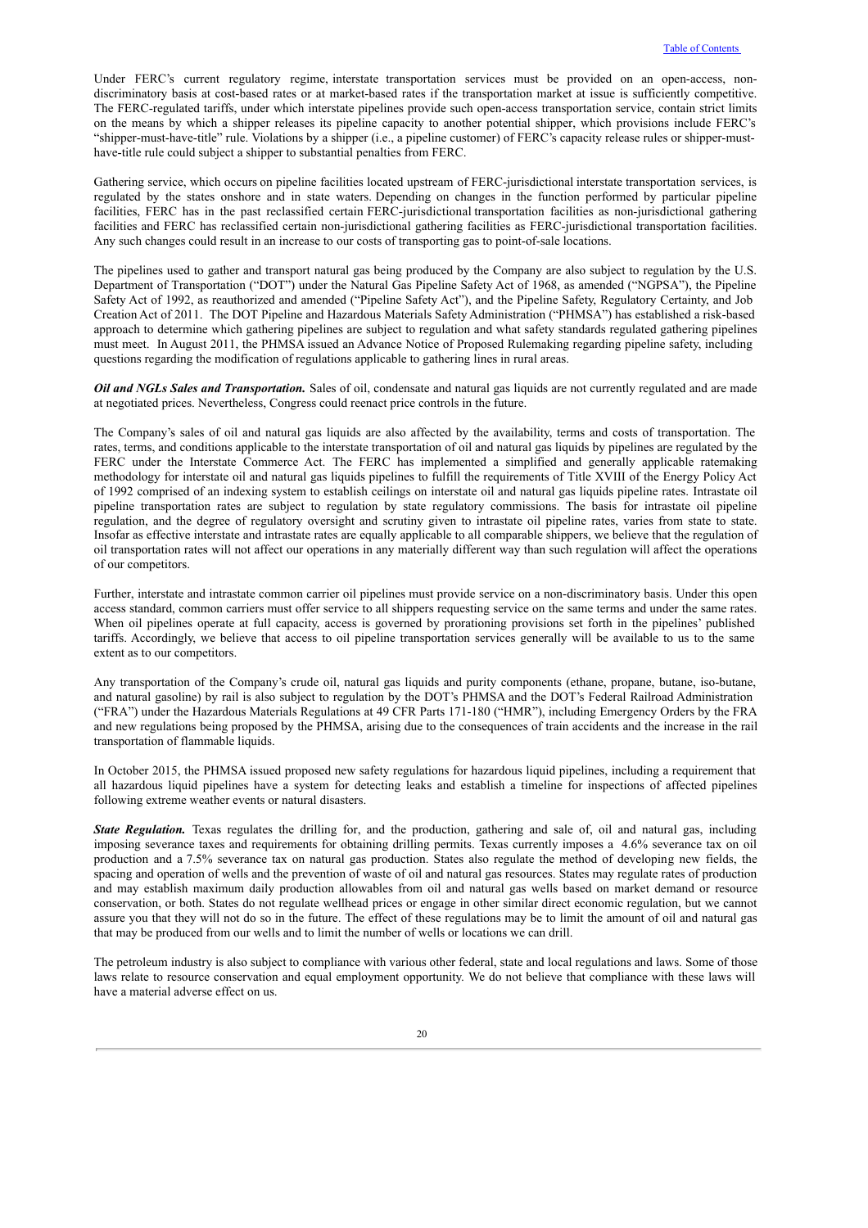Under FERC's current regulatory regime, interstate transportation services must be provided on an open-access, nondiscriminatory basis at cost-based rates or at market-based rates if the transportation market at issue is sufficiently competitive. The FERC-regulated tariffs, under which interstate pipelines provide such open-access transportation service, contain strict limits on the means by which a shipper releases its pipeline capacity to another potential shipper, which provisions include FERC's "shipper-must-have-title" rule. Violations by a shipper (i.e., a pipeline customer) of FERC's capacity release rules or shipper-musthave-title rule could subject a shipper to substantial penalties from FERC.

Gathering service, which occurs on pipeline facilities located upstream of FERC-jurisdictional interstate transportation services, is regulated by the states onshore and in state waters. Depending on changes in the function performed by particular pipeline facilities, FERC has in the past reclassified certain FERC-jurisdictional transportation facilities as non-jurisdictional gathering facilities and FERC has reclassified certain non-jurisdictional gathering facilities as FERC-jurisdictional transportation facilities. Any such changes could result in an increase to our costs of transporting gas to point-of-sale locations.

The pipelines used to gather and transport natural gas being produced by the Company are also subject to regulation by the U.S. Department of Transportation ("DOT") under the Natural Gas Pipeline Safety Act of 1968, as amended ("NGPSA"), the Pipeline Safety Act of 1992, as reauthorized and amended ("Pipeline Safety Act"), and the Pipeline Safety, Regulatory Certainty, and Job Creation Act of 2011. The DOT Pipeline and Hazardous Materials Safety Administration ("PHMSA") has established a risk-based approach to determine which gathering pipelines are subject to regulation and what safety standards regulated gathering pipelines must meet. In August 2011, the PHMSA issued an Advance Notice of Proposed Rulemaking regarding pipeline safety, including questions regarding the modification of regulations applicable to gathering lines in rural areas.

*Oil and NGLs Sales and Transportation.* Sales of oil, condensate and natural gas liquids are not currently regulated and are made at negotiated prices. Nevertheless, Congress could reenact price controls in the future.

The Company's sales of oil and natural gas liquids are also affected by the availability, terms and costs of transportation. The rates, terms, and conditions applicable to the interstate transportation of oil and natural gas liquids by pipelines are regulated by the FERC under the Interstate Commerce Act. The FERC has implemented a simplified and generally applicable ratemaking methodology for interstate oil and natural gas liquids pipelines to fulfill the requirements of Title XVIII of the Energy Policy Act of 1992 comprised of an indexing system to establish ceilings on interstate oil and natural gas liquids pipeline rates. Intrastate oil pipeline transportation rates are subject to regulation by state regulatory commissions. The basis for intrastate oil pipeline regulation, and the degree of regulatory oversight and scrutiny given to intrastate oil pipeline rates, varies from state to state. Insofar as effective interstate and intrastate rates are equally applicable to all comparable shippers, we believe that the regulation of oil transportation rates will not affect our operations in any materially different way than such regulation will affect the operations of our competitors.

Further, interstate and intrastate common carrier oil pipelines must provide service on a non-discriminatory basis. Under this open access standard, common carriers must offer service to all shippers requesting service on the same terms and under the same rates. When oil pipelines operate at full capacity, access is governed by prorationing provisions set forth in the pipelines' published tariffs. Accordingly, we believe that access to oil pipeline transportation services generally will be available to us to the same extent as to our competitors.

Any transportation of the Company's crude oil, natural gas liquids and purity components (ethane, propane, butane, iso-butane, and natural gasoline) by rail is also subject to regulation by the DOT's PHMSA and the DOT's Federal Railroad Administration ("FRA") under the Hazardous Materials Regulations at 49 CFR Parts 171-180 ("HMR"), including Emergency Orders by the FRA and new regulations being proposed by the PHMSA, arising due to the consequences of train accidents and the increase in the rail transportation of flammable liquids.

In October 2015, the PHMSA issued proposed new safety regulations for hazardous liquid pipelines, including a requirement that all hazardous liquid pipelines have a system for detecting leaks and establish a timeline for inspections of affected pipelines following extreme weather events or natural disasters.

*State Regulation.* Texas regulates the drilling for, and the production, gathering and sale of, oil and natural gas, including imposing severance taxes and requirements for obtaining drilling permits. Texas currently imposes a 4.6% severance tax on oil production and a 7.5% severance tax on natural gas production. States also regulate the method of developing new fields, the spacing and operation of wells and the prevention of waste of oil and natural gas resources. States may regulate rates of production and may establish maximum daily production allowables from oil and natural gas wells based on market demand or resource conservation, or both. States do not regulate wellhead prices or engage in other similar direct economic regulation, but we cannot assure you that they will not do so in the future. The effect of these regulations may be to limit the amount of oil and natural gas that may be produced from our wells and to limit the number of wells or locations we can drill.

The petroleum industry is also subject to compliance with various other federal, state and local regulations and laws. Some of those laws relate to resource conservation and equal employment opportunity. We do not believe that compliance with these laws will have a material adverse effect on us.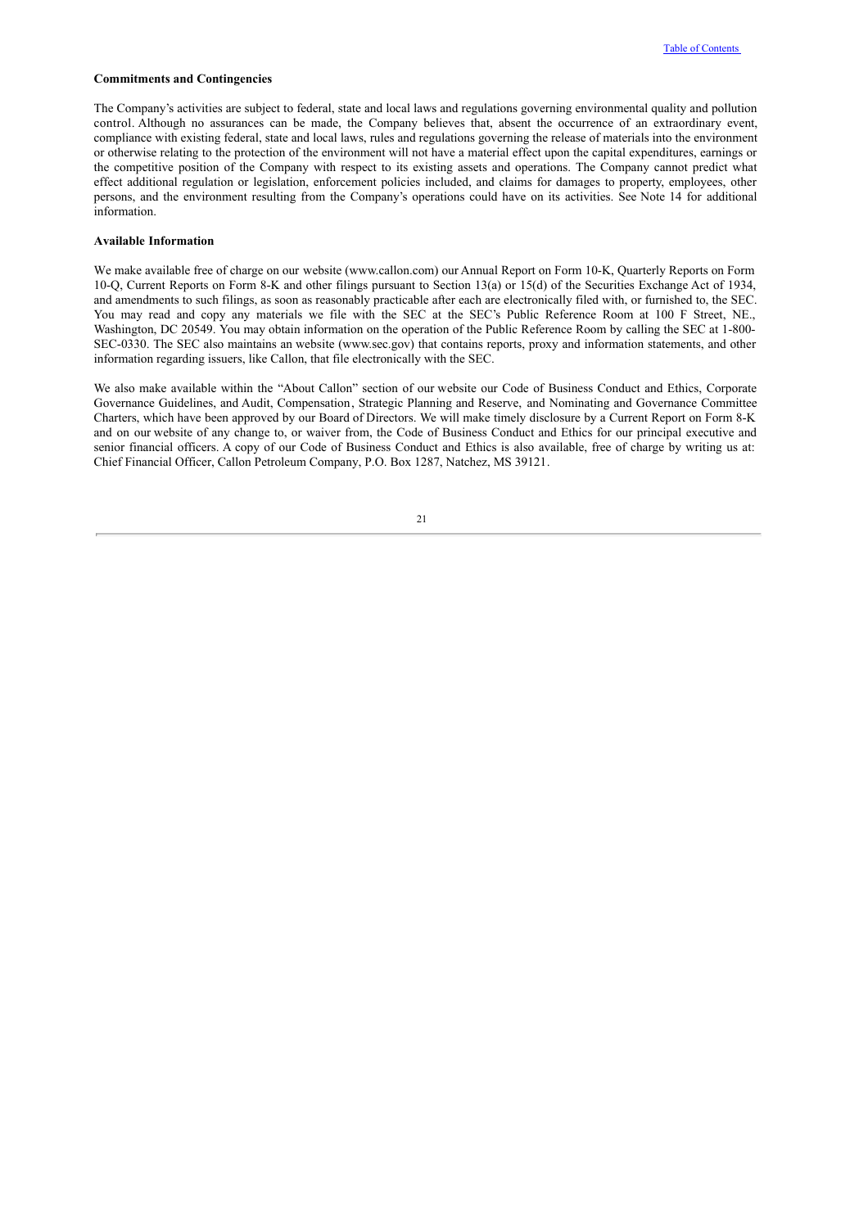#### **Commitments and Contingencies**

The Company's activities are subject to federal, state and local laws and regulations governing environmental quality and pollution control. Although no assurances can be made, the Company believes that, absent the occurrence of an extraordinary event, compliance with existing federal, state and local laws, rules and regulations governing the release of materials into the environment or otherwise relating to the protection of the environment will not have a material effect upon the capital expenditures, earnings or the competitive position of the Company with respect to its existing assets and operations. The Company cannot predict what effect additional regulation or legislation, enforcement policies included, and claims for damages to property, employees, other persons, and the environment resulting from the Company's operations could have on its activities. See Note 14 for additional information.

#### **Available Information**

We make available free of charge on our website (www.callon.com) our Annual Report on Form 10-K, Quarterly Reports on Form 10-Q, Current Reports on Form 8-K and other filings pursuant to Section 13(a) or 15(d) of the Securities Exchange Act of 1934, and amendments to such filings, as soon as reasonably practicable after each are electronically filed with, or furnished to, the SEC. You may read and copy any materials we file with the SEC at the SEC's Public Reference Room at 100 F Street, NE., Washington, DC 20549. You may obtain information on the operation of the Public Reference Room by calling the SEC at 1-800- SEC-0330. The SEC also maintains an website (www.sec.gov) that contains reports, proxy and information statements, and other information regarding issuers, like Callon, that file electronically with the SEC.

We also make available within the "About Callon" section of our website our Code of Business Conduct and Ethics, Corporate Governance Guidelines, and Audit, Compensation, Strategic Planning and Reserve, and Nominating and Governance Committee Charters, which have been approved by our Board of Directors. We will make timely disclosure by a Current Report on Form 8-K and on our website of any change to, or waiver from, the Code of Business Conduct and Ethics for our principal executive and senior financial officers. A copy of our Code of Business Conduct and Ethics is also available, free of charge by writing us at: Chief Financial Officer, Callon Petroleum Company, P.O. Box 1287, Natchez, MS 39121.

21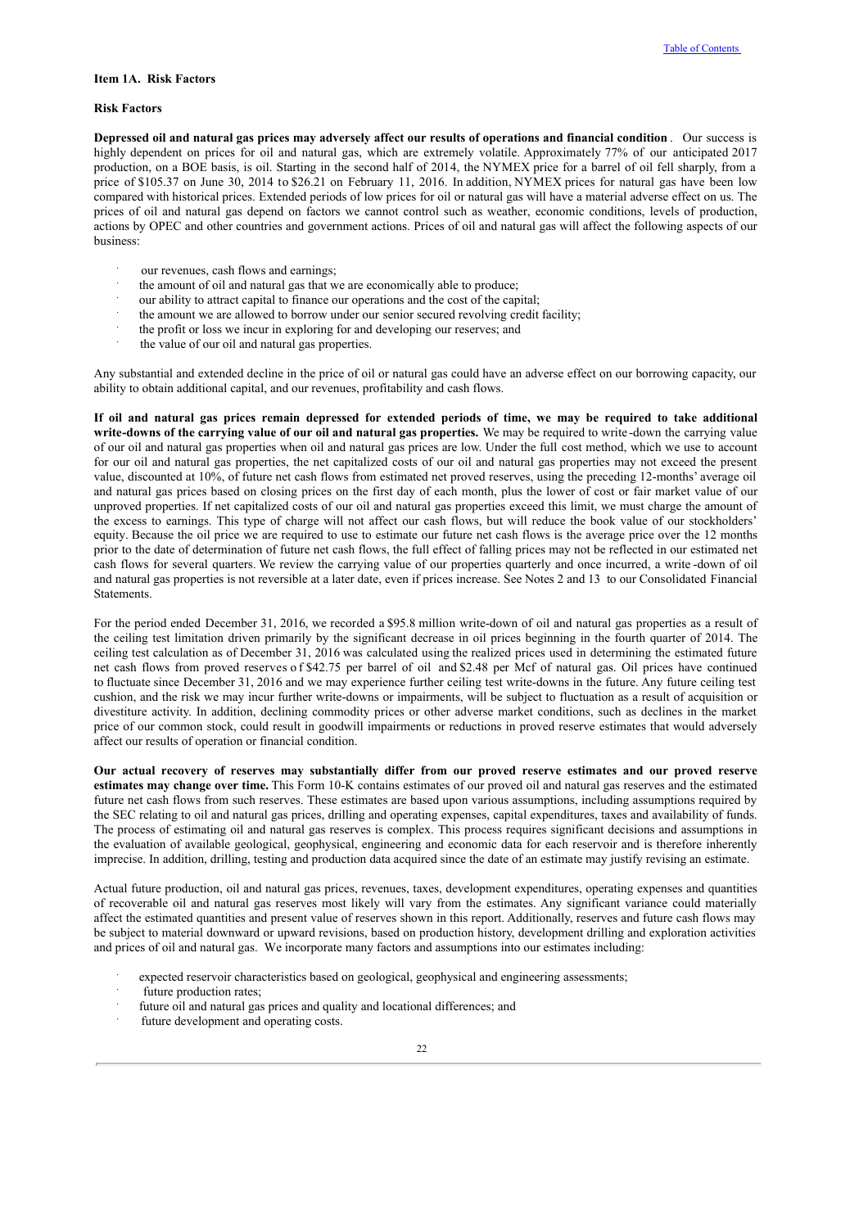# **Item 1A. Risk Factors**

#### **Risk Factors**

Depressed oil and natural gas prices may adversely affect our results of operations and financial condition. Our success is highly dependent on prices for oil and natural gas, which are extremely volatile. Approximately 77% of our anticipated 2017 production, on a BOE basis, is oil. Starting in the second half of 2014, the NYMEX price for a barrel of oil fell sharply, from a price of \$105.37 on June 30, 2014 to \$26.21 on February 11, 2016. In addition, NYMEX prices for natural gas have been low compared with historical prices. Extended periods of low prices for oil or natural gas will have a material adverse effect on us. The prices of oil and natural gas depend on factors we cannot control such as weather, economic conditions, levels of production, actions by OPEC and other countries and government actions. Prices of oil and natural gas will affect the following aspects of our business:

- our revenues, cash flows and earnings;
- the amount of oil and natural gas that we are economically able to produce;
- our ability to attract capital to finance our operations and the cost of the capital;
- the amount we are allowed to borrow under our senior secured revolving credit facility;
- the profit or loss we incur in exploring for and developing our reserves; and
- the value of our oil and natural gas properties.

Any substantial and extended decline in the price of oil or natural gas could have an adverse effect on our borrowing capacity, our ability to obtain additional capital, and our revenues, profitability and cash flows.

If oil and natural gas prices remain depressed for extended periods of time, we may be required to take additional **write-downs of the carrying value of our oil and natural gas properties.** We may be required to write -down the carrying value of our oil and natural gas properties when oil and natural gas prices are low. Under the full cost method, which we use to account for our oil and natural gas properties, the net capitalized costs of our oil and natural gas properties may not exceed the present value, discounted at 10%, of future net cash flows from estimated net proved reserves, using the preceding 12-months' average oil and natural gas prices based on closing prices on the first day of each month, plus the lower of cost or fair market value of our unproved properties. If net capitalized costs of our oil and natural gas properties exceed this limit, we must charge the amount of the excess to earnings. This type of charge will not affect our cash flows, but will reduce the book value of our stockholders' equity. Because the oil price we are required to use to estimate our future net cash flows is the average price over the 12 months prior to the date of determination of future net cash flows, the full effect of falling prices may not be reflected in our estimated net cash flows for several quarters. We review the carrying value of our properties quarterly and once incurred, a write -down of oil and natural gas properties is not reversible at a later date, even if prices increase. See Notes 2 and 13 to our Consolidated Financial Statements.

For the period ended December 31, 2016, we recorded a \$95.8 million write-down of oil and natural gas properties as a result of the ceiling test limitation driven primarily by the significant decrease in oil prices beginning in the fourth quarter of 2014. The ceiling test calculation as of December 31, 2016 was calculated using the realized prices used in determining the estimated future net cash flows from proved reserves of \$42.75 per barrel of oil and \$2.48 per Mcf of natural gas. Oil prices have continued to fluctuate since December 31, 2016 and we may experience further ceiling test write-downs in the future. Any future ceiling test cushion, and the risk we may incur further write-downs or impairments, will be subject to fluctuation as a result of acquisition or divestiture activity. In addition, declining commodity prices or other adverse market conditions, such as declines in the market price of our common stock, could result in goodwill impairments or reductions in proved reserve estimates that would adversely affect our results of operation or financial condition.

Our actual recovery of reserves may substantially differ from our proved reserve estimates and our proved reserve **estimates may change over time.** This Form 10-K contains estimates of our proved oil and natural gas reserves and the estimated future net cash flows from such reserves. These estimates are based upon various assumptions, including assumptions required by the SEC relating to oil and natural gas prices, drilling and operating expenses, capital expenditures, taxes and availability of funds. The process of estimating oil and natural gas reserves is complex. This process requires significant decisions and assumptions in the evaluation of available geological, geophysical, engineering and economic data for each reservoir and is therefore inherently imprecise. In addition, drilling, testing and production data acquired since the date of an estimate may justify revising an estimate.

Actual future production, oil and natural gas prices, revenues, taxes, development expenditures, operating expenses and quantities of recoverable oil and natural gas reserves most likely will vary from the estimates. Any significant variance could materially affect the estimated quantities and present value of reserves shown in this report. Additionally, reserves and future cash flows may be subject to material downward or upward revisions, based on production history, development drilling and exploration activities and prices of oil and natural gas. We incorporate many factors and assumptions into our estimates including:

- expected reservoir characteristics based on geological, geophysical and engineering assessments;
- future production rates:
- future oil and natural gas prices and quality and locational differences; and
- future development and operating costs.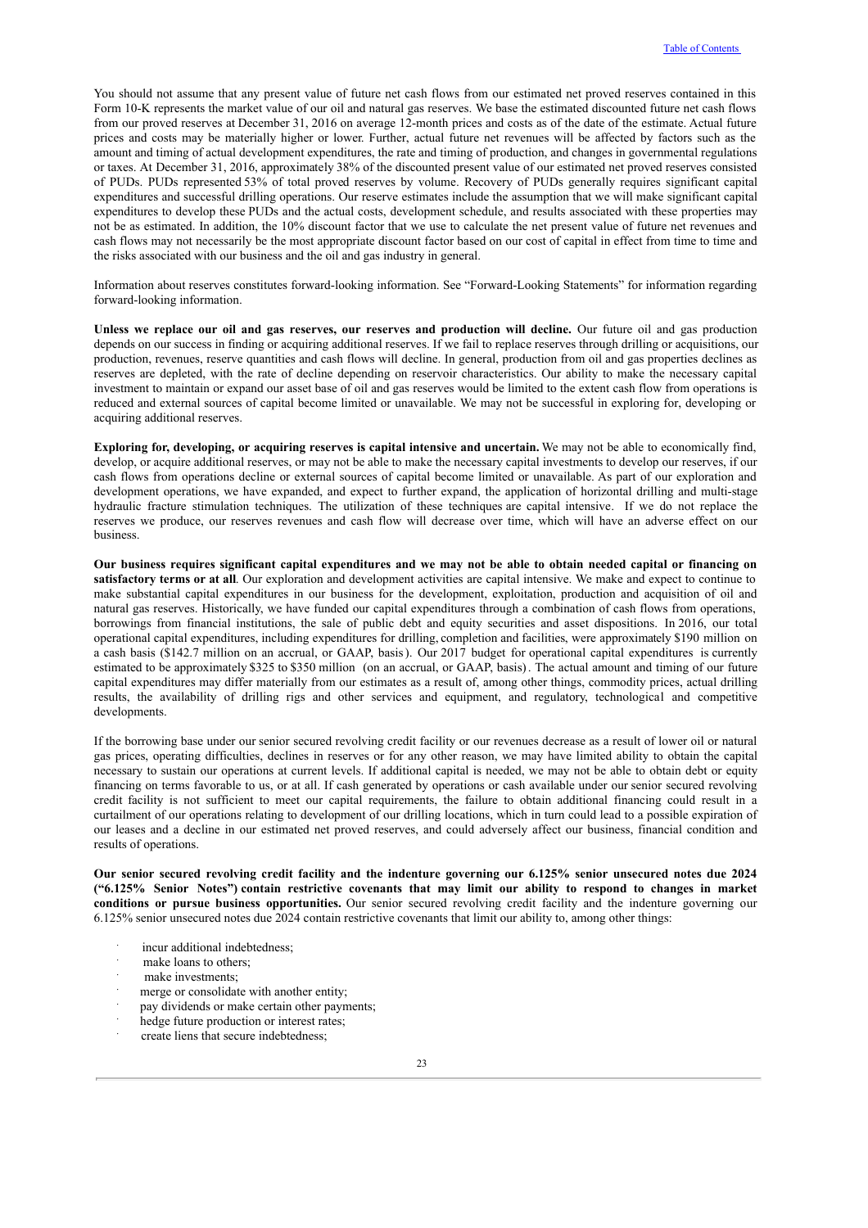You should not assume that any present value of future net cash flows from our estimated net proved reserves contained in this Form 10-K represents the market value of our oil and natural gas reserves. We base the estimated discounted future net cash flows from our proved reserves at December 31, 2016 on average 12-month prices and costs as of the date of the estimate. Actual future prices and costs may be materially higher or lower. Further, actual future net revenues will be affected by factors such as the amount and timing of actual development expenditures, the rate and timing of production, and changes in governmental regulations or taxes. At December 31, 2016, approximately 38% of the discounted present value of our estimated net proved reserves consisted of PUDs. PUDs represented 53% of total proved reserves by volume. Recovery of PUDs generally requires significant capital expenditures and successful drilling operations. Our reserve estimates include the assumption that we will make significant capital expenditures to develop these PUDs and the actual costs, development schedule, and results associated with these properties may not be as estimated. In addition, the 10% discount factor that we use to calculate the net present value of future net revenues and cash flows may not necessarily be the most appropriate discount factor based on our cost of capital in effect from time to time and the risks associated with our business and the oil and gas industry in general.

Information about reserves constitutes forward-looking information. See "Forward-Looking Statements" for information regarding forward-looking information.

**Unless we replace our oil and gas reserves, our reserves and production will decline.** Our future oil and gas production depends on our success in finding or acquiring additional reserves. If we fail to replace reserves through drilling or acquisitions, our production, revenues, reserve quantities and cash flows will decline. In general, production from oil and gas properties declines as reserves are depleted, with the rate of decline depending on reservoir characteristics. Our ability to make the necessary capital investment to maintain or expand our asset base of oil and gas reserves would be limited to the extent cash flow from operations is reduced and external sources of capital become limited or unavailable. We may not be successful in exploring for, developing or acquiring additional reserves.

**Exploring for, developing, or acquiring reserves is capital intensive and uncertain.** We may not be able to economically find, develop, or acquire additional reserves, or may not be able to make the necessary capital investments to develop our reserves, if our cash flows from operations decline or external sources of capital become limited or unavailable. As part of our exploration and development operations, we have expanded, and expect to further expand, the application of horizontal drilling and multi-stage hydraulic fracture stimulation techniques. The utilization of these techniques are capital intensive. If we do not replace the reserves we produce, our reserves revenues and cash flow will decrease over time, which will have an adverse effect on our business.

Our business requires significant capital expenditures and we may not be able to obtain needed capital or financing on **satisfactory terms or at all**. Our exploration and development activities are capital intensive. We make and expect to continue to make substantial capital expenditures in our business for the development, exploitation, production and acquisition of oil and natural gas reserves. Historically, we have funded our capital expenditures through a combination of cash flows from operations, borrowings from financial institutions, the sale of public debt and equity securities and asset dispositions. In 2016, our total operational capital expenditures, including expenditures for drilling, completion and facilities, were approximately \$190 million on a cash basis (\$142.7 million on an accrual, or GAAP, basis). Our 2017 budget for operational capital expenditures is currently estimated to be approximately \$325 to \$350 million (on an accrual, or GAAP, basis). The actual amount and timing of our future capital expenditures may differ materially from our estimates as a result of, among other things, commodity prices, actual drilling results, the availability of drilling rigs and other services and equipment, and regulatory, technological and competitive developments.

If the borrowing base under our senior secured revolving credit facility or our revenues decrease as a result of lower oil or natural gas prices, operating difficulties, declines in reserves or for any other reason, we may have limited ability to obtain the capital necessary to sustain our operations at current levels. If additional capital is needed, we may not be able to obtain debt or equity financing on terms favorable to us, or at all. If cash generated by operations or cash available under our senior secured revolving credit facility is not sufficient to meet our capital requirements, the failure to obtain additional financing could result in a curtailment of our operations relating to development of our drilling locations, which in turn could lead to a possible expiration of our leases and a decline in our estimated net proved reserves, and could adversely affect our business, financial condition and results of operations.

Our senior secured revolving credit facility and the indenture governing our 6.125% senior unsecured notes due 2024 ("6.125% Senior Notes") contain restrictive covenants that may limit our ability to respond to changes in market **conditions or pursue business opportunities.** Our senior secured revolving credit facility and the indenture governing our 6.125% senior unsecured notes due 2024 contain restrictive covenants that limit our ability to, among other things:

- incur additional indebtedness;
- make loans to others;
- make investments:
- merge or consolidate with another entity;
- pay dividends or make certain other payments;
- hedge future production or interest rates:
- create liens that secure indebtedness;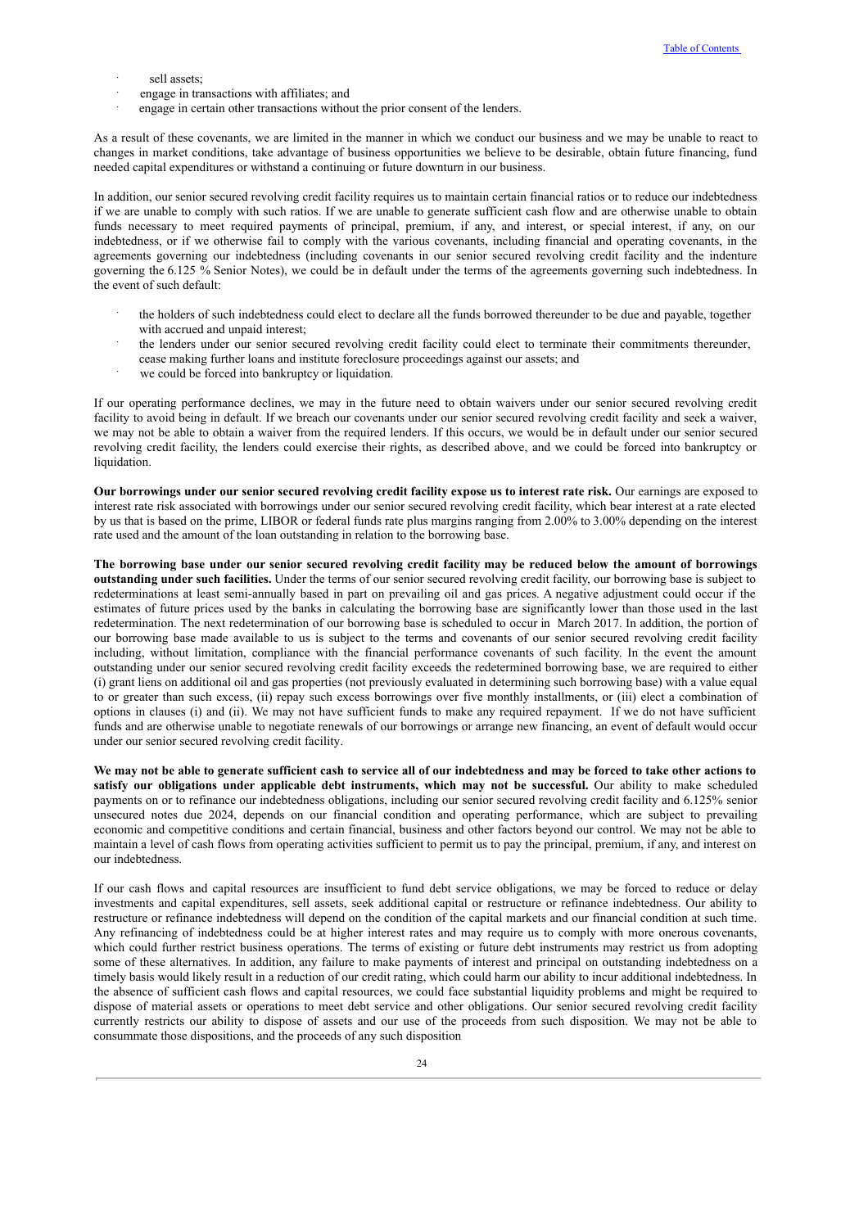- sell assets;
- engage in transactions with affiliates; and
- engage in certain other transactions without the prior consent of the lenders.

As a result of these covenants, we are limited in the manner in which we conduct our business and we may be unable to react to changes in market conditions, take advantage of business opportunities we believe to be desirable, obtain future financing, fund needed capital expenditures or withstand a continuing or future downturn in our business.

In addition, our senior secured revolving credit facility requires us to maintain certain financial ratios or to reduce our indebtedness if we are unable to comply with such ratios. If we are unable to generate sufficient cash flow and are otherwise unable to obtain funds necessary to meet required payments of principal, premium, if any, and interest, or special interest, if any, on our indebtedness, or if we otherwise fail to comply with the various covenants, including financial and operating covenants, in the agreements governing our indebtedness (including covenants in our senior secured revolving credit facility and the indenture governing the 6.125 % Senior Notes), we could be in default under the terms of the agreements governing such indebtedness. In the event of such default:

- · the holders of such indebtedness could elect to declare all the funds borrowed thereunder to be due and payable, together with accrued and unpaid interest;
- the lenders under our senior secured revolving credit facility could elect to terminate their commitments thereunder, cease making further loans and institute foreclosure proceedings against our assets; and
- we could be forced into bankruptcy or liquidation.

If our operating performance declines, we may in the future need to obtain waivers under our senior secured revolving credit facility to avoid being in default. If we breach our covenants under our senior secured revolving credit facility and seek a waiver, we may not be able to obtain a waiver from the required lenders. If this occurs, we would be in default under our senior secured revolving credit facility, the lenders could exercise their rights, as described above, and we could be forced into bankruptcy or liquidation.

Our borrowings under our senior secured revolving credit facility expose us to interest rate risk. Our earnings are exposed to interest rate risk associated with borrowings under our senior secured revolving credit facility, which bear interest at a rate elected by us that is based on the prime, LIBOR or federal funds rate plus margins ranging from 2.00% to 3.00% depending on the interest rate used and the amount of the loan outstanding in relation to the borrowing base.

The borrowing base under our senior secured revolving credit facility may be reduced below the amount of borrowings **outstanding under such facilities.** Under the terms of our senior secured revolving credit facility, our borrowing base is subject to redeterminations at least semi-annually based in part on prevailing oil and gas prices. A negative adjustment could occur if the estimates of future prices used by the banks in calculating the borrowing base are significantly lower than those used in the last redetermination. The next redetermination of our borrowing base is scheduled to occur in March 2017. In addition, the portion of our borrowing base made available to us is subject to the terms and covenants of our senior secured revolving credit facility including, without limitation, compliance with the financial performance covenants of such facility. In the event the amount outstanding under our senior secured revolving credit facility exceeds the redetermined borrowing base, we are required to either (i) grant liens on additional oil and gas properties (not previously evaluated in determining such borrowing base) with a value equal to or greater than such excess, (ii) repay such excess borrowings over five monthly installments, or (iii) elect a combination of options in clauses (i) and (ii). We may not have sufficient funds to make any required repayment. If we do not have sufficient funds and are otherwise unable to negotiate renewals of our borrowings or arrange new financing, an event of default would occur under our senior secured revolving credit facility.

We may not be able to generate sufficient cash to service all of our indebtedness and may be forced to take other actions to **satisfy our obligations under applicable debt instruments, which may not be successful.** Our ability to make scheduled payments on or to refinance our indebtedness obligations, including our senior secured revolving credit facility and 6.125% senior unsecured notes due 2024, depends on our financial condition and operating performance, which are subject to prevailing economic and competitive conditions and certain financial, business and other factors beyond our control. We may not be able to maintain a level of cash flows from operating activities sufficient to permit us to pay the principal, premium, if any, and interest on our indebtedness.

If our cash flows and capital resources are insufficient to fund debt service obligations, we may be forced to reduce or delay investments and capital expenditures, sell assets, seek additional capital or restructure or refinance indebtedness. Our ability to restructure or refinance indebtedness will depend on the condition of the capital markets and our financial condition at such time. Any refinancing of indebtedness could be at higher interest rates and may require us to comply with more onerous covenants, which could further restrict business operations. The terms of existing or future debt instruments may restrict us from adopting some of these alternatives. In addition, any failure to make payments of interest and principal on outstanding indebtedness on a timely basis would likely result in a reduction of our credit rating, which could harm our ability to incur additional indebtedness. In the absence of sufficient cash flows and capital resources, we could face substantial liquidity problems and might be required to dispose of material assets or operations to meet debt service and other obligations. Our senior secured revolving credit facility currently restricts our ability to dispose of assets and our use of the proceeds from such disposition. We may not be able to consummate those dispositions, and the proceeds of any such disposition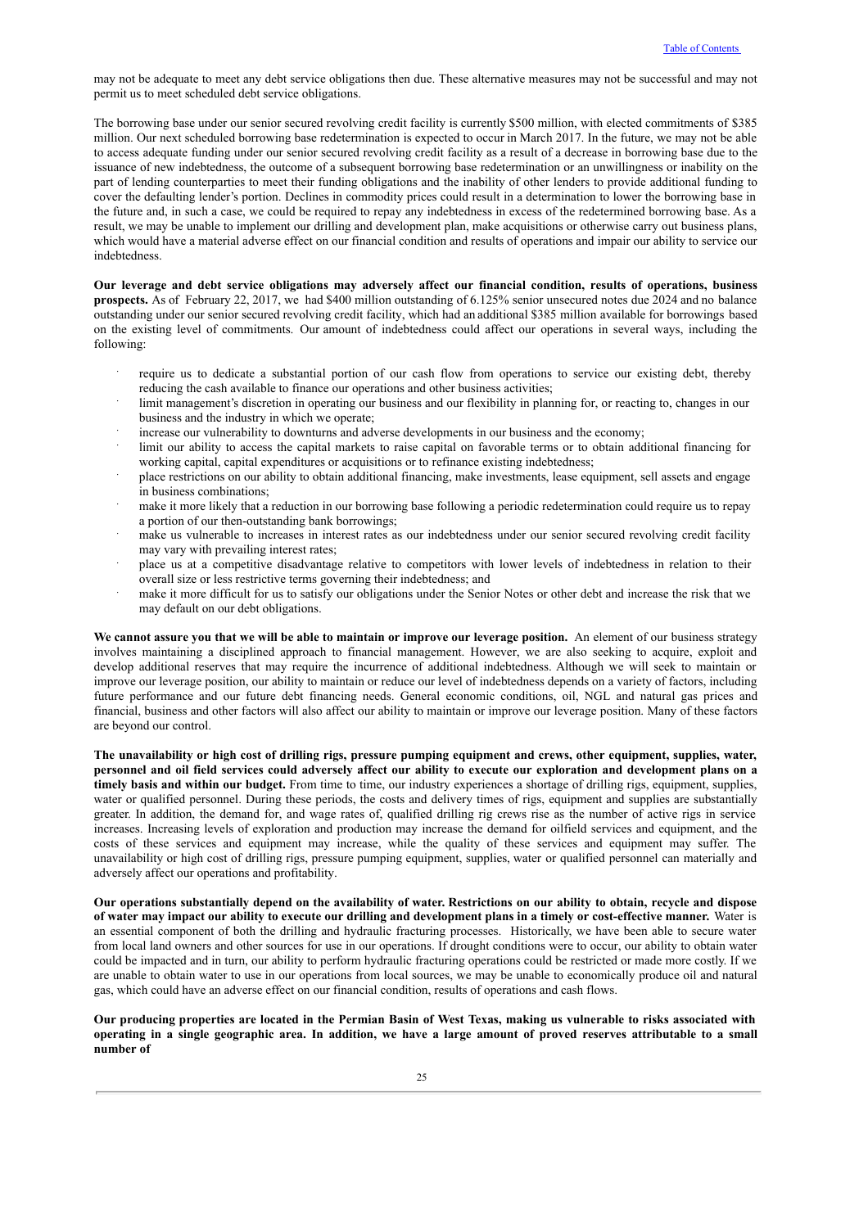may not be adequate to meet any debt service obligations then due. These alternative measures may not be successful and may not permit us to meet scheduled debt service obligations.

The borrowing base under our senior secured revolving credit facility is currently \$500 million, with elected commitments of \$385 million. Our next scheduled borrowing base redetermination is expected to occur in March 2017. In the future, we may not be able to access adequate funding under our senior secured revolving credit facility as a result of a decrease in borrowing base due to the issuance of new indebtedness, the outcome of a subsequent borrowing base redetermination or an unwillingness or inability on the part of lending counterparties to meet their funding obligations and the inability of other lenders to provide additional funding to cover the defaulting lender's portion. Declines in commodity prices could result in a determination to lower the borrowing base in the future and, in such a case, we could be required to repay any indebtedness in excess of the redetermined borrowing base. As a result, we may be unable to implement our drilling and development plan, make acquisitions or otherwise carry out business plans, which would have a material adverse effect on our financial condition and results of operations and impair our ability to service our indebtedness.

Our leverage and debt service obligations may adversely affect our financial condition, results of operations, business **prospects.** As of February 22, 2017, we had \$400 million outstanding of 6.125% senior unsecured notes due 2024 and no balance outstanding under our senior secured revolving credit facility, which had anadditional \$385 million available for borrowings based on the existing level of commitments. Our amount of indebtedness could affect our operations in several ways, including the following:

- · require us to dedicate a substantial portion of our cash flow from operations to service our existing debt, thereby reducing the cash available to finance our operations and other business activities;
- limit management's discretion in operating our business and our flexibility in planning for, or reacting to, changes in our business and the industry in which we operate;
- increase our vulnerability to downturns and adverse developments in our business and the economy;
- limit our ability to access the capital markets to raise capital on favorable terms or to obtain additional financing for working capital, capital expenditures or acquisitions or to refinance existing indebtedness;
- place restrictions on our ability to obtain additional financing, make investments, lease equipment, sell assets and engage in business combinations;
- make it more likely that a reduction in our borrowing base following a periodic redetermination could require us to repay a portion of our then-outstanding bank borrowings;
- make us vulnerable to increases in interest rates as our indebtedness under our senior secured revolving credit facility may vary with prevailing interest rates;
- · place us at a competitive disadvantage relative to competitors with lower levels of indebtedness in relation to their overall size or less restrictive terms governing their indebtedness; and
- make it more difficult for us to satisfy our obligations under the Senior Notes or other debt and increase the risk that we may default on our debt obligations.

We cannot assure you that we will be able to maintain or improve our leverage position. An element of our business strategy involves maintaining a disciplined approach to financial management. However, we are also seeking to acquire, exploit and develop additional reserves that may require the incurrence of additional indebtedness. Although we will seek to maintain or improve our leverage position, our ability to maintain or reduce our level of indebtedness depends on a variety of factors, including future performance and our future debt financing needs. General economic conditions, oil, NGL and natural gas prices and financial, business and other factors will also affect our ability to maintain or improve our leverage position. Many of these factors are beyond our control.

The unavailability or high cost of drilling rigs, pressure pumping equipment and crews, other equipment, supplies, water, personnel and oil field services could adversely affect our ability to execute our exploration and development plans on a **timely basis and within our budget.** From time to time, our industry experiences a shortage of drilling rigs, equipment, supplies, water or qualified personnel. During these periods, the costs and delivery times of rigs, equipment and supplies are substantially greater. In addition, the demand for, and wage rates of, qualified drilling rig crews rise as the number of active rigs in service increases. Increasing levels of exploration and production may increase the demand for oilfield services and equipment, and the costs of these services and equipment may increase, while the quality of these services and equipment may suffer. The unavailability or high cost of drilling rigs, pressure pumping equipment, supplies, water or qualified personnel can materially and adversely affect our operations and profitability.

Our operations substantially depend on the availability of water. Restrictions on our ability to obtain, recycle and dispose of water may impact our ability to execute our drilling and development plans in a timely or cost-effective manner. Water is an essential component of both the drilling and hydraulic fracturing processes. Historically, we have been able to secure water from local land owners and other sources for use in our operations. If drought conditions were to occur, our ability to obtain water could be impacted and in turn, our ability to perform hydraulic fracturing operations could be restricted or made more costly. If we are unable to obtain water to use in our operations from local sources, we may be unable to economically produce oil and natural gas, which could have an adverse effect on our financial condition, results of operations and cash flows.

Our producing properties are located in the Permian Basin of West Texas, making us vulnerable to risks associated with operating in a single geographic area. In addition, we have a large amount of proved reserves attributable to a small **number of**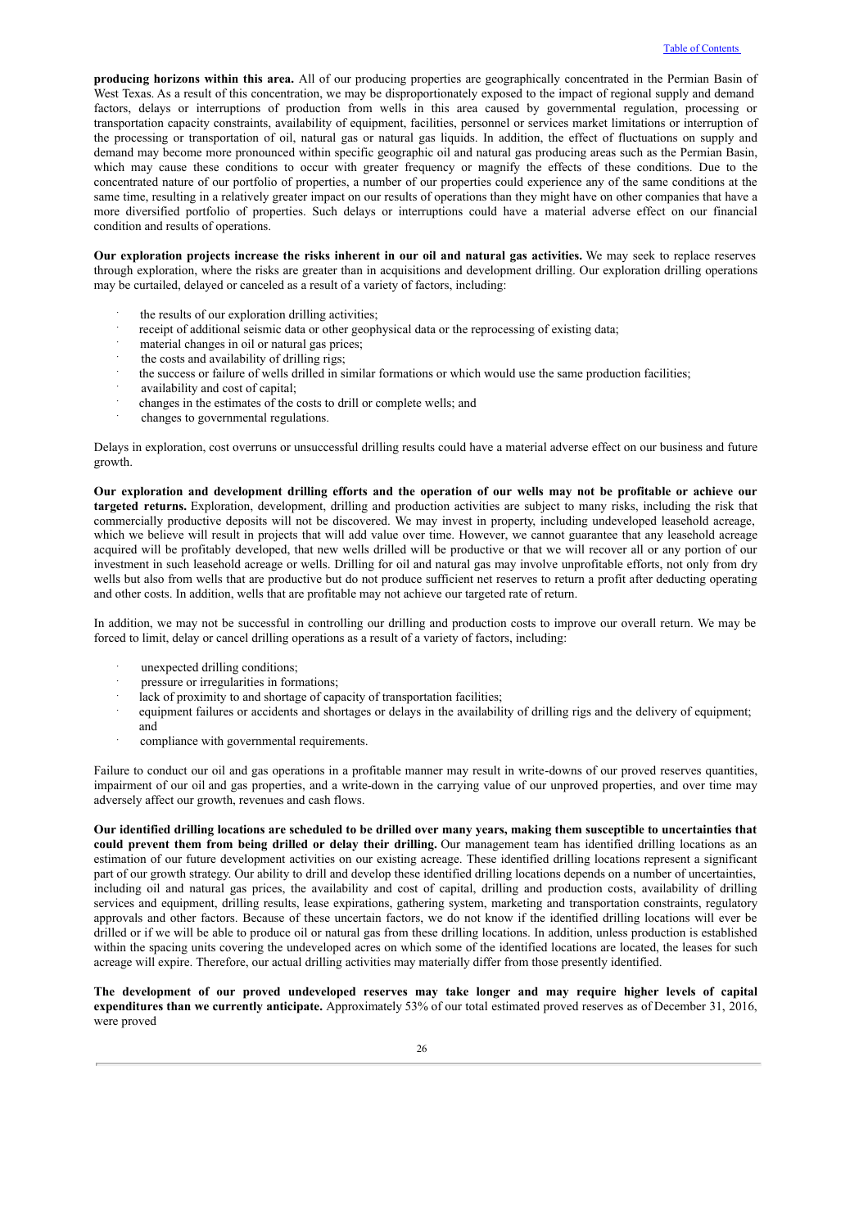**producing horizons within this area.** All of our producing properties are geographically concentrated in the Permian Basin of West Texas. As a result of this concentration, we may be disproportionately exposed to the impact of regional supply and demand factors, delays or interruptions of production from wells in this area caused by governmental regulation, processing or transportation capacity constraints, availability of equipment, facilities, personnel or services market limitations or interruption of the processing or transportation of oil, natural gas or natural gas liquids. In addition, the effect of fluctuations on supply and demand may become more pronounced within specific geographic oil and natural gas producing areas such as the Permian Basin, which may cause these conditions to occur with greater frequency or magnify the effects of these conditions. Due to the concentrated nature of our portfolio of properties, a number of our properties could experience any of the same conditions at the same time, resulting in a relatively greater impact on our results of operations than they might have on other companies that have a more diversified portfolio of properties. Such delays or interruptions could have a material adverse effect on our financial condition and results of operations.

**Our exploration projects increase the risks inherent in our oil and natural gas activities.** We may seek to replace reserves through exploration, where the risks are greater than in acquisitions and development drilling. Our exploration drilling operations may be curtailed, delayed or canceled as a result of a variety of factors, including:

- the results of our exploration drilling activities;
- receipt of additional seismic data or other geophysical data or the reprocessing of existing data;
- material changes in oil or natural gas prices;
- the costs and availability of drilling rigs;
- the success or failure of wells drilled in similar formations or which would use the same production facilities;
- availability and cost of capital;
- · changes in the estimates of the costs to drill or complete wells; and
- changes to governmental regulations.

Delays in exploration, cost overruns or unsuccessful drilling results could have a material adverse effect on our business and future growth.

Our exploration and development drilling efforts and the operation of our wells may not be profitable or achieve our **targeted returns.** Exploration, development, drilling and production activities are subject to many risks, including the risk that commercially productive deposits will not be discovered. We may invest in property, including undeveloped leasehold acreage, which we believe will result in projects that will add value over time. However, we cannot guarantee that any leasehold acreage acquired will be profitably developed, that new wells drilled will be productive or that we will recover all or any portion of our investment in such leasehold acreage or wells. Drilling for oil and natural gas may involve unprofitable efforts, not only from dry wells but also from wells that are productive but do not produce sufficient net reserves to return a profit after deducting operating and other costs. In addition, wells that are profitable may not achieve our targeted rate of return.

In addition, we may not be successful in controlling our drilling and production costs to improve our overall return. We may be forced to limit, delay or cancel drilling operations as a result of a variety of factors, including:

- unexpected drilling conditions:
- pressure or irregularities in formations;
- lack of proximity to and shortage of capacity of transportation facilities;
- equipment failures or accidents and shortages or delays in the availability of drilling rigs and the delivery of equipment; and
- compliance with governmental requirements.

Failure to conduct our oil and gas operations in a profitable manner may result in write-downs of our proved reserves quantities, impairment of our oil and gas properties, and a write-down in the carrying value of our unproved properties, and over time may adversely affect our growth, revenues and cash flows.

Our identified drilling locations are scheduled to be drilled over many years, making them susceptible to uncertainties that **could prevent them from being drilled or delay their drilling.** Our management team has identified drilling locations as an estimation of our future development activities on our existing acreage. These identified drilling locations represent a significant part of our growth strategy. Our ability to drill and develop these identified drilling locations depends on a number of uncertainties, including oil and natural gas prices, the availability and cost of capital, drilling and production costs, availability of drilling services and equipment, drilling results, lease expirations, gathering system, marketing and transportation constraints, regulatory approvals and other factors. Because of these uncertain factors, we do not know if the identified drilling locations will ever be drilled or if we will be able to produce oil or natural gas from these drilling locations. In addition, unless production is established within the spacing units covering the undeveloped acres on which some of the identified locations are located, the leases for such acreage will expire. Therefore, our actual drilling activities may materially differ from those presently identified.

The development of our proved undeveloped reserves may take longer and may require higher levels of capital **expenditures than we currently anticipate.** Approximately 53% of our total estimated proved reserves as of December 31, 2016, were proved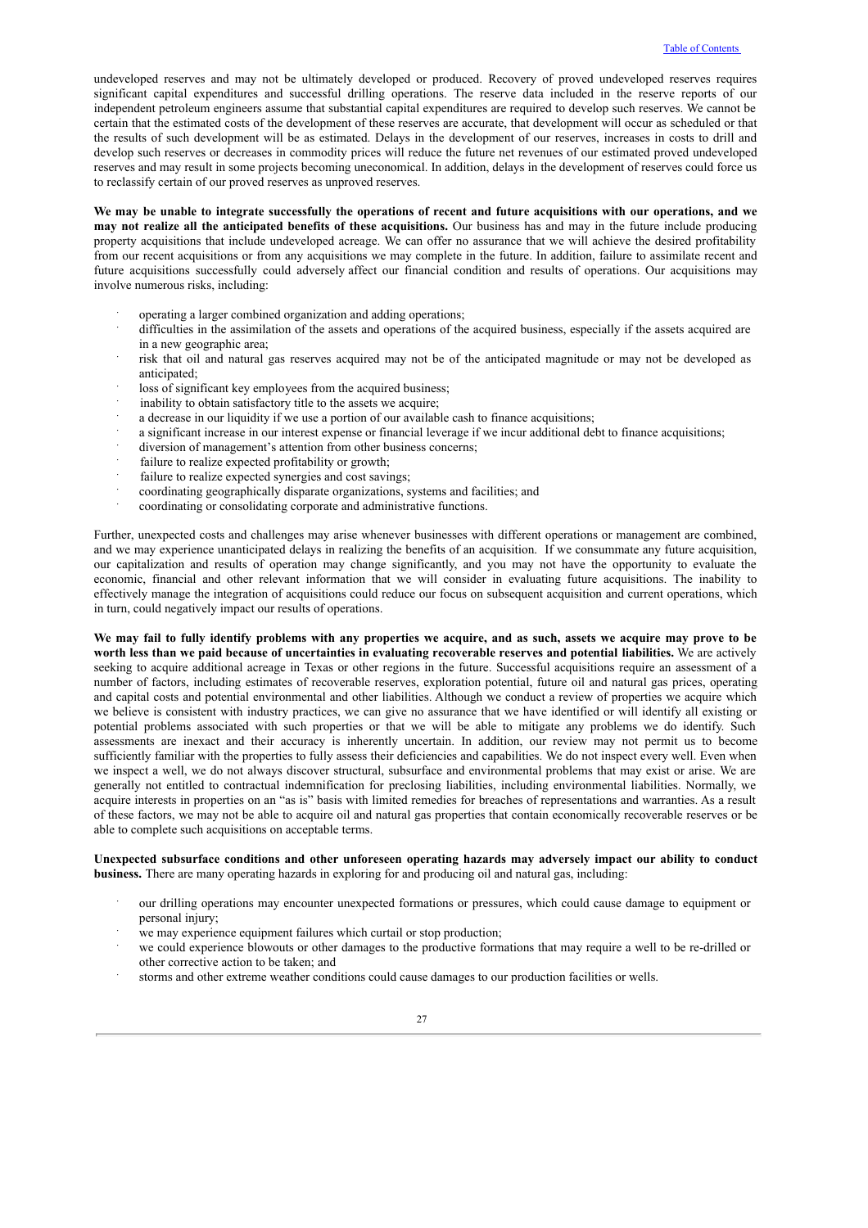undeveloped reserves and may not be ultimately developed or produced. Recovery of proved undeveloped reserves requires significant capital expenditures and successful drilling operations. The reserve data included in the reserve reports of our independent petroleum engineers assume that substantial capital expenditures are required to develop such reserves. We cannot be certain that the estimated costs of the development of these reserves are accurate, that development will occur as scheduled or that the results of such development will be as estimated. Delays in the development of our reserves, increases in costs to drill and develop such reserves or decreases in commodity prices will reduce the future net revenues of our estimated proved undeveloped reserves and may result in some projects becoming uneconomical. In addition, delays in the development of reserves could force us to reclassify certain of our proved reserves as unproved reserves.

We may be unable to integrate successfully the operations of recent and future acquisitions with our operations, and we **may not realize all the anticipated benefits of these acquisitions.** Our business has and may in the future include producing property acquisitions that include undeveloped acreage. We can offer no assurance that we will achieve the desired profitability from our recent acquisitions or from any acquisitions we may complete in the future. In addition, failure to assimilate recent and future acquisitions successfully could adversely affect our financial condition and results of operations. Our acquisitions may involve numerous risks, including:

- · operating a larger combined organization and adding operations;
- difficulties in the assimilation of the assets and operations of the acquired business, especially if the assets acquired are in a new geographic area;
- · risk that oil and natural gas reserves acquired may not be of the anticipated magnitude or may not be developed as anticipated:
- loss of significant key employees from the acquired business;
- inability to obtain satisfactory title to the assets we acquire;
- · a decrease in our liquidity if we use a portion of our available cash to finance acquisitions;
- a significant increase in our interest expense or financial leverage if we incur additional debt to finance acquisitions;
- diversion of management's attention from other business concerns;
- failure to realize expected profitability or growth;
- failure to realize expected synergies and cost savings;
- · coordinating geographically disparate organizations, systems and facilities; and
- · coordinating or consolidating corporate and administrative functions.

Further, unexpected costs and challenges may arise whenever businesses with different operations or management are combined, and we may experience unanticipated delays in realizing the benefits of an acquisition. If we consummate any future acquisition, our capitalization and results of operation may change significantly, and you may not have the opportunity to evaluate the economic, financial and other relevant information that we will consider in evaluating future acquisitions. The inability to effectively manage the integration of acquisitions could reduce our focus on subsequent acquisition and current operations, which in turn, could negatively impact our results of operations.

We may fail to fully identify problems with any properties we acquire, and as such, assets we acquire may prove to be worth less than we paid because of uncertainties in evaluating recoverable reserves and potential liabilities. We are actively seeking to acquire additional acreage in Texas or other regions in the future. Successful acquisitions require an assessment of a number of factors, including estimates of recoverable reserves, exploration potential, future oil and natural gas prices, operating and capital costs and potential environmental and other liabilities. Although we conduct a review of properties we acquire which we believe is consistent with industry practices, we can give no assurance that we have identified or will identify all existing or potential problems associated with such properties or that we will be able to mitigate any problems we do identify. Such assessments are inexact and their accuracy is inherently uncertain. In addition, our review may not permit us to become sufficiently familiar with the properties to fully assess their deficiencies and capabilities. We do not inspect every well. Even when we inspect a well, we do not always discover structural, subsurface and environmental problems that may exist or arise. We are generally not entitled to contractual indemnification for preclosing liabilities, including environmental liabilities. Normally, we acquire interests in properties on an "as is" basis with limited remedies for breaches of representations and warranties. As a result of these factors, we may not be able to acquire oil and natural gas properties that contain economically recoverable reserves or be able to complete such acquisitions on acceptable terms.

**Unexpected subsurface conditions and other unforeseen operating hazards may adversely impact our ability to conduct business.** There are many operating hazards in exploring for and producing oil and natural gas, including:

- · our drilling operations may encounter unexpected formations or pressures, which could cause damage to equipment or personal injury;
- we may experience equipment failures which curtail or stop production;
- we could experience blowouts or other damages to the productive formations that may require a well to be re-drilled or other corrective action to be taken; and
- storms and other extreme weather conditions could cause damages to our production facilities or wells.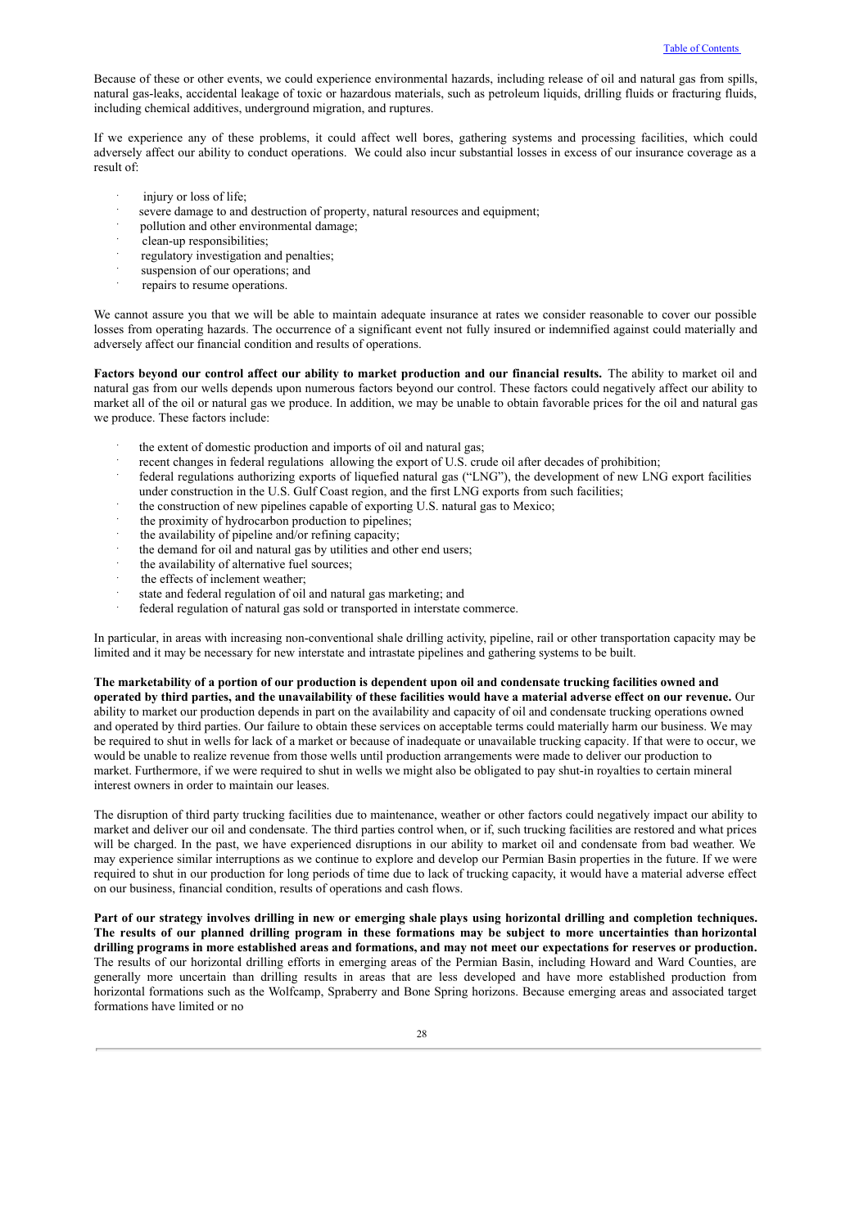Because of these or other events, we could experience environmental hazards, including release of oil and natural gas from spills, natural gas-leaks, accidental leakage of toxic or hazardous materials, such as petroleum liquids, drilling fluids or fracturing fluids, including chemical additives, underground migration, and ruptures.

If we experience any of these problems, it could affect well bores, gathering systems and processing facilities, which could adversely affect our ability to conduct operations. We could also incur substantial losses in excess of our insurance coverage as a result of:

- injury or loss of life;
- severe damage to and destruction of property, natural resources and equipment;
- · pollution and other environmental damage;
- clean-up responsibilities;
- regulatory investigation and penalties;
- suspension of our operations; and
- repairs to resume operations.

We cannot assure you that we will be able to maintain adequate insurance at rates we consider reasonable to cover our possible losses from operating hazards. The occurrence of a significant event not fully insured or indemnified against could materially and adversely affect our financial condition and results of operations.

**Factors beyond our control affect our ability to market production and our financial results.** The ability to market oil and natural gas from our wells depends upon numerous factors beyond our control. These factors could negatively affect our ability to market all of the oil or natural gas we produce. In addition, we may be unable to obtain favorable prices for the oil and natural gas we produce. These factors include:

- · the extent of domestic production and imports of oil and natural gas;
- recent changes in federal regulations allowing the export of U.S. crude oil after decades of prohibition;
- federal regulations authorizing exports of liquefied natural gas ("LNG"), the development of new LNG export facilities under construction in the U.S. Gulf Coast region, and the first LNG exports from such facilities;
- the construction of new pipelines capable of exporting U.S. natural gas to Mexico;
- the proximity of hydrocarbon production to pipelines;
- the availability of pipeline and/or refining capacity;
- the demand for oil and natural gas by utilities and other end users;
- the availability of alternative fuel sources;
- the effects of inclement weather;
- state and federal regulation of oil and natural gas marketing; and
- federal regulation of natural gas sold or transported in interstate commerce.

In particular, in areas with increasing non-conventional shale drilling activity, pipeline, rail or other transportation capacity may be limited and it may be necessary for new interstate and intrastate pipelines and gathering systems to be built.

The marketability of a portion of our production is dependent upon oil and condensate trucking facilities owned and operated by third parties, and the unavailability of these facilities would have a material adverse effect on our revenue. Our ability to market our production depends in part on the availability and capacity of oil and condensate trucking operations owned and operated by third parties. Our failure to obtain these services on acceptable terms could materially harm our business. We may be required to shut in wells for lack of a market or because of inadequate or unavailable trucking capacity. If that were to occur, we would be unable to realize revenue from those wells until production arrangements were made to deliver our production to market. Furthermore, if we were required to shut in wells we might also be obligated to pay shut-in royalties to certain mineral interest owners in order to maintain our leases.

The disruption of third party trucking facilities due to maintenance, weather or other factors could negatively impact our ability to market and deliver our oil and condensate. The third parties control when, or if, such trucking facilities are restored and what prices will be charged. In the past, we have experienced disruptions in our ability to market oil and condensate from bad weather. We may experience similar interruptions as we continue to explore and develop our Permian Basin properties in the future. If we were required to shut in our production for long periods of time due to lack of trucking capacity, it would have a material adverse effect on our business, financial condition, results of operations and cash flows.

Part of our strategy involves drilling in new or emerging shale plays using horizontal drilling and completion techniques. The results of our planned drilling program in these formations may be subject to more uncertainties than horizontal drilling programs in more established areas and formations, and may not meet our expectations for reserves or production. The results of our horizontal drilling efforts in emerging areas of the Permian Basin, including Howard and Ward Counties, are generally more uncertain than drilling results in areas that are less developed and have more established production from horizontal formations such as the Wolfcamp, Spraberry and Bone Spring horizons. Because emerging areas and associated target formations have limited or no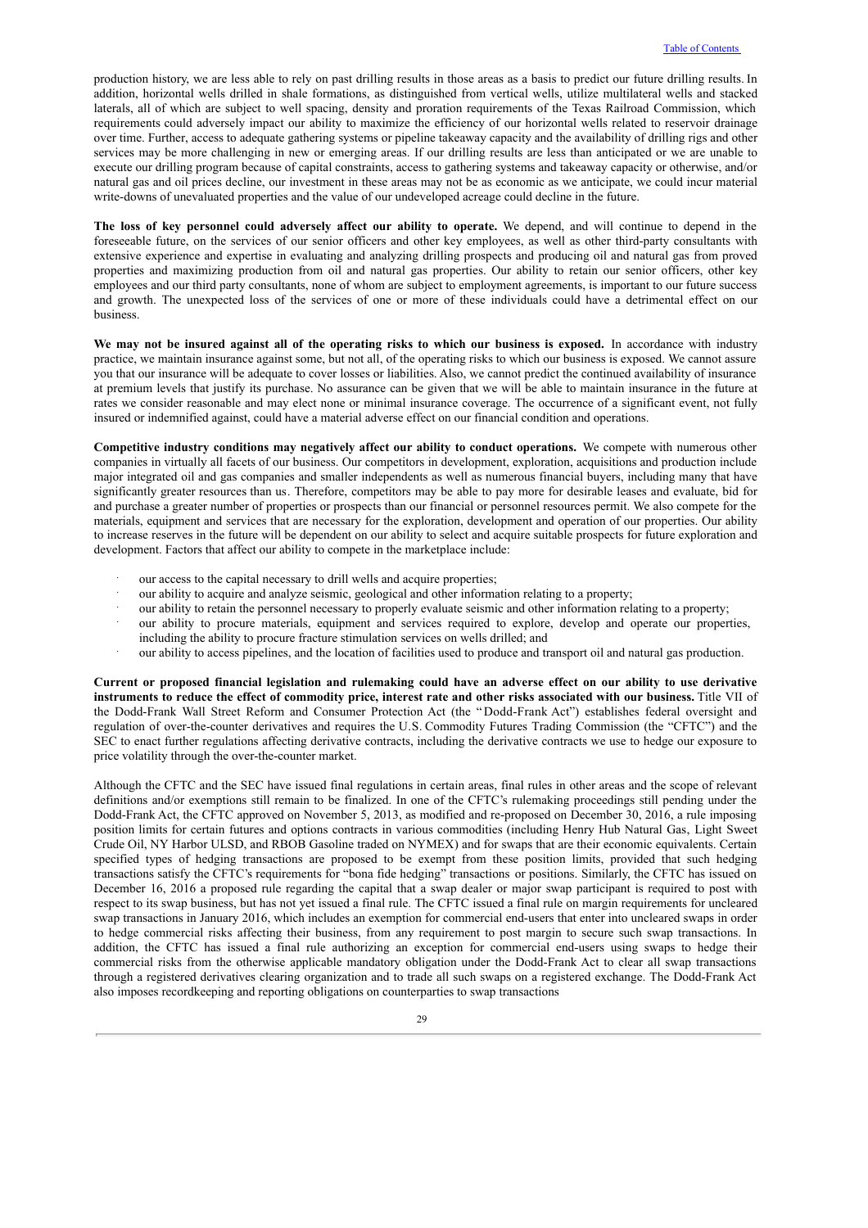production history, we are less able to rely on past drilling results in those areas as a basis to predict our future drilling results. In addition, horizontal wells drilled in shale formations, as distinguished from vertical wells, utilize multilateral wells and stacked laterals, all of which are subject to well spacing, density and proration requirements of the Texas Railroad Commission, which requirements could adversely impact our ability to maximize the efficiency of our horizontal wells related to reservoir drainage over time. Further, access to adequate gathering systems or pipeline takeaway capacity and the availability of drilling rigs and other services may be more challenging in new or emerging areas. If our drilling results are less than anticipated or we are unable to execute our drilling program because of capital constraints, access to gathering systems and takeaway capacity or otherwise, and/or natural gas and oil prices decline, our investment in these areas may not be as economic as we anticipate, we could incur material write-downs of unevaluated properties and the value of our undeveloped acreage could decline in the future.

**The loss of key personnel could adversely affect our ability to operate.** We depend, and will continue to depend in the foreseeable future, on the services of our senior officers and other key employees, as well as other third-party consultants with extensive experience and expertise in evaluating and analyzing drilling prospects and producing oil and natural gas from proved properties and maximizing production from oil and natural gas properties. Our ability to retain our senior officers, other key employees and our third party consultants, none of whom are subject to employment agreements, is important to our future success and growth. The unexpected loss of the services of one or more of these individuals could have a detrimental effect on our business.

We may not be insured against all of the operating risks to which our business is exposed. In accordance with industry practice, we maintain insurance against some, but not all, of the operating risks to which our business is exposed. We cannot assure you that our insurance will be adequate to cover losses or liabilities. Also, we cannot predict the continued availability of insurance at premium levels that justify its purchase. No assurance can be given that we will be able to maintain insurance in the future at rates we consider reasonable and may elect none or minimal insurance coverage. The occurrence of a significant event, not fully insured or indemnified against, could have a material adverse effect on our financial condition and operations.

**Competitive industry conditions may negatively affect our ability to conduct operations.** We compete with numerous other companies in virtually all facets of our business. Our competitors in development, exploration, acquisitions and production include major integrated oil and gas companies and smaller independents as well as numerous financial buyers, including many that have significantly greater resources than us. Therefore, competitors may be able to pay more for desirable leases and evaluate, bid for and purchase a greater number of properties or prospects than our financial or personnel resources permit. We also compete for the materials, equipment and services that are necessary for the exploration, development and operation of our properties. Our ability to increase reserves in the future will be dependent on our ability to select and acquire suitable prospects for future exploration and development. Factors that affect our ability to compete in the marketplace include:

- our access to the capital necessary to drill wells and acquire properties;
- our ability to acquire and analyze seismic, geological and other information relating to a property;
- our ability to retain the personnel necessary to properly evaluate seismic and other information relating to a property;
- our ability to procure materials, equipment and services required to explore, develop and operate our properties, including the ability to procure fracture stimulation services on wells drilled; and
- · our ability to access pipelines, and the location of facilities used to produce and transport oil and natural gas production.

Current or proposed financial legislation and rulemaking could have an adverse effect on our ability to use derivative instruments to reduce the effect of commodity price, interest rate and other risks associated with our business. Title VII of the Dodd-Frank Wall Street Reform and Consumer Protection Act (the " Dodd-Frank Act") establishes federal oversight and regulation of over-the-counter derivatives and requires the U.S. Commodity Futures Trading Commission (the "CFTC") and the SEC to enact further regulations affecting derivative contracts, including the derivative contracts we use to hedge our exposure to price volatility through the over-the-counter market.

Although the CFTC and the SEC have issued final regulations in certain areas, final rules in other areas and the scope of relevant definitions and/or exemptions still remain to be finalized. In one of the CFTC's rulemaking proceedings still pending under the Dodd-Frank Act, the CFTC approved on November 5, 2013, as modified and re-proposed on December 30, 2016, a rule imposing position limits for certain futures and options contracts in various commodities (including Henry Hub Natural Gas, Light Sweet Crude Oil, NY Harbor ULSD, and RBOB Gasoline traded on NYMEX) and for swaps that are their economic equivalents. Certain specified types of hedging transactions are proposed to be exempt from these position limits, provided that such hedging transactions satisfy the CFTC's requirements for "bona fide hedging" transactions or positions. Similarly, the CFTC has issued on December 16, 2016 a proposed rule regarding the capital that a swap dealer or major swap participant is required to post with respect to its swap business, but has not yet issued a final rule. The CFTC issued a final rule on margin requirements for uncleared swap transactions in January 2016, which includes an exemption for commercial end-users that enter into uncleared swaps in order to hedge commercial risks affecting their business, from any requirement to post margin to secure such swap transactions. In addition, the CFTC has issued a final rule authorizing an exception for commercial end-users using swaps to hedge their commercial risks from the otherwise applicable mandatory obligation under the Dodd-Frank Act to clear all swap transactions through a registered derivatives clearing organization and to trade all such swaps on a registered exchange. The Dodd-Frank Act also imposes recordkeeping and reporting obligations on counterparties to swap transactions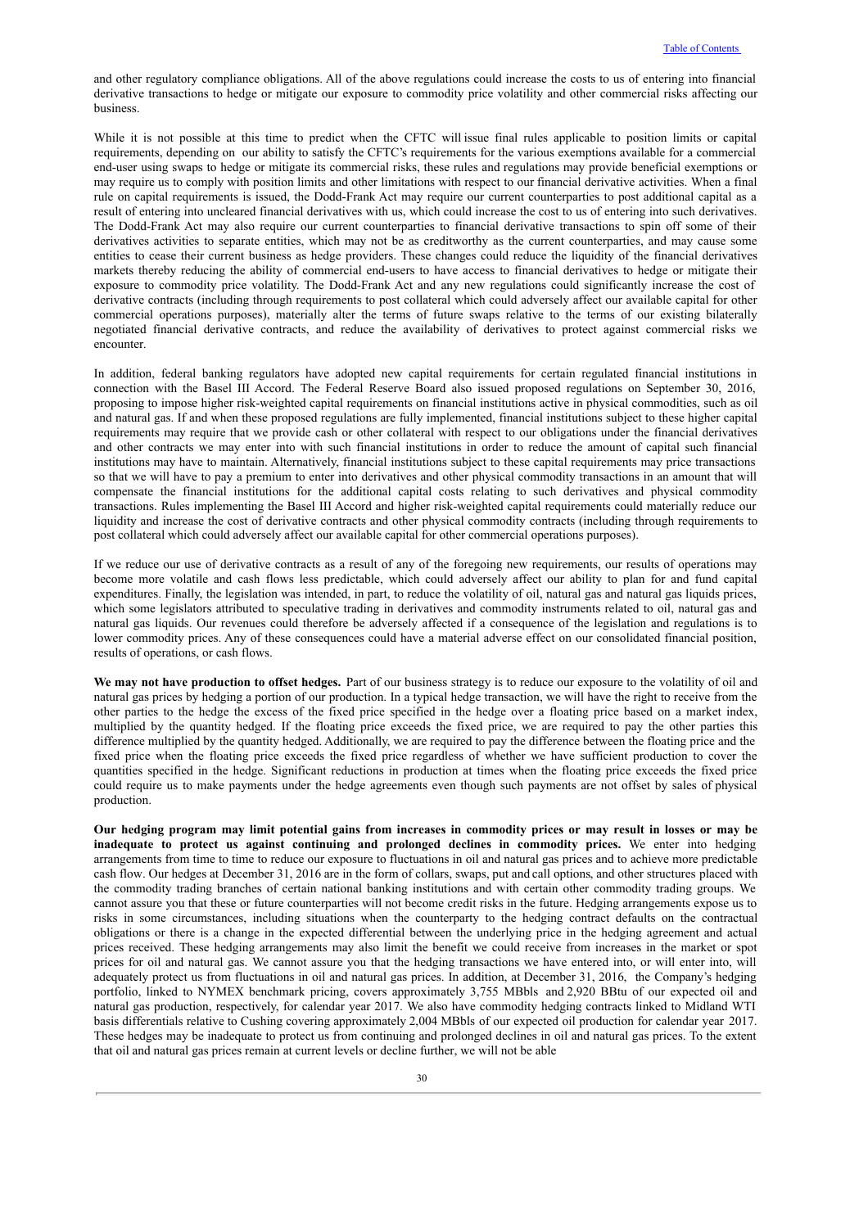and other regulatory compliance obligations. All of the above regulations could increase the costs to us of entering into financial derivative transactions to hedge or mitigate our exposure to commodity price volatility and other commercial risks affecting our business.

While it is not possible at this time to predict when the CFTC will issue final rules applicable to position limits or capital requirements, depending on our ability to satisfy the CFTC's requirements for the various exemptions available for a commercial end-user using swaps to hedge or mitigate its commercial risks, these rules and regulations may provide beneficial exemptions or may require us to comply with position limits and other limitations with respect to our financial derivative activities. When a final rule on capital requirements is issued, the Dodd-Frank Act may require our current counterparties to post additional capital as a result of entering into uncleared financial derivatives with us, which could increase the cost to us of entering into such derivatives. The Dodd-Frank Act may also require our current counterparties to financial derivative transactions to spin off some of their derivatives activities to separate entities, which may not be as creditworthy as the current counterparties, and may cause some entities to cease their current business as hedge providers. These changes could reduce the liquidity of the financial derivatives markets thereby reducing the ability of commercial end-users to have access to financial derivatives to hedge or mitigate their exposure to commodity price volatility. The Dodd-Frank Act and any new regulations could significantly increase the cost of derivative contracts (including through requirements to post collateral which could adversely affect our available capital for other commercial operations purposes), materially alter the terms of future swaps relative to the terms of our existing bilaterally negotiated financial derivative contracts, and reduce the availability of derivatives to protect against commercial risks we encounter.

In addition, federal banking regulators have adopted new capital requirements for certain regulated financial institutions in connection with the Basel III Accord. The Federal Reserve Board also issued proposed regulations on September 30, 2016, proposing to impose higher risk-weighted capital requirements on financial institutions active in physical commodities, such as oil and natural gas. If and when these proposed regulations are fully implemented, financial institutions subject to these higher capital requirements may require that we provide cash or other collateral with respect to our obligations under the financial derivatives and other contracts we may enter into with such financial institutions in order to reduce the amount of capital such financial institutions may have to maintain. Alternatively, financial institutions subject to these capital requirements may price transactions so that we will have to pay a premium to enter into derivatives and other physical commodity transactions in an amount that will compensate the financial institutions for the additional capital costs relating to such derivatives and physical commodity transactions. Rules implementing the Basel III Accord and higher risk-weighted capital requirements could materially reduce our liquidity and increase the cost of derivative contracts and other physical commodity contracts (including through requirements to post collateral which could adversely affect our available capital for other commercial operations purposes).

If we reduce our use of derivative contracts as a result of any of the foregoing new requirements, our results of operations may become more volatile and cash flows less predictable, which could adversely affect our ability to plan for and fund capital expenditures. Finally, the legislation was intended, in part, to reduce the volatility of oil, natural gas and natural gas liquids prices, which some legislators attributed to speculative trading in derivatives and commodity instruments related to oil, natural gas and natural gas liquids. Our revenues could therefore be adversely affected if a consequence of the legislation and regulations is to lower commodity prices. Any of these consequences could have a material adverse effect on our consolidated financial position, results of operations, or cash flows.

**We may not have production to offset hedges.** Part of our business strategy is to reduce our exposure to the volatility of oil and natural gas prices by hedging a portion of our production. In a typical hedge transaction, we will have the right to receive from the other parties to the hedge the excess of the fixed price specified in the hedge over a floating price based on a market index, multiplied by the quantity hedged. If the floating price exceeds the fixed price, we are required to pay the other parties this difference multiplied by the quantity hedged. Additionally, we are required to pay the difference between the floating price and the fixed price when the floating price exceeds the fixed price regardless of whether we have sufficient production to cover the quantities specified in the hedge. Significant reductions in production at times when the floating price exceeds the fixed price could require us to make payments under the hedge agreements even though such payments are not offset by sales of physical production.

Our hedging program may limit potential gains from increases in commodity prices or may result in losses or may be **inadequate to protect us against continuing and prolonged declines in commodity prices.** We enter into hedging arrangements from time to time to reduce our exposure to fluctuations in oil and natural gas prices and to achieve more predictable cash flow. Our hedges at December 31, 2016 are in the form of collars, swaps, put andcall options, and other structures placed with the commodity trading branches of certain national banking institutions and with certain other commodity trading groups. We cannot assure you that these or future counterparties will not become credit risks in the future. Hedging arrangements expose us to risks in some circumstances, including situations when the counterparty to the hedging contract defaults on the contractual obligations or there is a change in the expected differential between the underlying price in the hedging agreement and actual prices received. These hedging arrangements may also limit the benefit we could receive from increases in the market or spot prices for oil and natural gas. We cannot assure you that the hedging transactions we have entered into, or will enter into, will adequately protect us from fluctuations in oil and natural gas prices. In addition, at December 31, 2016, the Company's hedging portfolio, linked to NYMEX benchmark pricing, covers approximately 3,755 MBbls and 2,920 BBtu of our expected oil and natural gas production, respectively, for calendar year 2017. We also have commodity hedging contracts linked to Midland WTI basis differentials relative to Cushing covering approximately 2,004 MBbls of our expected oil production for calendar year 2017. These hedges may be inadequate to protect us from continuing and prolonged declines in oil and natural gas prices. To the extent that oil and natural gas prices remain at current levels or decline further, we will not be able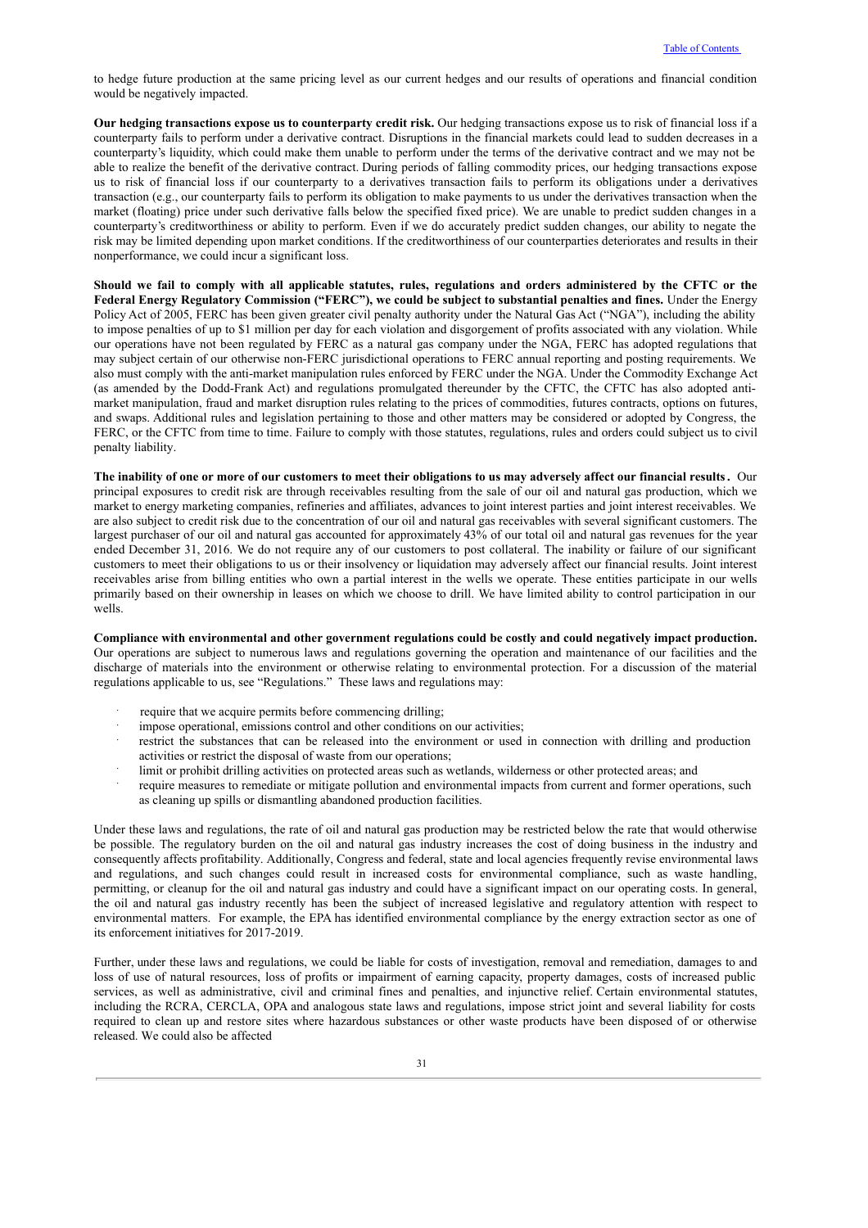to hedge future production at the same pricing level as our current hedges and our results of operations and financial condition would be negatively impacted.

**Our hedging transactions expose us to counterparty credit risk.** Our hedging transactions expose us to risk of financial loss if a counterparty fails to perform under a derivative contract. Disruptions in the financial markets could lead to sudden decreases in a counterparty's liquidity, which could make them unable to perform under the terms of the derivative contract and we may not be able to realize the benefit of the derivative contract. During periods of falling commodity prices, our hedging transactions expose us to risk of financial loss if our counterparty to a derivatives transaction fails to perform its obligations under a derivatives transaction (e.g., our counterparty fails to perform its obligation to make payments to us under the derivatives transaction when the market (floating) price under such derivative falls below the specified fixed price). We are unable to predict sudden changes in a counterparty's creditworthiness or ability to perform. Even if we do accurately predict sudden changes, our ability to negate the risk may be limited depending upon market conditions. If the creditworthiness of our counterparties deteriorates and results in their nonperformance, we could incur a significant loss.

Should we fail to comply with all applicable statutes, rules, regulations and orders administered by the CFTC or the **Federal Energy Regulatory Commission ("FERC"), we could be subject to substantial penalties and fines.** Under the Energy Policy Act of 2005, FERC has been given greater civil penalty authority under the Natural Gas Act ("NGA"), including the ability to impose penalties of up to \$1 million per day for each violation and disgorgement of profits associated with any violation. While our operations have not been regulated by FERC as a natural gas company under the NGA, FERC has adopted regulations that may subject certain of our otherwise non-FERC jurisdictional operations to FERC annual reporting and posting requirements. We also must comply with the anti-market manipulation rules enforced by FERC under the NGA. Under the Commodity Exchange Act (as amended by the Dodd-Frank Act) and regulations promulgated thereunder by the CFTC, the CFTC has also adopted antimarket manipulation, fraud and market disruption rules relating to the prices of commodities, futures contracts, options on futures, and swaps. Additional rules and legislation pertaining to those and other matters may be considered or adopted by Congress, the FERC, or the CFTC from time to time. Failure to comply with those statutes, regulations, rules and orders could subject us to civil penalty liability.

The inability of one or more of our customers to meet their obligations to us may adversely affect our financial results. Our principal exposures to credit risk are through receivables resulting from the sale of our oil and natural gas production, which we market to energy marketing companies, refineries and affiliates, advances to joint interest parties and joint interest receivables. We are also subject to credit risk due to the concentration of our oil and natural gas receivables with several significant customers. The largest purchaser of our oil and natural gas accounted for approximately 43% of our total oil and natural gas revenues for the year ended December 31, 2016. We do not require any of our customers to post collateral. The inability or failure of our significant customers to meet their obligations to us or their insolvency or liquidation may adversely affect our financial results. Joint interest receivables arise from billing entities who own a partial interest in the wells we operate. These entities participate in our wells primarily based on their ownership in leases on which we choose to drill. We have limited ability to control participation in our wells.

**Compliance with environmental and other government regulations could be costly and could negatively impact production.** Our operations are subject to numerous laws and regulations governing the operation and maintenance of our facilities and the discharge of materials into the environment or otherwise relating to environmental protection. For a discussion of the material regulations applicable to us, see "Regulations." These laws and regulations may:

- require that we acquire permits before commencing drilling;
- impose operational, emissions control and other conditions on our activities;
- restrict the substances that can be released into the environment or used in connection with drilling and production activities or restrict the disposal of waste from our operations;
- limit or prohibit drilling activities on protected areas such as wetlands, wilderness or other protected areas; and
- require measures to remediate or mitigate pollution and environmental impacts from current and former operations, such as cleaning up spills or dismantling abandoned production facilities.

Under these laws and regulations, the rate of oil and natural gas production may be restricted below the rate that would otherwise be possible. The regulatory burden on the oil and natural gas industry increases the cost of doing business in the industry and consequently affects profitability. Additionally, Congress and federal, state and local agencies frequently revise environmental laws and regulations, and such changes could result in increased costs for environmental compliance, such as waste handling, permitting, or cleanup for the oil and natural gas industry and could have a significant impact on our operating costs. In general, the oil and natural gas industry recently has been the subject of increased legislative and regulatory attention with respect to environmental matters. For example, the EPA has identified environmental compliance by the energy extraction sector as one of its enforcement initiatives for 2017-2019.

Further, under these laws and regulations, we could be liable for costs of investigation, removal and remediation, damages to and loss of use of natural resources, loss of profits or impairment of earning capacity, property damages, costs of increased public services, as well as administrative, civil and criminal fines and penalties, and injunctive relief. Certain environmental statutes, including the RCRA, CERCLA, OPA and analogous state laws and regulations, impose strict joint and several liability for costs required to clean up and restore sites where hazardous substances or other waste products have been disposed of or otherwise released. We could also be affected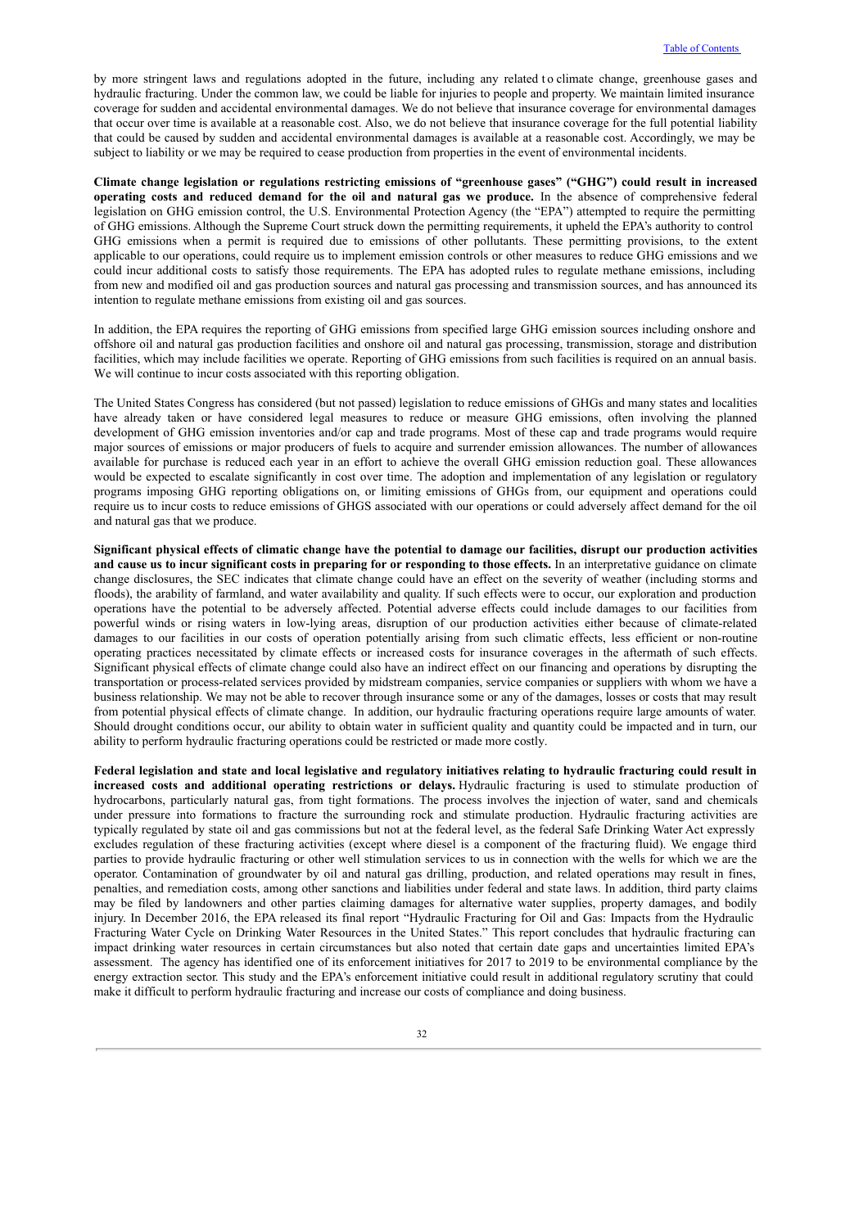by more stringent laws and regulations adopted in the future, including any related to climate change, greenhouse gases and hydraulic fracturing. Under the common law, we could be liable for injuries to people and property. We maintain limited insurance coverage for sudden and accidental environmental damages. We do not believe that insurance coverage for environmental damages that occur over time is available at a reasonable cost. Also, we do not believe that insurance coverage for the full potential liability that could be caused by sudden and accidental environmental damages is available at a reasonable cost. Accordingly, we may be subject to liability or we may be required to cease production from properties in the event of environmental incidents.

**Climate change legislation or regulations restricting emissions of "greenhouse gases" ("GHG") could result in increased operating costs and reduced demand for the oil and natural gas we produce.** In the absence of comprehensive federal legislation on GHG emission control, the U.S. Environmental Protection Agency (the "EPA") attempted to require the permitting of GHG emissions. Although the Supreme Court struck down the permitting requirements, it upheld the EPA's authority to control GHG emissions when a permit is required due to emissions of other pollutants. These permitting provisions, to the extent applicable to our operations, could require us to implement emission controls or other measures to reduce GHG emissions and we could incur additional costs to satisfy those requirements. The EPA has adopted rules to regulate methane emissions, including from new and modified oil and gas production sources and natural gas processing and transmission sources, and has announced its intention to regulate methane emissions from existing oil and gas sources.

In addition, the EPA requires the reporting of GHG emissions from specified large GHG emission sources including onshore and offshore oil and natural gas production facilities and onshore oil and natural gas processing, transmission, storage and distribution facilities, which may include facilities we operate. Reporting of GHG emissions from such facilities is required on an annual basis. We will continue to incur costs associated with this reporting obligation.

The United States Congress has considered (but not passed) legislation to reduce emissions of GHGs and many states and localities have already taken or have considered legal measures to reduce or measure GHG emissions, often involving the planned development of GHG emission inventories and/or cap and trade programs. Most of these cap and trade programs would require major sources of emissions or major producers of fuels to acquire and surrender emission allowances. The number of allowances available for purchase is reduced each year in an effort to achieve the overall GHG emission reduction goal. These allowances would be expected to escalate significantly in cost over time. The adoption and implementation of any legislation or regulatory programs imposing GHG reporting obligations on, or limiting emissions of GHGs from, our equipment and operations could require us to incur costs to reduce emissions of GHGS associated with our operations or could adversely affect demand for the oil and natural gas that we produce.

Significant physical effects of climatic change have the potential to damage our facilities, disrupt our production activities and cause us to incur significant costs in preparing for or responding to those effects. In an interpretative guidance on climate change disclosures, the SEC indicates that climate change could have an effect on the severity of weather (including storms and floods), the arability of farmland, and water availability and quality. If such effects were to occur, our exploration and production operations have the potential to be adversely affected. Potential adverse effects could include damages to our facilities from powerful winds or rising waters in low-lying areas, disruption of our production activities either because of climate-related damages to our facilities in our costs of operation potentially arising from such climatic effects, less efficient or non-routine operating practices necessitated by climate effects or increased costs for insurance coverages in the aftermath of such effects. Significant physical effects of climate change could also have an indirect effect on our financing and operations by disrupting the transportation or process-related services provided by midstream companies, service companies or suppliers with whom we have a business relationship. We may not be able to recover through insurance some or any of the damages, losses or costs that may result from potential physical effects of climate change. In addition, our hydraulic fracturing operations require large amounts of water. Should drought conditions occur, our ability to obtain water in sufficient quality and quantity could be impacted and in turn, our ability to perform hydraulic fracturing operations could be restricted or made more costly.

Federal legislation and state and local legislative and regulatory initiatives relating to hydraulic fracturing could result in **increased costs and additional operating restrictions or delays.** Hydraulic fracturing is used to stimulate production of hydrocarbons, particularly natural gas, from tight formations. The process involves the injection of water, sand and chemicals under pressure into formations to fracture the surrounding rock and stimulate production. Hydraulic fracturing activities are typically regulated by state oil and gas commissions but not at the federal level, as the federal Safe Drinking Water Act expressly excludes regulation of these fracturing activities (except where diesel is a component of the fracturing fluid). We engage third parties to provide hydraulic fracturing or other well stimulation services to us in connection with the wells for which we are the operator. Contamination of groundwater by oil and natural gas drilling, production, and related operations may result in fines, penalties, and remediation costs, among other sanctions and liabilities under federal and state laws. In addition, third party claims may be filed by landowners and other parties claiming damages for alternative water supplies, property damages, and bodily injury. In December 2016, the EPA released its final report "Hydraulic Fracturing for Oil and Gas: Impacts from the Hydraulic Fracturing Water Cycle on Drinking Water Resources in the United States." This report concludes that hydraulic fracturing can impact drinking water resources in certain circumstances but also noted that certain date gaps and uncertainties limited EPA's assessment. The agency has identified one of its enforcement initiatives for 2017 to 2019 to be environmental compliance by the energy extraction sector. This study and the EPA's enforcement initiative could result in additional regulatory scrutiny that could make it difficult to perform hydraulic fracturing and increase our costs of compliance and doing business.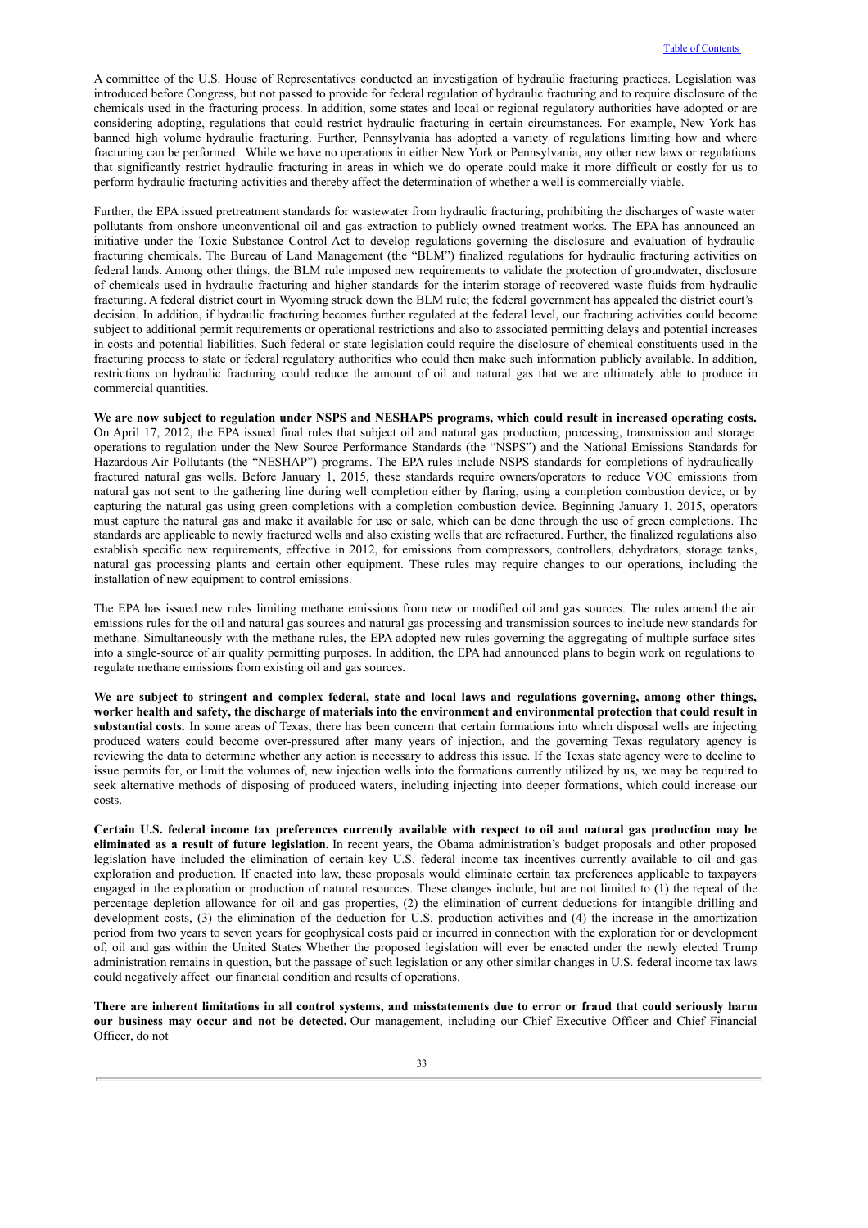A committee of the U.S. House of Representatives conducted an investigation of hydraulic fracturing practices. Legislation was introduced before Congress, but not passed to provide for federal regulation of hydraulic fracturing and to require disclosure of the chemicals used in the fracturing process. In addition, some states and local or regional regulatory authorities have adopted or are considering adopting, regulations that could restrict hydraulic fracturing in certain circumstances. For example, New York has banned high volume hydraulic fracturing. Further, Pennsylvania has adopted a variety of regulations limiting how and where fracturing can be performed. While we have no operations in either New York or Pennsylvania, any other new laws or regulations that significantly restrict hydraulic fracturing in areas in which we do operate could make it more difficult or costly for us to perform hydraulic fracturing activities and thereby affect the determination of whether a well is commercially viable.

Further, the EPA issued pretreatment standards for wastewater from hydraulic fracturing, prohibiting the discharges of waste water pollutants from onshore unconventional oil and gas extraction to publicly owned treatment works. The EPA has announced an initiative under the Toxic Substance Control Act to develop regulations governing the disclosure and evaluation of hydraulic fracturing chemicals. The Bureau of Land Management (the "BLM") finalized regulations for hydraulic fracturing activities on federal lands. Among other things, the BLM rule imposed new requirements to validate the protection of groundwater, disclosure of chemicals used in hydraulic fracturing and higher standards for the interim storage of recovered waste fluids from hydraulic fracturing. A federal district court in Wyoming struck down the BLM rule; the federal government has appealed the district court's decision. In addition, if hydraulic fracturing becomes further regulated at the federal level, our fracturing activities could become subject to additional permit requirements or operational restrictions and also to associated permitting delays and potential increases in costs and potential liabilities. Such federal or state legislation could require the disclosure of chemical constituents used in the fracturing process to state or federal regulatory authorities who could then make such information publicly available. In addition, restrictions on hydraulic fracturing could reduce the amount of oil and natural gas that we are ultimately able to produce in commercial quantities.

We are now subject to regulation under NSPS and NESHAPS programs, which could result in increased operating costs. On April 17, 2012, the EPA issued final rules that subject oil and natural gas production, processing, transmission and storage operations to regulation under the New Source Performance Standards (the "NSPS") and the National Emissions Standards for Hazardous Air Pollutants (the "NESHAP") programs. The EPA rules include NSPS standards for completions of hydraulically fractured natural gas wells. Before January 1, 2015, these standards require owners/operators to reduce VOC emissions from natural gas not sent to the gathering line during well completion either by flaring, using a completion combustion device, or by capturing the natural gas using green completions with a completion combustion device. Beginning January 1, 2015, operators must capture the natural gas and make it available for use or sale, which can be done through the use of green completions. The standards are applicable to newly fractured wells and also existing wells that are refractured. Further, the finalized regulations also establish specific new requirements, effective in 2012, for emissions from compressors, controllers, dehydrators, storage tanks, natural gas processing plants and certain other equipment. These rules may require changes to our operations, including the installation of new equipment to control emissions.

The EPA has issued new rules limiting methane emissions from new or modified oil and gas sources. The rules amend the air emissions rules for the oil and natural gas sources and natural gas processing and transmission sources to include new standards for methane. Simultaneously with the methane rules, the EPA adopted new rules governing the aggregating of multiple surface sites into a single-source of air quality permitting purposes. In addition, the EPA had announced plans to begin work on regulations to regulate methane emissions from existing oil and gas sources.

We are subject to stringent and complex federal, state and local laws and regulations governing, among other things, worker health and safety, the discharge of materials into the environment and environmental protection that could result in **substantial costs.** In some areas of Texas, there has been concern that certain formations into which disposal wells are injecting produced waters could become over-pressured after many years of injection, and the governing Texas regulatory agency is reviewing the data to determine whether any action is necessary to address this issue. If the Texas state agency were to decline to issue permits for, or limit the volumes of, new injection wells into the formations currently utilized by us, we may be required to seek alternative methods of disposing of produced waters, including injecting into deeper formations, which could increase our costs.

Certain U.S. federal income tax preferences currently available with respect to oil and natural gas production may be **eliminated as a result of future legislation.** In recent years, the Obama administration's budget proposals and other proposed legislation have included the elimination of certain key U.S. federal income tax incentives currently available to oil and gas exploration and production. If enacted into law, these proposals would eliminate certain tax preferences applicable to taxpayers engaged in the exploration or production of natural resources. These changes include, but are not limited to (1) the repeal of the percentage depletion allowance for oil and gas properties, (2) the elimination of current deductions for intangible drilling and development costs, (3) the elimination of the deduction for U.S. production activities and (4) the increase in the amortization period from two years to seven years for geophysical costs paid or incurred in connection with the exploration for or development of, oil and gas within the United States Whether the proposed legislation will ever be enacted under the newly elected Trump administration remains in question, but the passage of such legislation or any other similar changes in U.S. federal income tax laws could negatively affect our financial condition and results of operations.

There are inherent limitations in all control systems, and misstatements due to error or fraud that could seriously harm **our business may occur and not be detected.** Our management, including our Chief Executive Officer and Chief Financial Officer, do not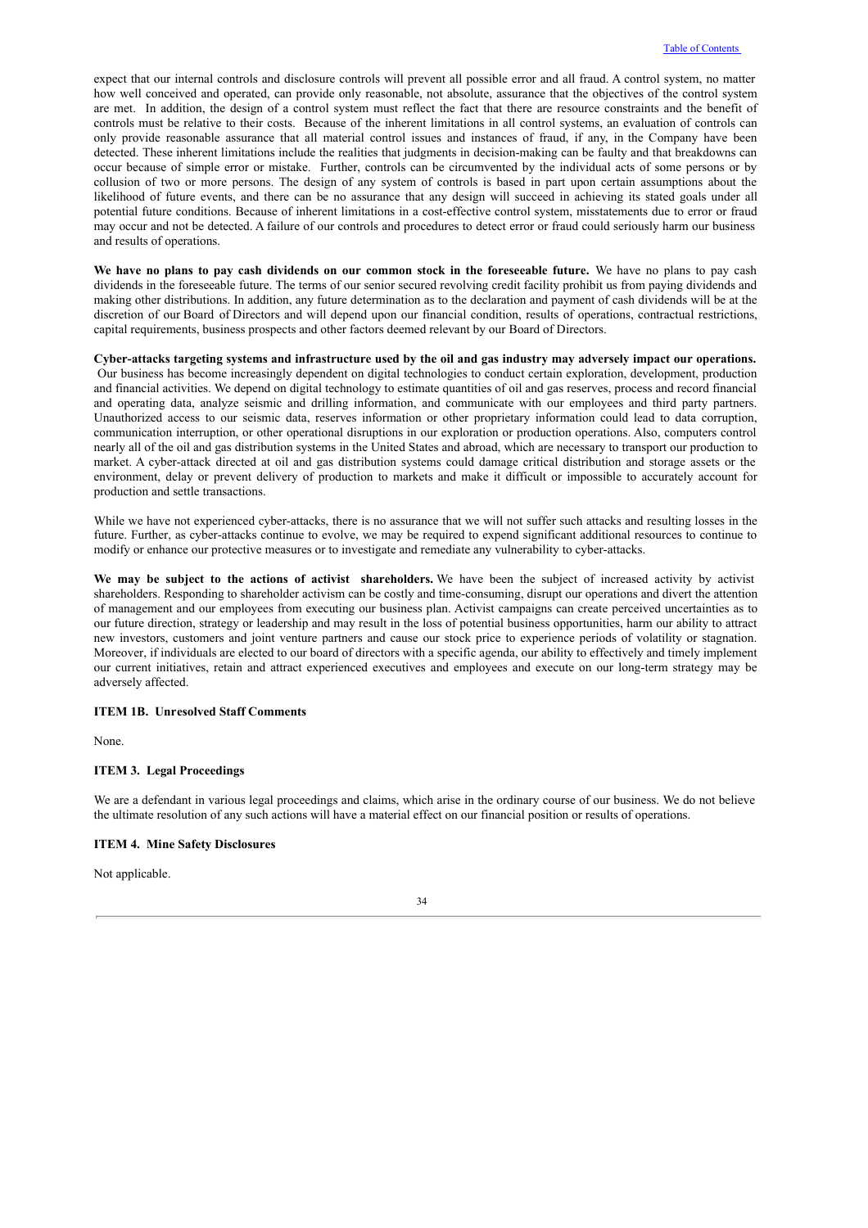expect that our internal controls and disclosure controls will prevent all possible error and all fraud. A control system, no matter how well conceived and operated, can provide only reasonable, not absolute, assurance that the objectives of the control system are met. In addition, the design of a control system must reflect the fact that there are resource constraints and the benefit of controls must be relative to their costs. Because of the inherent limitations in all control systems, an evaluation of controls can only provide reasonable assurance that all material control issues and instances of fraud, if any, in the Company have been detected. These inherent limitations include the realities that judgments in decision-making can be faulty and that breakdowns can occur because of simple error or mistake. Further, controls can be circumvented by the individual acts of some persons or by collusion of two or more persons. The design of any system of controls is based in part upon certain assumptions about the likelihood of future events, and there can be no assurance that any design will succeed in achieving its stated goals under all potential future conditions. Because of inherent limitations in a cost-effective control system, misstatements due to error or fraud may occur and not be detected. A failure of our controls and procedures to detect error or fraud could seriously harm our business and results of operations.

We have no plans to pay cash dividends on our common stock in the foreseeable future. We have no plans to pay cash dividends in the foreseeable future. The terms of our senior secured revolving credit facility prohibit us from paying dividends and making other distributions. In addition, any future determination as to the declaration and payment of cash dividends will be at the discretion of our Board of Directors and will depend upon our financial condition, results of operations, contractual restrictions, capital requirements, business prospects and other factors deemed relevant by our Board of Directors.

Cyber-attacks targeting systems and infrastructure used by the oil and gas industry may adversely impact our operations. Our business has become increasingly dependent on digital technologies to conduct certain exploration, development, production and financial activities. We depend on digital technology to estimate quantities of oil and gas reserves, process and record financial and operating data, analyze seismic and drilling information, and communicate with our employees and third party partners. Unauthorized access to our seismic data, reserves information or other proprietary information could lead to data corruption, communication interruption, or other operational disruptions in our exploration or production operations. Also, computers control nearly all of the oil and gas distribution systems in the United States and abroad, which are necessary to transport our production to market. A cyber-attack directed at oil and gas distribution systems could damage critical distribution and storage assets or the environment, delay or prevent delivery of production to markets and make it difficult or impossible to accurately account for production and settle transactions.

While we have not experienced cyber-attacks, there is no assurance that we will not suffer such attacks and resulting losses in the future. Further, as cyber-attacks continue to evolve, we may be required to expend significant additional resources to continue to modify or enhance our protective measures or to investigate and remediate any vulnerability to cyber-attacks.

**We may be subject to the actions of activist shareholders.** We have been the subject of increased activity by activist shareholders. Responding to shareholder activism can be costly and time-consuming, disrupt our operations and divert the attention of management and our employees from executing our business plan. Activist campaigns can create perceived uncertainties as to our future direction, strategy or leadership and may result in the loss of potential business opportunities, harm our ability to attract new investors, customers and joint venture partners and cause our stock price to experience periods of volatility or stagnation. Moreover, if individuals are elected to our board of directors with a specific agenda, our ability to effectively and timely implement our current initiatives, retain and attract experienced executives and employees and execute on our long-term strategy may be adversely affected.

# **ITEM 1B. Unresolved Staff Comments**

None.

# **ITEM 3. Legal Proceedings**

We are a defendant in various legal proceedings and claims, which arise in the ordinary course of our business. We do not believe the ultimate resolution of any such actions will have a material effect on our financial position or results of operations.

#### **ITEM 4. Mine Safety Disclosures**

Not applicable.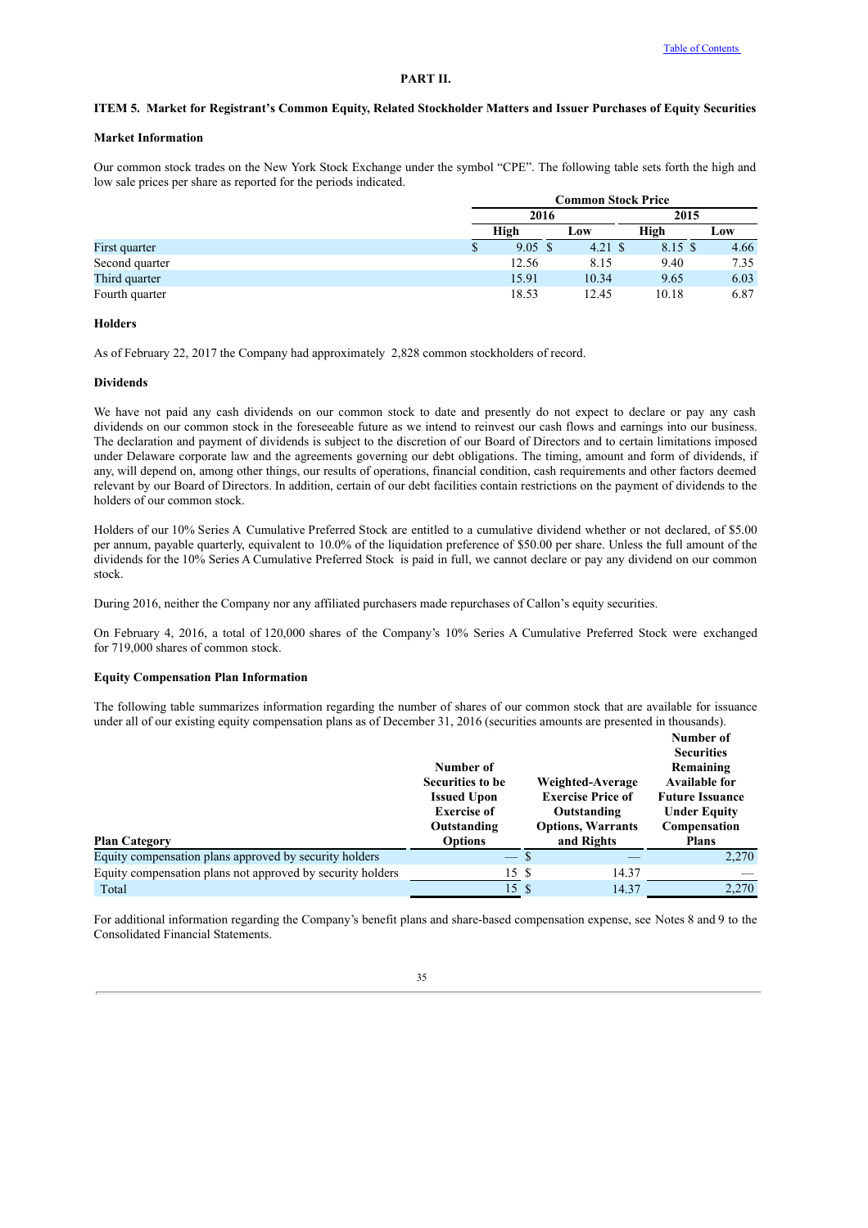# **PART II.**

# ITEM 5. Market for Registrant's Common Equity, Related Stockholder Matters and Issuer Purchases of Equity Securities

## **Market Information**

Our common stock trades on the New York Stock Exchange under the symbol "CPE". The following table sets forth the high and low sale prices per share as reported for the periods indicated.

|                |   | <b>Common Stock Price</b> |                    |         |      |  |  |
|----------------|---|---------------------------|--------------------|---------|------|--|--|
|                |   | 2016                      |                    | 2015    |      |  |  |
|                |   | High                      | Low                | High    | Low  |  |  |
| First quarter  | D | $9.05 \text{ s}$          | $4.21 \text{ }$ \$ | 8.15 \$ | 4.66 |  |  |
| Second quarter |   | 12.56                     | 8.15               | 9.40    | 7.35 |  |  |
| Third quarter  |   | 15.91                     | 10.34              | 9.65    | 6.03 |  |  |
| Fourth quarter |   | 18.53                     | 12.45              | 10.18   | 6.87 |  |  |

#### **Holders**

As of February 22, 2017 the Company had approximately 2,828 common stockholders of record.

#### **Dividends**

We have not paid any cash dividends on our common stock to date and presently do not expect to declare or pay any cash dividends on our common stock in the foreseeable future as we intend to reinvest our cash flows and earnings into our business. The declaration and payment of dividends is subject to the discretion of our Board of Directors and to certain limitations imposed under Delaware corporate law and the agreements governing our debt obligations. The timing, amount and form of dividends, if any, will depend on, among other things, our results of operations, financial condition, cash requirements and other factors deemed relevant by our Board of Directors. In addition, certain of our debt facilities contain restrictions on the payment of dividends to the holders of our common stock.

Holders of our 10% Series A Cumulative Preferred Stock are entitled to a cumulative dividend whether or not declared, of \$5.00 per annum, payable quarterly, equivalent to 10.0% of the liquidation preference of \$50.00 per share. Unless the full amount of the dividends for the 10% Series A Cumulative Preferred Stock is paid in full, we cannot declare or pay any dividend on our common stock.

During 2016, neither the Company nor any affiliated purchasers made repurchases of Callon's equity securities.

On February 4, 2016, a total of 120,000 shares of the Company's 10% Series A Cumulative Preferred Stock were exchanged for 719,000 shares of common stock.

# **Equity Compensation Plan Information**

The following table summarizes information regarding the number of shares of our common stock that are available for issuance under all of our existing equity compensation plans as of December 31, 2016 (securities amounts are presented in thousands).

| <b>Plan Category</b>                                       | Number of<br><b>Securities to be</b><br><b>Issued Upon</b><br><b>Exercise of</b><br>Outstanding<br><b>Options</b> |  | Weighted-Average<br><b>Exercise Price of</b><br>Outstanding<br><b>Options, Warrants</b><br>and Rights | Number of<br><b>Securities</b><br>Remaining<br><b>Available for</b><br><b>Future Issuance</b><br><b>Under Equity</b><br>Compensation<br><b>Plans</b> |  |
|------------------------------------------------------------|-------------------------------------------------------------------------------------------------------------------|--|-------------------------------------------------------------------------------------------------------|------------------------------------------------------------------------------------------------------------------------------------------------------|--|
| Equity compensation plans approved by security holders     | $-$ \$                                                                                                            |  |                                                                                                       | 2,270                                                                                                                                                |  |
| Equity compensation plans not approved by security holders | 15 \$                                                                                                             |  | 14.37                                                                                                 |                                                                                                                                                      |  |
| Total                                                      | 15S                                                                                                               |  | 14.37                                                                                                 | 2,270                                                                                                                                                |  |

For additional information regarding the Company's benefit plans and share-based compensation expense, see Notes 8 and 9 to the Consolidated Financial Statements.

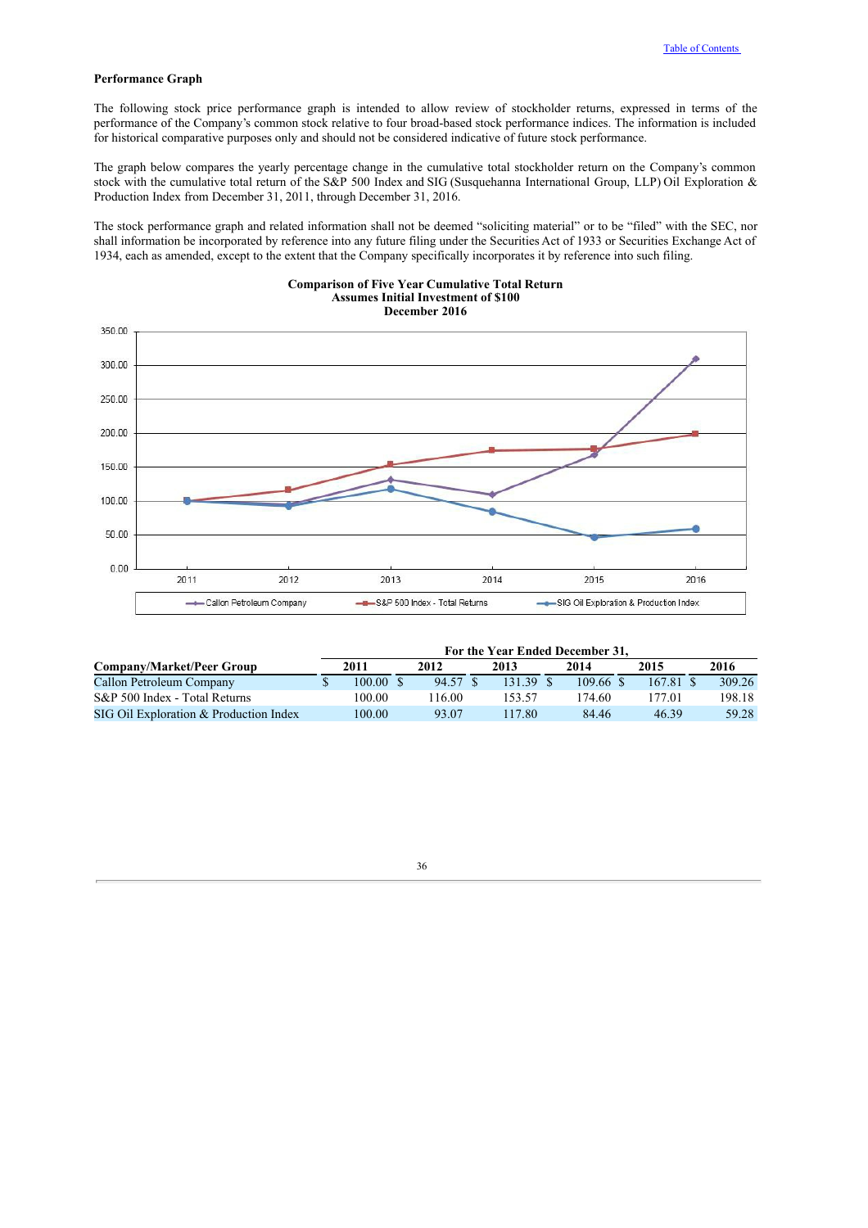# **Performance Graph**

The following stock price performance graph is intended to allow review of stockholder returns, expressed in terms of the performance of the Company's common stock relative to four broad-based stock performance indices. The information is included for historical comparative purposes only and should not be considered indicative of future stock performance.

The graph below compares the yearly percentage change in the cumulative total stockholder return on the Company's common stock with the cumulative total return of the S&P 500 Index and SIG (Susquehanna International Group, LLP) Oil Exploration & Production Index from December 31, 2011, through December 31, 2016.

The stock performance graph and related information shall not be deemed "soliciting material" or to be "filed" with the SEC, nor shall information be incorporated by reference into any future filing under the Securities Act of 1933 or Securities Exchange Act of 1934, each as amended, except to the extent that the Company specifically incorporates it by reference into such filing.

**Comparison of Five Year Cumulative Total Return Assumes Initial Investment of \$100 December 2016**



|                                        | For the Year Ended December 31, |          |  |          |  |           |  |             |  |           |  |        |
|----------------------------------------|---------------------------------|----------|--|----------|--|-----------|--|-------------|--|-----------|--|--------|
| Company/Market/Peer Group              |                                 | 2011     |  | 2012     |  | 2013      |  | 2014        |  | 2015      |  | 2016   |
| Callon Petroleum Company               |                                 | 100.00 S |  | 94.57 \$ |  | 131.39 \$ |  | $109.66$ \$ |  | 167.81 \$ |  | 309.26 |
| S&P 500 Index - Total Returns          |                                 | 100.00   |  | 16.00    |  | 153.57    |  | 174.60      |  | 177.01    |  | 198.18 |
| SIG Oil Exploration & Production Index |                                 | 100.00   |  | 93.07    |  | 17.80     |  | 84.46       |  | 46.39     |  | 59.28  |

#### 36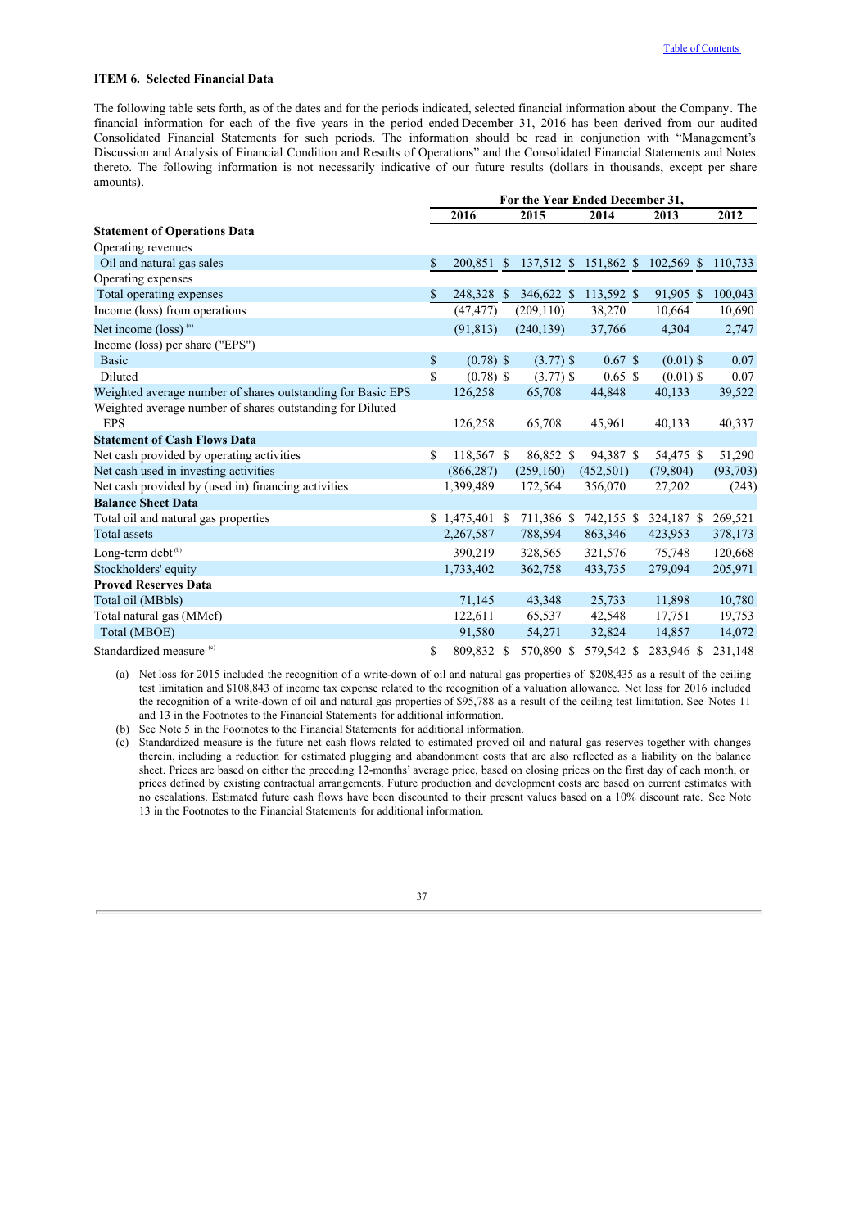### **ITEM 6. Selected Financial Data**

The following table sets forth, as of the dates and for the periods indicated, selected financial information about the Company. The financial information for each of the five years in the period ended December 31, 2016 has been derived from our audited Consolidated Financial Statements for such periods. The information should be read in conjunction with "Management's Discussion and Analysis of Financial Condition and Results of Operations" and the Consolidated Financial Statements and Notes thereto. The following information is not necessarily indicative of our future results (dollars in thousands, except per share amounts).

|                                                             |             |                 | For the Year Ended December 31, |                       |              |          |
|-------------------------------------------------------------|-------------|-----------------|---------------------------------|-----------------------|--------------|----------|
|                                                             |             | 2016            | 2015                            | 2014                  | 2013         | 2012     |
| <b>Statement of Operations Data</b>                         |             |                 |                                 |                       |              |          |
| Operating revenues                                          |             |                 |                                 |                       |              |          |
| Oil and natural gas sales                                   | \$          | 200,851 \$      |                                 | 137,512 \$ 151,862 \$ | $102,569$ \$ | 110,733  |
| Operating expenses                                          |             |                 |                                 |                       |              |          |
| Total operating expenses                                    | $\mathbf S$ | 248,328 \$      | 346,622 \$                      | 113,592 \$            | 91,905 \$    | 100,043  |
| Income (loss) from operations                               |             | (47, 477)       | (209, 110)                      | 38,270                | 10,664       | 10,690   |
| Net income (loss) <sup>(a)</sup>                            |             | (91, 813)       | (240, 139)                      | 37,766                | 4,304        | 2,747    |
| Income (loss) per share ("EPS")                             |             |                 |                                 |                       |              |          |
| <b>Basic</b>                                                | $\$$        | $(0.78)$ \$     | $(3.77)$ \$                     | $0.67 \text{ }$ \$    | $(0.01)$ \$  | 0.07     |
| Diluted                                                     | \$          | $(0.78)$ \$     | $(3.77)$ \$                     | $0.65 \text{ }$ \$    | $(0.01)$ \$  | 0.07     |
| Weighted average number of shares outstanding for Basic EPS |             | 126,258         | 65,708                          | 44,848                | 40,133       | 39,522   |
| Weighted average number of shares outstanding for Diluted   |             |                 |                                 |                       |              |          |
| <b>EPS</b>                                                  |             | 126,258         | 65,708                          | 45,961                | 40,133       | 40,337   |
| <b>Statement of Cash Flows Data</b>                         |             |                 |                                 |                       |              |          |
| Net cash provided by operating activities                   | \$          | 118,567 \$      | 86,852 \$                       | 94,387 \$             | 54,475 \$    | 51,290   |
| Net cash used in investing activities                       |             | (866, 287)      | (259,160)                       | (452, 501)            | (79, 804)    | (93,703) |
| Net cash provided by (used in) financing activities         |             | 1,399,489       | 172,564                         | 356,070               | 27,202       | (243)    |
| <b>Balance Sheet Data</b>                                   |             |                 |                                 |                       |              |          |
| Total oil and natural gas properties                        |             | $$1,475,401$ \; | 711,386 \$                      | 742,155 \$            | 324,187 \$   | 269,521  |
| <b>Total</b> assets                                         |             | 2,267,587       | 788,594                         | 863,346               | 423,953      | 378,173  |
| Long-term debt <sup>(b)</sup>                               |             | 390.219         | 328,565                         | 321.576               | 75,748       | 120,668  |
| Stockholders' equity                                        |             | 1,733,402       | 362,758                         | 433,735               | 279,094      | 205,971  |
| <b>Proved Reserves Data</b>                                 |             |                 |                                 |                       |              |          |
| Total oil (MBbls)                                           |             | 71,145          | 43,348                          | 25,733                | 11,898       | 10,780   |
| Total natural gas (MMcf)                                    |             | 122,611         | 65,537                          | 42,548                | 17,751       | 19,753   |
| Total (MBOE)                                                |             | 91,580          | 54,271                          | 32,824                | 14,857       | 14,072   |
| Standardized measure (c)                                    | \$          | 809.832 \$      | 570,890 \$                      | 579.542 \$            | 283,946 \$   | 231.148  |

(a) Net loss for 2015 included the recognition of a write-down of oil and natural gas properties of \$208,435 as a result of the ceiling test limitation and \$108,843 of income tax expense related to the recognition of a valuation allowance. Net loss for 2016 included the recognition of a write-down of oil and natural gas properties of \$95,788 as a result of the ceiling test limitation. See Notes 11 and 13 in the Footnotes to the Financial Statements for additional information.

(b) See Note 5 in the Footnotes to the Financial Statements for additional information.

(c) Standardized measure is the future net cash flows related to estimated proved oil and natural gas reserves together with changes therein, including a reduction for estimated plugging and abandonment costs that are also reflected as a liability on the balance sheet. Prices are based on either the preceding 12-months' average price, based on closing prices on the first day of each month, or prices defined by existing contractual arrangements. Future production and development costs are based on current estimates with no escalations. Estimated future cash flows have been discounted to their present values based on a 10% discount rate. See Note 13 in the Footnotes to the Financial Statements for additional information.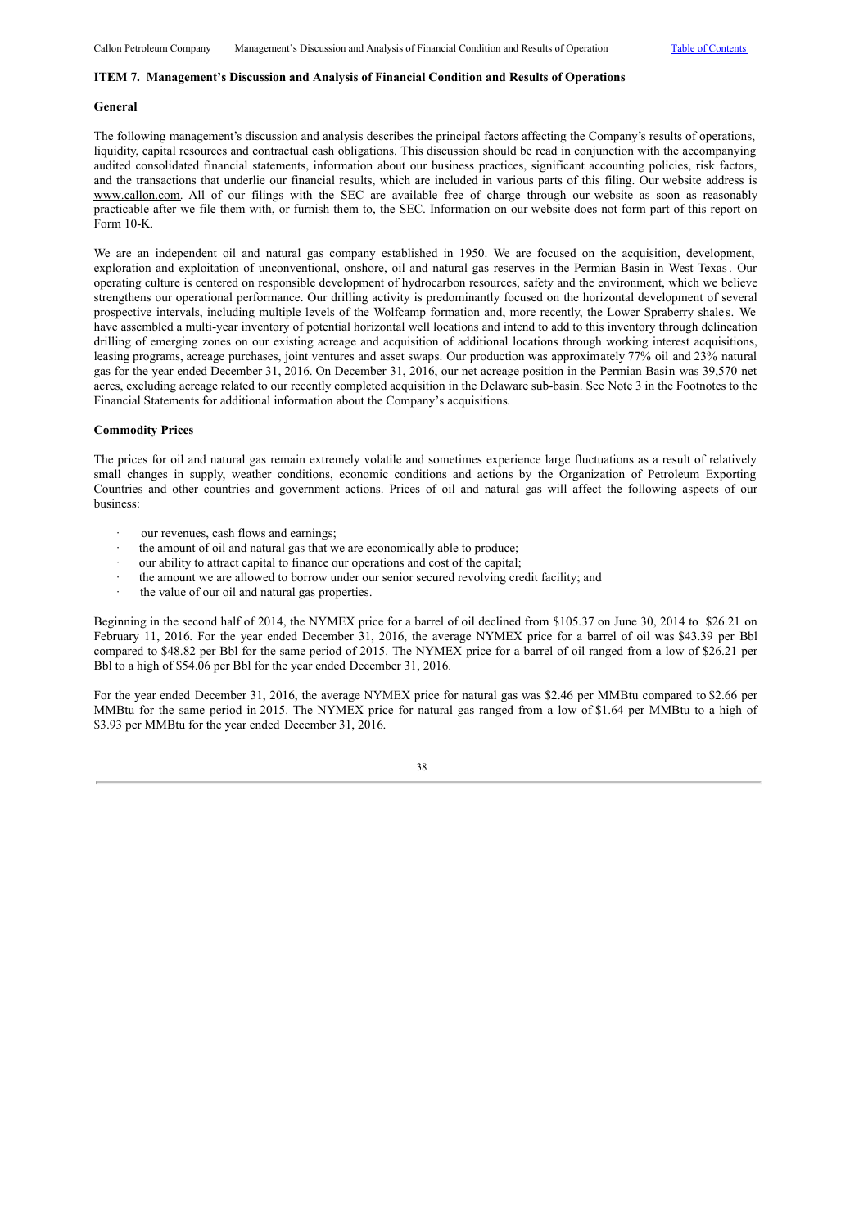### **ITEM 7. Management's Discussion and Analysis of Financial Condition and Results of Operations**

### **General**

The following management's discussion and analysis describes the principal factors affecting the Company's results of operations, liquidity, capital resources and contractual cash obligations. This discussion should be read in conjunction with the accompanying audited consolidated financial statements, information about our business practices, significant accounting policies, risk factors, and the transactions that underlie our financial results, which are included in various parts of this filing. Our website address is www.callon.com. All of our filings with the SEC are available free of charge through our website as soon as reasonably practicable after we file them with, or furnish them to, the SEC. Information on our website does not form part of this report on Form 10-K.

We are an independent oil and natural gas company established in 1950. We are focused on the acquisition, development, exploration and exploitation of unconventional, onshore, oil and natural gas reserves in the Permian Basin in West Texas. Our operating culture is centered on responsible development of hydrocarbon resources, safety and the environment, which we believe strengthens our operational performance. Our drilling activity is predominantly focused on the horizontal development of several prospective intervals, including multiple levels of the Wolfcamp formation and, more recently, the Lower Spraberry shale s. We have assembled a multi-year inventory of potential horizontal well locations and intend to add to this inventory through delineation drilling of emerging zones on our existing acreage and acquisition of additional locations through working interest acquisitions, leasing programs, acreage purchases, joint ventures and asset swaps. Our production was approximately 77% oil and 23% natural gas for the year ended December 31, 2016. On December 31, 2016, our net acreage position in the Permian Basin was 39,570 net acres, excluding acreage related to our recently completed acquisition in the Delaware sub-basin. See Note 3 in the Footnotes to the Financial Statements for additional information about the Company's acquisitions.

### **Commodity Prices**

The prices for oil and natural gas remain extremely volatile and sometimes experience large fluctuations as a result of relatively small changes in supply, weather conditions, economic conditions and actions by the Organization of Petroleum Exporting Countries and other countries and government actions. Prices of oil and natural gas will affect the following aspects of our business:

- our revenues, cash flows and earnings;
- the amount of oil and natural gas that we are economically able to produce;
- our ability to attract capital to finance our operations and cost of the capital;
- the amount we are allowed to borrow under our senior secured revolving credit facility; and
- the value of our oil and natural gas properties.

Beginning in the second half of 2014, the NYMEX price for a barrel of oil declined from \$105.37 on June 30, 2014 to \$26.21 on February 11, 2016. For the year ended December 31, 2016, the average NYMEX price for a barrel of oil was \$43.39 per Bbl compared to \$48.82 per Bbl for the same period of 2015. The NYMEX price for a barrel of oil ranged from a low of \$26.21 per Bbl to a high of \$54.06 per Bbl for the year ended December 31, 2016.

For the year ended December 31, 2016, the average NYMEX price for natural gas was \$2.46 per MMBtu compared to \$2.66 per MMBtu for the same period in 2015. The NYMEX price for natural gas ranged from a low of \$1.64 per MMBtu to a high of \$3.93 per MMBtu for the year ended December 31, 2016.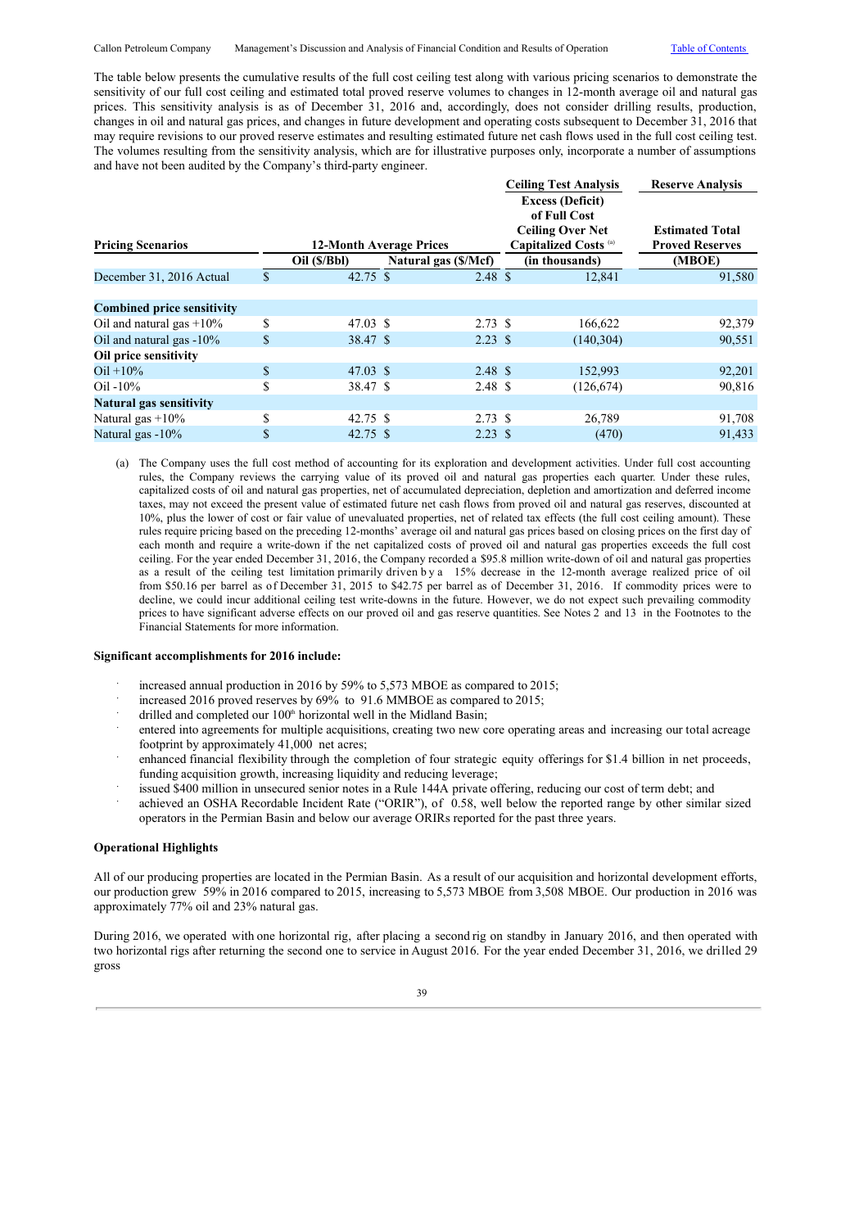The table below presents the cumulative results of the full cost ceiling test along with various pricing scenarios to demonstrate the sensitivity of our full cost ceiling and estimated total proved reserve volumes to changes in 12-month average oil and natural gas prices. This sensitivity analysis is as of December 31, 2016 and, accordingly, does not consider drilling results, production, changes in oil and natural gas prices, and changes in future development and operating costs subsequent to December 31, 2016 that may require revisions to our proved reserve estimates and resulting estimated future net cash flows used in the full cost ceiling test. The volumes resulting from the sensitivity analysis, which are for illustrative purposes only, incorporate a number of assumptions and have not been audited by the Company's third-party engineer.

|                                   |              |                                |                      | <b>Ceiling Test Analysis</b>                                                                       | <b>Reserve Analysis</b>                          |
|-----------------------------------|--------------|--------------------------------|----------------------|----------------------------------------------------------------------------------------------------|--------------------------------------------------|
| <b>Pricing Scenarios</b>          |              | <b>12-Month Average Prices</b> |                      | <b>Excess (Deficit)</b><br>of Full Cost<br><b>Ceiling Over Net</b><br><b>Capitalized Costs (a)</b> | <b>Estimated Total</b><br><b>Proved Reserves</b> |
|                                   |              | Oil (\$/Bbl)                   | Natural gas (\$/Mcf) | (in thousands)                                                                                     | (MBOE)                                           |
| December 31, 2016 Actual          | $\mathbb{S}$ | $42.75$ \$                     | $2.48 \text{ }$ \$   | 12.841                                                                                             | 91,580                                           |
|                                   |              |                                |                      |                                                                                                    |                                                  |
| <b>Combined price sensitivity</b> |              |                                |                      |                                                                                                    |                                                  |
| Oil and natural gas $+10\%$       | \$           | $47.03 \text{ }$ \$            | $2.73 \text{ }$ \$   | 166,622                                                                                            | 92,379                                           |
| Oil and natural gas -10%          | \$           | 38.47 \$                       | $2.23 \text{ }$ \$   | (140, 304)                                                                                         | 90,551                                           |
| Oil price sensitivity             |              |                                |                      |                                                                                                    |                                                  |
| $O_{11} + 10\%$                   | $\mathbf S$  | 47.03 \$                       | $2.48 \text{ }$ \$   | 152,993                                                                                            | 92,201                                           |
| Oil $-10\%$                       | \$           | 38.47 \$                       | 2.48S                | (126, 674)                                                                                         | 90,816                                           |
| <b>Natural gas sensitivity</b>    |              |                                |                      |                                                                                                    |                                                  |
| Natural gas $+10\%$               | \$           | 42.75 \$                       | 2.73S                | 26,789                                                                                             | 91,708                                           |
| Natural gas $-10\%$               | \$           | $42.75$ \$                     | $2.23 \text{ }$ \$   | (470)                                                                                              | 91.433                                           |

(a) The Company uses the full cost method of accounting for its exploration and development activities. Under full cost accounting rules, the Company reviews the carrying value of its proved oil and natural gas properties each quarter. Under these rules, capitalized costs of oil and natural gas properties, net of accumulated depreciation, depletion and amortization and deferred income taxes, may not exceed the present value of estimated future net cash flows from proved oil and natural gas reserves, discounted at 10%, plus the lower of cost or fair value of unevaluated properties, net of related tax effects (the full cost ceiling amount). These rules require pricing based on the preceding 12-months' average oil and natural gas prices based on closing prices on the first day of each month and require a write-down if the net capitalized costs of proved oil and natural gas properties exceeds the full cost ceiling. For the year ended December 31, 2016, the Company recorded a \$95.8 million write-down of oil and natural gas properties as a result of the ceiling test limitation primarily driven by a 15% decrease in the 12-month average realized price of oil from \$50.16 per barrel as of December 31, 2015 to \$42.75 per barrel as of December 31, 2016. If commodity prices were to decline, we could incur additional ceiling test write-downs in the future. However, we do not expect such prevailing commodity prices to have significant adverse effects on our proved oil and gas reserve quantities. See Notes 2 and 13 in the Footnotes to the Financial Statements for more information.

#### **Significant accomplishments for 2016 include:**

- increased annual production in 2016 by 59% to 5,573 MBOE as compared to 2015;
- increased 2016 proved reserves by  $69\%$  to  $91.6$  MMBOE as compared to 2015;
- drilled and completed our 100<sup>th</sup> horizontal well in the Midland Basin;
- entered into agreements for multiple acquisitions, creating two new core operating areas and increasing our total acreage footprint by approximately 41,000 net acres;
- enhanced financial flexibility through the completion of four strategic equity offerings for \$1.4 billion in net proceeds, funding acquisition growth, increasing liquidity and reducing leverage;
- issued \$400 million in unsecured senior notes in a Rule 144A private offering, reducing our cost of term debt; and
- achieved an OSHA Recordable Incident Rate ("ORIR"), of 0.58, well below the reported range by other similar sized operators in the Permian Basin and below our average ORIRs reported for the past three years.

#### **Operational Highlights**

All of our producing properties are located in the Permian Basin. As a result of our acquisition and horizontal development efforts, our production grew 59% in 2016 compared to 2015, increasing to 5,573 MBOE from 3,508 MBOE. Our production in 2016 was approximately 77% oil and 23% natural gas.

During 2016, we operated with one horizontal rig, after placing a secondrig on standby in January 2016, and then operated with two horizontal rigs after returning the second one to service in August 2016. For the year ended December 31, 2016, we drilled 29 gross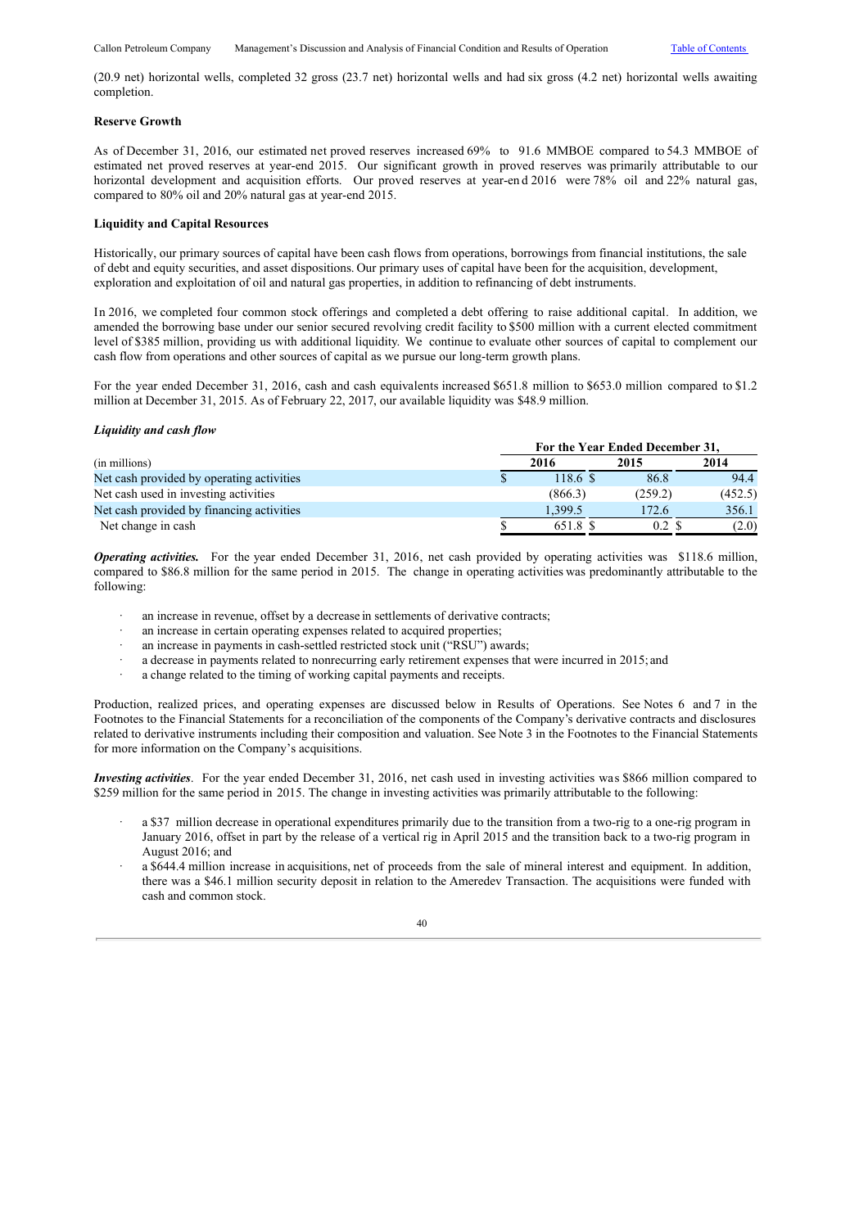Callon Petroleum Company Management's Discussion and Analysis of Financial Condition and Results of Operation Table of Contents

(20.9 net) horizontal wells, completed 32 gross (23.7 net) horizontal wells and had six gross (4.2 net) horizontal wells awaiting completion.

### **Reserve Growth**

As of December 31, 2016, our estimated net proved reserves increased 69% to 91.6 MMBOE compared to54.3 MMBOE of estimated net proved reserves at year-end 2015. Our significant growth in proved reserves was primarily attributable to our horizontal development and acquisition efforts. Our proved reserves at year-end 2016 were 78% oil and 22% natural gas, compared to 80% oil and 20% natural gas at year-end 2015.

## **Liquidity and Capital Resources**

Historically, our primary sources of capital have been cash flows from operations, borrowings from financial institutions, the sale of debt and equity securities, and asset dispositions. Our primary uses of capital have been for the acquisition, development, exploration and exploitation of oil and natural gas properties, in addition to refinancing of debt instruments.

In 2016, we completed four common stock offerings and completed a debt offering to raise additional capital. In addition, we amended the borrowing base under our senior secured revolving credit facility to \$500 million with a current elected commitment level of \$385 million, providing us with additional liquidity. We continue to evaluate other sources of capital to complement our cash flow from operations and other sources of capital as we pursue our long-term growth plans.

For the year ended December 31, 2016, cash and cash equivalents increased \$651.8 million to \$653.0 million compared to \$1.2 million at December 31, 2015. As of February 22, 2017, our available liquidity was \$48.9 million.

## *Liquidity and cash flow*

|                                           | For the Year Ended December 31, |          |  |                 |  |         |  |  |
|-------------------------------------------|---------------------------------|----------|--|-----------------|--|---------|--|--|
| (in millions)                             |                                 | 2016     |  | 2015            |  | 2014    |  |  |
| Net cash provided by operating activities | Ъ                               | 118.6 \$ |  | 86.8            |  | 94.4    |  |  |
| Net cash used in investing activities     |                                 | (866.3)  |  | (259.2)         |  | (452.5) |  |  |
| Net cash provided by financing activities |                                 | 1.399.5  |  | 172.6           |  | 356.1   |  |  |
| Net change in cash                        |                                 | 651.8 \$ |  | $0.2 \text{ s}$ |  | (2.0)   |  |  |

*Operating activities.* For the year ended December 31, 2016, net cash provided by operating activities was \$118.6 million, compared to \$86.8 million for the same period in 2015. The change in operating activities was predominantly attributable to the following:

- an increase in revenue, offset by a decrease in settlements of derivative contracts;
- an increase in certain operating expenses related to acquired properties;
- an increase in payments in cash-settled restricted stock unit ("RSU") awards;
- a decrease in payments related to nonrecurring early retirement expenses that were incurred in 2015; and
- a change related to the timing of working capital payments and receipts.

Production, realized prices, and operating expenses are discussed below in Results of Operations. See Notes 6 and 7 in the Footnotes to the Financial Statements for a reconciliation of the components of the Company's derivative contracts and disclosures related to derivative instruments including their composition and valuation. See Note 3 in the Footnotes to the Financial Statements for more information on the Company's acquisitions.

*Investing activities*. For the year ended December 31, 2016, net cash used in investing activities was \$866 million compared to \$259 million for the same period in 2015. The change in investing activities was primarily attributable to the following:

- a \$37 million decrease in operational expenditures primarily due to the transition from a two-rig to a one-rig program in January 2016, offset in part by the release of a vertical rig in April 2015 and the transition back to a two-rig program in August 2016; and
- a \$644.4 million increase in acquisitions, net of proceeds from the sale of mineral interest and equipment. In addition, there was a \$46.1 million security deposit in relation to the Ameredev Transaction. The acquisitions were funded with cash and common stock.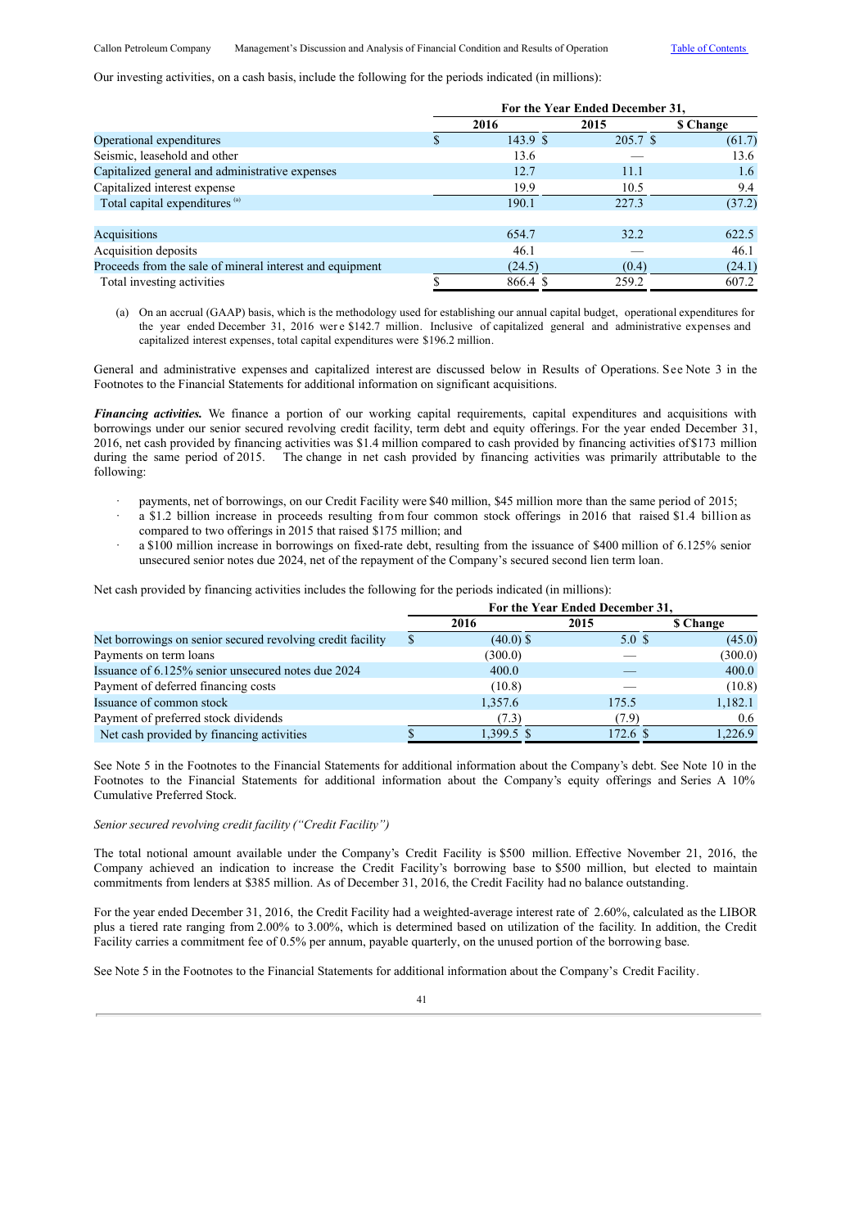Our investing activities, on a cash basis, include the following for the periods indicated (in millions):

|                                                          | For the Year Ended December 31, |                    |          |           |  |  |  |
|----------------------------------------------------------|---------------------------------|--------------------|----------|-----------|--|--|--|
|                                                          |                                 | 2016               | 2015     | \$ Change |  |  |  |
| Operational expenditures                                 |                                 | 143.9 <sup>°</sup> | 205.7 \$ | (61.7)    |  |  |  |
| Seismic, leasehold and other                             |                                 | 13.6               |          | 13.6      |  |  |  |
| Capitalized general and administrative expenses          |                                 | 12.7               | 11.1     | 1.6       |  |  |  |
| Capitalized interest expense                             |                                 | 19.9               | 10.5     | 9.4       |  |  |  |
| Total capital expenditures <sup>(a)</sup>                |                                 | 190.1              | 227.3    | (37.2)    |  |  |  |
|                                                          |                                 |                    |          |           |  |  |  |
| Acquisitions                                             |                                 | 654.7              | 32.2     | 622.5     |  |  |  |
| Acquisition deposits                                     |                                 | 46.1               |          | 46.1      |  |  |  |
| Proceeds from the sale of mineral interest and equipment |                                 | (24.5)             | (0.4)    | (24.1)    |  |  |  |
| Total investing activities                               |                                 | 866.4 \$           | 259.2    | 607.2     |  |  |  |

(a) On an accrual (GAAP) basis, which is the methodology used for establishing our annual capital budget, operational expenditures for the year ended December 31, 2016 wer e \$142.7 million. Inclusive of capitalized general and administrative expenses and capitalized interest expenses, total capital expenditures were \$196.2 million.

General and administrative expenses and capitalized interest are discussed below in Results of Operations. See Note 3 in the Footnotes to the Financial Statements for additional information on significant acquisitions.

*Financing activities.* We finance a portion of our working capital requirements, capital expenditures and acquisitions with borrowings under our senior secured revolving credit facility, term debt and equity offerings. For the year ended December 31, 2016, net cash provided by financing activities was \$1.4 million compared to cash provided by financing activities of\$173 million during the same period of 2015. The change in net cash provided by financing activities was primarily attributable to the following:

- payments, net of borrowings, on our Credit Facility were \$40 million, \$45 million more than the same period of 2015;
- a \$1.2 billion increase in proceeds resulting from four common stock offerings in 2016 that raised \$1.4 billion as compared to two offerings in 2015 that raised \$175 million; and
- a \$100 million increase in borrowings on fixed-rate debt, resulting from the issuance of \$400 million of 6.125% senior unsecured senior notes due 2024, net of the repayment of the Company's secured second lien term loan.

Net cash provided by financing activities includes the following for the periods indicated (in millions):

|                                                            | For the Year Ended December 31, |             |                    |           |  |  |  |  |
|------------------------------------------------------------|---------------------------------|-------------|--------------------|-----------|--|--|--|--|
|                                                            |                                 | 2016        | 2015               | \$ Change |  |  |  |  |
| Net borrowings on senior secured revolving credit facility | $\mathbb{S}$                    | $(40.0)$ \$ | 5.0 <sup>°</sup>   | (45.0)    |  |  |  |  |
| Payments on term loans                                     |                                 | (300.0)     |                    | (300.0)   |  |  |  |  |
| Issuance of 6.125% senior unsecured notes due 2024         |                                 | 400.0       |                    | 400.0     |  |  |  |  |
| Payment of deferred financing costs                        |                                 | (10.8)      |                    | (10.8)    |  |  |  |  |
| Issuance of common stock                                   |                                 | 1,357.6     | 175.5              | 1,182.1   |  |  |  |  |
| Payment of preferred stock dividends                       |                                 | (7.3)       | (7.9)              | 0.6       |  |  |  |  |
| Net cash provided by financing activities                  |                                 | 1,399.5 \$  | $172.6~\text{\AA}$ | 1,226.9   |  |  |  |  |

See Note 5 in the Footnotes to the Financial Statements for additional information about the Company's debt. See Note 10 in the Footnotes to the Financial Statements for additional information about the Company's equity offerings and Series A 10% Cumulative Preferred Stock.

## *Senior secured revolving credit facility ("Credit Facility")*

The total notional amount available under the Company's Credit Facility is \$500 million. Effective November 21, 2016, the Company achieved an indication to increase the Credit Facility's borrowing base to \$500 million, but elected to maintain commitments from lenders at \$385 million. As of December 31, 2016, the Credit Facility had no balance outstanding.

For the year ended December 31, 2016, the Credit Facility had a weighted-average interest rate of 2.60%, calculated as the LIBOR plus a tiered rate ranging from 2.00% to 3.00%, which is determined based on utilization of the facility. In addition, the Credit Facility carries a commitment fee of 0.5% per annum, payable quarterly, on the unused portion of the borrowing base.

See Note 5 in the Footnotes to the Financial Statements for additional information about the Company's Credit Facility.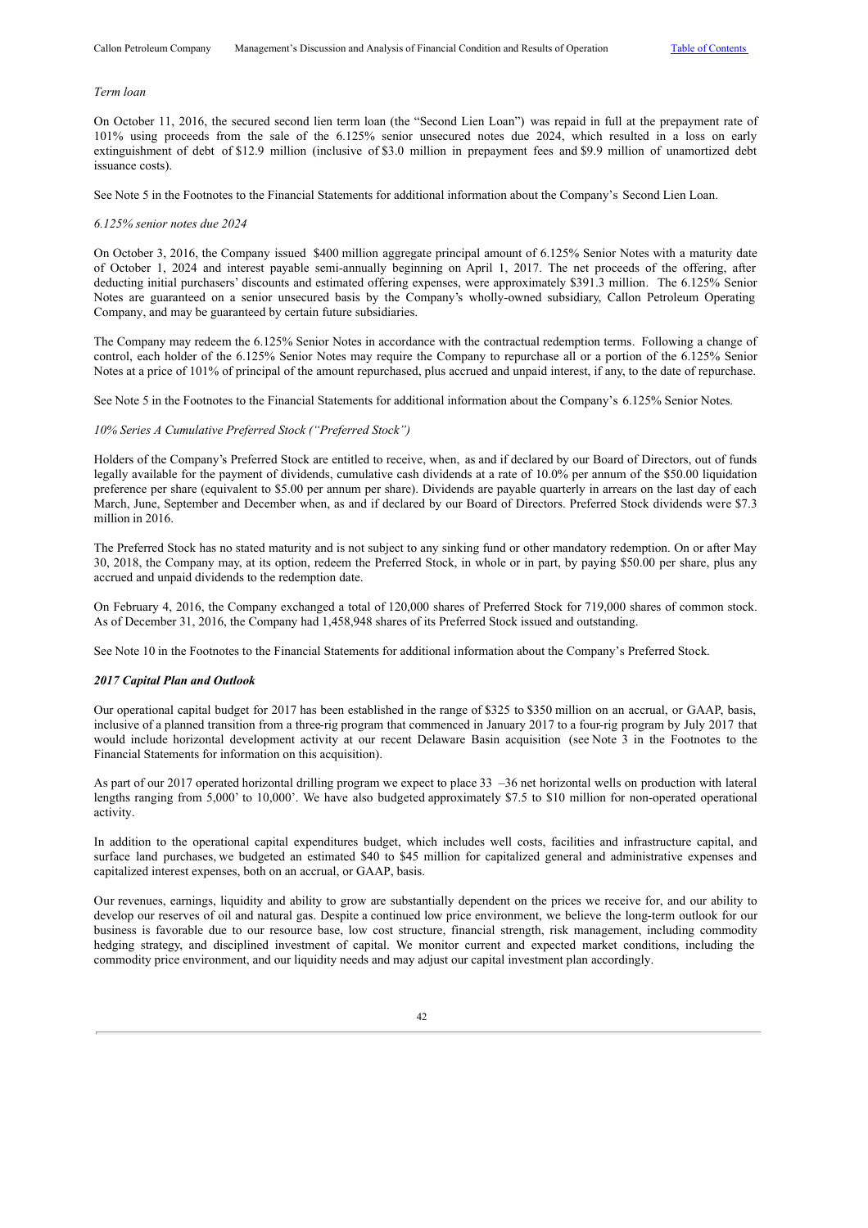#### *Term loan*

On October 11, 2016, the secured second lien term loan (the "Second Lien Loan") was repaid in full at the prepayment rate of 101% using proceeds from the sale of the 6.125% senior unsecured notes due 2024, which resulted in a loss on early extinguishment of debt of \$12.9 million (inclusive of \$3.0 million in prepayment fees and \$9.9 million of unamortized debt issuance costs).

See Note 5 in the Footnotes to the Financial Statements for additional information about the Company's Second Lien Loan.

#### *6.125% senior notes due 2024*

On October 3, 2016, the Company issued \$400 million aggregate principal amount of 6.125% Senior Notes with a maturity date of October 1, 2024 and interest payable semi-annually beginning on April 1, 2017. The net proceeds of the offering, after deducting initial purchasers' discounts and estimated offering expenses, were approximately \$391.3 million. The 6.125% Senior Notes are guaranteed on a senior unsecured basis by the Company's wholly-owned subsidiary, Callon Petroleum Operating Company, and may be guaranteed by certain future subsidiaries.

The Company may redeem the 6.125% Senior Notes in accordance with the contractual redemption terms. Following a change of control, each holder of the 6.125% Senior Notes may require the Company to repurchase all or a portion of the 6.125% Senior Notes at a price of 101% of principal of the amount repurchased, plus accrued and unpaid interest, if any, to the date of repurchase.

See Note 5 in the Footnotes to the Financial Statements for additional information about the Company's 6.125% Senior Notes.

### *10% Series A Cumulative Preferred Stock ("Preferred Stock")*

Holders of the Company's Preferred Stock are entitled to receive, when, as and if declared by our Board of Directors, out of funds legally available for the payment of dividends, cumulative cash dividends at a rate of 10.0% per annum of the \$50.00 liquidation preference per share (equivalent to \$5.00 per annum per share). Dividends are payable quarterly in arrears on the last day of each March, June, September and December when, as and if declared by our Board of Directors. Preferred Stock dividends were \$7.3 million in 2016.

The Preferred Stock has no stated maturity and is not subject to any sinking fund or other mandatory redemption. On or after May 30, 2018, the Company may, at its option, redeem the Preferred Stock, in whole or in part, by paying \$50.00 per share, plus any accrued and unpaid dividends to the redemption date.

On February 4, 2016, the Company exchanged a total of 120,000 shares of Preferred Stock for 719,000 shares of common stock. As of December 31, 2016, the Company had 1,458,948 shares of its Preferred Stock issued and outstanding.

See Note 10 in the Footnotes to the Financial Statements for additional information about the Company's Preferred Stock.

#### *2017 Capital Plan and Outlook*

Our operational capital budget for 2017 has been established in the range of \$325 to \$350 million on an accrual, or GAAP, basis, inclusive of a planned transition from a three-rig program that commenced in January 2017 to a four-rig program by July 2017 that would include horizontal development activity at our recent Delaware Basin acquisition (see Note 3 in the Footnotes to the Financial Statements for information on this acquisition).

As part of our 2017 operated horizontal drilling program we expect to place 33 –36 net horizontal wells on production with lateral lengths ranging from 5,000' to 10,000'. We have also budgeted approximately \$7.5 to \$10 million for non-operated operational activity.

In addition to the operational capital expenditures budget, which includes well costs, facilities and infrastructure capital, and surface land purchases, we budgeted an estimated \$40 to \$45 million for capitalized general and administrative expenses and capitalized interest expenses, both on an accrual, or GAAP, basis.

Our revenues, earnings, liquidity and ability to grow are substantially dependent on the prices we receive for, and our ability to develop our reserves of oil and natural gas. Despite a continued low price environment, we believe the long-term outlook for our business is favorable due to our resource base, low cost structure, financial strength, risk management, including commodity hedging strategy, and disciplined investment of capital. We monitor current and expected market conditions, including the commodity price environment, and our liquidity needs and may adjust our capital investment plan accordingly.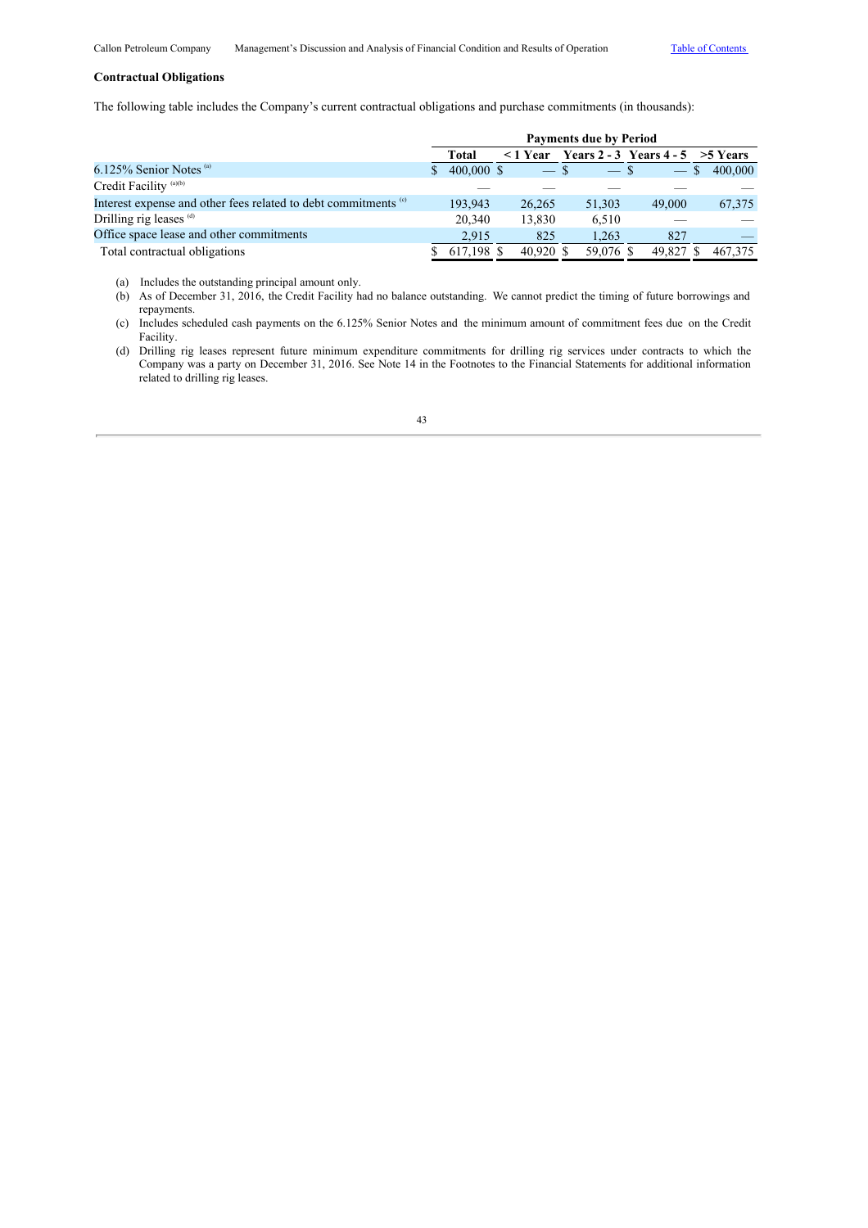## **Contractual Obligations**

The following table includes the Company's current contractual obligations and purchase commitments (in thousands):

|                                                                            | <b>Payments due by Period</b> |                     |  |             |  |                                     |  |                                                                                                                                                                                                                                                                                                                                                                                                                                                                            |  |         |
|----------------------------------------------------------------------------|-------------------------------|---------------------|--|-------------|--|-------------------------------------|--|----------------------------------------------------------------------------------------------------------------------------------------------------------------------------------------------------------------------------------------------------------------------------------------------------------------------------------------------------------------------------------------------------------------------------------------------------------------------------|--|---------|
|                                                                            |                               | <b>Total</b>        |  | $<$ 1 Year  |  | Years 2 - 3 Years 4 - 5 $>$ 5 Years |  |                                                                                                                                                                                                                                                                                                                                                                                                                                                                            |  |         |
| $6.125\%$ Senior Notes (a)                                                 |                               | $400,000 \text{ S}$ |  | $-$ \$      |  | $-$ \$                              |  | $\frac{1}{2} \left( \frac{1}{2} \right) \left( \frac{1}{2} \right) \left( \frac{1}{2} \right) \left( \frac{1}{2} \right) \left( \frac{1}{2} \right) \left( \frac{1}{2} \right) \left( \frac{1}{2} \right) \left( \frac{1}{2} \right) \left( \frac{1}{2} \right) \left( \frac{1}{2} \right) \left( \frac{1}{2} \right) \left( \frac{1}{2} \right) \left( \frac{1}{2} \right) \left( \frac{1}{2} \right) \left( \frac{1}{2} \right) \left( \frac{1}{2} \right) \left( \frac$ |  | 400,000 |
| Credit Facility <sup>(a)(b)</sup>                                          |                               |                     |  |             |  |                                     |  |                                                                                                                                                                                                                                                                                                                                                                                                                                                                            |  |         |
| Interest expense and other fees related to debt commitments <sup>(c)</sup> |                               | 193.943             |  | 26,265      |  | 51,303                              |  | 49,000                                                                                                                                                                                                                                                                                                                                                                                                                                                                     |  | 67,375  |
| Drilling rig leases $(d)$                                                  |                               | 20,340              |  | 13.830      |  | 6,510                               |  |                                                                                                                                                                                                                                                                                                                                                                                                                                                                            |  |         |
| Office space lease and other commitments                                   |                               | 2.915               |  | 825         |  | 1.263                               |  | 827                                                                                                                                                                                                                                                                                                                                                                                                                                                                        |  |         |
| Total contractual obligations                                              |                               | 617.198 \$          |  | $40.920$ \$ |  | 59,076 \$                           |  | 49.827                                                                                                                                                                                                                                                                                                                                                                                                                                                                     |  | 467,375 |

(a) Includes the outstanding principal amount only.

(b) As of December 31, 2016, the Credit Facility had no balance outstanding. We cannot predict the timing of future borrowings and repayments.

(c) Includes scheduled cash payments on the 6.125% Senior Notes and the minimum amount of commitment fees due on the Credit Facility.

(d) Drilling rig leases represent future minimum expenditure commitments for drilling rig services under contracts to which the Company was a party on December 31, 2016. See Note 14 in the Footnotes to the Financial Statements for additional information related to drilling rig leases.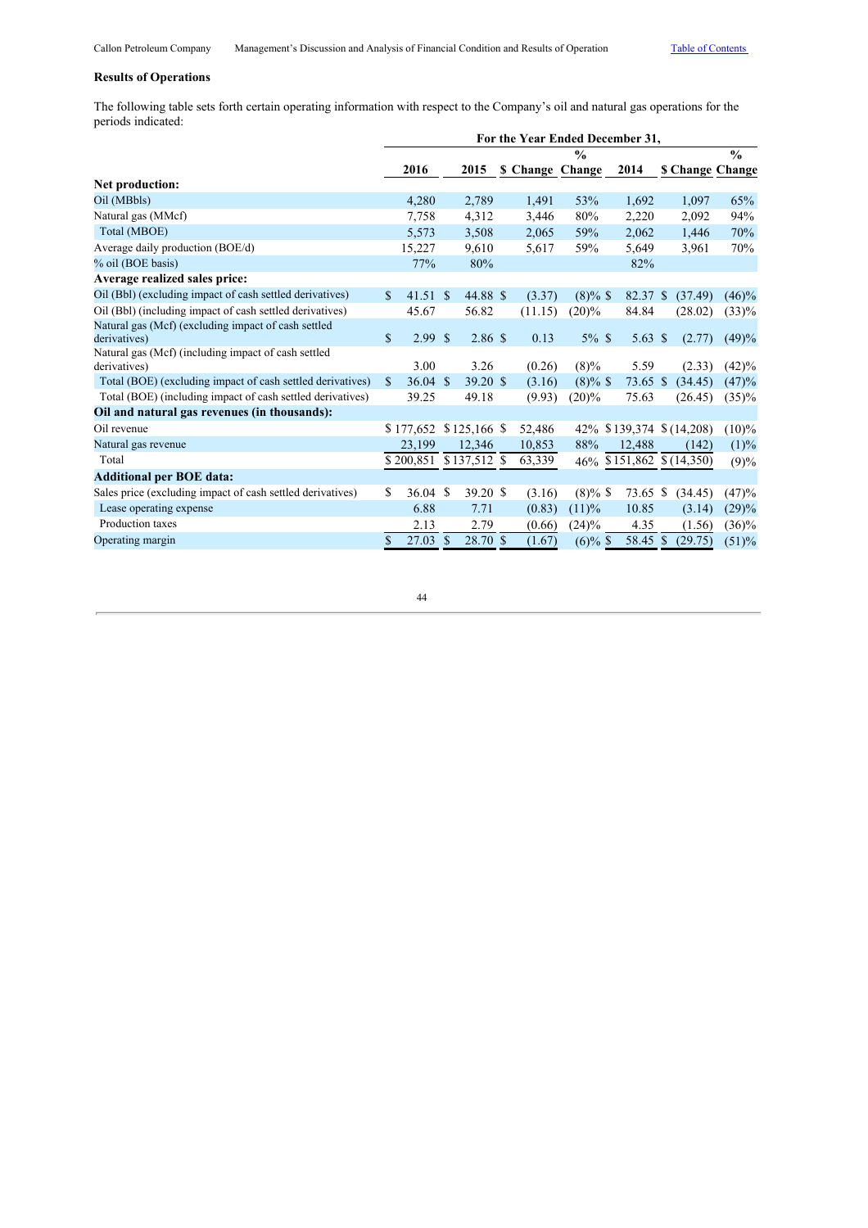# **Results of Operations**

The following table sets forth certain operating information with respect to the Company's oil and natural gas operations for the periods indicated:

|                                                            | For the Year Ended December 31, |            |  |               |  |                  |               |  |                           |  |         |                  |
|------------------------------------------------------------|---------------------------------|------------|--|---------------|--|------------------|---------------|--|---------------------------|--|---------|------------------|
|                                                            |                                 |            |  |               |  |                  | $\frac{0}{0}$ |  |                           |  |         | $\frac{0}{0}$    |
|                                                            |                                 | 2016       |  | 2015          |  | \$ Change Change |               |  | 2014                      |  |         | \$ Change Change |
| Net production:                                            |                                 |            |  |               |  |                  |               |  |                           |  |         |                  |
| Oil (MBbls)                                                |                                 | 4,280      |  | 2,789         |  | 1,491            | 53%           |  | 1,692                     |  | 1,097   | 65%              |
| Natural gas (MMcf)                                         |                                 | 7,758      |  | 4,312         |  | 3,446            | 80%           |  | 2,220                     |  | 2,092   | 94%              |
| Total (MBOE)                                               |                                 | 5,573      |  | 3,508         |  | 2,065            | 59%           |  | 2,062                     |  | 1,446   | 70%              |
| Average daily production (BOE/d)                           |                                 | 15,227     |  | 9,610         |  | 5,617            | 59%           |  | 5,649                     |  | 3,961   | 70%              |
| % oil (BOE basis)                                          |                                 | 77%        |  | 80%           |  |                  |               |  | 82%                       |  |         |                  |
| Average realized sales price:                              |                                 |            |  |               |  |                  |               |  |                           |  |         |                  |
| Oil (Bbl) (excluding impact of cash settled derivatives)   | $\mathbb{S}$                    | 41.51 \$   |  | 44.88 \$      |  | (3.37)           | $(8)\%$ \$    |  | 82.37 \$                  |  | (37.49) | $(46)\%$         |
| Oil (Bbl) (including impact of cash settled derivatives)   |                                 | 45.67      |  | 56.82         |  | (11.15)          | $(20)\%$      |  | 84.84                     |  | (28.02) | $(33)\%$         |
| Natural gas (Mcf) (excluding impact of cash settled        |                                 |            |  |               |  |                  |               |  |                           |  |         |                  |
| derivatives)                                               | \$                              | 2.99 S     |  | 2.86 \$       |  | 0.13             | $5\%$ \$      |  | 5.63 $$$                  |  | (2.77)  | (49)%            |
| Natural gas (Mcf) (including impact of cash settled        |                                 |            |  |               |  |                  |               |  |                           |  |         |                  |
| derivatives)                                               |                                 | 3.00       |  | 3.26          |  | (0.26)           | $(8)\%$       |  | 5.59                      |  | (2.33)  | (42)%            |
| Total (BOE) (excluding impact of cash settled derivatives) | \$                              | $36.04$ \$ |  | 39.20 \$      |  | (3.16)           | $(8)\%$ \$    |  | 73.65 \$                  |  | (34.45) | (47)%            |
| Total (BOE) (including impact of cash settled derivatives) |                                 | 39.25      |  | 49.18         |  | (9.93)           | $(20)\%$      |  | 75.63                     |  | (26.45) | $(35)\%$         |
| Oil and natural gas revenues (in thousands):               |                                 |            |  |               |  |                  |               |  |                           |  |         |                  |
| Oil revenue                                                |                                 | \$177,652  |  | $$125,166$ \$ |  | 52,486           |               |  | 42% \$139,374 \$(14,208)  |  |         | $(10)\%$         |
| Natural gas revenue                                        |                                 | 23,199     |  | 12,346        |  | 10,853           | 88%           |  | 12,488                    |  | (142)   | $(1)\%$          |
| Total                                                      |                                 | \$200,851  |  | \$137,512 \$  |  | 63,339           |               |  | 46% \$151,862 \$ (14,350) |  |         | (9)%             |
| <b>Additional per BOE data:</b>                            |                                 |            |  |               |  |                  |               |  |                           |  |         |                  |
| Sales price (excluding impact of cash settled derivatives) | \$.                             | $36.04$ \$ |  | $39.20$ \$    |  | (3.16)           | $(8)\%$ \$    |  | 73.65 \$                  |  | (34.45) | (47)%            |
| Lease operating expense                                    |                                 | 6.88       |  | 7.71          |  | (0.83)           | (11)%         |  | 10.85                     |  | (3.14)  | (29)%            |
| Production taxes                                           |                                 | 2.13       |  | 2.79          |  | (0.66)           | $(24)\%$      |  | 4.35                      |  | (1.56)  | $(36)\%$         |
| Operating margin                                           | \$                              | $27.03$ \$ |  | 28.70 \$      |  | (1.67)           | $(6)\%$ \$    |  | 58.45 \$                  |  | (29.75) | (51)%            |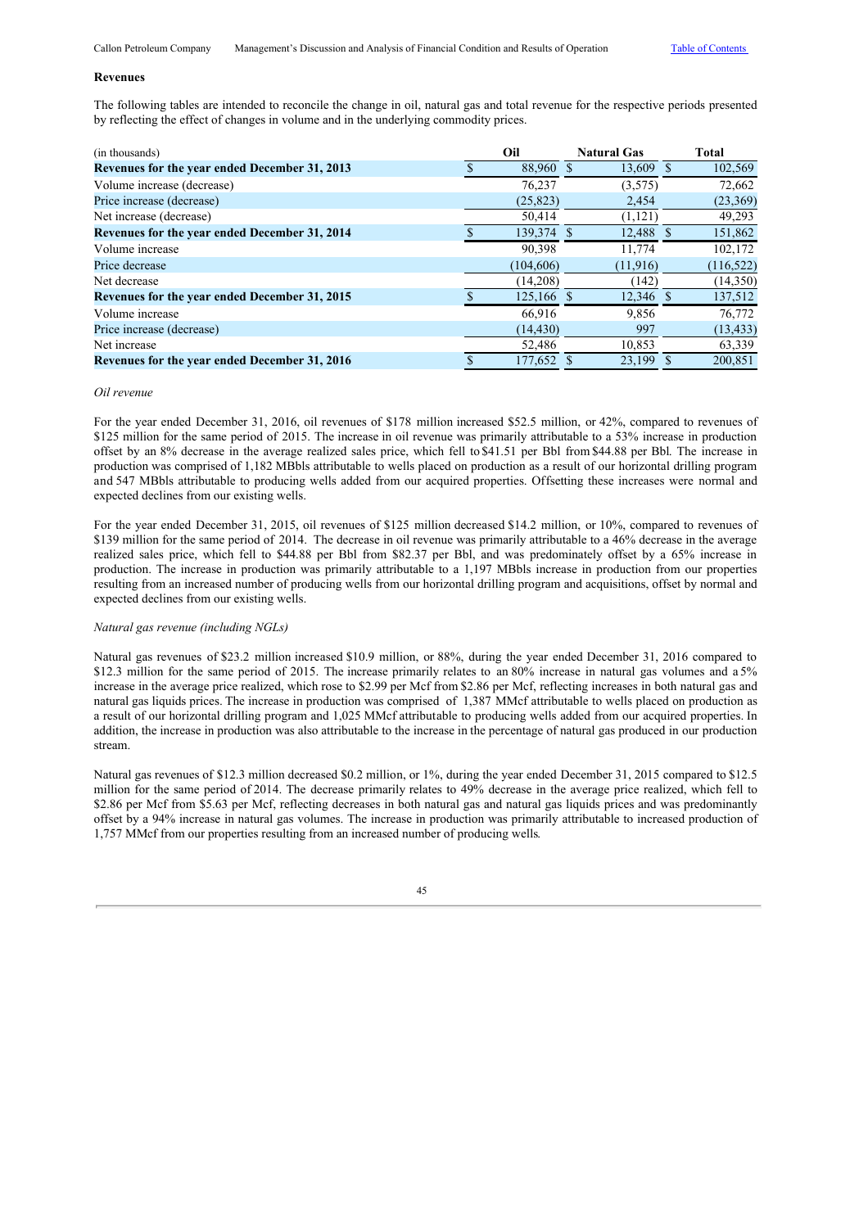#### **Revenues**

The following tables are intended to reconcile the change in oil, natural gas and total revenue for the respective periods presented by reflecting the effect of changes in volume and in the underlying commodity prices.

| (in thousands)                                | Oil        | <b>Natural Gas</b> | <b>Total</b> |
|-----------------------------------------------|------------|--------------------|--------------|
| Revenues for the year ended December 31, 2013 | 88,960 \$  | 13,609 \$          | 102,569      |
| Volume increase (decrease)                    | 76,237     | (3,575)            | 72,662       |
| Price increase (decrease)                     | (25, 823)  | 2,454              | (23,369)     |
| Net increase (decrease)                       | 50.414     | (1, 121)           | 49,293       |
| Revenues for the year ended December 31, 2014 | 139,374 \$ | 12,488 \$          | 151,862      |
| Volume increase                               | 90.398     | 11,774             | 102,172      |
| Price decrease                                | (104, 606) | (11,916)           | (116, 522)   |
| Net decrease                                  | (14,208)   | (142)              | (14,350)     |
| Revenues for the year ended December 31, 2015 | 125,166 \$ | 12,346 \$          | 137,512      |
| Volume increase                               | 66.916     | 9,856              | 76,772       |
| Price increase (decrease)                     | (14, 430)  | 997                | (13, 433)    |
| Net increase                                  | 52.486     | 10,853             | 63,339       |
| Revenues for the year ended December 31, 2016 | 177,652 \$ | 23,199 \$          | 200.851      |

### *Oil revenue*

For the year ended December 31, 2016, oil revenues of \$178 million increased \$52.5 million, or 42%, compared to revenues of \$125 million for the same period of 2015. The increase in oil revenue was primarily attributable to a 53% increase in production offset by an 8% decrease in the average realized sales price, which fell to\$41.51 per Bbl from \$44.88 per Bbl. The increase in production was comprised of 1,182 MBbls attributable to wells placed on production as a result of our horizontal drilling program and 547 MBbls attributable to producing wells added from our acquired properties. Offsetting these increases were normal and expected declines from our existing wells.

For the year ended December 31, 2015, oil revenues of \$125 million decreased \$14.2 million, or 10%, compared to revenues of \$139 million for the same period of 2014. The decrease in oil revenue was primarily attributable to a 46% decrease in the average realized sales price, which fell to \$44.88 per Bbl from \$82.37 per Bbl, and was predominately offset by a 65% increase in production. The increase in production was primarily attributable to a 1,197 MBbls increase in production from our properties resulting from an increased number of producing wells from our horizontal drilling program and acquisitions, offset by normal and expected declines from our existing wells.

### *Natural gas revenue (including NGLs)*

Natural gas revenues of \$23.2 million increased \$10.9 million, or 88%, during the year ended December 31, 2016 compared to \$12.3 million for the same period of 2015. The increase primarily relates to an 80% increase in natural gas volumes and a5% increase in the average price realized, which rose to \$2.99 per Mcf from \$2.86 per Mcf, reflecting increases in both natural gas and natural gas liquids prices. The increase in production was comprised of 1,387 MMcf attributable to wells placed on production as a result of our horizontal drilling program and 1,025 MMcf attributable to producing wells added from our acquired properties. In addition, the increase in production was also attributable to the increase in the percentage of natural gas produced in our production stream.

Natural gas revenues of \$12.3 million decreased \$0.2 million, or 1%, during the year ended December 31, 2015 compared to \$12.5 million for the same period of 2014. The decrease primarily relates to 49% decrease in the average price realized, which fell to \$2.86 per Mcf from \$5.63 per Mcf, reflecting decreases in both natural gas and natural gas liquids prices and was predominantly offset by a 94% increase in natural gas volumes. The increase in production was primarily attributable to increased production of 1,757 MMcf from our properties resulting from an increased number of producing wells.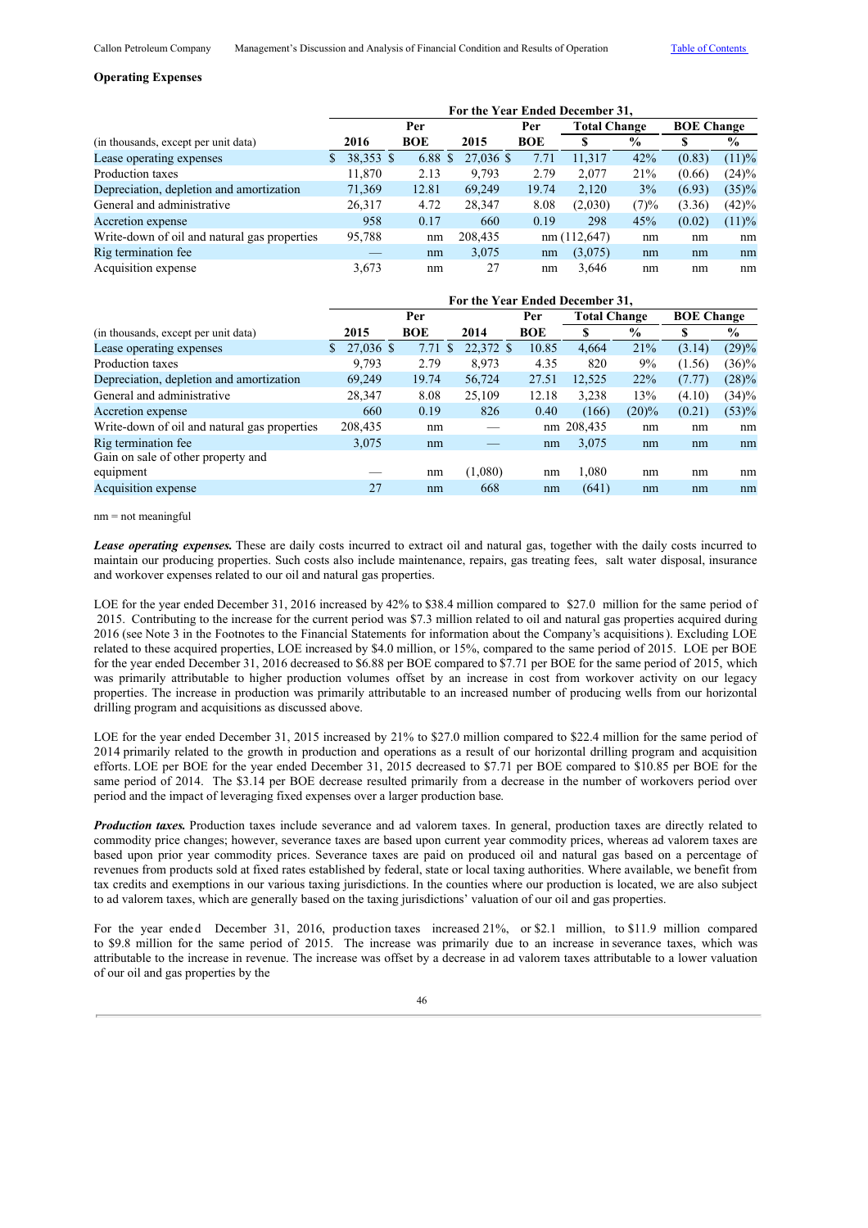#### **Operating Expenses**

|                                              |        | For the Year Ended December 31, |           |            |                     |               |                   |               |  |  |
|----------------------------------------------|--------|---------------------------------|-----------|------------|---------------------|---------------|-------------------|---------------|--|--|
|                                              |        | Per                             |           | Per        | <b>Total Change</b> |               | <b>BOE Change</b> |               |  |  |
| (in thousands, except per unit data)         | 2016   | <b>BOE</b>                      | 2015      | <b>BOE</b> |                     | $\frac{6}{9}$ |                   | $\frac{6}{9}$ |  |  |
| Lease operating expenses                     |        | 38.353 \$<br>6.88S              | 27,036 \$ | 7.71       | 11.317              | 42%           | (0.83)            | (11)%         |  |  |
| Production taxes                             | 11,870 | 2.13                            | 9.793     | 2.79       | 2,077               | 21%           | (0.66)            | $(24)\%$      |  |  |
| Depreciation, depletion and amortization     | 71,369 | 12.81                           | 69.249    | 19.74      | 2,120               | 3%            | (6.93)            | $(35)\%$      |  |  |
| General and administrative                   | 26,317 | 4.72                            | 28,347    | 8.08       | (2,030)             | (7)%          | (3.36)            | (42)%         |  |  |
| Accretion expense                            |        | 958<br>0.17                     | 660       | 0.19       | 298                 | 45%           | (0.02)            | (11)%         |  |  |
| Write-down of oil and natural gas properties | 95,788 | nm                              | 208,435   |            | nm(112,647)         | nm            | nm                | nm            |  |  |
| Rig termination fee                          |        | nm                              | 3,075     | nm         | (3,075)             | nm            | nm                | nm            |  |  |
| Acquisition expense                          | 3.673  | nm                              | 27        | nm         | 3.646               | nm            | nm                | nm            |  |  |

|                                              | For the Year Ended December 31. |           |  |            |   |           |  |            |                     |          |                   |          |
|----------------------------------------------|---------------------------------|-----------|--|------------|---|-----------|--|------------|---------------------|----------|-------------------|----------|
|                                              |                                 |           |  | Per        |   |           |  | Per        | <b>Total Change</b> |          | <b>BOE Change</b> |          |
| (in thousands, except per unit data)         |                                 | 2015      |  | <b>BOE</b> |   | 2014      |  | <b>BOE</b> | \$                  | $\%$     | \$                | $\%$     |
| Lease operating expenses                     |                                 | 27,036 \$ |  | 7.71       | S | 22,372 \$ |  | 10.85      | 4.664               | 21%      | (3.14)            | $(29)\%$ |
| Production taxes                             |                                 | 9.793     |  | 2.79       |   | 8,973     |  | 4.35       | 820                 | 9%       | (1.56)            | $(36)\%$ |
| Depreciation, depletion and amortization     |                                 | 69,249    |  | 19.74      |   | 56,724    |  | 27.51      | 12.525              | 22%      | (7.77)            | $(28)\%$ |
| General and administrative                   |                                 | 28,347    |  | 8.08       |   | 25,109    |  | 12.18      | 3,238               | 13%      | (4.10)            | $(34)\%$ |
| Accretion expense                            |                                 | 660       |  | 0.19       |   | 826       |  | 0.40       | (166)               | $(20)\%$ | (0.21)            | (53)%    |
| Write-down of oil and natural gas properties |                                 | 208,435   |  | nm         |   |           |  |            | nm 208,435          | nm       | nm                | nm       |
| Rig termination fee.                         |                                 | 3,075     |  | nm         |   |           |  | nm         | 3,075               | nm       | nm                | nm       |
| Gain on sale of other property and           |                                 |           |  |            |   |           |  |            |                     |          |                   |          |
| equipment                                    |                                 |           |  | nm         |   | (1,080)   |  | nm         | 1.080               | nm       | nm                | nm       |
| Acquisition expense                          |                                 | 27        |  | nm         |   | 668       |  | nm         | (641)               | nm       | nm                | nm       |

nm = not meaningful

*Lease operating expenses.* These are daily costs incurred to extract oil and natural gas, together with the daily costs incurred to maintain our producing properties. Such costs also include maintenance, repairs, gas treating fees, salt water disposal, insurance and workover expenses related to our oil and natural gas properties.

LOE for the year ended December 31, 2016 increased by 42% to \$38.4 million compared to \$27.0 million for the same period of 2015. Contributing to the increase for the current period was \$7.3 million related to oil and natural gas properties acquired during 2016 (see Note 3 in the Footnotes to the Financial Statements for information about the Company's acquisitions). Excluding LOE related to these acquired properties, LOE increased by \$4.0 million, or 15%, compared to the same period of 2015. LOE per BOE for the year ended December 31, 2016 decreased to \$6.88 per BOE compared to \$7.71 per BOE for the same period of 2015, which was primarily attributable to higher production volumes offset by an increase in cost from workover activity on our legacy properties. The increase in production was primarily attributable to an increased number of producing wells from our horizontal drilling program and acquisitions as discussed above.

LOE for the year ended December 31, 2015 increased by 21% to \$27.0 million compared to \$22.4 million for the same period of 2014 primarily related to the growth in production and operations as a result of our horizontal drilling program and acquisition efforts. LOE per BOE for the year ended December 31, 2015 decreased to \$7.71 per BOE compared to \$10.85 per BOE for the same period of 2014. The \$3.14 per BOE decrease resulted primarily from a decrease in the number of workovers period over period and the impact of leveraging fixed expenses over a larger production base.

*Production taxes.* Production taxes include severance and ad valorem taxes. In general, production taxes are directly related to commodity price changes; however, severance taxes are based upon current year commodity prices, whereas ad valorem taxes are based upon prior year commodity prices. Severance taxes are paid on produced oil and natural gas based on a percentage of revenues from products sold at fixed rates established by federal, state or local taxing authorities. Where available, we benefit from tax credits and exemptions in our various taxing jurisdictions. In the counties where our production is located, we are also subject to ad valorem taxes, which are generally based on the taxing jurisdictions' valuation of our oil and gas properties.

For the year ended December 31, 2016, production taxes increased 21%, or \$2.1 million, to \$11.9 million compared to \$9.8 million for the same period of 2015. The increase was primarily due to an increase in severance taxes, which was attributable to the increase in revenue. The increase was offset by a decrease in ad valorem taxes attributable to a lower valuation of our oil and gas properties by the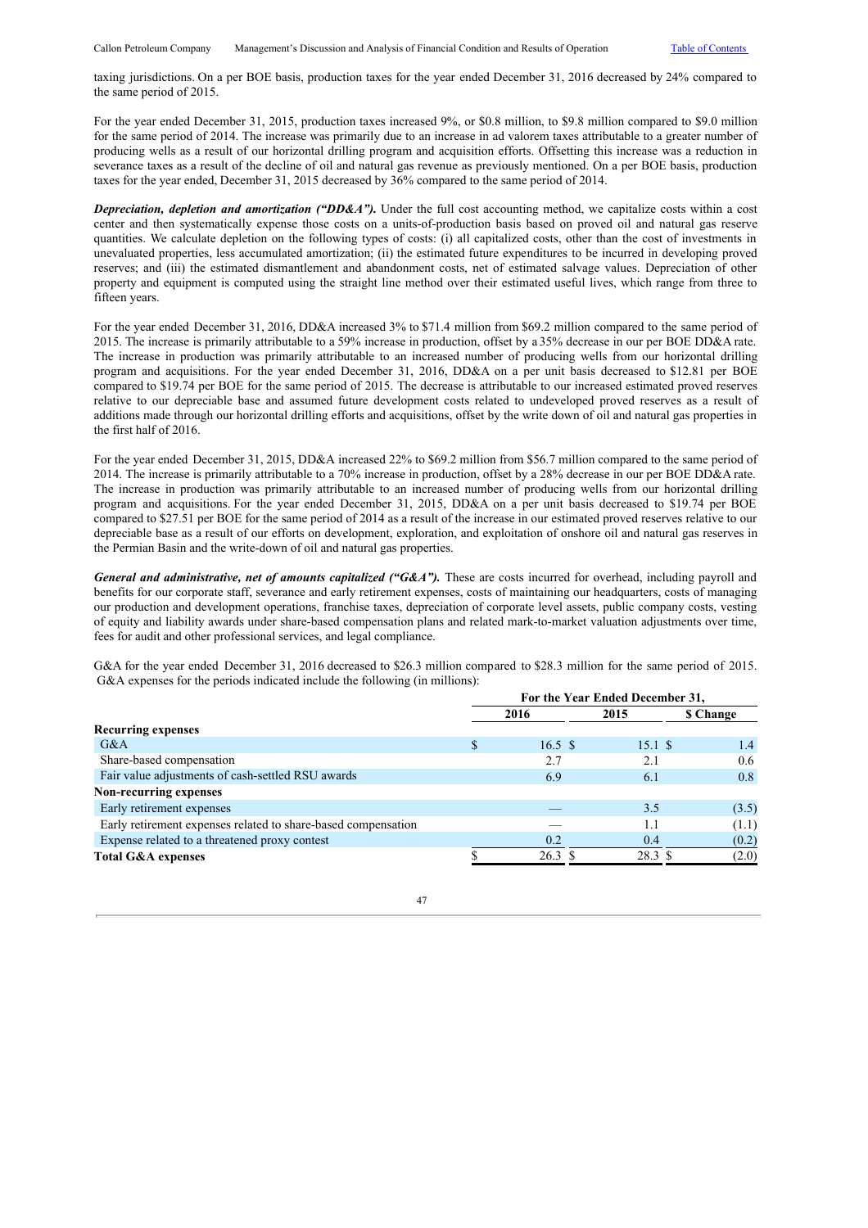taxing jurisdictions. On a per BOE basis, production taxes for the year ended December 31, 2016 decreased by 24% compared to the same period of 2015.

For the year ended December 31, 2015, production taxes increased 9%, or \$0.8 million, to \$9.8 million compared to \$9.0 million for the same period of 2014. The increase was primarily due to an increase in ad valorem taxes attributable to a greater number of producing wells as a result of our horizontal drilling program and acquisition efforts. Offsetting this increase was a reduction in severance taxes as a result of the decline of oil and natural gas revenue as previously mentioned. On a per BOE basis, production taxes for the year ended, December 31, 2015 decreased by 36% compared to the same period of 2014.

*Depreciation, depletion and amortization ("DD&A").* Under the full cost accounting method, we capitalize costs within a cost center and then systematically expense those costs on a units-of-production basis based on proved oil and natural gas reserve quantities. We calculate depletion on the following types of costs: (i) all capitalized costs, other than the cost of investments in unevaluated properties, less accumulated amortization; (ii) the estimated future expenditures to be incurred in developing proved reserves; and (iii) the estimated dismantlement and abandonment costs, net of estimated salvage values. Depreciation of other property and equipment is computed using the straight line method over their estimated useful lives, which range from three to fifteen years.

For the year ended December 31, 2016, DD&A increased 3% to \$71.4 million from \$69.2 million compared to the same period of 2015. The increase is primarily attributable to a 59% increase in production, offset by a35% decrease in our per BOE DD&A rate. The increase in production was primarily attributable to an increased number of producing wells from our horizontal drilling program and acquisitions. For the year ended December 31, 2016, DD&A on a per unit basis decreased to \$12.81 per BOE compared to \$19.74 per BOE for the same period of 2015. The decrease is attributable to our increased estimated proved reserves relative to our depreciable base and assumed future development costs related to undeveloped proved reserves as a result of additions made through our horizontal drilling efforts and acquisitions, offset by the write down of oil and natural gas properties in the first half of 2016.

For the year ended December 31, 2015, DD&A increased 22% to \$69.2 million from \$56.7 million compared to the same period of 2014. The increase is primarily attributable to a 70% increase in production, offset by a 28% decrease in our per BOE DD&A rate. The increase in production was primarily attributable to an increased number of producing wells from our horizontal drilling program and acquisitions. For the year ended December 31, 2015, DD&A on a per unit basis decreased to \$19.74 per BOE compared to \$27.51 per BOE for the same period of 2014 as a result of the increase in our estimated proved reserves relative to our depreciable base as a result of our efforts on development, exploration, and exploitation of onshore oil and natural gas reserves in the Permian Basin and the write-down of oil and natural gas properties.

*General and administrative, net of amounts capitalized ("G&A").* These are costs incurred for overhead, including payroll and benefits for our corporate staff, severance and early retirement expenses, costs of maintaining our headquarters, costs of managing our production and development operations, franchise taxes, depreciation of corporate level assets, public company costs, vesting of equity and liability awards under share-based compensation plans and related mark-to-market valuation adjustments over time, fees for audit and other professional services, and legal compliance.

G&A for the year ended December 31, 2016 decreased to \$26.3 million compared to \$28.3 million for the same period of 2015. G&A expenses for the periods indicated include the following (in millions):

|                                                               | For the Year Ended December 31, |                            |         |           |  |  |  |  |
|---------------------------------------------------------------|---------------------------------|----------------------------|---------|-----------|--|--|--|--|
|                                                               |                                 | 2016                       | 2015    | \$ Change |  |  |  |  |
| <b>Recurring expenses</b>                                     |                                 |                            |         |           |  |  |  |  |
| G&A                                                           |                                 | $16.5 \text{ \textdegree}$ | 15.1 \$ | 1.4       |  |  |  |  |
| Share-based compensation                                      |                                 | 2.7                        | 2.1     | 0.6       |  |  |  |  |
| Fair value adjustments of cash-settled RSU awards             |                                 | 6.9                        | 6.1     | 0.8       |  |  |  |  |
| Non-recurring expenses                                        |                                 |                            |         |           |  |  |  |  |
| Early retirement expenses                                     |                                 |                            | 3.5     | (3.5)     |  |  |  |  |
| Early retirement expenses related to share-based compensation |                                 |                            | 1.1     | (1.1)     |  |  |  |  |
| Expense related to a threatened proxy contest                 |                                 | 0.2                        | 0.4     | (0.2)     |  |  |  |  |
| <b>Total G&amp;A expenses</b>                                 |                                 | 26.3 S                     | 28.3 \$ | (2.0)     |  |  |  |  |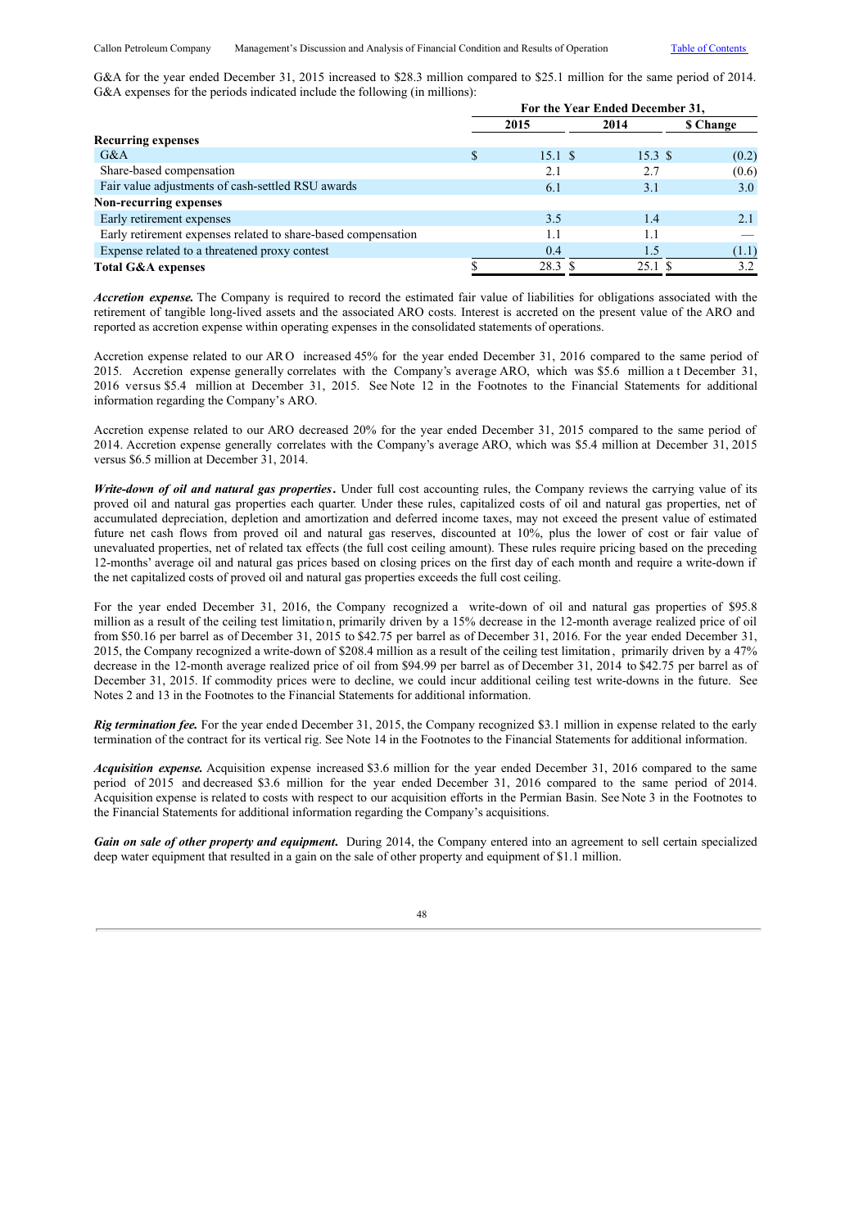G&A for the year ended December 31, 2015 increased to \$28.3 million compared to \$25.1 million for the same period of 2014. G&A expenses for the periods indicated include the following (in millions):

|                                                               | For the Year Ended December 31, |         |                    |                 |  |  |  |
|---------------------------------------------------------------|---------------------------------|---------|--------------------|-----------------|--|--|--|
|                                                               |                                 | 2015    | 2014               | <b>S</b> Change |  |  |  |
| <b>Recurring expenses</b>                                     |                                 |         |                    |                 |  |  |  |
| G&A                                                           | \$.                             | 15.1 S  | $15.3 \text{ }$ \$ | (0.2)           |  |  |  |
| Share-based compensation                                      |                                 | 2.1     | 2.7                | (0.6)           |  |  |  |
| Fair value adjustments of cash-settled RSU awards             |                                 | 6.1     | 3.1                | 3.0             |  |  |  |
| Non-recurring expenses                                        |                                 |         |                    |                 |  |  |  |
| Early retirement expenses                                     |                                 | 3.5     | 1.4                | 2.1             |  |  |  |
| Early retirement expenses related to share-based compensation |                                 | 1.1     | 1.1                |                 |  |  |  |
| Expense related to a threatened proxy contest                 |                                 | 0.4     | 1.5                | (1.1)           |  |  |  |
| <b>Total G&amp;A expenses</b>                                 |                                 | 28.3 \$ | 25.1 \$            | 3.2             |  |  |  |

*Accretion expense.* The Company is required to record the estimated fair value of liabilities for obligations associated with the retirement of tangible long-lived assets and the associated ARO costs. Interest is accreted on the present value of the ARO and reported as accretion expense within operating expenses in the consolidated statements of operations.

Accretion expense related to our ARO increased 45% for the year ended December 31, 2016 compared to the same period of 2015. Accretion expense generally correlates with the Company's average ARO, which was \$5.6 million a t December 31, 2016 versus \$5.4 million at December 31, 2015. See Note 12 in the Footnotes to the Financial Statements for additional information regarding the Company's ARO.

Accretion expense related to our ARO decreased 20% for the year ended December 31, 2015 compared to the same period of 2014. Accretion expense generally correlates with the Company's average ARO, which was \$5.4 million at December 31, 2015 versus \$6.5 million at December 31, 2014.

*Write-down of oil and natural gas properties.* Under full cost accounting rules, the Company reviews the carrying value of its proved oil and natural gas properties each quarter. Under these rules, capitalized costs of oil and natural gas properties, net of accumulated depreciation, depletion and amortization and deferred income taxes, may not exceed the present value of estimated future net cash flows from proved oil and natural gas reserves, discounted at 10%, plus the lower of cost or fair value of unevaluated properties, net of related tax effects (the full cost ceiling amount). These rules require pricing based on the preceding 12-months' average oil and natural gas prices based on closing prices on the first day of each month and require a write-down if the net capitalized costs of proved oil and natural gas properties exceeds the full cost ceiling.

For the year ended December 31, 2016, the Company recognized a write-down of oil and natural gas properties of \$95.8 million as a result of the ceiling test limitation, primarily driven by a 15% decrease in the 12-month average realized price of oil from \$50.16 per barrel as of December 31, 2015 to \$42.75 per barrel as of December 31, 2016. For the year ended December 31, 2015, the Company recognized a write-down of \$208.4 million as a result of the ceiling test limitation, primarily driven by a 47% decrease in the 12-month average realized price of oil from \$94.99 per barrel as of December 31, 2014 to \$42.75 per barrel as of December 31, 2015. If commodity prices were to decline, we could incur additional ceiling test write-downs in the future. See Notes 2 and 13 in the Footnotes to the Financial Statements for additional information.

*Rig termination fee.* For the year ended December 31, 2015, the Company recognized \$3.1 million in expense related to the early termination of the contract for its vertical rig. See Note 14 in the Footnotes to the Financial Statements for additional information.

*Acquisition expense.* Acquisition expense increased \$3.6 million for the year ended December 31, 2016 compared to the same period of 2015 and decreased \$3.6 million for the year ended December 31, 2016 compared to the same period of 2014. Acquisition expense is related to costs with respect to our acquisition efforts in the Permian Basin. See Note 3 in the Footnotes to the Financial Statements for additional information regarding the Company's acquisitions.

*Gain on sale of other property and equipment.* During 2014, the Company entered into an agreement to sell certain specialized deep water equipment that resulted in a gain on the sale of other property and equipment of \$1.1 million.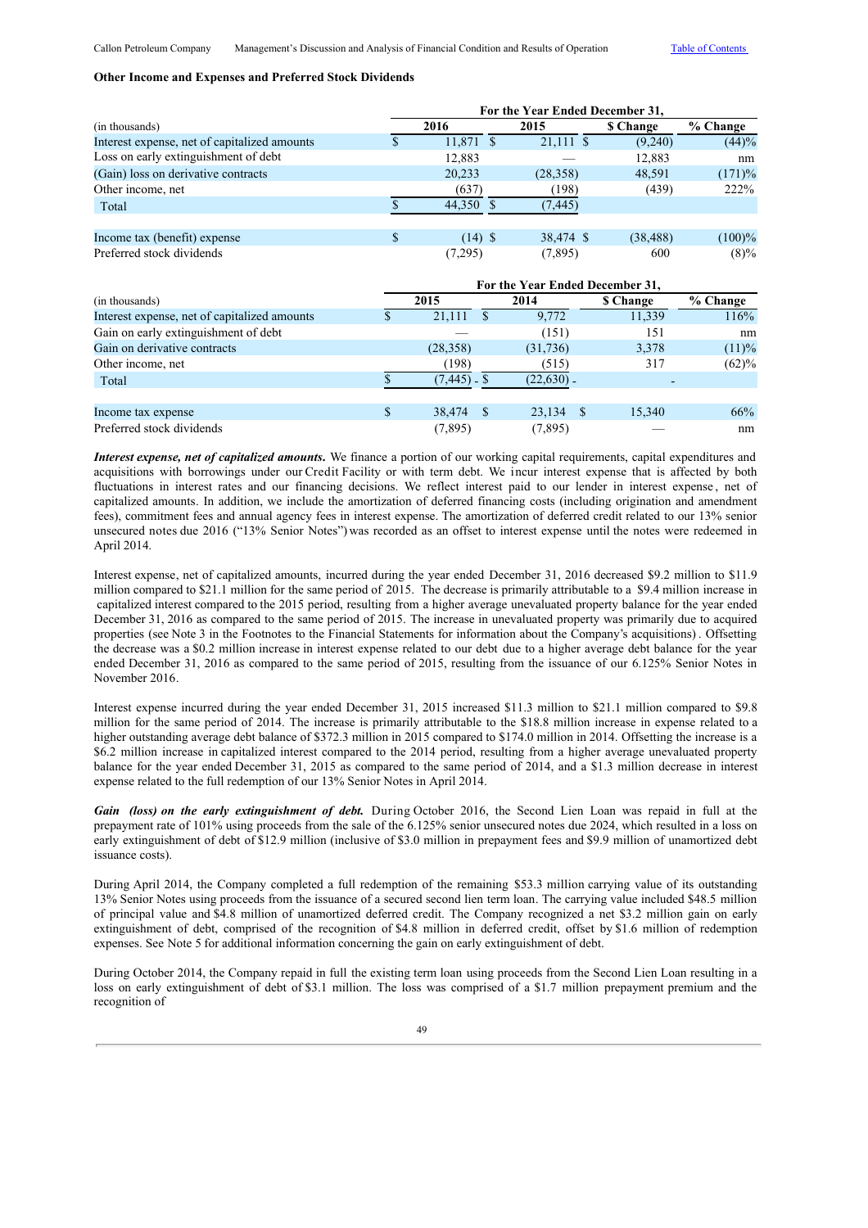### **Other Income and Expenses and Preferred Stock Dividends**

|                                              | For the Year Ended December 31, |           |           |           |            |  |  |  |
|----------------------------------------------|---------------------------------|-----------|-----------|-----------|------------|--|--|--|
| (in thousands)                               |                                 | 2016      | 2015      | \$ Change | $%$ Change |  |  |  |
| Interest expense, net of capitalized amounts |                                 | 11,871 \$ | 21,111 \$ | (9,240)   | (44)%      |  |  |  |
| Loss on early extinguishment of debt         |                                 | 12,883    |           | 12,883    | nm         |  |  |  |
| (Gain) loss on derivative contracts          |                                 | 20.233    | (28, 358) | 48.591    | (171)%     |  |  |  |
| Other income, net                            |                                 | (637)     | (198)     | (439)     | 222%       |  |  |  |
| Total                                        |                                 | 44.350 \$ | (7, 445)  |           |            |  |  |  |
|                                              |                                 |           |           |           |            |  |  |  |
| Income tax (benefit) expense                 | \$                              | $(14)$ \$ | 38,474 \$ | (38, 488) | $(100)\%$  |  |  |  |
| Preferred stock dividends                    |                                 | (7,295)   | (7,895)   | 600       | $(8)\%$    |  |  |  |

|                                              | For the Year Ended December 31, |                 |               |           |          |  |  |  |
|----------------------------------------------|---------------------------------|-----------------|---------------|-----------|----------|--|--|--|
| (in thousands)                               |                                 | 2015            | 2014          | \$ Change | % Change |  |  |  |
| Interest expense, net of capitalized amounts |                                 | 21,111          | 9,772         | 11,339    | 116%     |  |  |  |
| Gain on early extinguishment of debt         |                                 |                 | (151)         | 151       | nm       |  |  |  |
| Gain on derivative contracts                 |                                 | (28, 358)       | (31,736)      | 3,378     | (11)%    |  |  |  |
| Other income, net                            |                                 | (198)           | (515)         | 317       | (62)%    |  |  |  |
| Total                                        |                                 | $(7, 445)$ - \$ | $(22, 630)$ - |           |          |  |  |  |
|                                              |                                 |                 |               |           |          |  |  |  |
| Income tax expense                           |                                 | 38.474<br>-S    | 23,134        | 15,340    | 66%      |  |  |  |
| Preferred stock dividends                    |                                 | (7,895)         | (7, 895)      |           | nm       |  |  |  |

*Interest expense, net of capitalized amounts.* We finance a portion of our working capital requirements, capital expenditures and acquisitions with borrowings under our Credit Facility or with term debt. We incur interest expense that is affected by both fluctuations in interest rates and our financing decisions. We reflect interest paid to our lender in interest expense , net of capitalized amounts. In addition, we include the amortization of deferred financing costs (including origination and amendment fees), commitment fees and annual agency fees in interest expense. The amortization of deferred credit related to our 13% senior unsecured notes due 2016 ("13% Senior Notes") was recorded as an offset to interest expense until the notes were redeemed in April 2014.

Interest expense, net of capitalized amounts, incurred during the year ended December 31, 2016 decreased \$9.2 million to \$11.9 million compared to \$21.1 million for the same period of 2015. The decrease is primarily attributable to a \$9.4 million increase in capitalized interest compared to the 2015 period, resulting from a higher average unevaluated property balance for the year ended December 31, 2016 as compared to the same period of 2015. The increase in unevaluated property was primarily due to acquired properties (see Note 3 in the Footnotes to the Financial Statements for information about the Company's acquisitions) . Offsetting the decrease was a \$0.2 million increase in interest expense related to our debt due to a higher average debt balance for the year ended December 31, 2016 as compared to the same period of 2015, resulting from the issuance of our 6.125% Senior Notes in November 2016.

Interest expense incurred during the year ended December 31, 2015 increased \$11.3 million to \$21.1 million compared to \$9.8 million for the same period of 2014. The increase is primarily attributable to the \$18.8 million increase in expense related to a higher outstanding average debt balance of \$372.3 million in 2015 compared to \$174.0 million in 2014. Offsetting the increase is a \$6.2 million increase in capitalized interest compared to the 2014 period, resulting from a higher average unevaluated property balance for the year ended December 31, 2015 as compared to the same period of 2014, and a \$1.3 million decrease in interest expense related to the full redemption of our 13% Senior Notes in April 2014.

*Gain (loss) on the early extinguishment of debt.* During October 2016, the Second Lien Loan was repaid in full at the prepayment rate of 101% using proceeds from the sale of the 6.125% senior unsecured notes due 2024, which resulted in a loss on early extinguishment of debt of \$12.9 million (inclusive of \$3.0 million in prepayment fees and \$9.9 million of unamortized debt issuance costs).

During April 2014, the Company completed a full redemption of the remaining \$53.3 million carrying value of its outstanding 13% Senior Notes using proceeds from the issuance of a secured second lien term loan. The carrying value included \$48.5 million of principal value and \$4.8 million of unamortized deferred credit. The Company recognized a net \$3.2 million gain on early extinguishment of debt, comprised of the recognition of \$4.8 million in deferred credit, offset by \$1.6 million of redemption expenses. See Note 5 for additional information concerning the gain on early extinguishment of debt.

During October 2014, the Company repaid in full the existing term loan using proceeds from the Second Lien Loan resulting in a loss on early extinguishment of debt of \$3.1 million. The loss was comprised of a \$1.7 million prepayment premium and the recognition of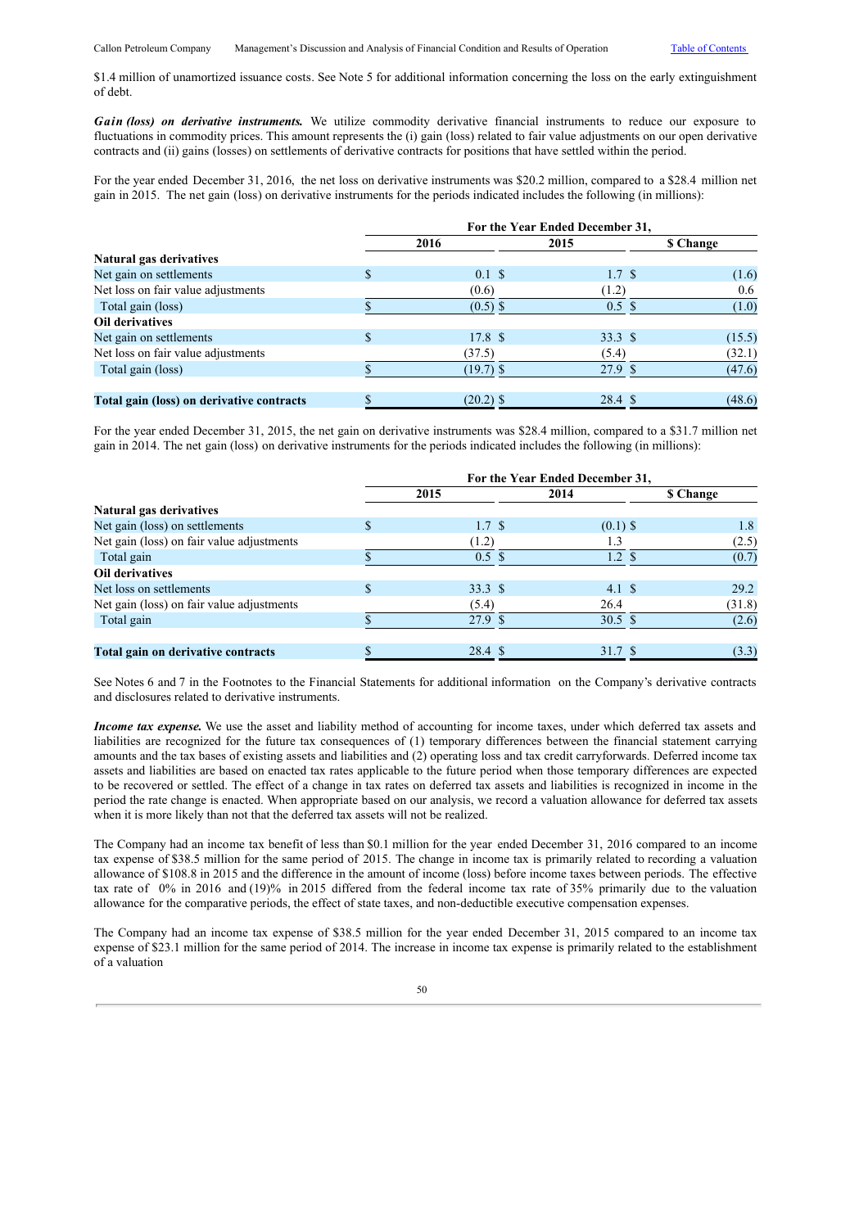\$1.4 million of unamortized issuance costs. See Note 5 for additional information concerning the loss on the early extinguishment of debt.

*Gain (loss) on derivative instruments.* We utilize commodity derivative financial instruments to reduce our exposure to fluctuations in commodity prices. This amount represents the (i) gain (loss) related to fair value adjustments on our open derivative contracts and (ii) gains (losses) on settlements of derivative contracts for positions that have settled within the period.

For the year ended December 31, 2016, the net loss on derivative instruments was \$20.2 million, compared to a \$28.4 million net gain in 2015. The net gain (loss) on derivative instruments for the periods indicated includes the following (in millions):

|                                           | For the Year Ended December 31, |                   |  |                    |                 |  |  |  |
|-------------------------------------------|---------------------------------|-------------------|--|--------------------|-----------------|--|--|--|
|                                           |                                 | 2016              |  | 2015               | <b>S</b> Change |  |  |  |
| Natural gas derivatives                   |                                 |                   |  |                    |                 |  |  |  |
| Net gain on settlements                   | \$                              | 0.1 S             |  | 1.7 <sup>°</sup>   | (1.6)           |  |  |  |
| Net loss on fair value adjustments        |                                 | (0.6)             |  | (1.2)              | 0.6             |  |  |  |
| Total gain (loss)                         |                                 | $(0.5)$ \$        |  | $0.5 \text{ }$ \$  | (1.0)           |  |  |  |
| Oil derivatives                           |                                 |                   |  |                    |                 |  |  |  |
| Net gain on settlements                   | \$                              | 17.8 <sup>°</sup> |  | $33.3 \text{ }$ \$ | (15.5)          |  |  |  |
| Net loss on fair value adjustments        |                                 | (37.5)            |  | (5.4)              | (32.1)          |  |  |  |
| Total gain (loss)                         |                                 | $(19.7)$ \$       |  | 27.9 <sup>°</sup>  | (47.6)          |  |  |  |
|                                           |                                 |                   |  |                    |                 |  |  |  |
| Total gain (loss) on derivative contracts |                                 | $(20.2)$ \$       |  | 28.4 \$            | (48.6)          |  |  |  |

For the year ended December 31, 2015, the net gain on derivative instruments was \$28.4 million, compared to a \$31.7 million net gain in 2014. The net gain (loss) on derivative instruments for the periods indicated includes the following (in millions):

|                                           | For the Year Ended December 31, |                   |  |                   |  |                 |  |
|-------------------------------------------|---------------------------------|-------------------|--|-------------------|--|-----------------|--|
|                                           |                                 | 2015              |  | 2014              |  | <b>S</b> Change |  |
| Natural gas derivatives                   |                                 |                   |  |                   |  |                 |  |
| Net gain (loss) on settlements            | \$                              | 1.7 <sup>5</sup>  |  | $(0.1)$ \$        |  | 1.8             |  |
| Net gain (loss) on fair value adjustments |                                 | (1.2)             |  | 1.3               |  | (2.5)           |  |
| Total gain                                |                                 | 0.5 S             |  | 1.2 <sup>5</sup>  |  | (0.7)           |  |
| Oil derivatives                           |                                 |                   |  |                   |  |                 |  |
| Net loss on settlements                   | \$                              | 33.3 <sup>°</sup> |  | $4.1 \text{ }$ \$ |  | 29.2            |  |
| Net gain (loss) on fair value adjustments |                                 | (5.4)             |  | 26.4              |  | (31.8)          |  |
| Total gain                                |                                 | 27.9 <sup>°</sup> |  | 30.5 S            |  | (2.6)           |  |
|                                           |                                 |                   |  |                   |  |                 |  |
| Total gain on derivative contracts        |                                 | 28.4 \$           |  | 31.7 \$           |  | (3.3)           |  |

See Notes 6 and 7 in the Footnotes to the Financial Statements for additional information on the Company's derivative contracts and disclosures related to derivative instruments.

*Income tax expense.* We use the asset and liability method of accounting for income taxes, under which deferred tax assets and liabilities are recognized for the future tax consequences of (1) temporary differences between the financial statement carrying amounts and the tax bases of existing assets and liabilities and (2) operating loss and tax credit carryforwards. Deferred income tax assets and liabilities are based on enacted tax rates applicable to the future period when those temporary differences are expected to be recovered or settled. The effect of a change in tax rates on deferred tax assets and liabilities is recognized in income in the period the rate change is enacted. When appropriate based on our analysis, we record a valuation allowance for deferred tax assets when it is more likely than not that the deferred tax assets will not be realized.

The Company had an income tax benefit of less than \$0.1 million for the year ended December 31, 2016 compared to an income tax expense of \$38.5 million for the same period of 2015. The change in income tax is primarily related to recording a valuation allowance of \$108.8 in 2015 and the difference in the amount of income (loss) before income taxes between periods. The effective tax rate of 0% in 2016 and (19)% in 2015 differed from the federal income tax rate of 35% primarily due to the valuation allowance for the comparative periods, the effect of state taxes, and non-deductible executive compensation expenses.

The Company had an income tax expense of \$38.5 million for the year ended December 31, 2015 compared to an income tax expense of \$23.1 million for the same period of 2014. The increase in income tax expense is primarily related to the establishment of a valuation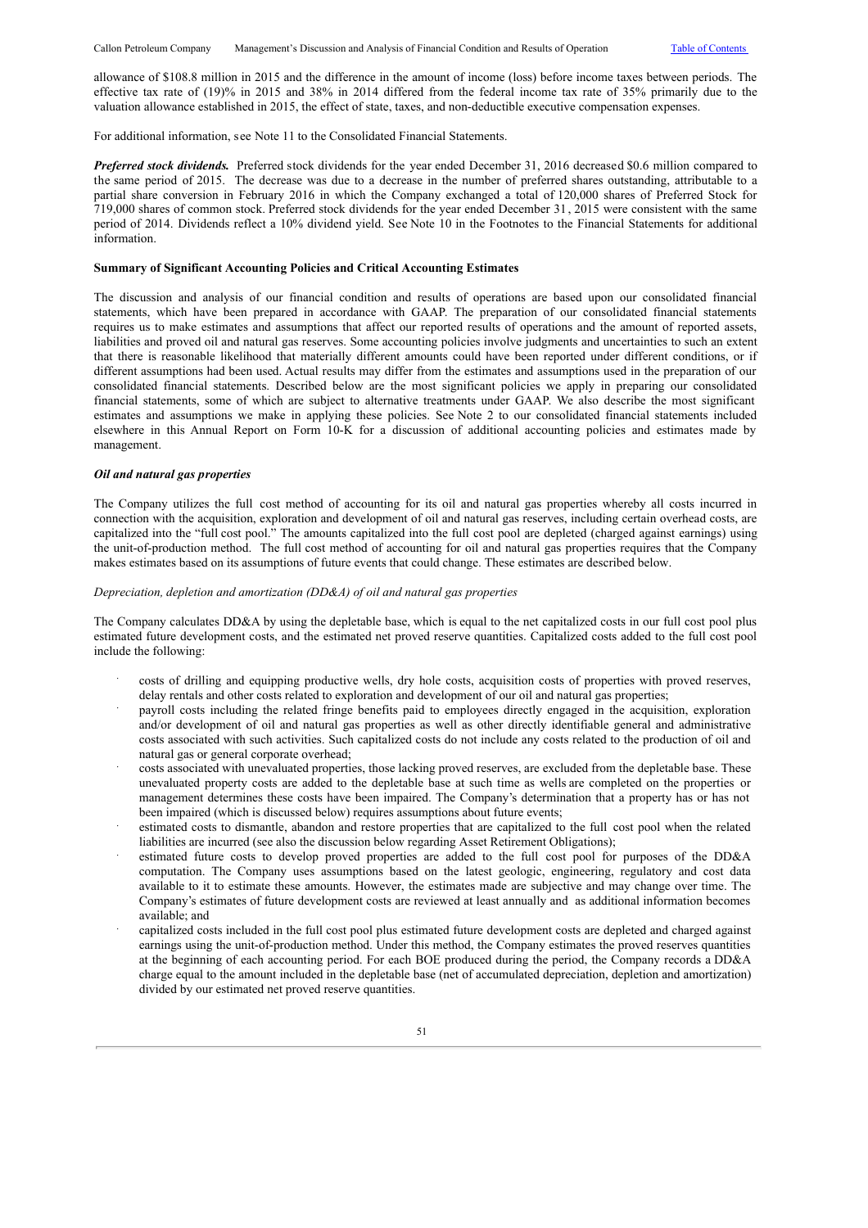Callon Petroleum Company Management's Discussion and Analysis of Financial Condition and Results of Operation Table of Contents

allowance of \$108.8 million in 2015 and the difference in the amount of income (loss) before income taxes between periods. The effective tax rate of (19)% in 2015 and 38% in 2014 differed from the federal income tax rate of 35% primarily due to the valuation allowance established in 2015, the effect of state, taxes, and non-deductible executive compensation expenses.

For additional information, see Note 11 to the Consolidated Financial Statements.

*Preferred stock dividends.* Preferred stock dividends for the year ended December 31, 2016 decreased \$0.6 million compared to the same period of 2015. The decrease was due to a decrease in the number of preferred shares outstanding, attributable to a partial share conversion in February 2016 in which the Company exchanged a total of 120,000 shares of Preferred Stock for 719,000 shares of common stock. Preferred stock dividends for the year ended December 31, 2015 were consistent with the same period of 2014. Dividends reflect a 10% dividend yield. See Note 10 in the Footnotes to the Financial Statements for additional information.

#### **Summary of Significant Accounting Policies and Critical Accounting Estimates**

The discussion and analysis of our financial condition and results of operations are based upon our consolidated financial statements, which have been prepared in accordance with GAAP. The preparation of our consolidated financial statements requires us to make estimates and assumptions that affect our reported results of operations and the amount of reported assets, liabilities and proved oil and natural gas reserves. Some accounting policies involve judgments and uncertainties to such an extent that there is reasonable likelihood that materially different amounts could have been reported under different conditions, or if different assumptions had been used. Actual results may differ from the estimates and assumptions used in the preparation of our consolidated financial statements. Described below are the most significant policies we apply in preparing our consolidated financial statements, some of which are subject to alternative treatments under GAAP. We also describe the most significant estimates and assumptions we make in applying these policies. See Note 2 to our consolidated financial statements included elsewhere in this Annual Report on Form 10-K for a discussion of additional accounting policies and estimates made by management.

### *Oil and natural gas properties*

The Company utilizes the full cost method of accounting for its oil and natural gas properties whereby all costs incurred in connection with the acquisition, exploration and development of oil and natural gas reserves, including certain overhead costs, are capitalized into the "full cost pool." The amounts capitalized into the full cost pool are depleted (charged against earnings) using the unit-of-production method. The full cost method of accounting for oil and natural gas properties requires that the Company makes estimates based on its assumptions of future events that could change. These estimates are described below.

#### *Depreciation, depletion and amortization (DD&A) of oil and natural gas properties*

The Company calculates DD&A by using the depletable base, which is equal to the net capitalized costs in our full cost pool plus estimated future development costs, and the estimated net proved reserve quantities. Capitalized costs added to the full cost pool include the following:

- costs of drilling and equipping productive wells, dry hole costs, acquisition costs of properties with proved reserves, delay rentals and other costs related to exploration and development of our oil and natural gas properties;
- payroll costs including the related fringe benefits paid to employees directly engaged in the acquisition, exploration and/or development of oil and natural gas properties as well as other directly identifiable general and administrative costs associated with such activities. Such capitalized costs do not include any costs related to the production of oil and natural gas or general corporate overhead;
- costs associated with unevaluated properties, those lacking proved reserves, are excluded from the depletable base. These unevaluated property costs are added to the depletable base at such time as wells are completed on the properties or management determines these costs have been impaired. The Company's determination that a property has or has not been impaired (which is discussed below) requires assumptions about future events;
- estimated costs to dismantle, abandon and restore properties that are capitalized to the full cost pool when the related liabilities are incurred (see also the discussion below regarding Asset Retirement Obligations);
- estimated future costs to develop proved properties are added to the full cost pool for purposes of the DD&A computation. The Company uses assumptions based on the latest geologic, engineering, regulatory and cost data available to it to estimate these amounts. However, the estimates made are subjective and may change over time. The Company's estimates of future development costs are reviewed at least annually and as additional information becomes available; and
- capitalized costs included in the full cost pool plus estimated future development costs are depleted and charged against earnings using the unit-of-production method. Under this method, the Company estimates the proved reserves quantities at the beginning of each accounting period. For each BOE produced during the period, the Company records a DD&A charge equal to the amount included in the depletable base (net of accumulated depreciation, depletion and amortization) divided by our estimated net proved reserve quantities.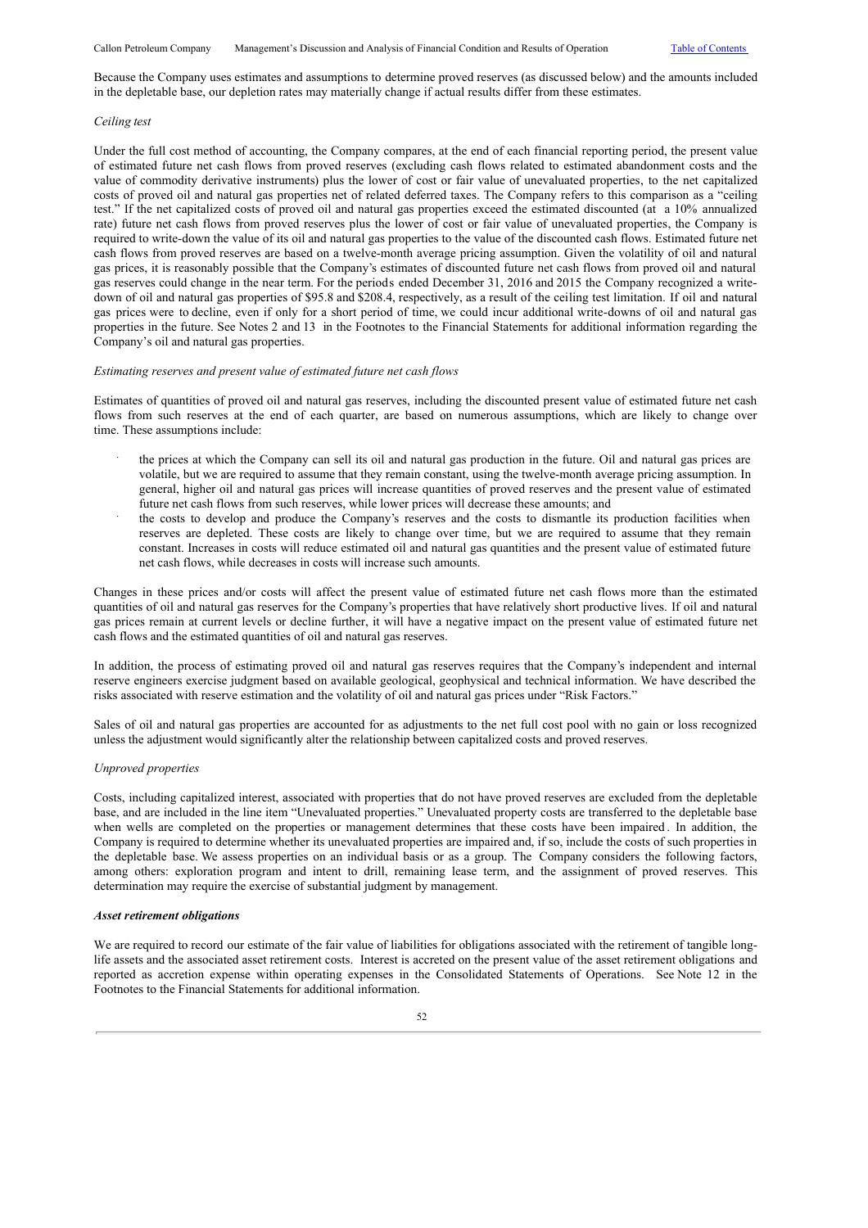Callon Petroleum Company Management's Discussion and Analysis of Financial Condition and Results of Operation Table of Contents

Because the Company uses estimates and assumptions to determine proved reserves (as discussed below) and the amounts included in the depletable base, our depletion rates may materially change if actual results differ from these estimates.

### *Ceiling test*

Under the full cost method of accounting, the Company compares, at the end of each financial reporting period, the present value of estimated future net cash flows from proved reserves (excluding cash flows related to estimated abandonment costs and the value of commodity derivative instruments) plus the lower of cost or fair value of unevaluated properties, to the net capitalized costs of proved oil and natural gas properties net of related deferred taxes. The Company refers to this comparison as a "ceiling test." If the net capitalized costs of proved oil and natural gas properties exceed the estimated discounted (at a 10% annualized rate) future net cash flows from proved reserves plus the lower of cost or fair value of unevaluated properties, the Company is required to write-down the value of its oil and natural gas properties to the value of the discounted cash flows. Estimated future net cash flows from proved reserves are based on a twelve-month average pricing assumption. Given the volatility of oil and natural gas prices, it is reasonably possible that the Company's estimates of discounted future net cash flows from proved oil and natural gas reserves could change in the near term. For the periods ended December 31, 2016 and 2015 the Company recognized a writedown of oil and natural gas properties of \$95.8 and \$208.4, respectively, as a result of the ceiling test limitation. If oil and natural gas prices were to decline, even if only for a short period of time, we could incur additional write-downs of oil and natural gas properties in the future. See Notes 2 and 13 in the Footnotes to the Financial Statements for additional information regarding the Company's oil and natural gas properties.

### *Estimating reserves and present value of estimated future net cash flows*

Estimates of quantities of proved oil and natural gas reserves, including the discounted present value of estimated future net cash flows from such reserves at the end of each quarter, are based on numerous assumptions, which are likely to change over time. These assumptions include:

- the prices at which the Company can sell its oil and natural gas production in the future. Oil and natural gas prices are volatile, but we are required to assume that they remain constant, using the twelve-month average pricing assumption. In general, higher oil and natural gas prices will increase quantities of proved reserves and the present value of estimated future net cash flows from such reserves, while lower prices will decrease these amounts; and
- the costs to develop and produce the Company's reserves and the costs to dismantle its production facilities when reserves are depleted. These costs are likely to change over time, but we are required to assume that they remain constant. Increases in costs will reduce estimated oil and natural gas quantities and the present value of estimated future net cash flows, while decreases in costs will increase such amounts.

Changes in these prices and/or costs will affect the present value of estimated future net cash flows more than the estimated quantities of oil and natural gas reserves for the Company's properties that have relatively short productive lives. If oil and natural gas prices remain at current levels or decline further, it will have a negative impact on the present value of estimated future net cash flows and the estimated quantities of oil and natural gas reserves.

In addition, the process of estimating proved oil and natural gas reserves requires that the Company's independent and internal reserve engineers exercise judgment based on available geological, geophysical and technical information. We have described the risks associated with reserve estimation and the volatility of oil and natural gas prices under "Risk Factors."

Sales of oil and natural gas properties are accounted for as adjustments to the net full cost pool with no gain or loss recognized unless the adjustment would significantly alter the relationship between capitalized costs and proved reserves.

### *Unproved properties*

Costs, including capitalized interest, associated with properties that do not have proved reserves are excluded from the depletable base, and are included in the line item "Unevaluated properties." Unevaluated property costs are transferred to the depletable base when wells are completed on the properties or management determines that these costs have been impaired. In addition, the Company is required to determine whether its unevaluated properties are impaired and, if so, include the costs of such properties in the depletable base. We assess properties on an individual basis or as a group. The Company considers the following factors, among others: exploration program and intent to drill, remaining lease term, and the assignment of proved reserves. This determination may require the exercise of substantial judgment by management.

### *Asset retirement obligations*

We are required to record our estimate of the fair value of liabilities for obligations associated with the retirement of tangible longlife assets and the associated asset retirement costs. Interest is accreted on the present value of the asset retirement obligations and reported as accretion expense within operating expenses in the Consolidated Statements of Operations. See Note 12 in the Footnotes to the Financial Statements for additional information.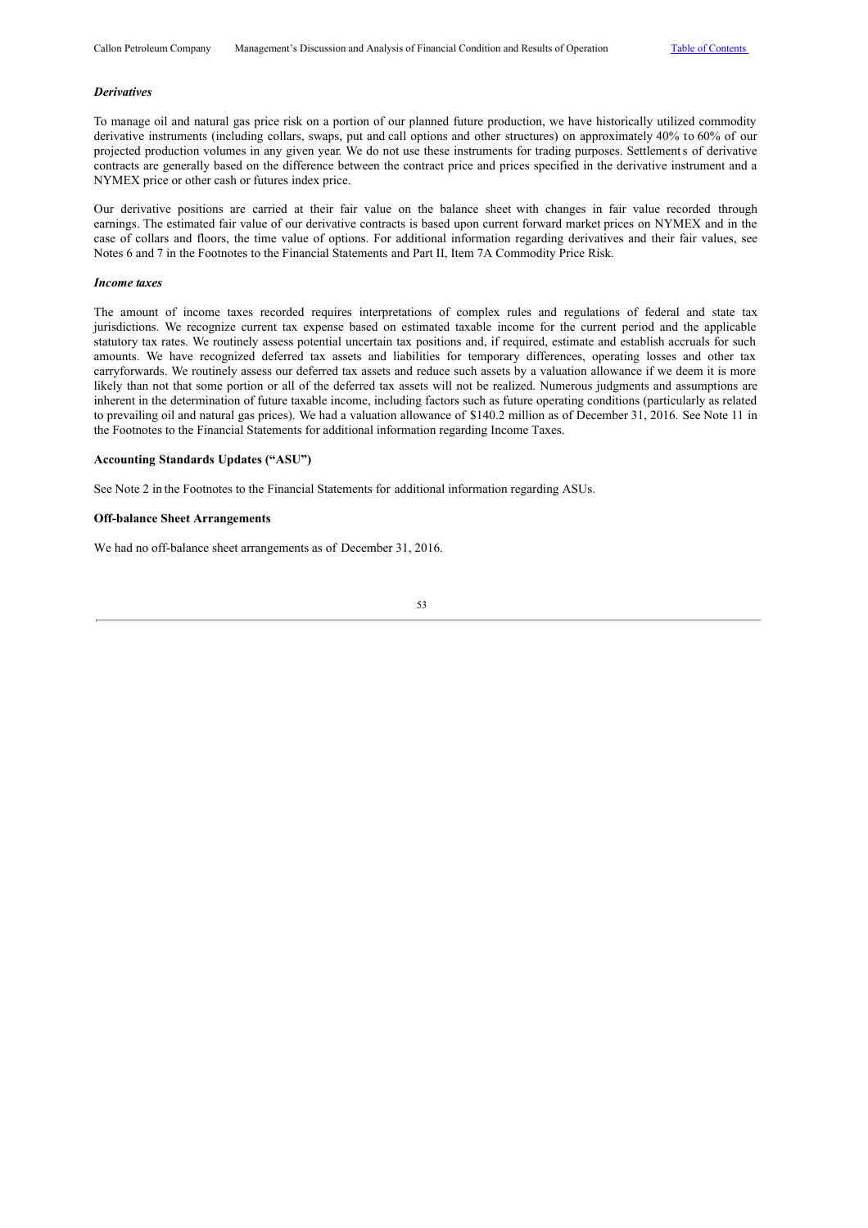#### *Derivatives*

To manage oil and natural gas price risk on a portion of our planned future production, we have historically utilized commodity derivative instruments (including collars, swaps, put and call options and other structures) on approximately 40% to 60% of our projected production volumes in any given year. We do not use these instruments for trading purposes. Settlements of derivative contracts are generally based on the difference between the contract price and prices specified in the derivative instrument and a NYMEX price or other cash or futures index price.

Our derivative positions are carried at their fair value on the balance sheet with changes in fair value recorded through earnings. The estimated fair value of our derivative contracts is based upon current forward market prices on NYMEX and in the case of collars and floors, the time value of options. For additional information regarding derivatives and their fair values, see Notes 6 and 7 in the Footnotes to the Financial Statements and Part II, Item 7A Commodity Price Risk.

#### *Income taxes*

The amount of income taxes recorded requires interpretations of complex rules and regulations of federal and state tax jurisdictions. We recognize current tax expense based on estimated taxable income for the current period and the applicable statutory tax rates. We routinely assess potential uncertain tax positions and, if required, estimate and establish accruals for such amounts. We have recognized deferred tax assets and liabilities for temporary differences, operating losses and other tax carryforwards. We routinely assess our deferred tax assets and reduce such assets by a valuation allowance if we deem it is more likely than not that some portion or all of the deferred tax assets will not be realized. Numerous judgments and assumptions are inherent in the determination of future taxable income, including factors such as future operating conditions (particularly as related to prevailing oil and natural gas prices). We had a valuation allowance of \$140.2 million as of December 31, 2016. See Note 11 in the Footnotes to the Financial Statements for additional information regarding Income Taxes.

### **Accounting Standards Updates ("ASU")**

See Note 2 inthe Footnotes to the Financial Statements for additional information regarding ASUs.

### **Off-balance Sheet Arrangements**

We had no off-balance sheet arrangements as of December 31, 2016.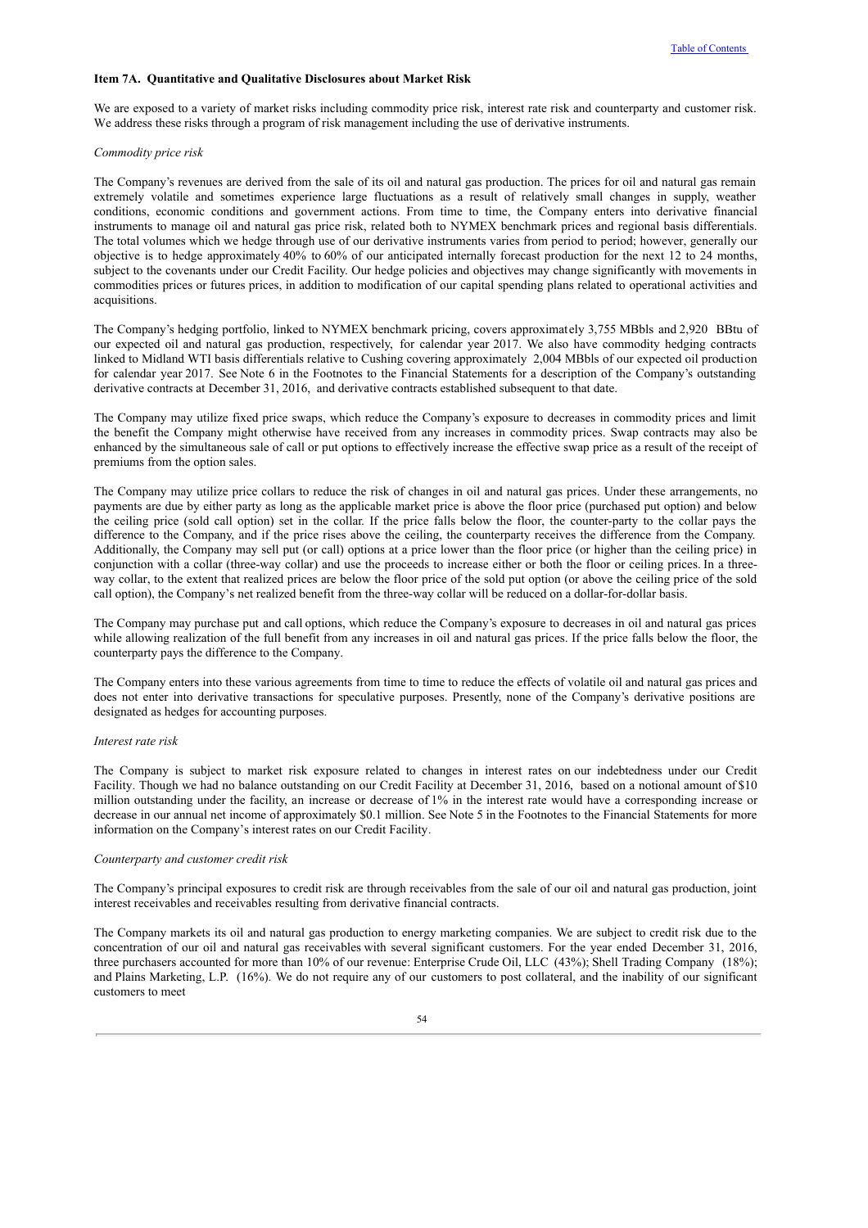## **Item 7A. Quantitative and Qualitative Disclosures about Market Risk**

We are exposed to a variety of market risks including commodity price risk, interest rate risk and counterparty and customer risk. We address these risks through a program of risk management including the use of derivative instruments.

# *Commodity price risk*

The Company's revenues are derived from the sale of its oil and natural gas production. The prices for oil and natural gas remain extremely volatile and sometimes experience large fluctuations as a result of relatively small changes in supply, weather conditions, economic conditions and government actions. From time to time, the Company enters into derivative financial instruments to manage oil and natural gas price risk, related both to NYMEX benchmark prices and regional basis differentials. The total volumes which we hedge through use of our derivative instruments varies from period to period; however, generally our objective is to hedge approximately 40% to 60% of our anticipated internally forecast production for the next 12 to 24 months, subject to the covenants under our Credit Facility. Our hedge policies and objectives may change significantly with movements in commodities prices or futures prices, in addition to modification of our capital spending plans related to operational activities and acquisitions.

The Company's hedging portfolio, linked to NYMEX benchmark pricing, covers approximately 3,755 MBbls and 2,920 BBtu of our expected oil and natural gas production, respectively, for calendar year 2017. We also have commodity hedging contracts linked to Midland WTI basis differentials relative to Cushing covering approximately 2,004 MBbls of our expected oil production for calendar year 2017. See Note 6 in the Footnotes to the Financial Statements for a description of the Company's outstanding derivative contracts at December 31, 2016, and derivative contracts established subsequent to that date.

The Company may utilize fixed price swaps, which reduce the Company's exposure to decreases in commodity prices and limit the benefit the Company might otherwise have received from any increases in commodity prices. Swap contracts may also be enhanced by the simultaneous sale of call or put options to effectively increase the effective swap price as a result of the receipt of premiums from the option sales.

The Company may utilize price collars to reduce the risk of changes in oil and natural gas prices. Under these arrangements, no payments are due by either party as long as the applicable market price is above the floor price (purchased put option) and below the ceiling price (sold call option) set in the collar. If the price falls below the floor, the counter-party to the collar pays the difference to the Company, and if the price rises above the ceiling, the counterparty receives the difference from the Company. Additionally, the Company may sell put (or call) options at a price lower than the floor price (or higher than the ceiling price) in conjunction with a collar (three-way collar) and use the proceeds to increase either or both the floor or ceiling prices. In a threeway collar, to the extent that realized prices are below the floor price of the sold put option (or above the ceiling price of the sold call option), the Company's net realized benefit from the three-way collar will be reduced on a dollar-for-dollar basis.

The Company may purchase put and call options, which reduce the Company's exposure to decreases in oil and natural gas prices while allowing realization of the full benefit from any increases in oil and natural gas prices. If the price falls below the floor, the counterparty pays the difference to the Company.

The Company enters into these various agreements from time to time to reduce the effects of volatile oil and natural gas prices and does not enter into derivative transactions for speculative purposes. Presently, none of the Company's derivative positions are designated as hedges for accounting purposes.

## *Interest rate risk*

The Company is subject to market risk exposure related to changes in interest rates on our indebtedness under our Credit Facility. Though we had no balance outstanding on our Credit Facility at December 31, 2016, based on a notional amount of\$10 million outstanding under the facility, an increase or decrease of 1% in the interest rate would have a corresponding increase or decrease in our annual net income of approximately \$0.1 million. See Note 5 in the Footnotes to the Financial Statements for more information on the Company's interest rates on our Credit Facility.

### *Counterparty and customer credit risk*

The Company's principal exposures to credit risk are through receivables from the sale of our oil and natural gas production, joint interest receivables and receivables resulting from derivative financial contracts.

The Company markets its oil and natural gas production to energy marketing companies. We are subject to credit risk due to the concentration of our oil and natural gas receivables with several significant customers. For the year ended December 31, 2016, three purchasers accounted for more than 10% of our revenue: Enterprise Crude Oil, LLC (43%); Shell Trading Company (18%); and Plains Marketing, L.P. (16%). We do not require any of our customers to post collateral, and the inability of our significant customers to meet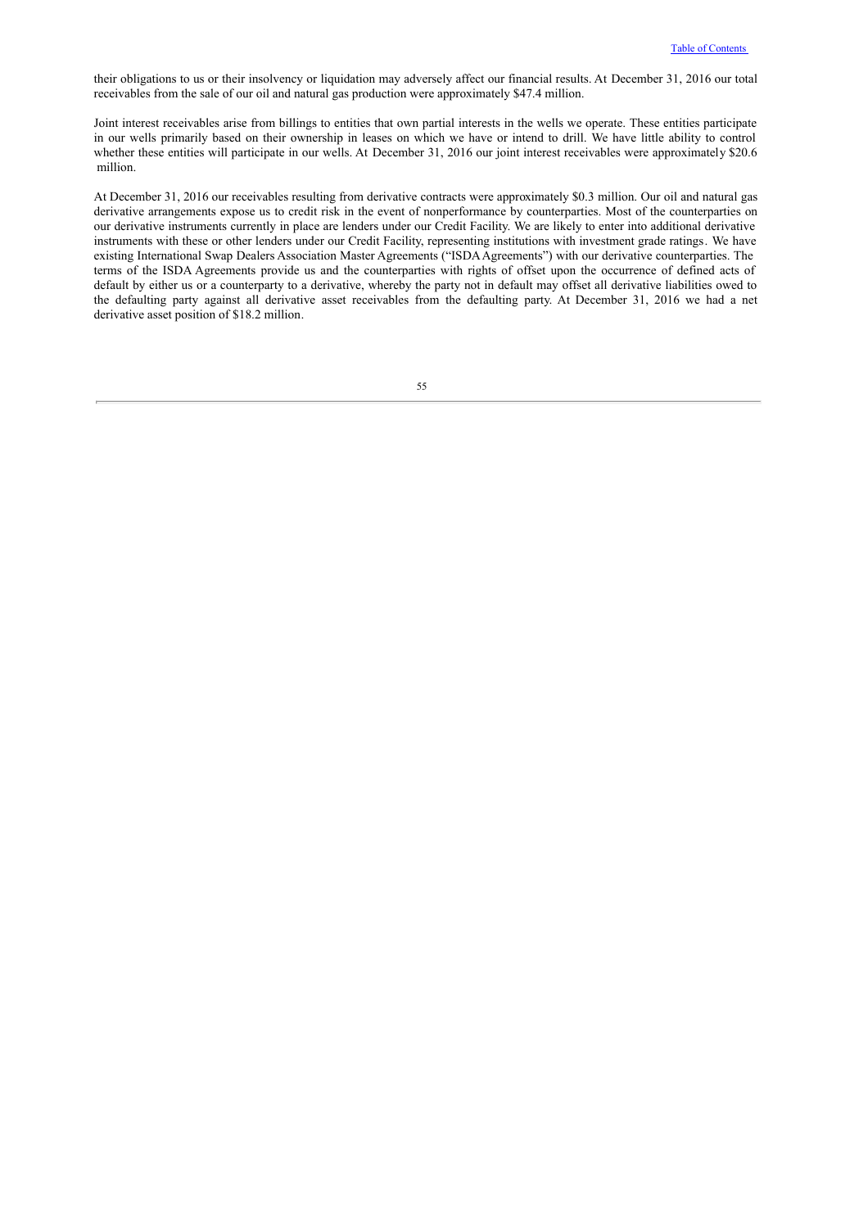their obligations to us or their insolvency or liquidation may adversely affect our financial results. At December 31, 2016 our total receivables from the sale of our oil and natural gas production were approximately \$47.4 million.

Joint interest receivables arise from billings to entities that own partial interests in the wells we operate. These entities participate in our wells primarily based on their ownership in leases on which we have or intend to drill. We have little ability to control whether these entities will participate in our wells. At December 31, 2016 our joint interest receivables were approximately \$20.6 million.

At December 31, 2016 our receivables resulting from derivative contracts were approximately \$0.3 million. Our oil and natural gas derivative arrangements expose us to credit risk in the event of nonperformance by counterparties. Most of the counterparties on our derivative instruments currently in place are lenders under our Credit Facility. We are likely to enter into additional derivative instruments with these or other lenders under our Credit Facility, representing institutions with investment grade ratings. We have existing International Swap Dealers Association Master Agreements ("ISDAAgreements") with our derivative counterparties. The terms of the ISDA Agreements provide us and the counterparties with rights of offset upon the occurrence of defined acts of default by either us or a counterparty to a derivative, whereby the party not in default may offset all derivative liabilities owed to the defaulting party against all derivative asset receivables from the defaulting party. At December 31, 2016 we had a net derivative asset position of \$18.2 million.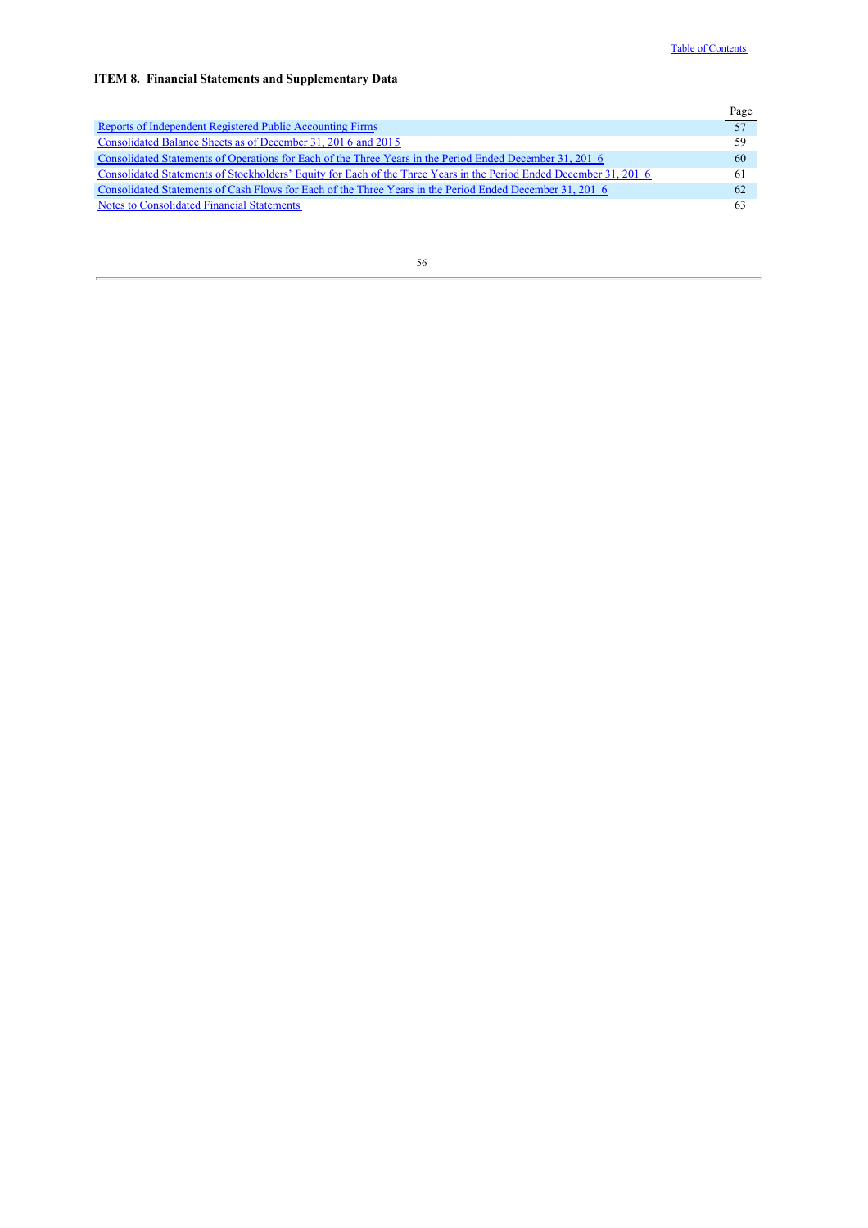# **ITEM 8. Financial Statements and Supplementary Data**

|                                                                                                                    | Page |
|--------------------------------------------------------------------------------------------------------------------|------|
| Reports of Independent Registered Public Accounting Firms                                                          | 57   |
| Consolidated Balance Sheets as of December 31, 2016 and 2015                                                       | 59   |
| Consolidated Statements of Operations for Each of the Three Years in the Period Ended December 31, 201 6           | 60   |
| Consolidated Statements of Stockholders' Equity for Each of the Three Years in the Period Ended December 31, 201 6 | 61   |
| Consolidated Statements of Cash Flows for Each of the Three Years in the Period Ended December 31, 201 6           | 62   |
| Notes to Consolidated Financial Statements                                                                         | 63   |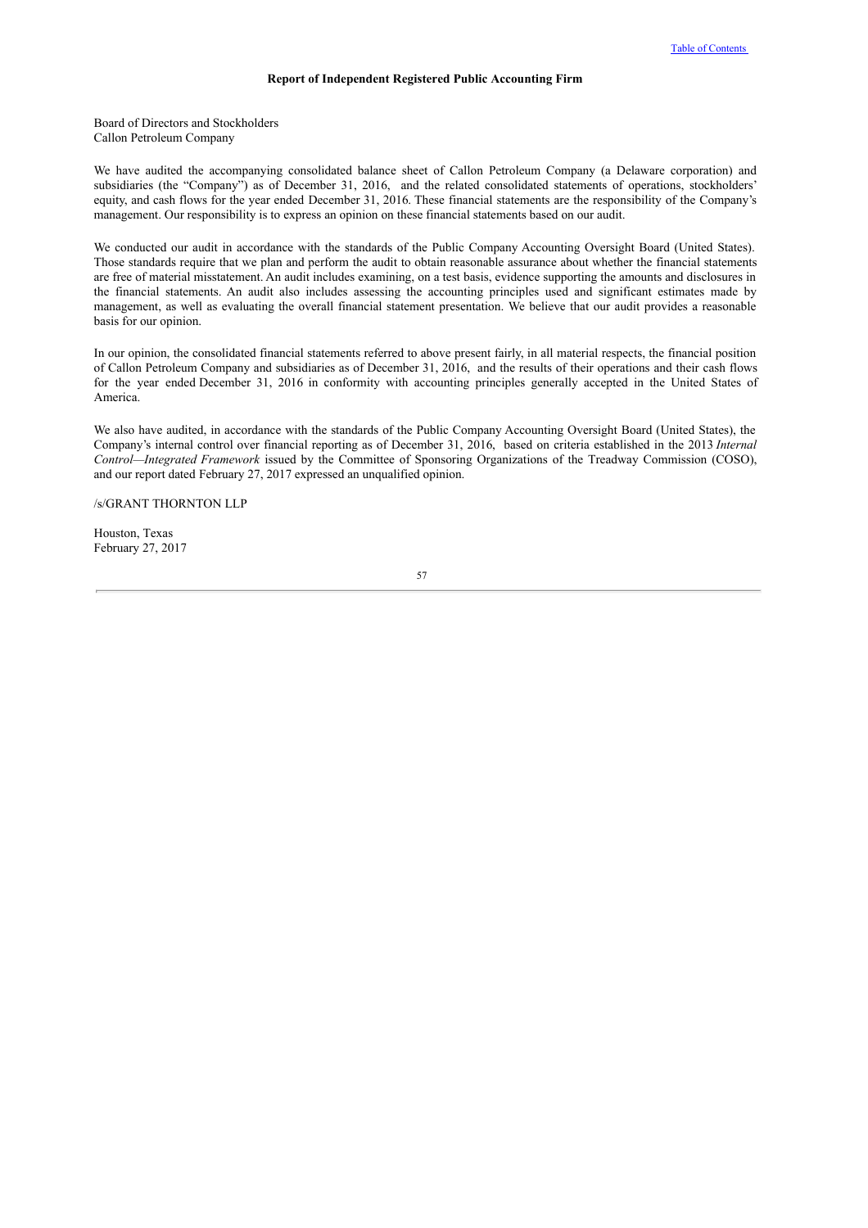Board of Directors and Stockholders Callon Petroleum Company

We have audited the accompanying consolidated balance sheet of Callon Petroleum Company (a Delaware corporation) and subsidiaries (the "Company") as of December 31, 2016, and the related consolidated statements of operations, stockholders' equity, and cash flows for the year ended December 31, 2016. These financial statements are the responsibility of the Company's management. Our responsibility is to express an opinion on these financial statements based on our audit.

We conducted our audit in accordance with the standards of the Public Company Accounting Oversight Board (United States). Those standards require that we plan and perform the audit to obtain reasonable assurance about whether the financial statements are free of material misstatement. An audit includes examining, on a test basis, evidence supporting the amounts and disclosures in the financial statements. An audit also includes assessing the accounting principles used and significant estimates made by management, as well as evaluating the overall financial statement presentation. We believe that our audit provides a reasonable basis for our opinion.

In our opinion, the consolidated financial statements referred to above present fairly, in all material respects, the financial position of Callon Petroleum Company and subsidiaries as of December 31, 2016, and the results of their operations and their cash flows for the year ended December 31, 2016 in conformity with accounting principles generally accepted in the United States of America.

We also have audited, in accordance with the standards of the Public Company Accounting Oversight Board (United States), the Company's internal control over financial reporting as of December 31, 2016, based on criteria established in the 2013 *Internal Control—Integrated Framework* issued by the Committee of Sponsoring Organizations of the Treadway Commission (COSO), and our report dated February 27, 2017 expressed an unqualified opinion.

/s/GRANT THORNTON LLP

Houston, Texas February 27, 2017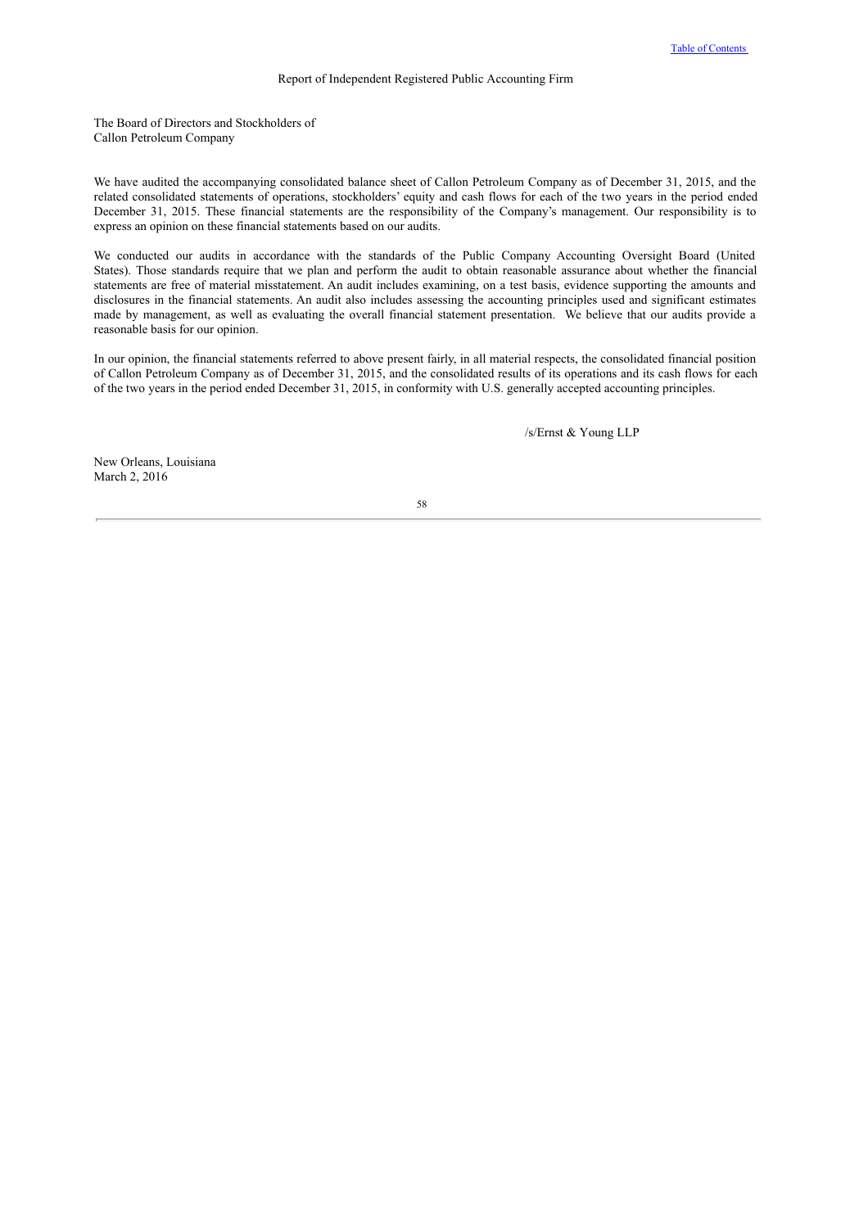The Board of Directors and Stockholders of Callon Petroleum Company

We have audited the accompanying consolidated balance sheet of Callon Petroleum Company as of December 31, 2015, and the related consolidated statements of operations, stockholders' equity and cash flows for each of the two years in the period ended December 31, 2015. These financial statements are the responsibility of the Company's management. Our responsibility is to express an opinion on these financial statements based on our audits.

We conducted our audits in accordance with the standards of the Public Company Accounting Oversight Board (United States). Those standards require that we plan and perform the audit to obtain reasonable assurance about whether the financial statements are free of material misstatement. An audit includes examining, on a test basis, evidence supporting the amounts and disclosures in the financial statements. An audit also includes assessing the accounting principles used and significant estimates made by management, as well as evaluating the overall financial statement presentation. We believe that our audits provide a reasonable basis for our opinion.

In our opinion, the financial statements referred to above present fairly, in all material respects, the consolidated financial position of Callon Petroleum Company as of December 31, 2015, and the consolidated results of its operations and its cash flows for each of the two years in the period ended December 31, 2015, in conformity with U.S. generally accepted accounting principles.

/s/Ernst & Young LLP

New Orleans, Louisiana March 2, 2016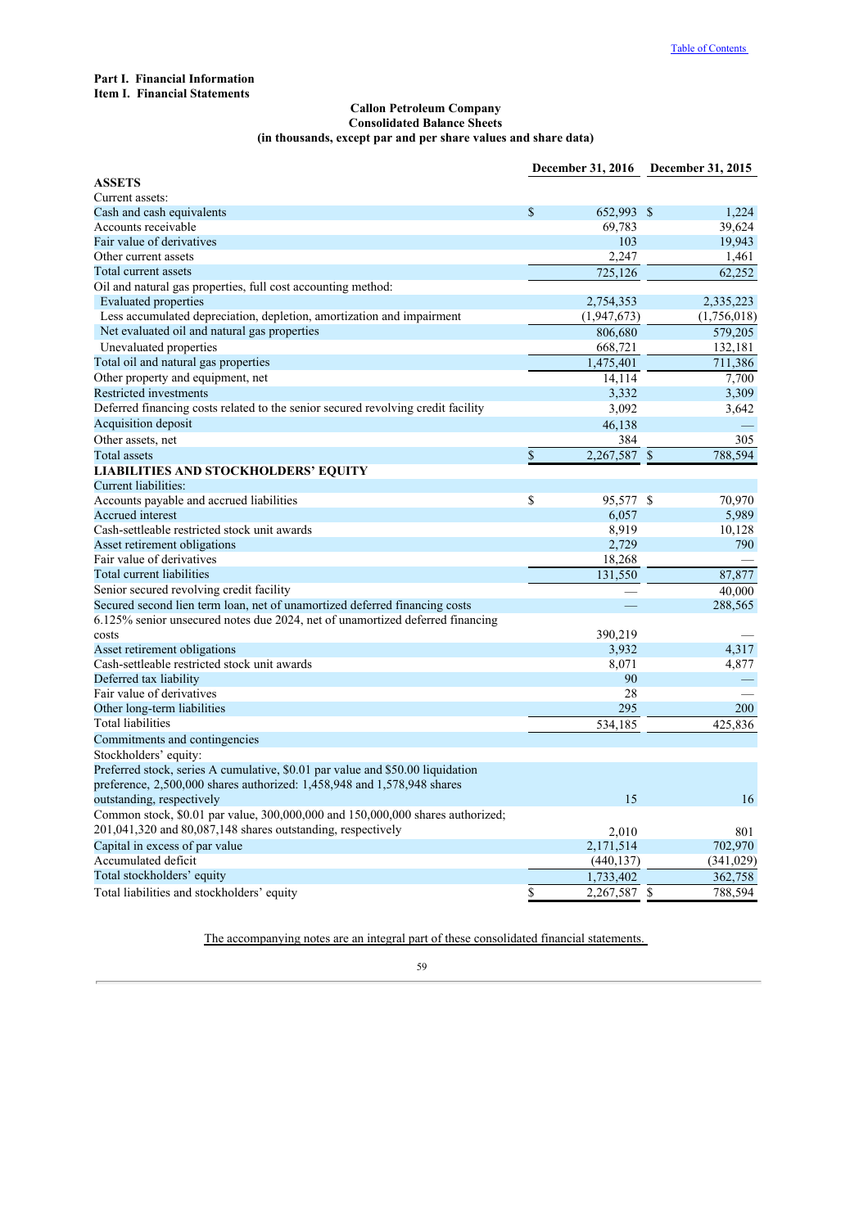# **Part I. Financial Information Item I. Financial Statements**

# **Callon Petroleum Company Consolidated Balance Sheets (in thousands, except par and per share values and share data)**

|                                                                                  |    | December 31, 2016 | December 31, 2015 |             |  |
|----------------------------------------------------------------------------------|----|-------------------|-------------------|-------------|--|
| <b>ASSETS</b>                                                                    |    |                   |                   |             |  |
| Current assets:                                                                  |    |                   |                   |             |  |
| Cash and cash equivalents                                                        | \$ | 652,993 \$        |                   | 1,224       |  |
| Accounts receivable                                                              |    | 69,783            |                   | 39,624      |  |
| Fair value of derivatives                                                        |    | 103               |                   | 19,943      |  |
| Other current assets                                                             |    | 2,247             |                   | 1,461       |  |
| Total current assets                                                             |    | 725,126           |                   | 62,252      |  |
| Oil and natural gas properties, full cost accounting method:                     |    |                   |                   |             |  |
| <b>Evaluated properties</b>                                                      |    | 2,754,353         |                   | 2,335,223   |  |
| Less accumulated depreciation, depletion, amortization and impairment            |    | (1, 947, 673)     |                   | (1,756,018) |  |
| Net evaluated oil and natural gas properties                                     |    | 806,680           |                   | 579,205     |  |
| Unevaluated properties                                                           |    | 668,721           |                   | 132,181     |  |
| Total oil and natural gas properties                                             |    | 1,475,401         |                   | 711,386     |  |
| Other property and equipment, net                                                |    | 14,114            |                   | 7,700       |  |
| Restricted investments                                                           |    | 3,332             |                   | 3,309       |  |
| Deferred financing costs related to the senior secured revolving credit facility |    | 3,092             |                   | 3,642       |  |
| Acquisition deposit                                                              |    | 46,138            |                   |             |  |
| Other assets, net                                                                |    | 384               |                   | 305         |  |
| Total assets                                                                     | \$ | 2,267,587 \$      |                   | 788,594     |  |
| <b>LIABILITIES AND STOCKHOLDERS' EQUITY</b>                                      |    |                   |                   |             |  |
| Current liabilities:                                                             |    |                   |                   |             |  |
| Accounts payable and accrued liabilities                                         | \$ | 95,577 \$         |                   | 70,970      |  |
| Accrued interest                                                                 |    | 6,057             |                   | 5,989       |  |
| Cash-settleable restricted stock unit awards                                     |    | 8,919             |                   | 10,128      |  |
| Asset retirement obligations                                                     |    | 2,729             |                   | 790         |  |
| Fair value of derivatives                                                        |    | 18,268            |                   |             |  |
| Total current liabilities                                                        |    | 131,550           |                   | 87,877      |  |
| Senior secured revolving credit facility                                         |    |                   |                   | 40,000      |  |
| Secured second lien term loan, net of unamortized deferred financing costs       |    |                   |                   | 288,565     |  |
| 6.125% senior unsecured notes due 2024, net of unamortized deferred financing    |    |                   |                   |             |  |
| costs                                                                            |    | 390,219           |                   |             |  |
| Asset retirement obligations                                                     |    | 3,932             |                   | 4,317       |  |
| Cash-settleable restricted stock unit awards                                     |    | 8,071             |                   | 4,877       |  |
| Deferred tax liability                                                           |    | 90                |                   |             |  |
| Fair value of derivatives                                                        |    | 28                |                   |             |  |
| Other long-term liabilities                                                      |    | 295               |                   | 200         |  |
| Total liabilities                                                                |    | 534,185           |                   | 425,836     |  |
| Commitments and contingencies                                                    |    |                   |                   |             |  |
| Stockholders' equity:                                                            |    |                   |                   |             |  |
| Preferred stock, series A cumulative, \$0.01 par value and \$50.00 liquidation   |    |                   |                   |             |  |
| preference, 2,500,000 shares authorized: 1,458,948 and 1,578,948 shares          |    |                   |                   |             |  |
| outstanding, respectively                                                        |    | 15                |                   | 16          |  |
| Common stock, \$0.01 par value, 300,000,000 and 150,000,000 shares authorized;   |    |                   |                   |             |  |
| 201,041,320 and 80,087,148 shares outstanding, respectively                      |    |                   |                   |             |  |
|                                                                                  |    | 2,010             |                   | 801         |  |
| Capital in excess of par value                                                   |    | 2,171,514         |                   | 702,970     |  |
| Accumulated deficit                                                              |    | (440, 137)        |                   | (341, 029)  |  |
| Total stockholders' equity                                                       |    | 1,733,402         |                   | 362,758     |  |
| Total liabilities and stockholders' equity                                       | \$ | 2,267,587 \$      |                   | 788,594     |  |

The accompanying notes are an integral part of these consolidated financial statements.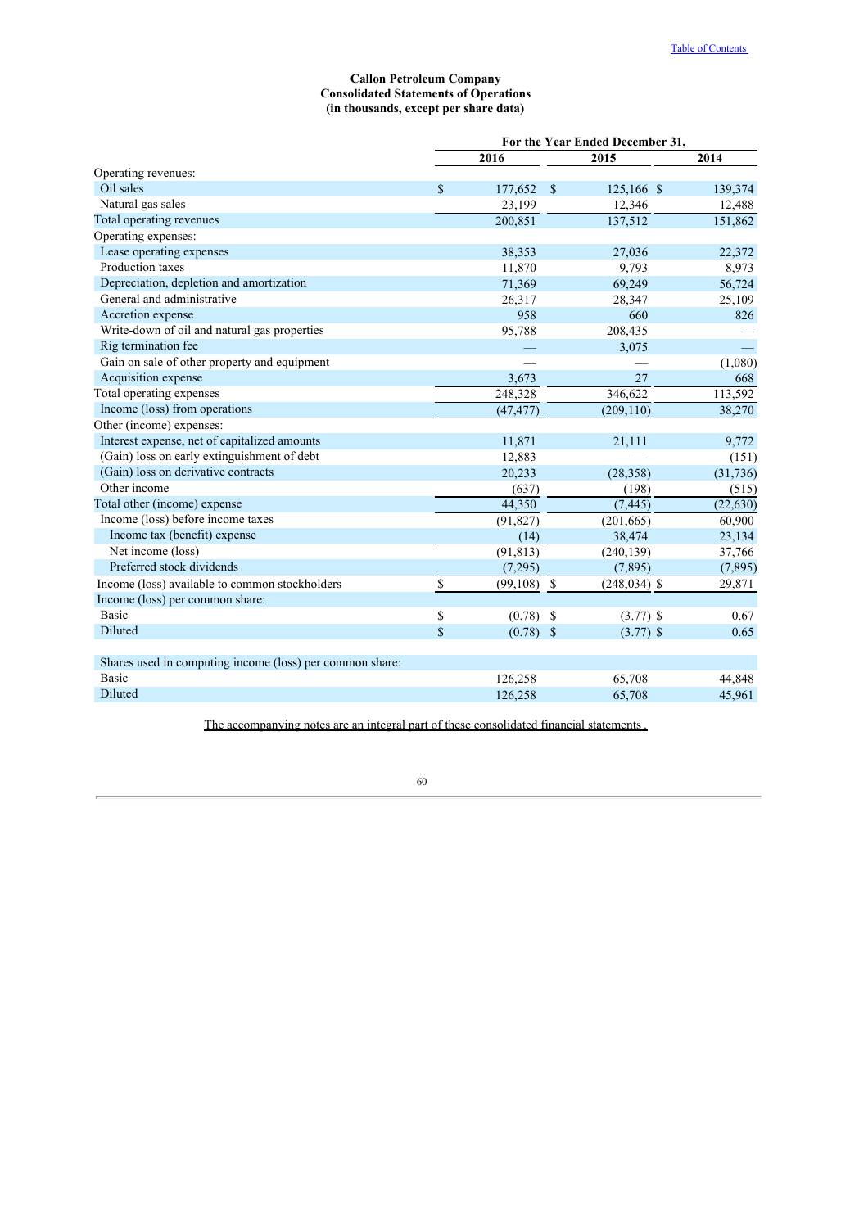# **Callon Petroleum Company Consolidated Statements of Operations (in thousands, except per share data)**

|                                                          | For the Year Ended December 31, |             |               |                 |           |  |
|----------------------------------------------------------|---------------------------------|-------------|---------------|-----------------|-----------|--|
|                                                          |                                 | 2016        |               | 2015            | 2014      |  |
| Operating revenues:                                      |                                 |             |               |                 |           |  |
| Oil sales                                                | $\mathbb{S}$                    | 177,652     | $\mathcal{S}$ | 125,166 \$      | 139,374   |  |
| Natural gas sales                                        |                                 | 23,199      |               | 12,346          | 12,488    |  |
| Total operating revenues                                 |                                 | 200,851     |               | 137,512         | 151,862   |  |
| Operating expenses:                                      |                                 |             |               |                 |           |  |
| Lease operating expenses                                 |                                 | 38,353      |               | 27,036          | 22,372    |  |
| Production taxes                                         |                                 | 11,870      |               | 9,793           | 8,973     |  |
| Depreciation, depletion and amortization                 |                                 | 71,369      |               | 69,249          | 56,724    |  |
| General and administrative                               |                                 | 26,317      |               | 28,347          | 25,109    |  |
| Accretion expense                                        |                                 | 958         |               | 660             | 826       |  |
| Write-down of oil and natural gas properties             |                                 | 95,788      |               | 208,435         |           |  |
| Rig termination fee                                      |                                 |             |               | 3,075           |           |  |
| Gain on sale of other property and equipment             |                                 |             |               |                 | (1,080)   |  |
| Acquisition expense                                      |                                 | 3,673       |               | 27              | 668       |  |
| Total operating expenses                                 |                                 | 248,328     |               | 346,622         | 113,592   |  |
| Income (loss) from operations                            |                                 | (47, 477)   |               | (209, 110)      | 38,270    |  |
| Other (income) expenses:                                 |                                 |             |               |                 |           |  |
| Interest expense, net of capitalized amounts             |                                 | 11,871      |               | 21,111          | 9,772     |  |
| (Gain) loss on early extinguishment of debt              |                                 | 12,883      |               |                 | (151)     |  |
| (Gain) loss on derivative contracts                      |                                 | 20,233      |               | (28, 358)       | (31,736)  |  |
| Other income                                             |                                 | (637)       |               | (198)           | (515)     |  |
| Total other (income) expense                             |                                 | 44,350      |               | (7, 445)        | (22, 630) |  |
| Income (loss) before income taxes                        |                                 | (91, 827)   |               | (201, 665)      | 60,900    |  |
| Income tax (benefit) expense                             |                                 | (14)        |               | 38,474          | 23,134    |  |
| Net income (loss)                                        |                                 | (91, 813)   |               | (240, 139)      | 37,766    |  |
| Preferred stock dividends                                |                                 | (7,295)     |               | (7, 895)        | (7,895)   |  |
| Income (loss) available to common stockholders           | $\sqrt{s}$                      | (99, 108)   | - \$          | $(248, 034)$ \$ | 29,871    |  |
| Income (loss) per common share:                          |                                 |             |               |                 |           |  |
| Basic                                                    | \$                              | $(0.78)$ \$ |               | $(3.77)$ \$     | 0.67      |  |
| Diluted                                                  | $\mathbf S$                     | $(0.78)$ \$ |               | $(3.77)$ \$     | 0.65      |  |
| Shares used in computing income (loss) per common share: |                                 |             |               |                 |           |  |
| <b>Basic</b>                                             |                                 | 126,258     |               | 65,708          | 44,848    |  |
| Diluted                                                  |                                 | 126,258     |               | 65,708          | 45,961    |  |
|                                                          |                                 |             |               |                 |           |  |

The accompanying notes are an integral part of these consolidated financial statements .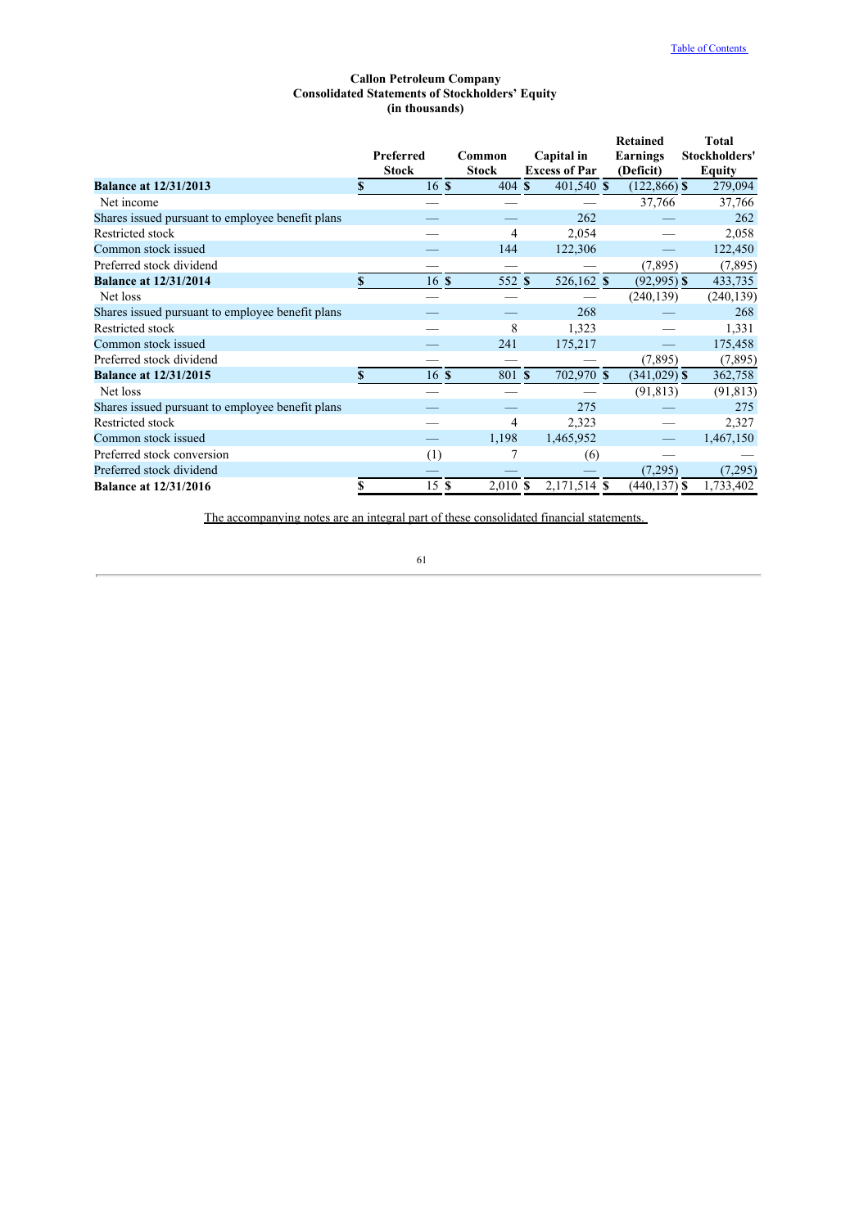# **Callon Petroleum Company Consolidated Statements of Stockholders' Equity (in thousands)**

|                                                  |              |              |              |                      | Retained        | Total         |
|--------------------------------------------------|--------------|--------------|--------------|----------------------|-----------------|---------------|
|                                                  |              | Preferred    | Common       | Capital in           | Earnings        | Stockholders' |
|                                                  |              | <b>Stock</b> | <b>Stock</b> | <b>Excess of Par</b> | (Deficit)       | <b>Equity</b> |
| <b>Balance at 12/31/2013</b>                     | \$           | 16S          | 404S         | 401,540 \$           | $(122,866)$ \$  | 279,094       |
| Net income                                       |              |              |              |                      | 37,766          | 37,766        |
| Shares issued pursuant to employee benefit plans |              |              |              | 262                  |                 | 262           |
| Restricted stock                                 |              |              | 4            | 2,054                |                 | 2,058         |
| Common stock issued                              |              |              | 144          | 122,306              |                 | 122,450       |
| Preferred stock dividend                         |              |              |              |                      | (7,895)         | (7, 895)      |
| <b>Balance at 12/31/2014</b>                     | \$           | 16S          | 552 \$       | 526,162 \$           | $(92,995)$ \$   | 433,735       |
| Net loss                                         |              |              |              |                      | (240, 139)      | (240, 139)    |
| Shares issued pursuant to employee benefit plans |              |              |              | 268                  |                 | 268           |
| Restricted stock                                 |              |              | 8            | 1,323                |                 | 1,331         |
| Common stock issued                              |              |              | 241          | 175,217              |                 | 175,458       |
| Preferred stock dividend                         |              |              |              |                      | (7,895)         | (7, 895)      |
| <b>Balance at 12/31/2015</b>                     | $\mathbf{s}$ | 16S          | 801 \$       | 702,970 \$           | $(341,029)$ \$  | 362,758       |
| Net loss                                         |              |              |              |                      | (91, 813)       | (91, 813)     |
| Shares issued pursuant to employee benefit plans |              |              |              | 275                  |                 | 275           |
| Restricted stock                                 |              |              | 4            | 2,323                |                 | 2,327         |
| Common stock issued                              |              |              | 1,198        | 1,465,952            |                 | 1,467,150     |
| Preferred stock conversion                       |              | (1)          |              | (6)                  |                 |               |
| Preferred stock dividend                         |              |              |              |                      | (7,295)         | (7,295)       |
| <b>Balance at 12/31/2016</b>                     | \$           | 15S          | 2,010S       | 2,171,514 \$         | $(440, 137)$ \$ | 1,733,402     |

The accompanying notes are an integral part of these consolidated financial statements.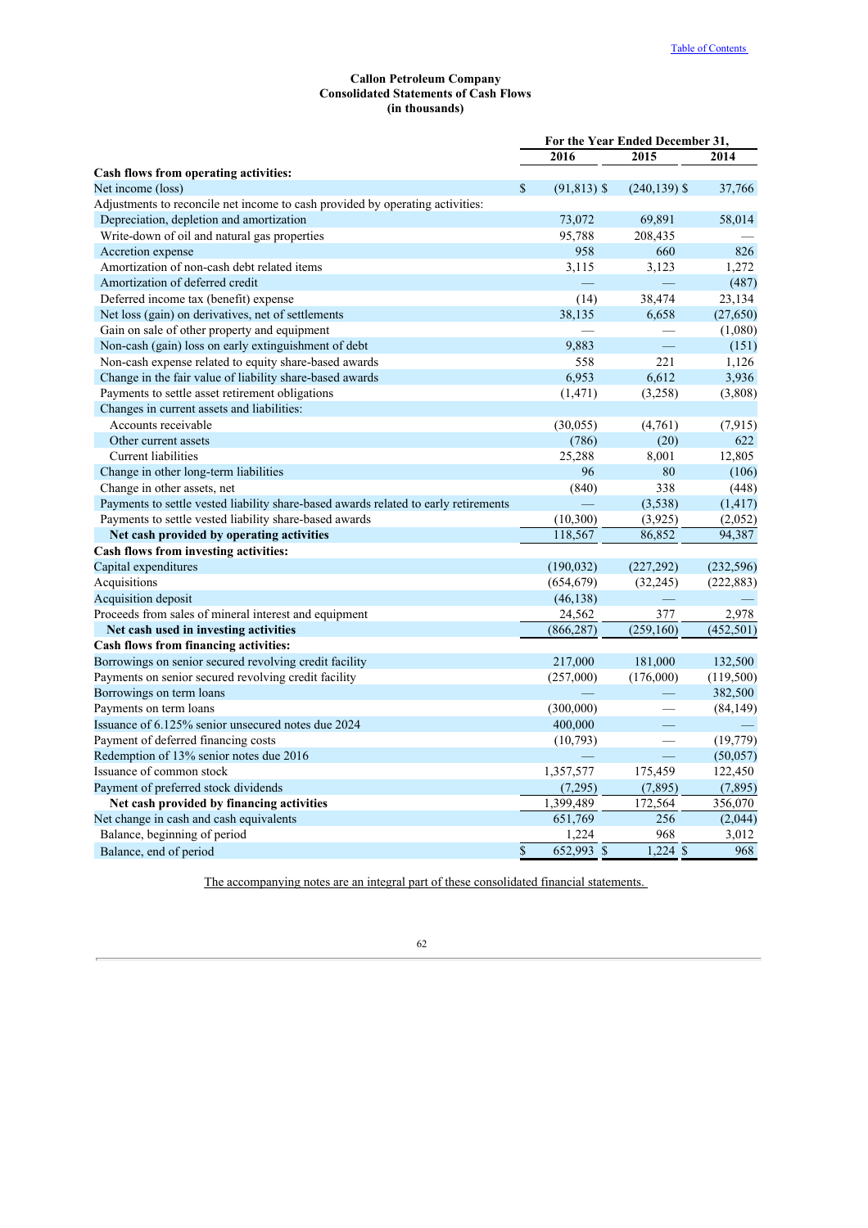# **Callon Petroleum Company Consolidated Statements of Cash Flows (in thousands)**

|                                                                                     | For the Year Ended December 31, |                         |                 |            |
|-------------------------------------------------------------------------------------|---------------------------------|-------------------------|-----------------|------------|
|                                                                                     |                                 | 2016                    | 2015            | 2014       |
| Cash flows from operating activities:                                               |                                 |                         |                 |            |
| Net income (loss)                                                                   | $\mathbf S$                     | $(91, 813)$ \$          | $(240, 139)$ \$ | 37,766     |
| Adjustments to reconcile net income to cash provided by operating activities:       |                                 |                         |                 |            |
| Depreciation, depletion and amortization                                            |                                 | 73,072                  | 69,891          | 58,014     |
| Write-down of oil and natural gas properties                                        |                                 | 95,788                  | 208,435         |            |
| Accretion expense                                                                   |                                 | 958                     | 660             | 826        |
| Amortization of non-cash debt related items                                         |                                 | 3,115                   | 3,123           | 1,272      |
| Amortization of deferred credit                                                     |                                 |                         |                 | (487)      |
| Deferred income tax (benefit) expense                                               |                                 | (14)                    | 38,474          | 23,134     |
| Net loss (gain) on derivatives, net of settlements                                  |                                 | 38,135                  | 6,658           | (27, 650)  |
| Gain on sale of other property and equipment                                        |                                 |                         |                 | (1,080)    |
| Non-cash (gain) loss on early extinguishment of debt                                |                                 | 9,883                   |                 | (151)      |
| Non-cash expense related to equity share-based awards                               |                                 | 558                     | 221             | 1,126      |
| Change in the fair value of liability share-based awards                            |                                 | 6,953                   | 6,612           | 3,936      |
| Payments to settle asset retirement obligations                                     |                                 | (1, 471)                | (3,258)         | (3,808)    |
| Changes in current assets and liabilities:                                          |                                 |                         |                 |            |
| Accounts receivable                                                                 |                                 | (30,055)                | (4,761)         | (7, 915)   |
| Other current assets                                                                |                                 | (786)                   | (20)            | 622        |
| Current liabilities                                                                 |                                 | 25,288                  | 8,001           | 12,805     |
| Change in other long-term liabilities                                               |                                 | 96                      | 80              | (106)      |
| Change in other assets, net                                                         |                                 | (840)                   | 338             | (448)      |
| Payments to settle vested liability share-based awards related to early retirements |                                 |                         | (3,538)         | (1, 417)   |
| Payments to settle vested liability share-based awards                              |                                 | (10,300)                | (3,925)         | (2,052)    |
| Net cash provided by operating activities                                           |                                 | 118,567                 | 86,852          | 94,387     |
| Cash flows from investing activities:                                               |                                 |                         |                 |            |
| Capital expenditures                                                                |                                 | (190, 032)              | (227, 292)      | (232, 596) |
| Acquisitions                                                                        |                                 | (654, 679)              | (32, 245)       | (222, 883) |
| Acquisition deposit                                                                 |                                 | (46, 138)               |                 |            |
| Proceeds from sales of mineral interest and equipment                               |                                 | 24,562                  | 377             | 2,978      |
| Net cash used in investing activities                                               |                                 | (866, 287)              | (259, 160)      | (452, 501) |
| Cash flows from financing activities:                                               |                                 |                         |                 |            |
| Borrowings on senior secured revolving credit facility                              |                                 | 217,000                 | 181,000         | 132,500    |
| Payments on senior secured revolving credit facility                                |                                 | (257,000)               | (176,000)       | (119,500)  |
| Borrowings on term loans                                                            |                                 |                         |                 | 382,500    |
| Payments on term loans                                                              |                                 | (300,000)               |                 | (84, 149)  |
| Issuance of 6.125% senior unsecured notes due 2024                                  |                                 | 400,000                 |                 |            |
| Payment of deferred financing costs                                                 |                                 | (10, 793)               |                 | (19,779)   |
| Redemption of 13% senior notes due 2016                                             |                                 |                         | $\frac{1}{2}$   | (50, 057)  |
| Issuance of common stock                                                            |                                 | 1,357,577               | 175,459         | 122,450    |
| Payment of preferred stock dividends                                                |                                 | (7,295)                 | (7,895)         | (7,895)    |
| Net cash provided by financing activities                                           |                                 | 1,399,489               | 172,564         | 356,070    |
| Net change in cash and cash equivalents                                             |                                 | 651,769                 | 256             | (2,044)    |
| Balance, beginning of period                                                        |                                 | 1,224                   | 968             | 3,012      |
|                                                                                     | \$                              | $\overline{652,993}$ \$ | $1.224$ \$      | 968        |
| Balance, end of period                                                              |                                 |                         |                 |            |

The accompanying notes are an integral part of these consolidated financial statements.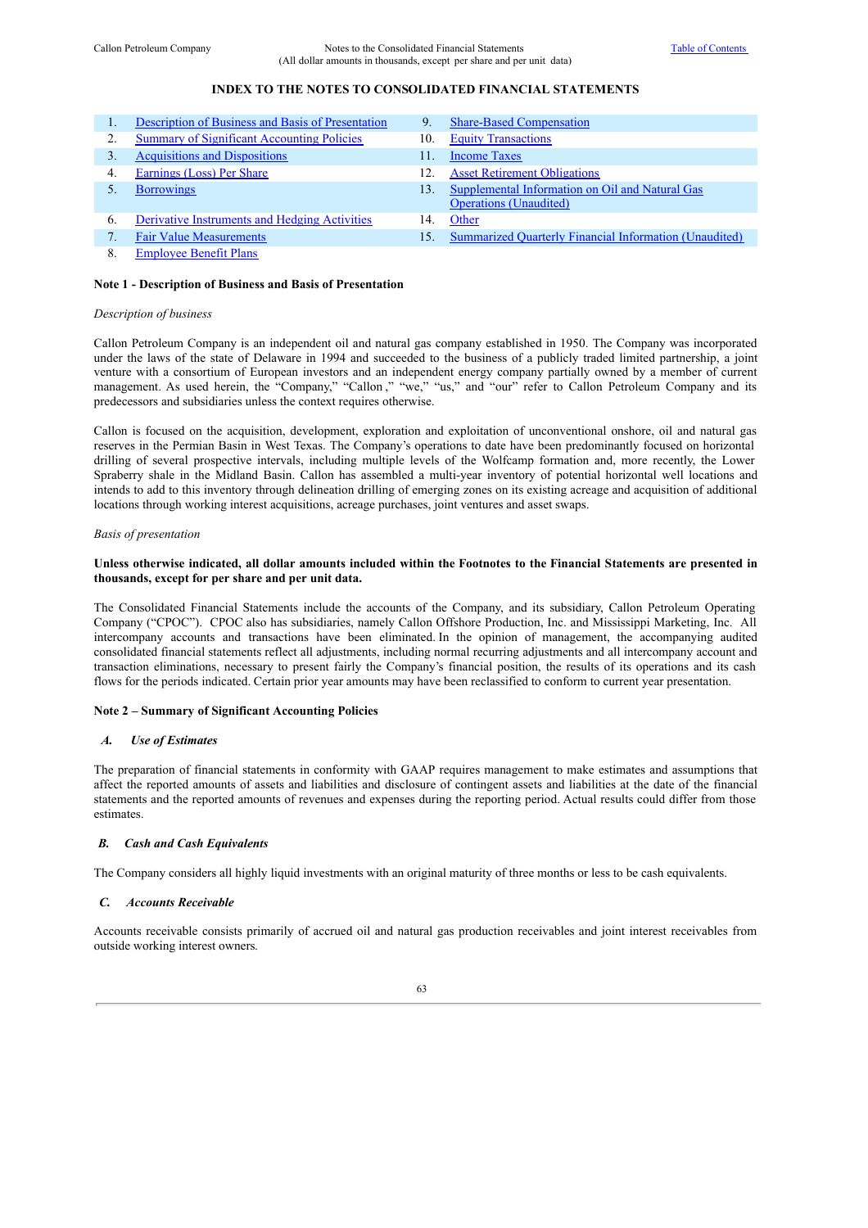# **INDEX TO THE NOTES TO CONSOLIDATED FINANCIAL STATEMENTS**

|    | Description of Business and Basis of Presentation | 9.  | <b>Share-Based Compensation</b>                                                  |
|----|---------------------------------------------------|-----|----------------------------------------------------------------------------------|
|    | <b>Summary of Significant Accounting Policies</b> | 10. | <b>Equity Transactions</b>                                                       |
|    | <b>Acquisitions and Dispositions</b>              | 11. | <b>Income Taxes</b>                                                              |
| 4. | Earnings (Loss) Per Share                         | 12. | <b>Asset Retirement Obligations</b>                                              |
|    | <b>Borrowings</b>                                 | 13. | Supplemental Information on Oil and Natural Gas<br><b>Operations</b> (Unaudited) |
| 6. | Derivative Instruments and Hedging Activities     | 14. | Other                                                                            |
|    | <b>Fair Value Measurements</b>                    | 15. | Summarized Quarterly Financial Information (Unaudited)                           |
|    | <b>Employee Benefit Plans</b>                     |     |                                                                                  |

## **Note 1 - Description of Business and Basis of Presentation**

### *Description of business*

Callon Petroleum Company is an independent oil and natural gas company established in 1950. The Company was incorporated under the laws of the state of Delaware in 1994 and succeeded to the business of a publicly traded limited partnership, a joint venture with a consortium of European investors and an independent energy company partially owned by a member of current management. As used herein, the "Company," "Callon," "we," "us," and "our" refer to Callon Petroleum Company and its predecessors and subsidiaries unless the context requires otherwise.

Callon is focused on the acquisition, development, exploration and exploitation of unconventional onshore, oil and natural gas reserves in the Permian Basin in West Texas. The Company's operations to date have been predominantly focused on horizontal drilling of several prospective intervals, including multiple levels of the Wolfcamp formation and, more recently, the Lower Spraberry shale in the Midland Basin. Callon has assembled a multi-year inventory of potential horizontal well locations and intends to add to this inventory through delineation drilling of emerging zones on its existing acreage and acquisition of additional locations through working interest acquisitions, acreage purchases, joint ventures and asset swaps.

### *Basis of presentation*

## Unless otherwise indicated, all dollar amounts included within the Footnotes to the Financial Statements are presented in **thousands, except for per share and per unit data.**

The Consolidated Financial Statements include the accounts of the Company, and its subsidiary, Callon Petroleum Operating Company ("CPOC"). CPOC also has subsidiaries, namely Callon Offshore Production, Inc. and Mississippi Marketing, Inc. All intercompany accounts and transactions have been eliminated. In the opinion of management, the accompanying audited consolidated financial statements reflect all adjustments, including normal recurring adjustments and all intercompany account and transaction eliminations, necessary to present fairly the Company's financial position, the results of its operations and its cash flows for the periods indicated. Certain prior year amounts may have been reclassified to conform to current year presentation.

### **Note 2 – Summary of Significant Accounting Policies**

### *A. Use of Estimates*

The preparation of financial statements in conformity with GAAP requires management to make estimates and assumptions that affect the reported amounts of assets and liabilities and disclosure of contingent assets and liabilities at the date of the financial statements and the reported amounts of revenues and expenses during the reporting period. Actual results could differ from those estimates.

### *B. Cash and Cash Equivalents*

The Company considers all highly liquid investments with an original maturity of three months or less to be cash equivalents.

### *C. Accounts Receivable*

Accounts receivable consists primarily of accrued oil and natural gas production receivables and joint interest receivables from outside working interest owners.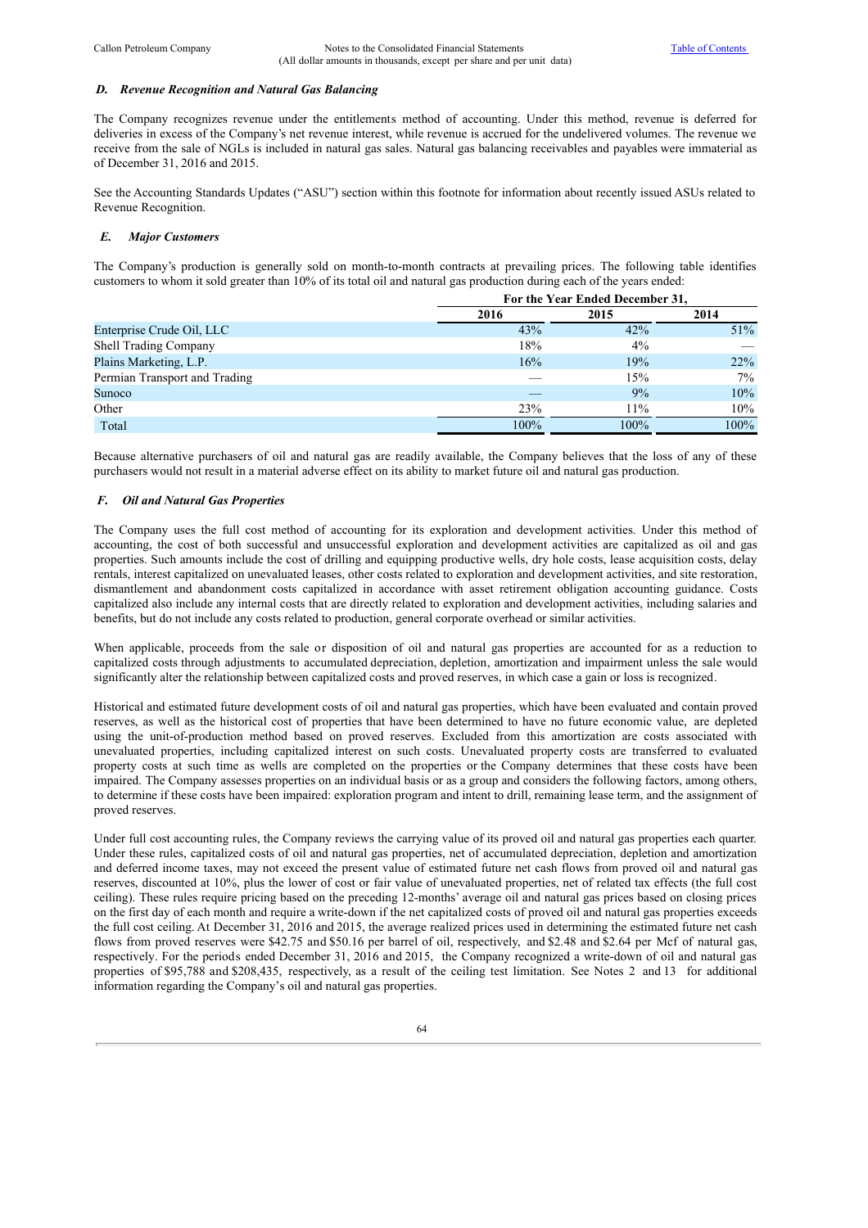### *D. Revenue Recognition and Natural Gas Balancing*

The Company recognizes revenue under the entitlements method of accounting. Under this method, revenue is deferred for deliveries in excess of the Company's net revenue interest, while revenue is accrued for the undelivered volumes. The revenue we receive from the sale of NGLs is included in natural gas sales. Natural gas balancing receivables and payables were immaterial as of December 31, 2016 and 2015.

See the Accounting Standards Updates ("ASU") section within this footnote for information about recently issued ASUs related to Revenue Recognition.

### *E. Major Customers*

The Company's production is generally sold on month-to-month contracts at prevailing prices. The following table identifies customers to whom it sold greater than 10% of its total oil and natural gas production during each of the years ended:

|                               | For the Year Ended December 31, |       |        |  |  |  |  |
|-------------------------------|---------------------------------|-------|--------|--|--|--|--|
|                               | 2016                            | 2015  | 2014   |  |  |  |  |
| Enterprise Crude Oil, LLC     | 43%                             | 42%   | $51\%$ |  |  |  |  |
| <b>Shell Trading Company</b>  | 18%                             | $4\%$ |        |  |  |  |  |
| Plains Marketing, L.P.        | 16%                             | 19%   | 22%    |  |  |  |  |
| Permian Transport and Trading |                                 | 15%   | $7\%$  |  |  |  |  |
| Sunoco                        |                                 | 9%    | 10%    |  |  |  |  |
| Other                         | 23%                             | 11%   | $10\%$ |  |  |  |  |
| Total                         | 100%                            | 100%  | 100%   |  |  |  |  |

Because alternative purchasers of oil and natural gas are readily available, the Company believes that the loss of any of these purchasers would not result in a material adverse effect on its ability to market future oil and natural gas production.

### *F. Oil and Natural Gas Properties*

The Company uses the full cost method of accounting for its exploration and development activities. Under this method of accounting, the cost of both successful and unsuccessful exploration and development activities are capitalized as oil and gas properties. Such amounts include the cost of drilling and equipping productive wells, dry hole costs, lease acquisition costs, delay rentals, interest capitalized on unevaluated leases, other costs related to exploration and development activities, and site restoration, dismantlement and abandonment costs capitalized in accordance with asset retirement obligation accounting guidance. Costs capitalized also include any internal costs that are directly related to exploration and development activities, including salaries and benefits, but do not include any costs related to production, general corporate overhead or similar activities.

When applicable, proceeds from the sale or disposition of oil and natural gas properties are accounted for as a reduction to capitalized costs through adjustments to accumulated depreciation, depletion, amortization and impairment unless the sale would significantly alter the relationship between capitalized costs and proved reserves, in which case a gain or loss is recognized.

Historical and estimated future development costs of oil and natural gas properties, which have been evaluated and contain proved reserves, as well as the historical cost of properties that have been determined to have no future economic value, are depleted using the unit-of-production method based on proved reserves. Excluded from this amortization are costs associated with unevaluated properties, including capitalized interest on such costs. Unevaluated property costs are transferred to evaluated property costs at such time as wells are completed on the properties or the Company determines that these costs have been impaired. The Company assesses properties on an individual basis or as a group and considers the following factors, among others, to determine if these costs have been impaired: exploration program and intent to drill, remaining lease term, and the assignment of proved reserves.

Under full cost accounting rules, the Company reviews the carrying value of its proved oil and natural gas properties each quarter. Under these rules, capitalized costs of oil and natural gas properties, net of accumulated depreciation, depletion and amortization and deferred income taxes, may not exceed the present value of estimated future net cash flows from proved oil and natural gas reserves, discounted at 10%, plus the lower of cost or fair value of unevaluated properties, net of related tax effects (the full cost ceiling). These rules require pricing based on the preceding 12-months' average oil and natural gas prices based on closing prices on the first day of each month and require a write-down if the net capitalized costs of proved oil and natural gas properties exceeds the full cost ceiling. At December 31, 2016 and 2015, the average realized prices used in determining the estimated future net cash flows from proved reserves were \$42.75 and \$50.16 per barrel of oil, respectively, and \$2.48 and \$2.64 per Mcf of natural gas, respectively. For the periods ended December 31, 2016 and 2015, the Company recognized a write-down of oil and natural gas properties of \$95,788 and \$208,435, respectively, as a result of the ceiling test limitation. See Notes 2 and 13 for additional information regarding the Company's oil and natural gas properties.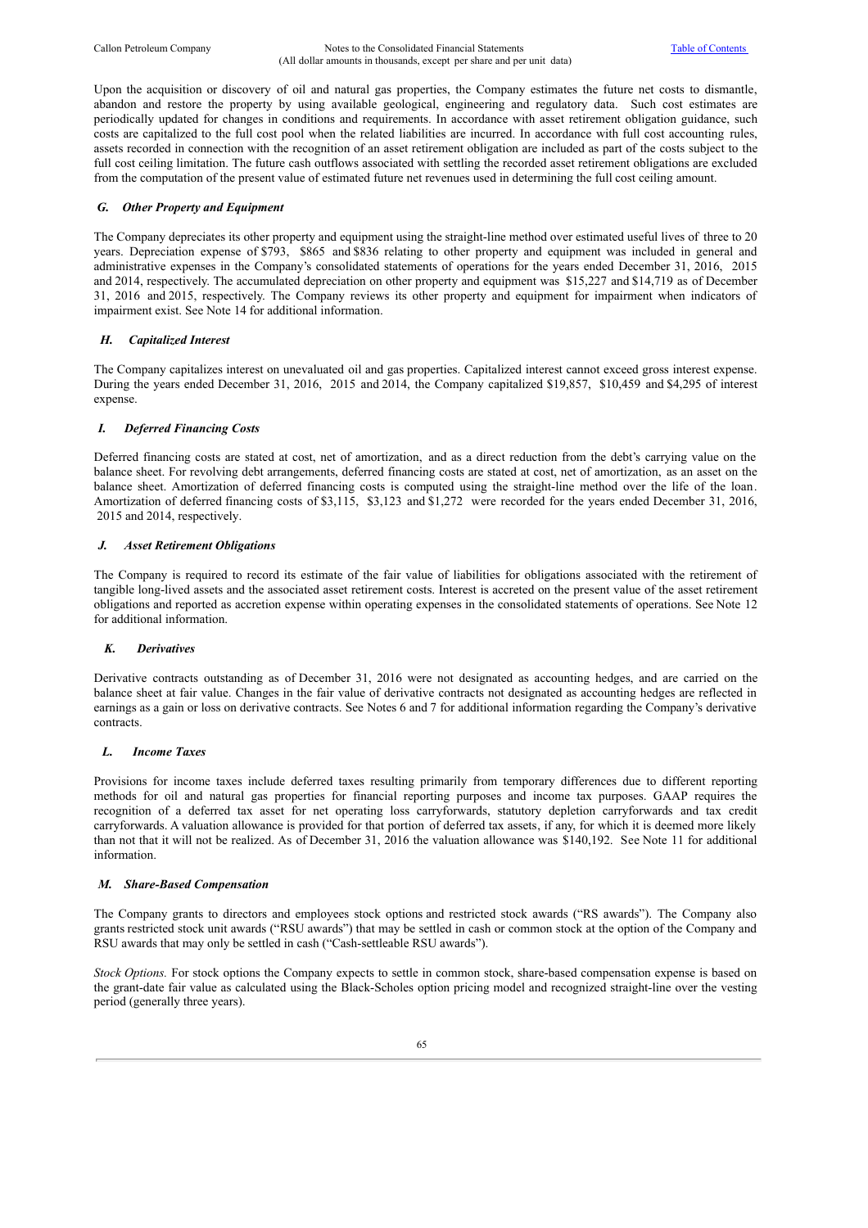Upon the acquisition or discovery of oil and natural gas properties, the Company estimates the future net costs to dismantle, abandon and restore the property by using available geological, engineering and regulatory data. Such cost estimates are periodically updated for changes in conditions and requirements. In accordance with asset retirement obligation guidance, such costs are capitalized to the full cost pool when the related liabilities are incurred. In accordance with full cost accounting rules, assets recorded in connection with the recognition of an asset retirement obligation are included as part of the costs subject to the full cost ceiling limitation. The future cash outflows associated with settling the recorded asset retirement obligations are excluded from the computation of the present value of estimated future net revenues used in determining the full cost ceiling amount.

### *G. Other Property and Equipment*

The Company depreciates its other property and equipment using the straight-line method over estimated useful lives of three to 20 years. Depreciation expense of \$793, \$865 and \$836 relating to other property and equipment was included in general and administrative expenses in the Company's consolidated statements of operations for the years ended December 31, 2016, 2015 and 2014, respectively. The accumulated depreciation on other property and equipment was \$15,227 and \$14,719 as of December 31, 2016 and 2015, respectively. The Company reviews its other property and equipment for impairment when indicators of impairment exist. See Note 14 for additional information.

### *H. Capitalized Interest*

The Company capitalizes interest on unevaluated oil and gas properties. Capitalized interest cannot exceed gross interest expense. During the years ended December 31, 2016, 2015 and 2014, the Company capitalized \$19,857, \$10,459 and \$4,295 of interest expense.

### *I. Deferred Financing Costs*

Deferred financing costs are stated at cost, net of amortization, and as a direct reduction from the debt's carrying value on the balance sheet. For revolving debt arrangements, deferred financing costs are stated at cost, net of amortization, as an asset on the balance sheet. Amortization of deferred financing costs is computed using the straight-line method over the life of the loan. Amortization of deferred financing costs of \$3,115, \$3,123 and \$1,272 were recorded for the years ended December 31, 2016, 2015 and 2014, respectively.

### *J. Asset Retirement Obligations*

The Company is required to record its estimate of the fair value of liabilities for obligations associated with the retirement of tangible long-lived assets and the associated asset retirement costs. Interest is accreted on the present value of the asset retirement obligations and reported as accretion expense within operating expenses in the consolidated statements of operations. See Note 12 for additional information.

### *K. Derivatives*

Derivative contracts outstanding as of December 31, 2016 were not designated as accounting hedges, and are carried on the balance sheet at fair value. Changes in the fair value of derivative contracts not designated as accounting hedges are reflected in earnings as a gain or loss on derivative contracts. See Notes 6 and 7 for additional information regarding the Company's derivative contracts.

#### *L. Income Taxes*

Provisions for income taxes include deferred taxes resulting primarily from temporary differences due to different reporting methods for oil and natural gas properties for financial reporting purposes and income tax purposes. GAAP requires the recognition of a deferred tax asset for net operating loss carryforwards, statutory depletion carryforwards and tax credit carryforwards. A valuation allowance is provided for that portion of deferred tax assets, if any, for which it is deemed more likely than not that it will not be realized. As of December 31, 2016 the valuation allowance was \$140,192. See Note 11 for additional information.

#### *M. Share-Based Compensation*

The Company grants to directors and employees stock options and restricted stock awards ("RS awards"). The Company also grants restricted stock unit awards ("RSU awards") that may be settled in cash or common stock at the option of the Company and RSU awards that may only be settled in cash ("Cash-settleable RSU awards").

*Stock Options.* For stock options the Company expects to settle in common stock, share-based compensation expense is based on the grant-date fair value as calculated using the Black-Scholes option pricing model and recognized straight-line over the vesting period (generally three years).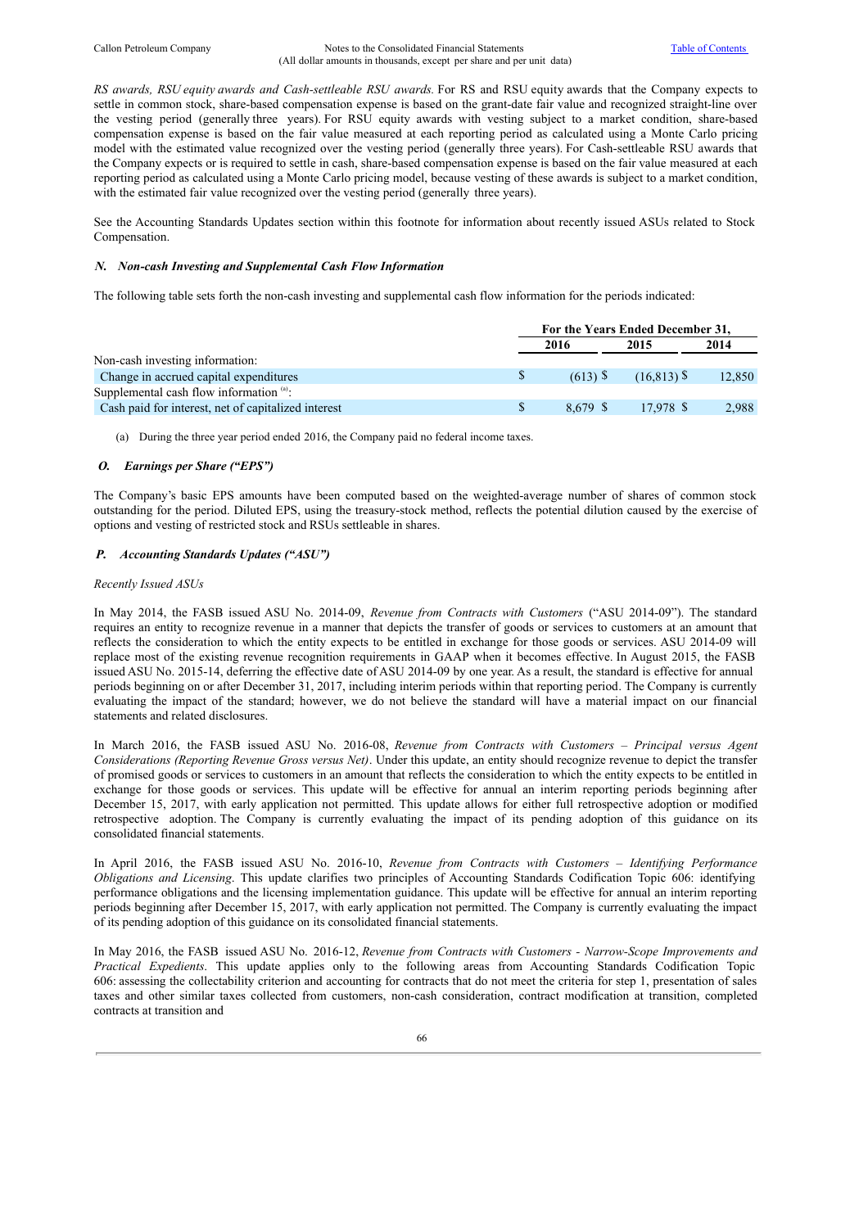*RS awards, RSU equity awards and Cash-settleable RSU awards.* For RS and RSU equity awards that the Company expects to settle in common stock, share-based compensation expense is based on the grant-date fair value and recognized straight-line over the vesting period (generally three years). For RSU equity awards with vesting subject to a market condition, share-based compensation expense is based on the fair value measured at each reporting period as calculated using a Monte Carlo pricing model with the estimated value recognized over the vesting period (generally three years). For Cash-settleable RSU awards that the Company expects or is required to settle in cash, share-based compensation expense is based on the fair value measured at each reporting period as calculated using a Monte Carlo pricing model, because vesting of these awards is subject to a market condition, with the estimated fair value recognized over the vesting period (generally three years).

See the Accounting Standards Updates section within this footnote for information about recently issued ASUs related to Stock Compensation.

### *N. Non-cash Investing and Supplemental Cash Flow Information*

The following table sets forth the non-cash investing and supplemental cash flow information for the periods indicated:

|                                                     |    | For the Years Ended December 31, |                |        |  |  |  |
|-----------------------------------------------------|----|----------------------------------|----------------|--------|--|--|--|
|                                                     |    | 2016                             | 2015           | 2014   |  |  |  |
| Non-cash investing information:                     |    |                                  |                |        |  |  |  |
| Change in accrued capital expenditures              | S. | $(613)$ \$                       | $(16, 813)$ \$ | 12,850 |  |  |  |
| Supplemental cash flow information $(4)$ :          |    |                                  |                |        |  |  |  |
| Cash paid for interest, net of capitalized interest | S. | 8.679 \$                         | 17.978 \$      | 2.988  |  |  |  |
|                                                     |    |                                  |                |        |  |  |  |

(a) During the three year period ended 2016, the Company paid no federal income taxes.

### *O. Earnings per Share ("EPS")*

The Company's basic EPS amounts have been computed based on the weighted-average number of shares of common stock outstanding for the period. Diluted EPS, using the treasury-stock method, reflects the potential dilution caused by the exercise of options and vesting of restricted stock and RSUs settleable in shares.

### *P. Accounting Standards Updates ("ASU")*

#### *Recently Issued ASUs*

In May 2014, the FASB issued ASU No. 2014-09, *Revenue from Contracts with Customers* ("ASU 2014-09"). The standard requires an entity to recognize revenue in a manner that depicts the transfer of goods or services to customers at an amount that reflects the consideration to which the entity expects to be entitled in exchange for those goods or services. ASU 2014-09 will replace most of the existing revenue recognition requirements in GAAP when it becomes effective. In August 2015, the FASB issued ASU No. 2015-14, deferring the effective date of ASU 2014-09 by one year. As a result, the standard is effective for annual periods beginning on or after December 31, 2017, including interim periods within that reporting period. The Company is currently evaluating the impact of the standard; however, we do not believe the standard will have a material impact on our financial statements and related disclosures.

In March 2016, the FASB issued ASU No. 2016-08, *Revenue from Contracts with Customers – Principal versus Agent Considerations (Reporting Revenue Gross versus Net)*. Under this update, an entity should recognize revenue to depict the transfer of promised goods or services to customers in an amount that reflects the consideration to which the entity expects to be entitled in exchange for those goods or services. This update will be effective for annual an interim reporting periods beginning after December 15, 2017, with early application not permitted. This update allows for either full retrospective adoption or modified retrospective adoption. The Company is currently evaluating the impact of its pending adoption of this guidance on its consolidated financial statements.

In April 2016, the FASB issued ASU No. 2016-10, *Revenue from Contracts with Customers – Identifying Performance Obligations and Licensing*. This update clarifies two principles of Accounting Standards Codification Topic 606: identifying performance obligations and the licensing implementation guidance. This update will be effective for annual an interim reporting periods beginning after December 15, 2017, with early application not permitted. The Company is currently evaluating the impact of its pending adoption of this guidance on its consolidated financial statements.

In May 2016, the FASB issued ASU No. 2016-12, *Revenue from Contracts with Customers - Narrow-Scope Improvements and Practical Expedients*. This update applies only to the following areas from Accounting Standards Codification Topic 606: assessing the collectability criterion and accounting for contracts that do not meet the criteria for step 1, presentation of sales taxes and other similar taxes collected from customers, non-cash consideration, contract modification at transition, completed contracts at transition and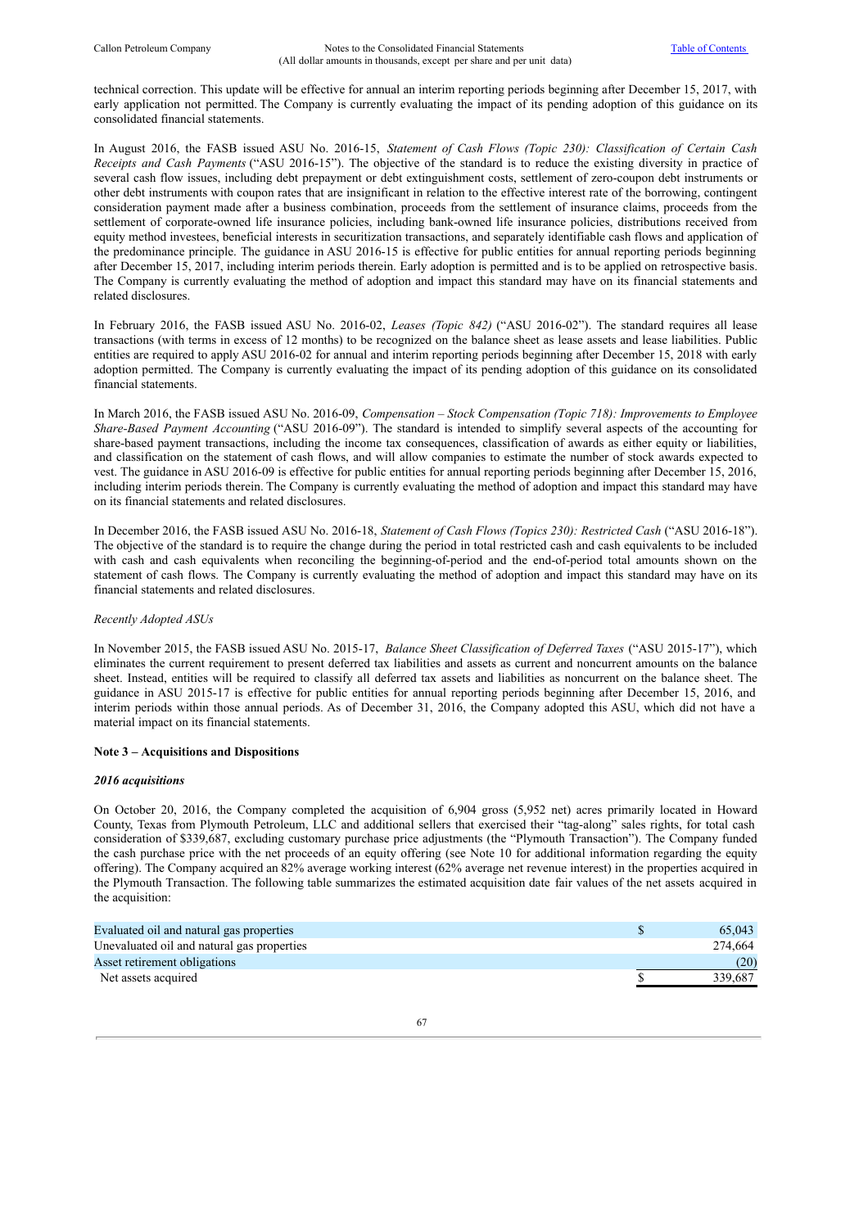technical correction. This update will be effective for annual an interim reporting periods beginning after December 15, 2017, with early application not permitted. The Company is currently evaluating the impact of its pending adoption of this guidance on its consolidated financial statements.

In August 2016, the FASB issued ASU No. 2016-15, *Statement of Cash Flows (Topic 230): Classification of Certain Cash Receipts and Cash Payments* ("ASU 2016-15"). The objective of the standard is to reduce the existing diversity in practice of several cash flow issues, including debt prepayment or debt extinguishment costs, settlement of zero-coupon debt instruments or other debt instruments with coupon rates that are insignificant in relation to the effective interest rate of the borrowing, contingent consideration payment made after a business combination, proceeds from the settlement of insurance claims, proceeds from the settlement of corporate-owned life insurance policies, including bank-owned life insurance policies, distributions received from equity method investees, beneficial interests in securitization transactions, and separately identifiable cash flows and application of the predominance principle. The guidance in ASU 2016-15 is effective for public entities for annual reporting periods beginning after December 15, 2017, including interim periods therein. Early adoption is permitted and is to be applied on retrospective basis. The Company is currently evaluating the method of adoption and impact this standard may have on its financial statements and related disclosures.

In February 2016, the FASB issued ASU No. 2016-02, *Leases (Topic 842)* ("ASU 2016-02"). The standard requires all lease transactions (with terms in excess of 12 months) to be recognized on the balance sheet as lease assets and lease liabilities. Public entities are required to apply ASU 2016-02 for annual and interim reporting periods beginning after December 15, 2018 with early adoption permitted. The Company is currently evaluating the impact of its pending adoption of this guidance on its consolidated financial statements.

In March 2016, the FASB issued ASU No. 2016-09, *Compensation – Stock Compensation (Topic 718): Improvements to Employee Share-Based Payment Accounting* ("ASU 2016-09"). The standard is intended to simplify several aspects of the accounting for share-based payment transactions, including the income tax consequences, classification of awards as either equity or liabilities, and classification on the statement of cash flows, and will allow companies to estimate the number of stock awards expected to vest. The guidance in ASU 2016-09 is effective for public entities for annual reporting periods beginning after December 15, 2016, including interim periods therein. The Company is currently evaluating the method of adoption and impact this standard may have on its financial statements and related disclosures.

In December 2016, the FASB issued ASU No. 2016-18, *Statement of Cash Flows (Topics 230): Restricted Cash* ("ASU 2016-18"). The objective of the standard is to require the change during the period in total restricted cash and cash equivalents to be included with cash and cash equivalents when reconciling the beginning-of-period and the end-of-period total amounts shown on the statement of cash flows. The Company is currently evaluating the method of adoption and impact this standard may have on its financial statements and related disclosures.

### *Recently Adopted ASUs*

In November 2015, the FASB issued ASU No. 2015-17, *Balance Sheet Classification of Deferred Taxes* ("ASU 2015-17"), which eliminates the current requirement to present deferred tax liabilities and assets as current and noncurrent amounts on the balance sheet. Instead, entities will be required to classify all deferred tax assets and liabilities as noncurrent on the balance sheet. The guidance in ASU 2015-17 is effective for public entities for annual reporting periods beginning after December 15, 2016, and interim periods within those annual periods. As of December 31, 2016, the Company adopted this ASU, which did not have a material impact on its financial statements.

# **Note 3 – Acquisitions and Dispositions**

### *2016 acquisitions*

On October 20, 2016, the Company completed the acquisition of 6,904 gross (5,952 net) acres primarily located in Howard County, Texas from Plymouth Petroleum, LLC and additional sellers that exercised their "tag-along" sales rights, for total cash consideration of \$339,687, excluding customary purchase price adjustments (the "Plymouth Transaction"). The Company funded the cash purchase price with the net proceeds of an equity offering (see Note 10 for additional information regarding the equity offering). The Company acquired an 82% average working interest (62% average net revenue interest) in the properties acquired in the Plymouth Transaction. The following table summarizes the estimated acquisition date fair values of the net assets acquired in the acquisition:

| Evaluated oil and natural gas properties   | 65,043  |
|--------------------------------------------|---------|
| Unevaluated oil and natural gas properties | 274,664 |
| Asset retirement obligations               | (20)    |
| Net assets acquired                        | 339,687 |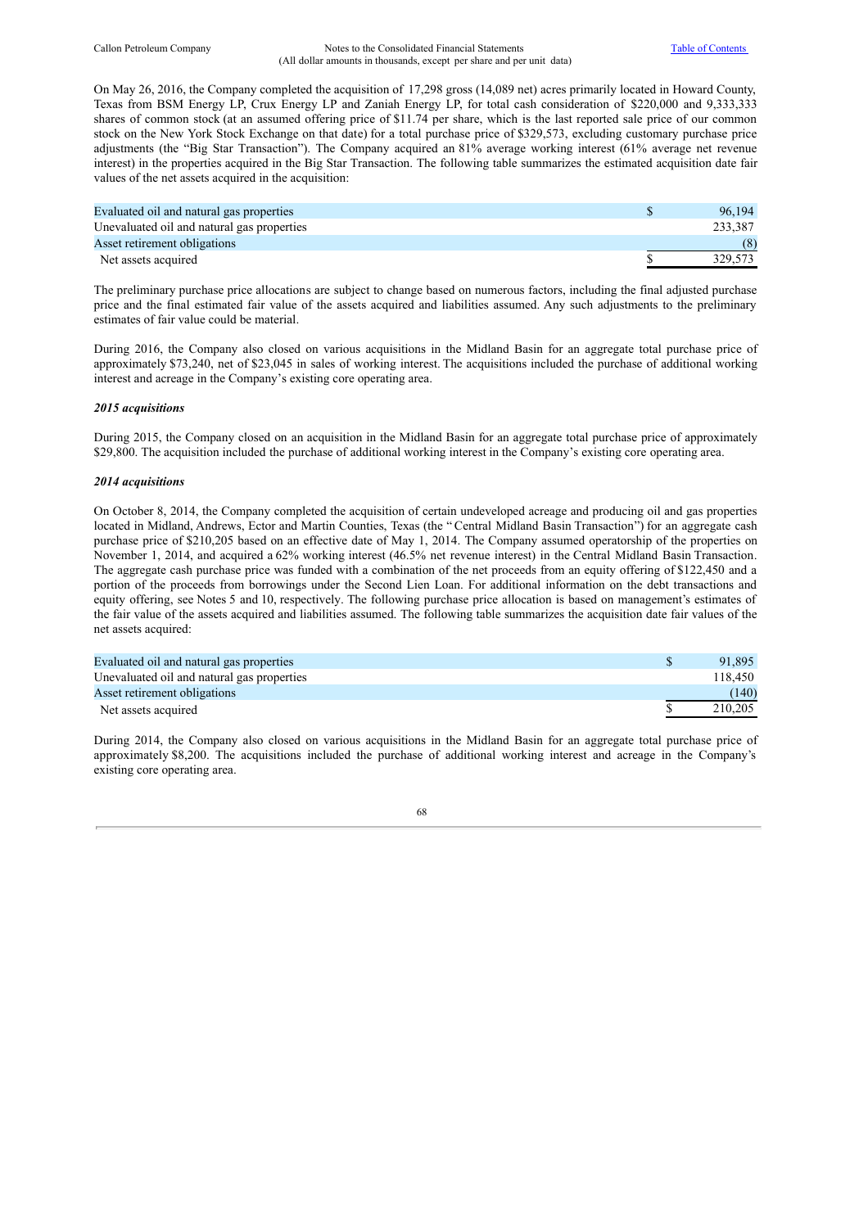On May 26, 2016, the Company completed the acquisition of 17,298 gross (14,089 net) acres primarily located in Howard County, Texas from BSM Energy LP, Crux Energy LP and Zaniah Energy LP, for total cash consideration of \$220,000 and 9,333,333 shares of common stock (at an assumed offering price of \$11.74 per share, which is the last reported sale price of our common stock on the New York Stock Exchange on that date) for a total purchase price of \$329,573, excluding customary purchase price adjustments (the "Big Star Transaction"). The Company acquired an 81% average working interest (61% average net revenue interest) in the properties acquired in the Big Star Transaction. The following table summarizes the estimated acquisition date fair values of the net assets acquired in the acquisition:

| Evaluated oil and natural gas properties   | 96.194  |
|--------------------------------------------|---------|
| Unevaluated oil and natural gas properties | 233,387 |
| Asset retirement obligations               | (8)     |
| Net assets acquired                        | 329,573 |

The preliminary purchase price allocations are subject to change based on numerous factors, including the final adjusted purchase price and the final estimated fair value of the assets acquired and liabilities assumed. Any such adjustments to the preliminary estimates of fair value could be material.

During 2016, the Company also closed on various acquisitions in the Midland Basin for an aggregate total purchase price of approximately \$73,240, net of \$23,045 in sales of working interest. The acquisitions included the purchase of additional working interest and acreage in the Company's existing core operating area.

#### *2015 acquisitions*

During 2015, the Company closed on an acquisition in the Midland Basin for an aggregate total purchase price of approximately \$29,800. The acquisition included the purchase of additional working interest in the Company's existing core operating area.

#### *2014 acquisitions*

On October 8, 2014, the Company completed the acquisition of certain undeveloped acreage and producing oil and gas properties located in Midland, Andrews, Ector and Martin Counties, Texas (the " Central Midland Basin Transaction") for an aggregate cash purchase price of \$210,205 based on an effective date of May 1, 2014. The Company assumed operatorship of the properties on November 1, 2014, and acquired a 62% working interest (46.5% net revenue interest) in the Central Midland Basin Transaction. The aggregate cash purchase price was funded with a combination of the net proceeds from an equity offering of \$122,450 and a portion of the proceeds from borrowings under the Second Lien Loan. For additional information on the debt transactions and equity offering, see Notes 5 and 10, respectively. The following purchase price allocation is based on management's estimates of the fair value of the assets acquired and liabilities assumed. The following table summarizes the acquisition date fair values of the net assets acquired:

| Evaluated oil and natural gas properties   | 91.895  |
|--------------------------------------------|---------|
| Unevaluated oil and natural gas properties | 118,450 |
| Asset retirement obligations               | (140)   |
| Net assets acquired                        | 210.205 |

During 2014, the Company also closed on various acquisitions in the Midland Basin for an aggregate total purchase price of approximately \$8,200. The acquisitions included the purchase of additional working interest and acreage in the Company's existing core operating area.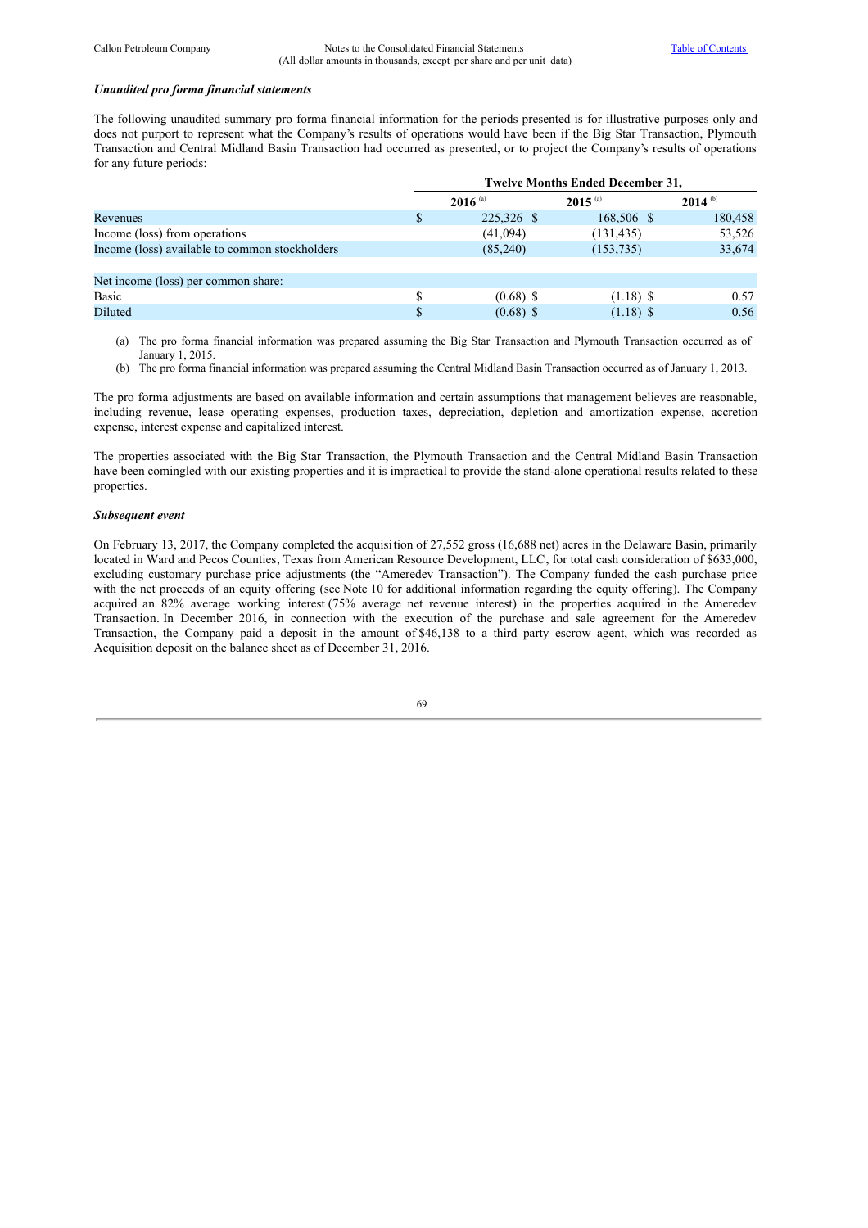### *Unaudited pro forma financial statements*

The following unaudited summary pro forma financial information for the periods presented is for illustrative purposes only and does not purport to represent what the Company's results of operations would have been if the Big Star Transaction, Plymouth Transaction and Central Midland Basin Transaction had occurred as presented, or to project the Company's results of operations for any future periods:

|                                                | <b>Twelve Months Ended December 31,</b> |             |              |              |  |  |  |  |
|------------------------------------------------|-----------------------------------------|-------------|--------------|--------------|--|--|--|--|
|                                                |                                         | $2016$ (a)  | $2015^{(a)}$ | $2014^{(b)}$ |  |  |  |  |
| Revenues                                       |                                         | 225,326 \$  | 168,506 \$   | 180,458      |  |  |  |  |
| Income (loss) from operations                  |                                         | (41,094)    | (131, 435)   | 53,526       |  |  |  |  |
| Income (loss) available to common stockholders |                                         | (85,240)    | (153, 735)   | 33,674       |  |  |  |  |
|                                                |                                         |             |              |              |  |  |  |  |
| Net income (loss) per common share:            |                                         |             |              |              |  |  |  |  |
| Basic                                          | \$                                      | $(0.68)$ \$ | $(1.18)$ \$  | 0.57         |  |  |  |  |
| Diluted                                        | \$                                      | $(0.68)$ \$ | $(1.18)$ \$  | 0.56         |  |  |  |  |

- (a) The pro forma financial information was prepared assuming the Big Star Transaction and Plymouth Transaction occurred as of January 1, 2015.
- (b) The pro forma financial information was prepared assuming the Central Midland Basin Transaction occurred as of January 1, 2013.

The pro forma adjustments are based on available information and certain assumptions that management believes are reasonable, including revenue, lease operating expenses, production taxes, depreciation, depletion and amortization expense, accretion expense, interest expense and capitalized interest.

The properties associated with the Big Star Transaction, the Plymouth Transaction and the Central Midland Basin Transaction have been comingled with our existing properties and it is impractical to provide the stand-alone operational results related to these properties.

### *Subsequent event*

On February 13, 2017, the Company completed the acquisition of 27,552 gross (16,688 net) acres in the Delaware Basin, primarily located in Ward and Pecos Counties, Texas from American Resource Development, LLC, for total cash consideration of \$633,000, excluding customary purchase price adjustments (the "Ameredev Transaction"). The Company funded the cash purchase price with the net proceeds of an equity offering (see Note 10 for additional information regarding the equity offering). The Company acquired an 82% average working interest (75% average net revenue interest) in the properties acquired in the Ameredev Transaction. In December 2016, in connection with the execution of the purchase and sale agreement for the Ameredev Transaction, the Company paid a deposit in the amount of \$46,138 to a third party escrow agent, which was recorded as Acquisition deposit on the balance sheet as of December 31, 2016.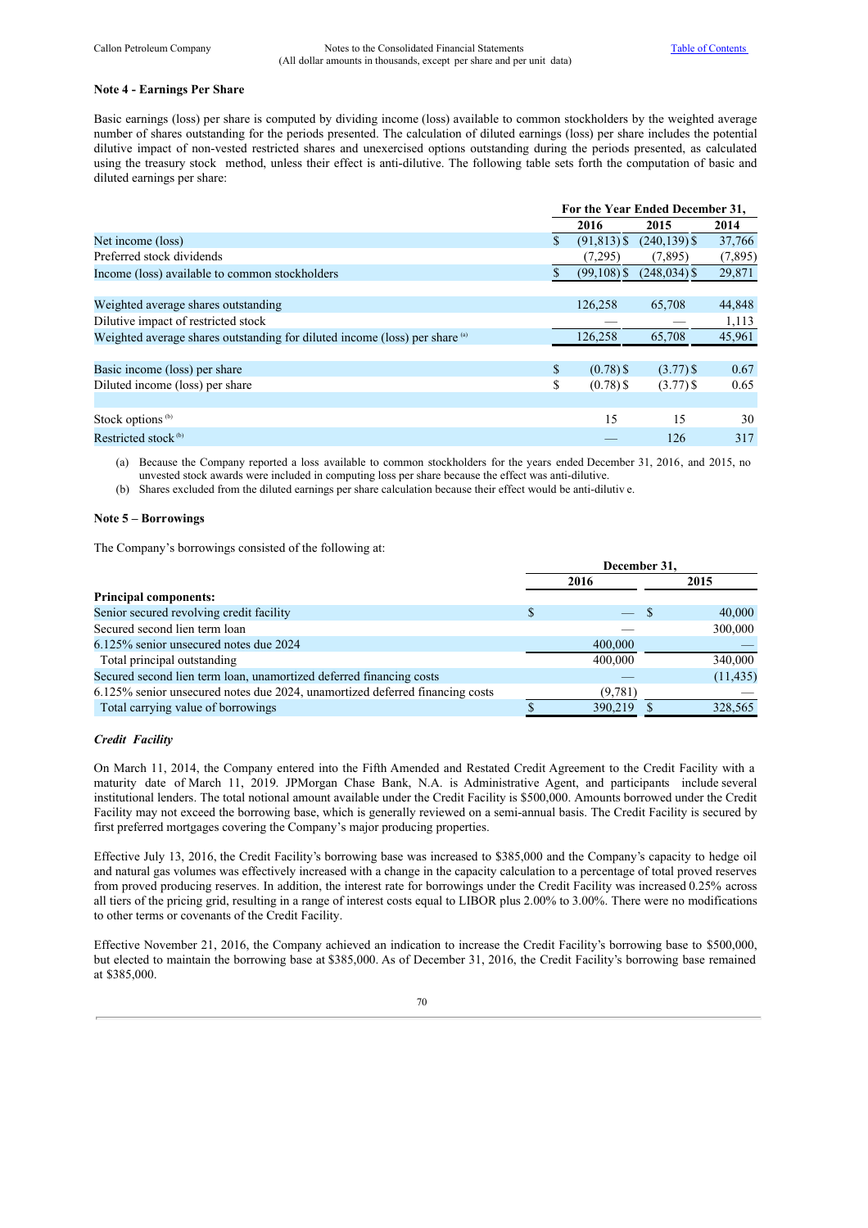# **Note 4 - Earnings Per Share**

Basic earnings (loss) per share is computed by dividing income (loss) available to common stockholders by the weighted average number of shares outstanding for the periods presented. The calculation of diluted earnings (loss) per share includes the potential dilutive impact of non-vested restricted shares and unexercised options outstanding during the periods presented, as calculated using the treasury stock method, unless their effect is anti-dilutive. The following table sets forth the computation of basic and diluted earnings per share:

|                                                                                        |               |                | For the Year Ended December 31, |         |
|----------------------------------------------------------------------------------------|---------------|----------------|---------------------------------|---------|
|                                                                                        |               | 2016           | 2015                            | 2014    |
| Net income (loss)                                                                      | $\mathcal{S}$ | $(91, 813)$ \$ | $(240, 139)$ \$                 | 37,766  |
| Preferred stock dividends                                                              |               | (7,295)        | (7,895)                         | (7,895) |
| Income (loss) available to common stockholders                                         |               | $(99,108)$ \$  | $(248, 034)$ \$                 | 29,871  |
|                                                                                        |               |                |                                 |         |
| Weighted average shares outstanding                                                    |               | 126,258        | 65,708                          | 44,848  |
| Dilutive impact of restricted stock                                                    |               |                |                                 | 1,113   |
| Weighted average shares outstanding for diluted income (loss) per share <sup>(a)</sup> |               | 126,258        | 65,708                          | 45,961  |
|                                                                                        |               |                |                                 |         |
| Basic income (loss) per share                                                          | \$            | $(0.78)$ \$    | $(3.77)$ \$                     | 0.67    |
| Diluted income (loss) per share                                                        | \$            | $(0.78)$ \$    | $(3.77)$ \$                     | 0.65    |
|                                                                                        |               |                |                                 |         |
| Stock options $(b)$                                                                    |               | 15             | 15                              | 30      |
| Restricted stock <sup>(b)</sup>                                                        |               |                | 126                             | 317     |

(a) Because the Company reported a loss available to common stockholders for the years ended December 31, 2016, and 2015, no unvested stock awards were included in computing loss per share because the effect was anti-dilutive.

(b) Shares excluded from the diluted earnings per share calculation because their effect would be anti-dilutiv e.

## **Note 5 – Borrowings**

The Company's borrowings consisted of the following at:

|                                                                              | December 31, |          |  |           |  |  |
|------------------------------------------------------------------------------|--------------|----------|--|-----------|--|--|
|                                                                              | 2016         |          |  | 2015      |  |  |
| <b>Principal components:</b>                                                 |              |          |  |           |  |  |
| Senior secured revolving credit facility                                     |              | $-$ S    |  | 40,000    |  |  |
| Secured second lien term loan                                                |              |          |  | 300,000   |  |  |
| 6.125% senior unsecured notes due 2024                                       |              | 400,000  |  |           |  |  |
| Total principal outstanding                                                  |              | 400,000  |  | 340,000   |  |  |
| Secured second lien term loan, unamortized deferred financing costs          |              |          |  | (11, 435) |  |  |
| 6.125% senior unsecured notes due 2024, unamortized deferred financing costs |              | (9, 781) |  |           |  |  |
| Total carrying value of borrowings                                           |              | 390,219  |  | 328,565   |  |  |

### *Credit Facility*

On March 11, 2014, the Company entered into the Fifth Amended and Restated Credit Agreement to the Credit Facility with a maturity date of March 11, 2019. JPMorgan Chase Bank, N.A. is Administrative Agent, and participants include several institutional lenders. The total notional amount available under the Credit Facility is \$500,000. Amounts borrowed under the Credit Facility may not exceed the borrowing base, which is generally reviewed on a semi-annual basis. The Credit Facility is secured by first preferred mortgages covering the Company's major producing properties.

Effective July 13, 2016, the Credit Facility's borrowing base was increased to \$385,000 and the Company's capacity to hedge oil and natural gas volumes was effectively increased with a change in the capacity calculation to a percentage of total proved reserves from proved producing reserves. In addition, the interest rate for borrowings under the Credit Facility was increased 0.25% across all tiers of the pricing grid, resulting in a range of interest costs equal to LIBOR plus 2.00% to 3.00%. There were no modifications to other terms or covenants of the Credit Facility.

Effective November 21, 2016, the Company achieved an indication to increase the Credit Facility's borrowing base to \$500,000, but elected to maintain the borrowing base at \$385,000. As of December 31, 2016, the Credit Facility's borrowing base remained at \$385,000.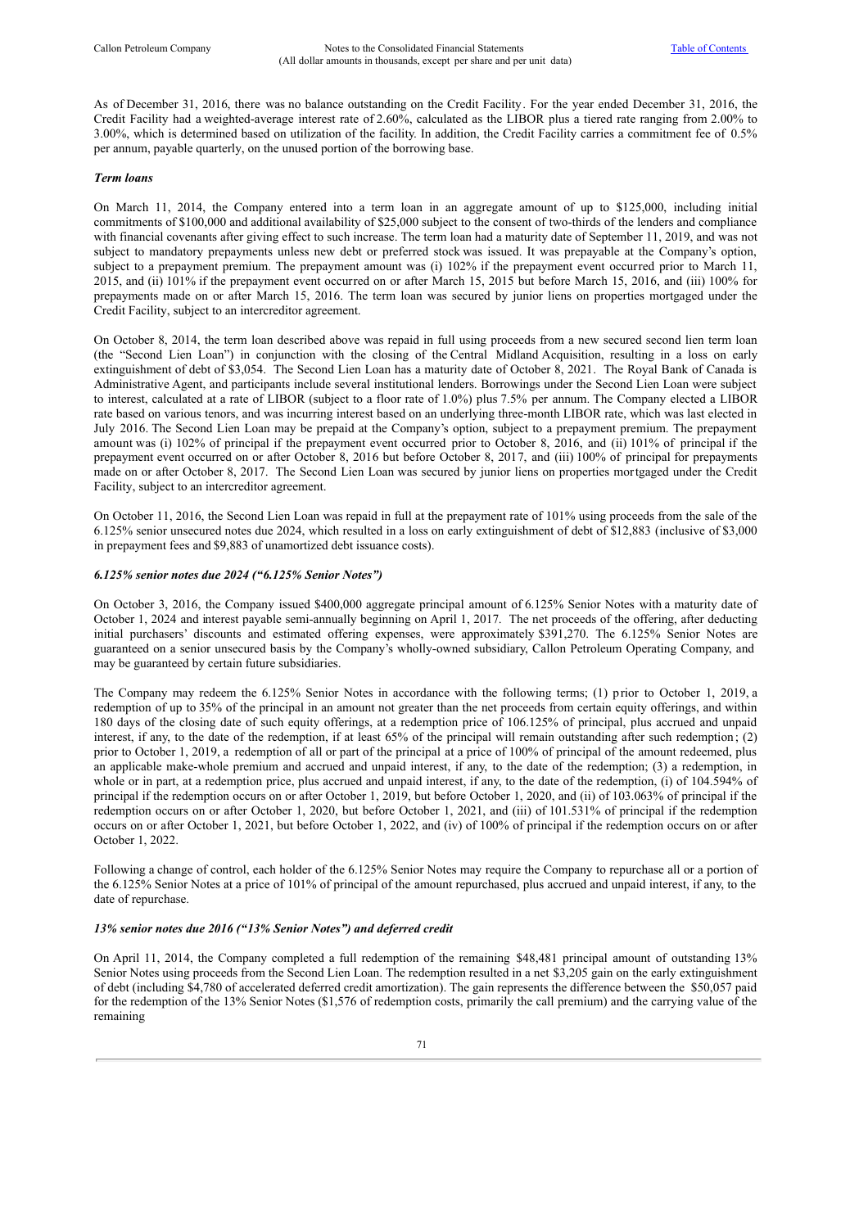As of December 31, 2016, there was no balance outstanding on the Credit Facility. For the year ended December 31, 2016, the Credit Facility had a weighted-average interest rate of 2.60%, calculated as the LIBOR plus a tiered rate ranging from 2.00% to 3.00%, which is determined based on utilization of the facility. In addition, the Credit Facility carries a commitment fee of 0.5% per annum, payable quarterly, on the unused portion of the borrowing base.

#### *Term loans*

On March 11, 2014, the Company entered into a term loan in an aggregate amount of up to \$125,000, including initial commitments of \$100,000 and additional availability of \$25,000 subject to the consent of two-thirds of the lenders and compliance with financial covenants after giving effect to such increase. The term loan had a maturity date of September 11, 2019, and was not subject to mandatory prepayments unless new debt or preferred stock was issued. It was prepayable at the Company's option, subject to a prepayment premium. The prepayment amount was (i) 102% if the prepayment event occurred prior to March 11, 2015, and (ii) 101% if the prepayment event occurred on or after March 15, 2015 but before March 15, 2016, and (iii) 100% for prepayments made on or after March 15, 2016. The term loan was secured by junior liens on properties mortgaged under the Credit Facility, subject to an intercreditor agreement.

On October 8, 2014, the term loan described above was repaid in full using proceeds from a new secured second lien term loan (the "Second Lien Loan") in conjunction with the closing of the Central Midland Acquisition, resulting in a loss on early extinguishment of debt of \$3,054. The Second Lien Loan has a maturity date of October 8, 2021. The Royal Bank of Canada is Administrative Agent, and participants include several institutional lenders. Borrowings under the Second Lien Loan were subject to interest, calculated at a rate of LIBOR (subject to a floor rate of 1.0%) plus 7.5% per annum. The Company elected a LIBOR rate based on various tenors, and was incurring interest based on an underlying three-month LIBOR rate, which was last elected in July 2016. The Second Lien Loan may be prepaid at the Company's option, subject to a prepayment premium. The prepayment amount was (i) 102% of principal if the prepayment event occurred prior to October 8, 2016, and (ii) 101% of principal if the prepayment event occurred on or after October 8, 2016 but before October 8, 2017, and (iii) 100% of principal for prepayments made on or after October 8, 2017. The Second Lien Loan was secured by junior liens on properties mortgaged under the Credit Facility, subject to an intercreditor agreement.

On October 11, 2016, the Second Lien Loan was repaid in full at the prepayment rate of 101% using proceeds from the sale of the 6.125% senior unsecured notes due 2024, which resulted in a loss on early extinguishment of debt of \$12,883 (inclusive of \$3,000 in prepayment fees and \$9,883 of unamortized debt issuance costs).

#### *6.125% senior notes due 2024 ("6.125% Senior Notes")*

On October 3, 2016, the Company issued \$400,000 aggregate principal amount of 6.125% Senior Notes with a maturity date of October 1, 2024 and interest payable semi-annually beginning on April 1, 2017. The net proceeds of the offering, after deducting initial purchasers' discounts and estimated offering expenses, were approximately \$391,270. The 6.125% Senior Notes are guaranteed on a senior unsecured basis by the Company's wholly-owned subsidiary, Callon Petroleum Operating Company, and may be guaranteed by certain future subsidiaries.

The Company may redeem the 6.125% Senior Notes in accordance with the following terms; (1) prior to October 1, 2019, a redemption of up to 35% of the principal in an amount not greater than the net proceeds from certain equity offerings, and within 180 days of the closing date of such equity offerings, at a redemption price of 106.125% of principal, plus accrued and unpaid interest, if any, to the date of the redemption, if at least 65% of the principal will remain outstanding after such redemption; (2) prior to October 1, 2019, a redemption of all or part of the principal at a price of 100% of principal of the amount redeemed, plus an applicable make-whole premium and accrued and unpaid interest, if any, to the date of the redemption; (3) a redemption, in whole or in part, at a redemption price, plus accrued and unpaid interest, if any, to the date of the redemption, (i) of 104.594% of principal if the redemption occurs on or after October 1, 2019, but before October 1, 2020, and (ii) of 103.063% of principal if the redemption occurs on or after October 1, 2020, but before October 1, 2021, and (iii) of 101.531% of principal if the redemption occurs on or after October 1, 2021, but before October 1, 2022, and (iv) of 100% of principal if the redemption occurs on or after October 1, 2022.

Following a change of control, each holder of the 6.125% Senior Notes may require the Company to repurchase all or a portion of the 6.125% Senior Notes at a price of 101% of principal of the amount repurchased, plus accrued and unpaid interest, if any, to the date of repurchase.

#### *13% senior notes due 2016 ("13% Senior Notes") and deferred credit*

On April 11, 2014, the Company completed a full redemption of the remaining \$48,481 principal amount of outstanding 13% Senior Notes using proceeds from the Second Lien Loan. The redemption resulted in a net \$3,205 gain on the early extinguishment of debt (including \$4,780 of accelerated deferred credit amortization). The gain represents the difference between the \$50,057 paid for the redemption of the 13% Senior Notes (\$1,576 of redemption costs, primarily the call premium) and the carrying value of the remaining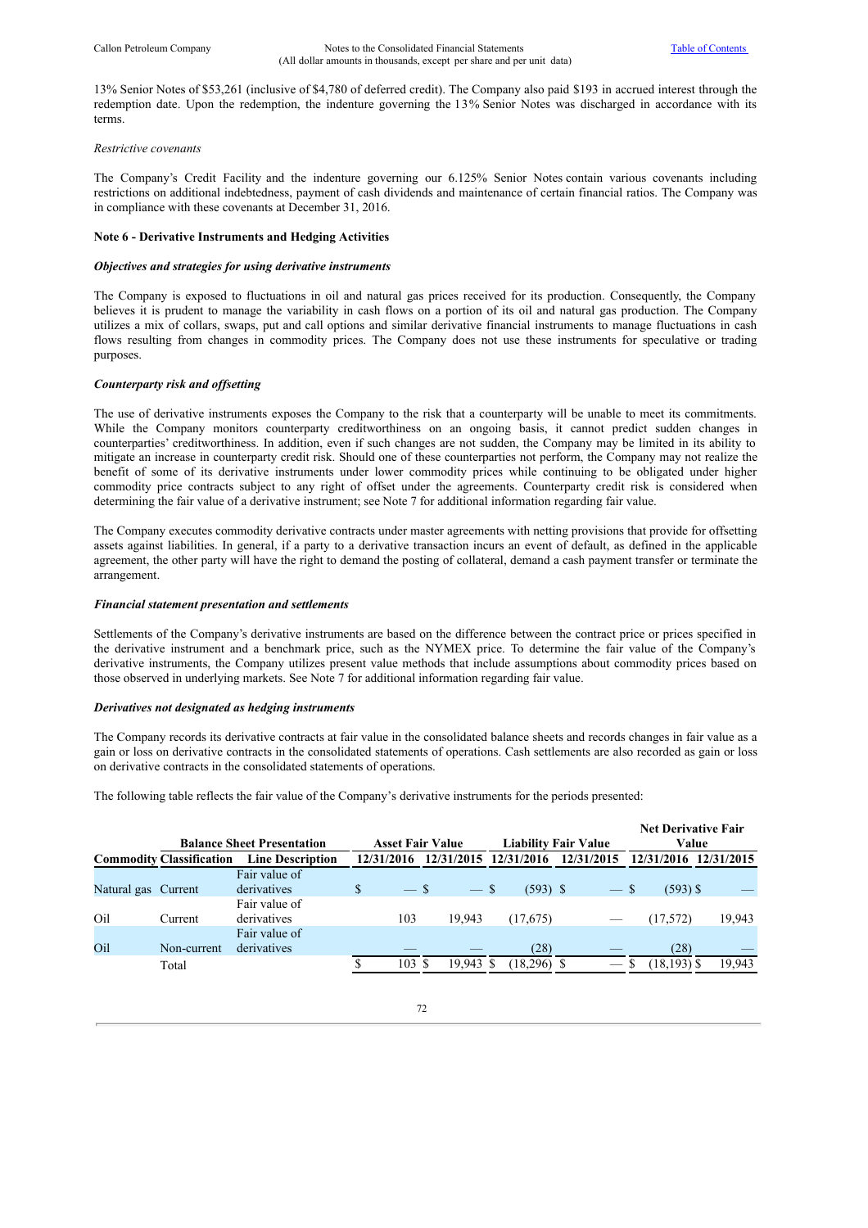13% Senior Notes of \$53,261 (inclusive of \$4,780 of deferred credit). The Company also paid \$193 in accrued interest through the redemption date. Upon the redemption, the indenture governing the 13% Senior Notes was discharged in accordance with its terms.

## *Restrictive covenants*

The Company's Credit Facility and the indenture governing our 6.125% Senior Notes contain various covenants including restrictions on additional indebtedness, payment of cash dividends and maintenance of certain financial ratios. The Company was in compliance with these covenants at December 31, 2016.

### **Note 6 - Derivative Instruments and Hedging Activities**

### *Objectives and strategies for using derivative instruments*

The Company is exposed to fluctuations in oil and natural gas prices received for its production. Consequently, the Company believes it is prudent to manage the variability in cash flows on a portion of its oil and natural gas production. The Company utilizes a mix of collars, swaps, put and call options and similar derivative financial instruments to manage fluctuations in cash flows resulting from changes in commodity prices. The Company does not use these instruments for speculative or trading purposes.

### *Counterparty risk and of setting*

The use of derivative instruments exposes the Company to the risk that a counterparty will be unable to meet its commitments. While the Company monitors counterparty creditworthiness on an ongoing basis, it cannot predict sudden changes in counterparties' creditworthiness. In addition, even if such changes are not sudden, the Company may be limited in its ability to mitigate an increase in counterparty credit risk. Should one of these counterparties not perform, the Company may not realize the benefit of some of its derivative instruments under lower commodity prices while continuing to be obligated under higher commodity price contracts subject to any right of offset under the agreements. Counterparty credit risk is considered when determining the fair value of a derivative instrument; see Note 7 for additional information regarding fair value.

The Company executes commodity derivative contracts under master agreements with netting provisions that provide for offsetting assets against liabilities. In general, if a party to a derivative transaction incurs an event of default, as defined in the applicable agreement, the other party will have the right to demand the posting of collateral, demand a cash payment transfer or terminate the arrangement.

### *Financial statement presentation and settlements*

Settlements of the Company's derivative instruments are based on the difference between the contract price or prices specified in the derivative instrument and a benchmark price, such as the NYMEX price. To determine the fair value of the Company's derivative instruments, the Company utilizes present value methods that include assumptions about commodity prices based on those observed in underlying markets. See Note 7 for additional information regarding fair value.

#### *Derivatives not designated as hedging instruments*

The Company records its derivative contracts at fair value in the consolidated balance sheets and records changes in fair value as a gain or loss on derivative contracts in the consolidated statements of operations. Cash settlements are also recorded as gain or loss on derivative contracts in the consolidated statements of operations.

The following table reflects the fair value of the Company's derivative instruments for the periods presented:

|                     | <b>Balance Sheet Presentation</b> | <b>Asset Fair Value</b> |            |        |            | <b>Liability Fair Value</b> |               |            | <b>Net Derivative Fair</b><br>Value |                |                       |  |
|---------------------|-----------------------------------|-------------------------|------------|--------|------------|-----------------------------|---------------|------------|-------------------------------------|----------------|-----------------------|--|
|                     | <b>Commodity Classification</b>   | <b>Line Description</b> | 12/31/2016 |        | 12/31/2015 |                             |               | 12/31/2016 |                                     | 12/31/2015     | 12/31/2016 12/31/2015 |  |
|                     |                                   | Fair value of           |            |        |            |                             |               |            |                                     |                |                       |  |
| Natural gas Current |                                   | derivatives             |            | $-$ \$ | $-$ \$     |                             | $(593)$ \$    |            | $-$ S                               | $(593)$ \$     |                       |  |
|                     |                                   | Fair value of           |            |        |            |                             |               |            |                                     |                |                       |  |
| Oil                 | Current                           | derivatives             |            | 103    | 19.943     |                             | (17,675)      |            |                                     | (17, 572)      | 19,943                |  |
|                     |                                   | Fair value of           |            |        |            |                             |               |            |                                     |                |                       |  |
| Oil                 | Non-current                       | derivatives             |            |        |            |                             | (28)          |            |                                     | (28)           |                       |  |
|                     | Total                             |                         |            | 103S   | 19.943     |                             | $(18.296)$ \$ |            | $\hspace{0.05cm}$                   | $(18, 193)$ \$ | 19.943                |  |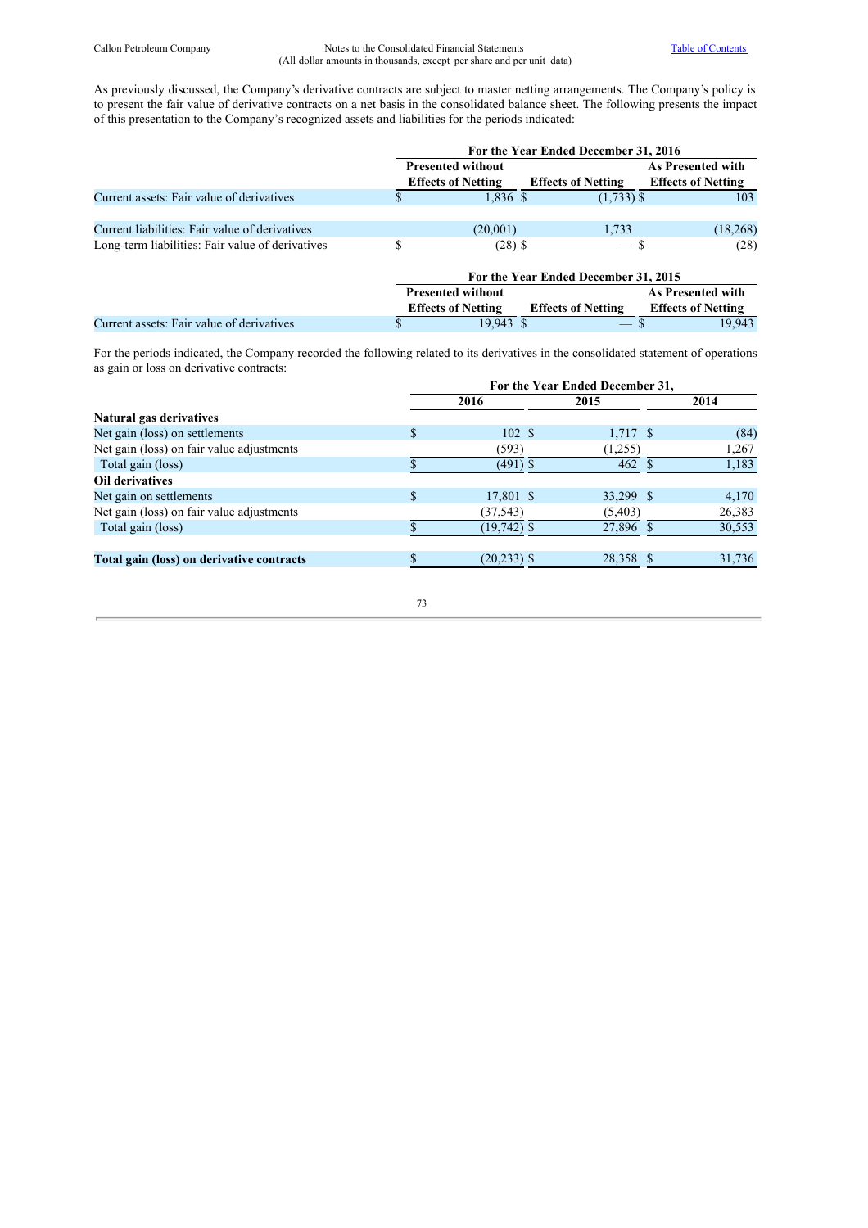As previously discussed, the Company's derivative contracts are subject to master netting arrangements. The Company's policy is to present the fair value of derivative contracts on a net basis in the consolidated balance sheet. The following presents the impact of this presentation to the Company's recognized assets and liabilities for the periods indicated:

|                                                  | For the Year Ended December 31, 2016 |                           |                           |                           |  |  |
|--------------------------------------------------|--------------------------------------|---------------------------|---------------------------|---------------------------|--|--|
|                                                  |                                      | <b>Presented without</b>  |                           | <b>As Presented with</b>  |  |  |
|                                                  |                                      | <b>Effects of Netting</b> | <b>Effects of Netting</b> | <b>Effects of Netting</b> |  |  |
| Current assets: Fair value of derivatives        |                                      | 1.836 \$                  | $(1,733)$ \$              | 103                       |  |  |
|                                                  |                                      |                           |                           |                           |  |  |
| Current liabilities: Fair value of derivatives   |                                      | (20,001)                  | 1,733                     | (18, 268)                 |  |  |
| Long-term liabilities: Fair value of derivatives |                                      | $(28)$ \$                 | $-$ \$                    | (28)                      |  |  |

|                                           | For the Year Ended December 31, 2015 |                           |                           |                           |  |
|-------------------------------------------|--------------------------------------|---------------------------|---------------------------|---------------------------|--|
|                                           |                                      | <b>Presented without</b>  |                           | As Presented with         |  |
|                                           |                                      | <b>Effects of Netting</b> | <b>Effects of Netting</b> | <b>Effects of Netting</b> |  |
| Current assets: Fair value of derivatives |                                      | $19.943$ \$               |                           | 19.943                    |  |

For the periods indicated, the Company recorded the following related to its derivatives in the consolidated statement of operations as gain or loss on derivative contracts:

| For the Year Ended December 31, |                                                                        |  |  |  |
|---------------------------------|------------------------------------------------------------------------|--|--|--|
|                                 | 2014                                                                   |  |  |  |
|                                 |                                                                        |  |  |  |
|                                 | (84)                                                                   |  |  |  |
|                                 | 1,267                                                                  |  |  |  |
| 462 \$                          | 1,183                                                                  |  |  |  |
|                                 |                                                                        |  |  |  |
|                                 | 4,170                                                                  |  |  |  |
|                                 | 26,383                                                                 |  |  |  |
|                                 | 30,553                                                                 |  |  |  |
|                                 |                                                                        |  |  |  |
|                                 | 31,736                                                                 |  |  |  |
|                                 | 1,717 \$<br>(1,255)<br>33,299 \$<br>(5, 403)<br>27,896 \$<br>28,358 \$ |  |  |  |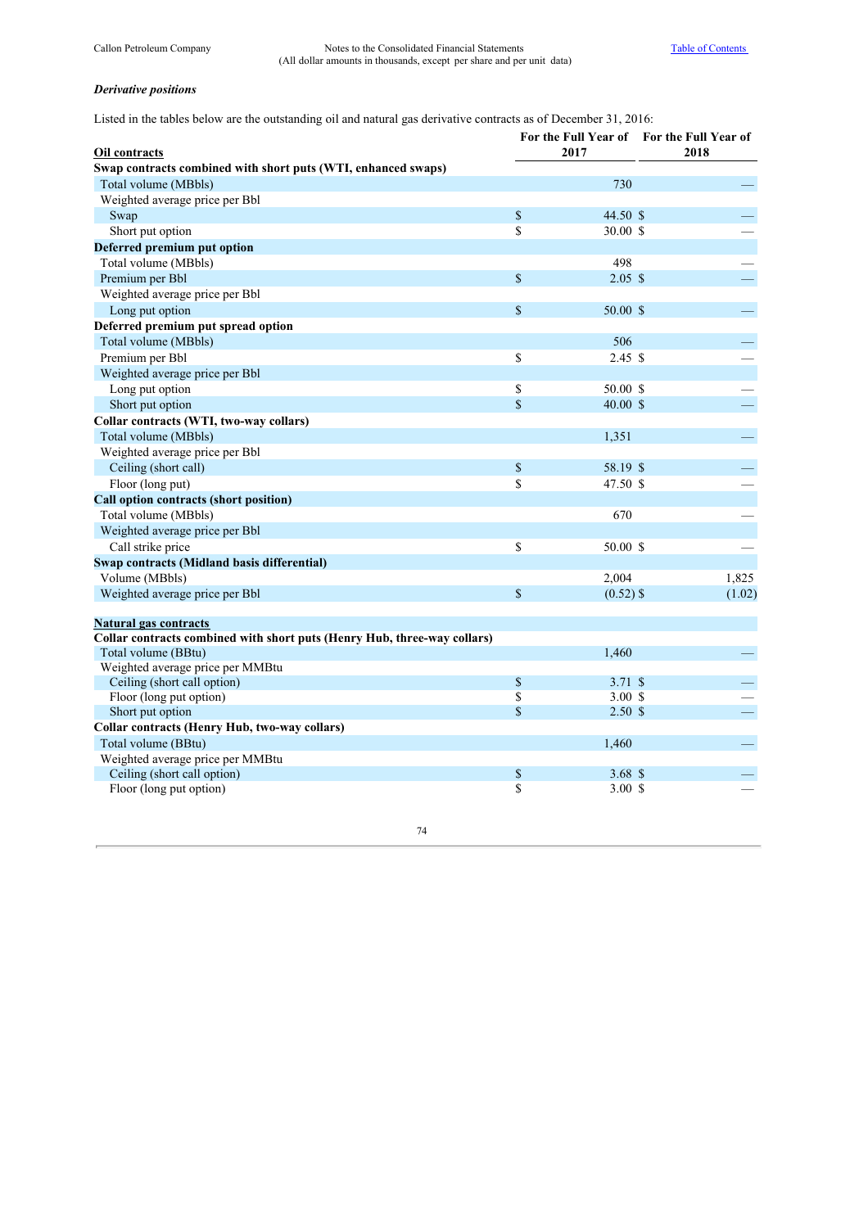# *Derivative positions*

Listed in the tables below are the outstanding oil and natural gas derivative contracts as of December 31, 2016:

| Oil contracts                                                            |             | 2017               | For the Full Year of For the Full Year of<br>2018 |
|--------------------------------------------------------------------------|-------------|--------------------|---------------------------------------------------|
| Swap contracts combined with short puts (WTI, enhanced swaps)            |             |                    |                                                   |
| Total volume (MBbls)                                                     |             | 730                |                                                   |
| Weighted average price per Bbl                                           |             |                    |                                                   |
| Swap                                                                     | \$          | 44.50 \$           |                                                   |
| Short put option                                                         | \$          | 30.00~\$           |                                                   |
| Deferred premium put option                                              |             |                    |                                                   |
| Total volume (MBbls)                                                     |             | 498                |                                                   |
| Premium per Bbl                                                          | $\mathbf S$ | $2.05$ \$          |                                                   |
| Weighted average price per Bbl                                           |             |                    |                                                   |
| Long put option                                                          | \$          | 50.00 \$           |                                                   |
| Deferred premium put spread option                                       |             |                    |                                                   |
| Total volume (MBbls)                                                     |             | 506                |                                                   |
| Premium per Bbl                                                          | \$          | $2.45 \text{ }$ \$ |                                                   |
| Weighted average price per Bbl                                           |             |                    |                                                   |
| Long put option                                                          | \$          | 50.00 \$           |                                                   |
| Short put option                                                         | \$          | $40.00 \text{ s}$  |                                                   |
| Collar contracts (WTI, two-way collars)                                  |             |                    |                                                   |
| Total volume (MBbls)                                                     |             | 1,351              |                                                   |
| Weighted average price per Bbl                                           |             |                    |                                                   |
| Ceiling (short call)                                                     | \$          | 58.19 \$           |                                                   |
| Floor (long put)                                                         | \$          | 47.50 \$           |                                                   |
| Call option contracts (short position)                                   |             |                    |                                                   |
| Total volume (MBbls)                                                     |             | 670                |                                                   |
| Weighted average price per Bbl                                           |             |                    |                                                   |
| Call strike price                                                        | \$          | 50.00 \$           |                                                   |
| Swap contracts (Midland basis differential)                              |             |                    |                                                   |
| Volume (MBbls)                                                           |             | 2,004              | 1,825                                             |
| Weighted average price per Bbl                                           | \$          | $(0.52)$ \$        | (1.02)                                            |
|                                                                          |             |                    |                                                   |
| <b>Natural gas contracts</b>                                             |             |                    |                                                   |
| Collar contracts combined with short puts (Henry Hub, three-way collars) |             |                    |                                                   |
| Total volume (BBtu)                                                      |             | 1,460              |                                                   |
| Weighted average price per MMBtu                                         |             |                    |                                                   |
| Ceiling (short call option)                                              | \$          | 3.71S              |                                                   |
| Floor (long put option)                                                  | \$          | 3.00S              |                                                   |
| Short put option                                                         | \$          | 2.50 <sub>8</sub>  |                                                   |
| Collar contracts (Henry Hub, two-way collars)                            |             |                    |                                                   |
| Total volume (BBtu)                                                      |             | 1,460              |                                                   |
| Weighted average price per MMBtu                                         |             |                    |                                                   |
| Ceiling (short call option)<br>Floor (long put option)                   | \$<br>\$    | 3.68S<br>3.00S     |                                                   |
|                                                                          |             |                    |                                                   |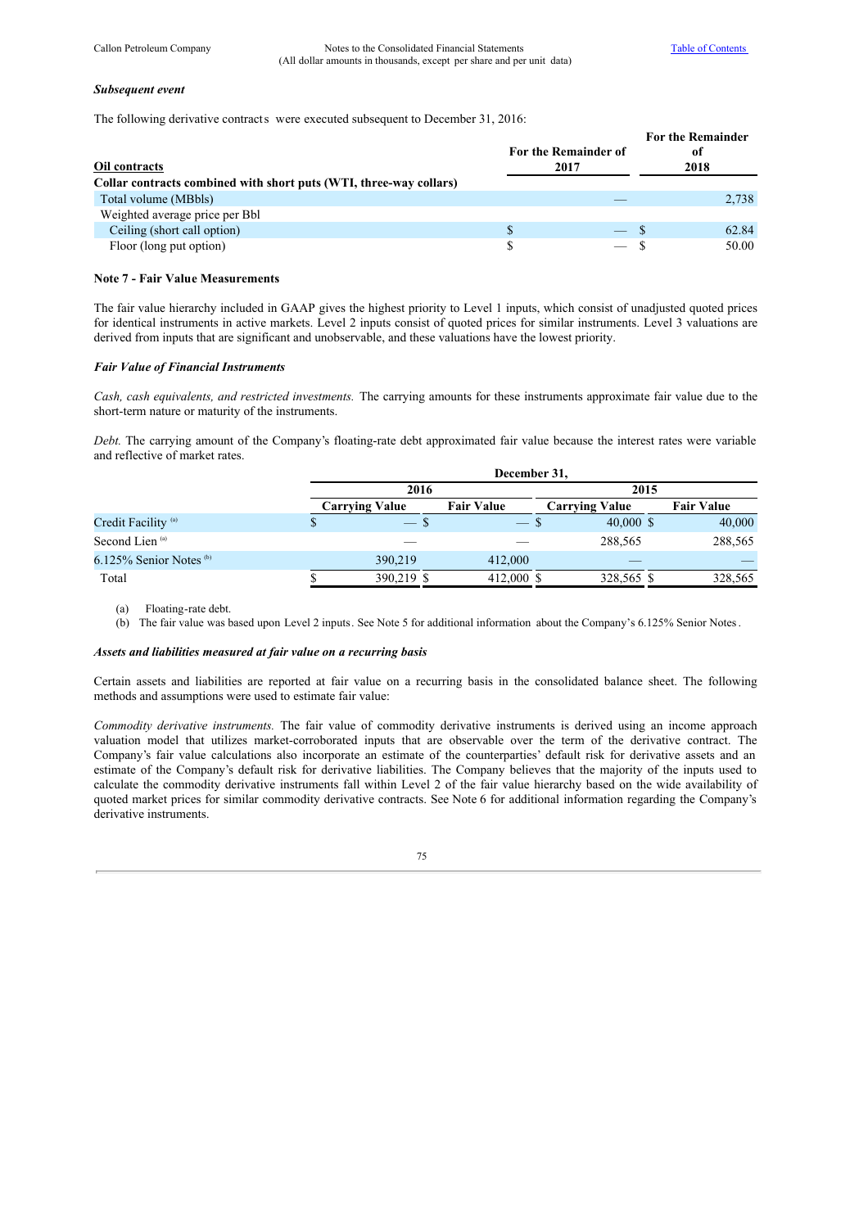# *Subsequent event*

The following derivative contracts were executed subsequent to December 31, 2016:

| Oil contracts                                                      | For the Remainder of<br>2017 |                          | For the Remainder<br>оf<br>2018 |
|--------------------------------------------------------------------|------------------------------|--------------------------|---------------------------------|
| Collar contracts combined with short puts (WTI, three-way collars) |                              |                          |                                 |
| Total volume (MBbls)                                               |                              |                          | 2.738                           |
| Weighted average price per Bbl                                     |                              |                          |                                 |
| Ceiling (short call option)                                        |                              | $-$ S                    | 62.84                           |
| Floor (long put option)                                            |                              | $\overline{\phantom{a}}$ | 50.00                           |

# **Note 7 - Fair Value Measurements**

The fair value hierarchy included in GAAP gives the highest priority to Level 1 inputs, which consist of unadjusted quoted prices for identical instruments in active markets. Level 2 inputs consist of quoted prices for similar instruments. Level 3 valuations are derived from inputs that are significant and unobservable, and these valuations have the lowest priority.

## *Fair Value of Financial Instruments*

*Cash, cash equivalents, and restricted investments.* The carrying amounts for these instruments approximate fair value due to the short-term nature or maturity of the instruments.

*Debt.* The carrying amount of the Company's floating-rate debt approximated fair value because the interest rates were variable and reflective of market rates.

|                                       | December 31,          |                   |                       |                   |  |  |  |
|---------------------------------------|-----------------------|-------------------|-----------------------|-------------------|--|--|--|
|                                       | 2016                  |                   | 2015                  |                   |  |  |  |
|                                       | <b>Carrying Value</b> | <b>Fair Value</b> | <b>Carrying Value</b> | <b>Fair Value</b> |  |  |  |
| Credit Facility <sup>(a)</sup>        |                       | $-$ S             | $40,000 \text{ }$ \$  | 40,000            |  |  |  |
| Second Lien <sup>(a)</sup>            |                       |                   | 288,565               | 288,565           |  |  |  |
| $6.125\%$ Senior Notes <sup>(b)</sup> | 390,219               | 412,000           |                       |                   |  |  |  |
| Total                                 | 390,219 \$            | 412,000 \$        | 328,565 \$            | 328,565           |  |  |  |

(a) Floating-rate debt.

(b) The fair value was based upon Level 2 inputs. See Note 5 for additional information about the Company's 6.125% Senior Notes.

# *Assets and liabilities measured at fair value on a recurring basis*

Certain assets and liabilities are reported at fair value on a recurring basis in the consolidated balance sheet. The following methods and assumptions were used to estimate fair value:

*Commodity derivative instruments.* The fair value of commodity derivative instruments is derived using an income approach valuation model that utilizes market-corroborated inputs that are observable over the term of the derivative contract. The Company's fair value calculations also incorporate an estimate of the counterparties' default risk for derivative assets and an estimate of the Company's default risk for derivative liabilities. The Company believes that the majority of the inputs used to calculate the commodity derivative instruments fall within Level 2 of the fair value hierarchy based on the wide availability of quoted market prices for similar commodity derivative contracts. See Note 6 for additional information regarding the Company's derivative instruments.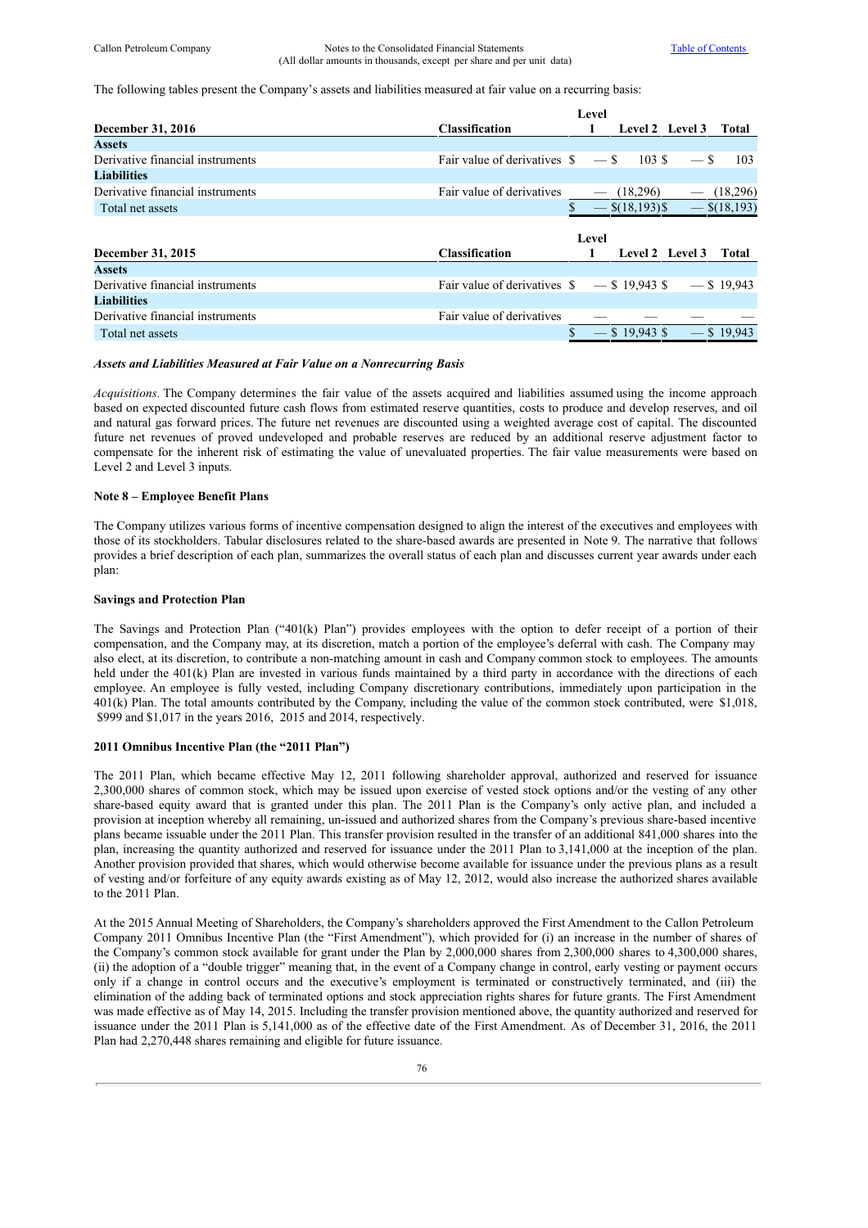The following tables present the Company's assets and liabilities measured at fair value on a recurring basis:

|                                  | Level                                                                            |
|----------------------------------|----------------------------------------------------------------------------------|
| December 31, 2016                | <b>Classification</b><br>1<br>Level 2 Level 3<br>Total                           |
| <b>Assets</b>                    |                                                                                  |
| Derivative financial instruments | Fair value of derivatives $\sin 9^\circ - \sin 1^\circ$<br>103S<br>$-$ \$<br>103 |
| <b>Liabilities</b>               |                                                                                  |
| Derivative financial instruments | Fair value of derivatives<br>(18,296)<br>(18,296)                                |
| Total net assets                 | $-$ \$(18,193)\$<br>$-$ \$(18,193)                                               |
|                                  |                                                                                  |
|                                  | Level                                                                            |
| December 31, 2015                | <b>Classification</b><br>Level 2 Level 3<br>Total                                |
| <b>Assets</b>                    |                                                                                  |
| Derivative financial instruments | $-$ \$ 19.943 \$ $-$ \$ 19.943<br>Fair value of derivatives \$                   |
| <b>Liabilities</b>               |                                                                                  |
| Derivative financial instruments | Fair value of derivatives                                                        |
| Total net assets                 | $-$ \$ 19.943 \$<br>\$19.943                                                     |

### *Assets and Liabilities Measured at Fair Value on a Nonrecurring Basis*

*Acquisitions.* The Company determines the fair value of the assets acquired and liabilities assumed using the income approach based on expected discounted future cash flows from estimated reserve quantities, costs to produce and develop reserves, and oil and natural gas forward prices. The future net revenues are discounted using a weighted average cost of capital. The discounted future net revenues of proved undeveloped and probable reserves are reduced by an additional reserve adjustment factor to compensate for the inherent risk of estimating the value of unevaluated properties. The fair value measurements were based on Level 2 and Level 3 inputs.

## **Note 8 – Employee Benefit Plans**

The Company utilizes various forms of incentive compensation designed to align the interest of the executives and employees with those of its stockholders. Tabular disclosures related to the share-based awards are presented in Note 9. The narrative that follows provides a brief description of each plan, summarizes the overall status of each plan and discusses current year awards under each plan:

# **Savings and Protection Plan**

The Savings and Protection Plan ("401(k) Plan") provides employees with the option to defer receipt of a portion of their compensation, and the Company may, at its discretion, match a portion of the employee's deferral with cash. The Company may also elect, at its discretion, to contribute a non-matching amount in cash and Company common stock to employees. The amounts held under the 401(k) Plan are invested in various funds maintained by a third party in accordance with the directions of each employee. An employee is fully vested, including Company discretionary contributions, immediately upon participation in the 401(k) Plan. The total amounts contributed by the Company, including the value of the common stock contributed, were \$1,018, \$999 and \$1,017 in the years 2016, 2015 and 2014, respectively.

# **2011 Omnibus Incentive Plan (the "2011 Plan")**

The 2011 Plan, which became effective May 12, 2011 following shareholder approval, authorized and reserved for issuance 2,300,000 shares of common stock, which may be issued upon exercise of vested stock options and/or the vesting of any other share-based equity award that is granted under this plan. The 2011 Plan is the Company's only active plan, and included a provision at inception whereby all remaining, un-issued and authorized shares from the Company's previous share-based incentive plans became issuable under the 2011 Plan. This transfer provision resulted in the transfer of an additional 841,000 shares into the plan, increasing the quantity authorized and reserved for issuance under the 2011 Plan to 3,141,000 at the inception of the plan. Another provision provided that shares, which would otherwise become available for issuance under the previous plans as a result of vesting and/or forfeiture of any equity awards existing as of May 12, 2012, would also increase the authorized shares available to the 2011 Plan.

At the 2015 Annual Meeting of Shareholders, the Company's shareholders approved the First Amendment to the Callon Petroleum Company 2011 Omnibus Incentive Plan (the "First Amendment"), which provided for (i) an increase in the number of shares of the Company's common stock available for grant under the Plan by 2,000,000 shares from 2,300,000 shares to 4,300,000 shares, (ii) the adoption of a "double trigger" meaning that, in the event of a Company change in control, early vesting or payment occurs only if a change in control occurs and the executive's employment is terminated or constructively terminated, and (iii) the elimination of the adding back of terminated options and stock appreciation rights shares for future grants. The First Amendment was made effective as of May 14, 2015. Including the transfer provision mentioned above, the quantity authorized and reserved for issuance under the 2011 Plan is 5,141,000 as of the effective date of the First Amendment. As of December 31, 2016, the 2011 Plan had 2,270,448 shares remaining and eligible for future issuance.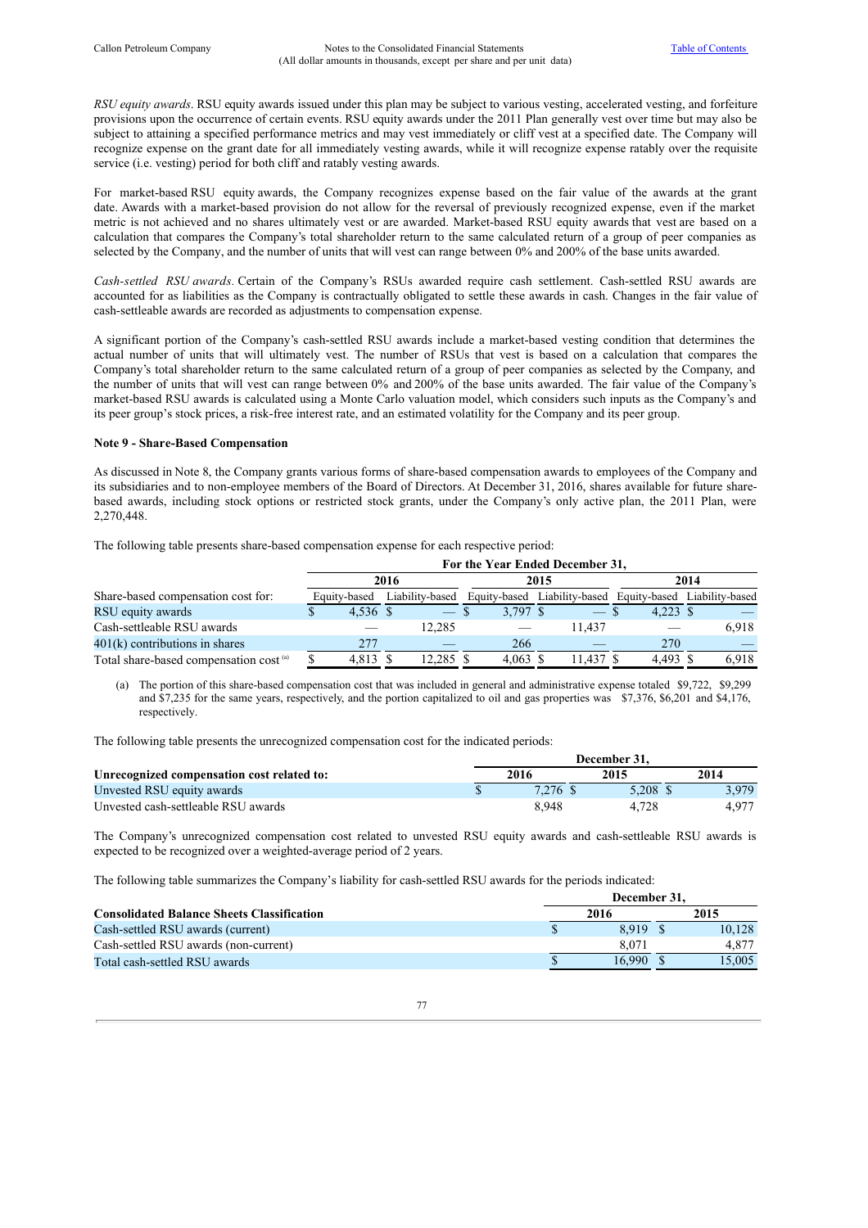*RSU equity awards*. RSU equity awards issued under this plan may be subject to various vesting, accelerated vesting, and forfeiture provisions upon the occurrence of certain events. RSU equity awards under the 2011 Plan generally vest over time but may also be subject to attaining a specified performance metrics and may vest immediately or cliff vest at a specified date. The Company will recognize expense on the grant date for all immediately vesting awards, while it will recognize expense ratably over the requisite service (i.e. vesting) period for both cliff and ratably vesting awards.

For market-based RSU equity awards, the Company recognizes expense based on the fair value of the awards at the grant date. Awards with a market-based provision do not allow for the reversal of previously recognized expense, even if the market metric is not achieved and no shares ultimately vest or are awarded. Market-based RSU equity awards that vest are based on a calculation that compares the Company's total shareholder return to the same calculated return of a group of peer companies as selected by the Company, and the number of units that will vest can range between 0% and 200% of the base units awarded.

*Cash-settled RSU awards.* Certain of the Company's RSUs awarded require cash settlement. Cash-settled RSU awards are accounted for as liabilities as the Company is contractually obligated to settle these awards in cash. Changes in the fair value of cash-settleable awards are recorded as adjustments to compensation expense.

A significant portion of the Company's cash-settled RSU awards include a market-based vesting condition that determines the actual number of units that will ultimately vest. The number of RSUs that vest is based on a calculation that compares the Company's total shareholder return to the same calculated return of a group of peer companies as selected by the Company, and the number of units that will vest can range between 0% and 200% of the base units awarded. The fair value of the Company's market-based RSU awards is calculated using a Monte Carlo valuation model, which considers such inputs as the Company's and its peer group's stock prices, a risk-free interest rate, and an estimated volatility for the Company and its peer group.

# **Note 9 - Share-Based Compensation**

As discussed in Note 8, the Company grants various forms of share-based compensation awards to employees of the Company and its subsidiaries and to non-employee members of the Board of Directors. At December 31, 2016, shares available for future sharebased awards, including stock options or restricted stock grants, under the Company's only active plan, the 2011 Plan, were 2,270,448.

The following table presents share-based compensation expense for each respective period:

|                                                    | For the Year Ended December 31, |              |      |                 |                          |      |           |  |            |                                                           |
|----------------------------------------------------|---------------------------------|--------------|------|-----------------|--------------------------|------|-----------|--|------------|-----------------------------------------------------------|
|                                                    |                                 |              | 2016 |                 |                          | 2015 |           |  |            | 2014                                                      |
| Share-based compensation cost for:                 |                                 | Equity-based |      | Liability-based |                          |      |           |  |            | Equity-based Liability-based Equity-based Liability-based |
| RSU equity awards                                  | Φ                               | 4,536 \$     |      | $-$ S           | 3.797 \$                 |      | $-$ \$    |  | $4.223$ \$ |                                                           |
| Cash-settleable RSU awards                         |                                 |              |      | 12.285          | $\overline{\phantom{a}}$ |      | 11.437    |  |            | 6.918                                                     |
| $401(k)$ contributions in shares                   |                                 | 277          |      |                 | 266                      |      |           |  | 270        |                                                           |
| Total share-based compensation cost <sup>(a)</sup> |                                 | 4.813 \$     |      | 12.285          | $4,063$ \$               |      | 11.437 \$ |  | 4.493 \$   | 6.918                                                     |

(a) The portion of this share-based compensation cost that was included in general and administrative expense totaled \$9,722, \$9,299 and \$7,235 for the same years, respectively, and the portion capitalized to oil and gas properties was \$7,376, \$6,201 and \$4,176, respectively.

The following table presents the unrecognized compensation cost for the indicated periods:

|                                            |          | December 31. |       |
|--------------------------------------------|----------|--------------|-------|
| Unrecognized compensation cost related to: | 2016     | 2015         | 2014  |
| Unvested RSU equity awards                 | 7.276 \$ | 5.208 \$     | 3.979 |
| Unvested cash-settleable RSU awards        | 8.948    | 4.728        | 4.977 |

The Company's unrecognized compensation cost related to unvested RSU equity awards and cash-settleable RSU awards is expected to be recognized over a weighted-average period of 2 years.

The following table summarizes the Company's liability for cash-settled RSU awards for the periods indicated:

|                                                   | December 31. |        |  |        |  |  |  |
|---------------------------------------------------|--------------|--------|--|--------|--|--|--|
| <b>Consolidated Balance Sheets Classification</b> |              | 2016   |  | 2015   |  |  |  |
| Cash-settled RSU awards (current)                 |              | 8.919  |  | 10.128 |  |  |  |
| Cash-settled RSU awards (non-current)             |              | 8.071  |  | 4.877  |  |  |  |
| Total cash-settled RSU awards                     |              | 16.990 |  | 5.005  |  |  |  |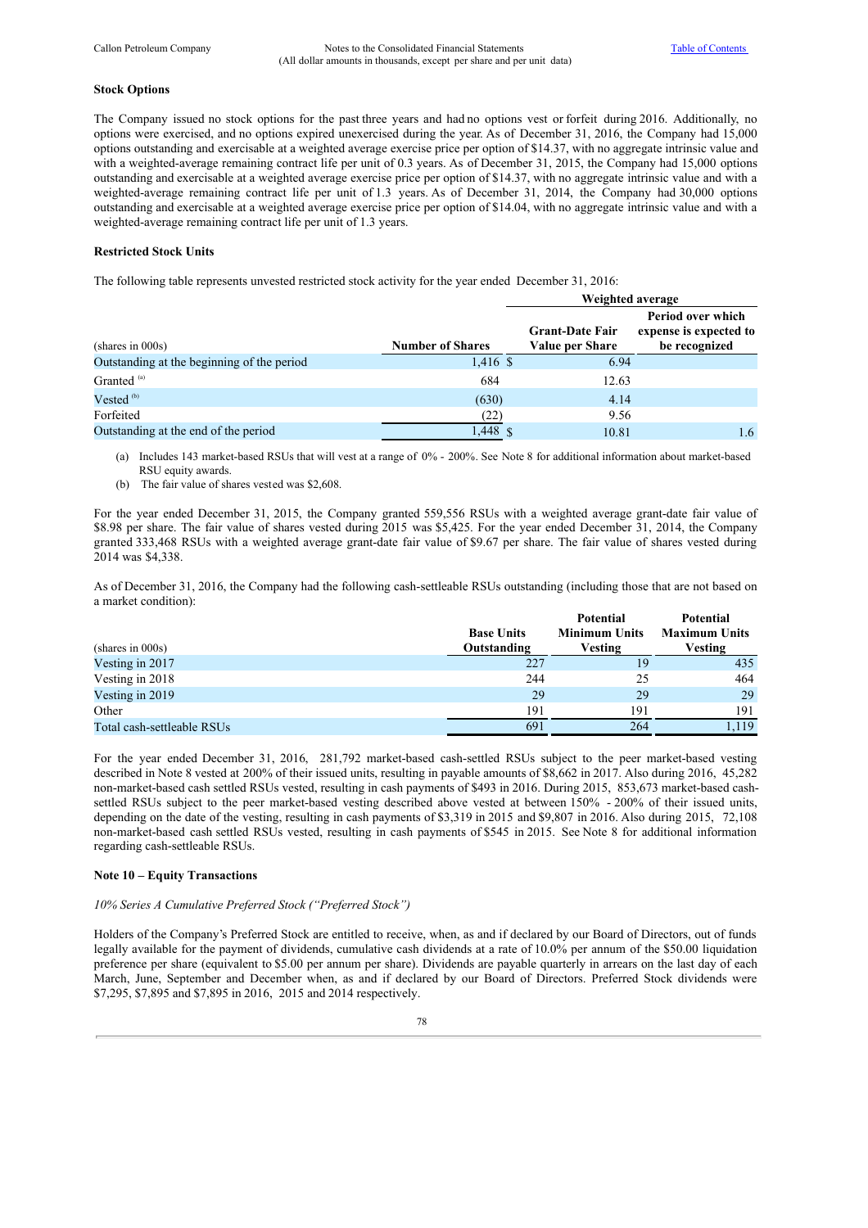# **Stock Options**

The Company issued no stock options for the past three years and hadno options vest or forfeit during 2016. Additionally, no options were exercised, and no options expired unexercised during the year. As of December 31, 2016, the Company had 15,000 options outstanding and exercisable at a weighted average exercise price per option of \$14.37, with no aggregate intrinsic value and with a weighted-average remaining contract life per unit of 0.3 years. As of December 31, 2015, the Company had 15,000 options outstanding and exercisable at a weighted average exercise price per option of \$14.37, with no aggregate intrinsic value and with a weighted-average remaining contract life per unit of 1.3 years. As of December 31, 2014, the Company had 30,000 options outstanding and exercisable at a weighted average exercise price per option of \$14.04, with no aggregate intrinsic value and with a weighted-average remaining contract life per unit of 1.3 years.

### **Restricted Stock Units**

The following table represents unvested restricted stock activity for the year ended December 31, 2016:

|                                            |                         | Weighted average                          |                                                              |  |  |  |  |
|--------------------------------------------|-------------------------|-------------------------------------------|--------------------------------------------------------------|--|--|--|--|
| (shares in 000s)                           | <b>Number of Shares</b> | <b>Grant-Date Fair</b><br>Value per Share | Period over which<br>expense is expected to<br>be recognized |  |  |  |  |
| Outstanding at the beginning of the period | $1,416$ \$              | 6.94                                      |                                                              |  |  |  |  |
| Granted <sup>(a)</sup>                     | 684                     | 12.63                                     |                                                              |  |  |  |  |
| Vested $^{(b)}$                            | (630)                   | 4.14                                      |                                                              |  |  |  |  |
| Forfeited                                  | (22)                    | 9.56                                      |                                                              |  |  |  |  |
| Outstanding at the end of the period       | $1.448$ \$              | 10.81                                     | 1.6                                                          |  |  |  |  |

(a) Includes 143 market-based RSUs that will vest at a range of 0% - 200%. See Note 8 for additional information about market-based RSU equity awards.

(b) The fair value of shares vested was \$2,608.

For the year ended December 31, 2015, the Company granted 559,556 RSUs with a weighted average grant-date fair value of \$8.98 per share. The fair value of shares vested during 2015 was \$5,425. For the year ended December 31, 2014, the Company granted 333,468 RSUs with a weighted average grant-date fair value of \$9.67 per share. The fair value of shares vested during 2014 was \$4,338.

As of December 31, 2016, the Company had the following cash-settleable RSUs outstanding (including those that are not based on a market condition):

| (shares in 000s)           | <b>Base Units</b><br>Outstanding | Potential<br><b>Minimum Units</b><br>Vesting | Potential<br><b>Maximum Units</b><br>Vesting |
|----------------------------|----------------------------------|----------------------------------------------|----------------------------------------------|
| Vesting in 2017            | 227                              | 19                                           | 435                                          |
| Vesting in 2018            | 244                              | 25                                           | 464                                          |
| Vesting in 2019            | 29                               | 29                                           | 29                                           |
| Other                      | 191                              | 191                                          | 191                                          |
| Total cash-settleable RSUs | 691                              | 264                                          | 1,119                                        |

For the year ended December 31, 2016, 281,792 market-based cash-settled RSUs subject to the peer market-based vesting described in Note 8 vested at 200% of their issued units, resulting in payable amounts of \$8,662 in 2017. Also during 2016, 45,282 non-market-based cash settled RSUs vested, resulting in cash payments of \$493 in 2016. During 2015, 853,673 market-based cashsettled RSUs subject to the peer market-based vesting described above vested at between 150% - 200% of their issued units, depending on the date of the vesting, resulting in cash payments of \$3,319 in 2015 and \$9,807 in 2016. Also during 2015, 72,108 non-market-based cash settled RSUs vested, resulting in cash payments of \$545 in 2015. See Note 8 for additional information regarding cash-settleable RSUs.

## **Note 10 – Equity Transactions**

# *10% Series A Cumulative Preferred Stock ("Preferred Stock")*

Holders of the Company's Preferred Stock are entitled to receive, when, as and if declared by our Board of Directors, out of funds legally available for the payment of dividends, cumulative cash dividends at a rate of 10.0% per annum of the \$50.00 liquidation preference per share (equivalent to \$5.00 per annum per share). Dividends are payable quarterly in arrears on the last day of each March, June, September and December when, as and if declared by our Board of Directors. Preferred Stock dividends were \$7,295, \$7,895 and \$7,895 in 2016, 2015 and 2014 respectively.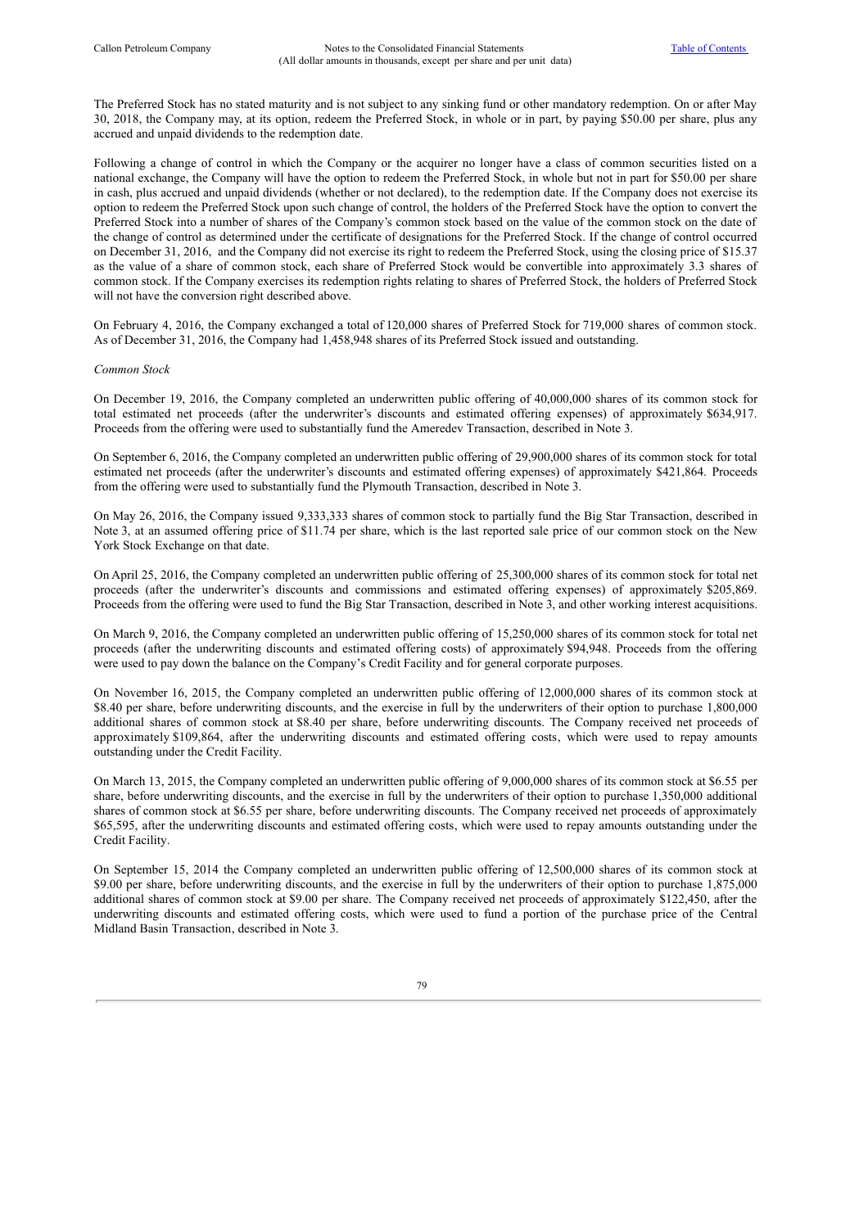The Preferred Stock has no stated maturity and is not subject to any sinking fund or other mandatory redemption. On or after May 30, 2018, the Company may, at its option, redeem the Preferred Stock, in whole or in part, by paying \$50.00 per share, plus any accrued and unpaid dividends to the redemption date.

Following a change of control in which the Company or the acquirer no longer have a class of common securities listed on a national exchange, the Company will have the option to redeem the Preferred Stock, in whole but not in part for \$50.00 per share in cash, plus accrued and unpaid dividends (whether or not declared), to the redemption date. If the Company does not exercise its option to redeem the Preferred Stock upon such change of control, the holders of the Preferred Stock have the option to convert the Preferred Stock into a number of shares of the Company's common stock based on the value of the common stock on the date of the change of control as determined under the certificate of designations for the Preferred Stock. If the change of control occurred on December 31, 2016, and the Company did not exercise its right to redeem the Preferred Stock, using the closing price of \$15.37 as the value of a share of common stock, each share of Preferred Stock would be convertible into approximately 3.3 shares of common stock. If the Company exercises its redemption rights relating to shares of Preferred Stock, the holders of Preferred Stock will not have the conversion right described above.

On February 4, 2016, the Company exchanged a total of 120,000 shares of Preferred Stock for 719,000 shares of common stock. As of December 31, 2016, the Company had 1,458,948 shares of its Preferred Stock issued and outstanding.

#### *Common Stock*

On December 19, 2016, the Company completed an underwritten public offering of 40,000,000 shares of its common stock for total estimated net proceeds (after the underwriter's discounts and estimated offering expenses) of approximately \$634,917. Proceeds from the offering were used to substantially fund the Ameredev Transaction, described in Note 3.

On September 6, 2016, the Company completed an underwritten public offering of 29,900,000 shares of its common stock for total estimated net proceeds (after the underwriter's discounts and estimated offering expenses) of approximately \$421,864. Proceeds from the offering were used to substantially fund the Plymouth Transaction, described in Note 3.

On May 26, 2016, the Company issued 9,333,333 shares of common stock to partially fund the Big Star Transaction, described in Note 3, at an assumed offering price of \$11.74 per share, which is the last reported sale price of our common stock on the New York Stock Exchange on that date.

On April 25, 2016, the Company completed an underwritten public offering of 25,300,000 shares of its common stock for total net proceeds (after the underwriter's discounts and commissions and estimated offering expenses) of approximately \$205,869. Proceeds from the offering were used to fund the Big Star Transaction, described in Note 3, and other working interest acquisitions.

On March 9, 2016, the Company completed an underwritten public offering of 15,250,000 shares of its common stock for total net proceeds (after the underwriting discounts and estimated offering costs) of approximately \$94,948. Proceeds from the offering were used to pay down the balance on the Company's Credit Facility and for general corporate purposes.

On November 16, 2015, the Company completed an underwritten public offering of 12,000,000 shares of its common stock at \$8.40 per share, before underwriting discounts, and the exercise in full by the underwriters of their option to purchase 1,800,000 additional shares of common stock at \$8.40 per share, before underwriting discounts. The Company received net proceeds of approximately \$109,864, after the underwriting discounts and estimated offering costs, which were used to repay amounts outstanding under the Credit Facility.

On March 13, 2015, the Company completed an underwritten public offering of 9,000,000 shares of its common stock at \$6.55 per share, before underwriting discounts, and the exercise in full by the underwriters of their option to purchase 1,350,000 additional shares of common stock at \$6.55 per share, before underwriting discounts. The Company received net proceeds of approximately \$65,595, after the underwriting discounts and estimated offering costs, which were used to repay amounts outstanding under the Credit Facility.

On September 15, 2014 the Company completed an underwritten public offering of 12,500,000 shares of its common stock at \$9.00 per share, before underwriting discounts, and the exercise in full by the underwriters of their option to purchase 1,875,000 additional shares of common stock at \$9.00 per share. The Company received net proceeds of approximately \$122,450, after the underwriting discounts and estimated offering costs, which were used to fund a portion of the purchase price of the Central Midland Basin Transaction, described in Note 3.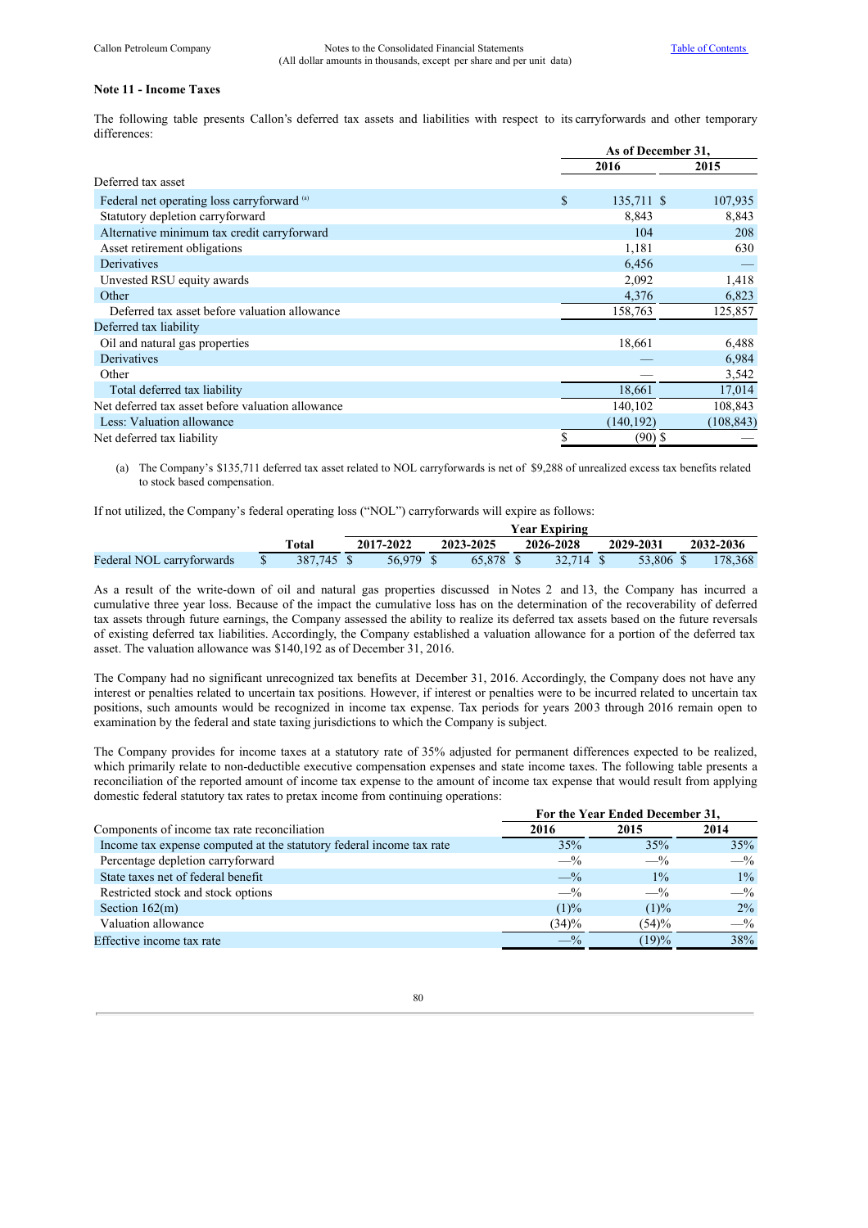# **Note 11 - Income Taxes**

The following table presents Callon's deferred tax assets and liabilities with respect to its carryforwards and other temporary differences:

|                                                   |              | As of December 31, |            |  |
|---------------------------------------------------|--------------|--------------------|------------|--|
|                                                   |              | 2016               | 2015       |  |
| Deferred tax asset                                |              |                    |            |  |
| Federal net operating loss carryforward (a)       | $\mathbb{S}$ | 135,711 \$         | 107,935    |  |
| Statutory depletion carryforward                  |              | 8,843              | 8,843      |  |
| Alternative minimum tax credit carryforward       |              | 104                | 208        |  |
| Asset retirement obligations                      |              | 1,181              | 630        |  |
| Derivatives                                       |              | 6,456              |            |  |
| Unvested RSU equity awards                        |              | 2,092              | 1,418      |  |
| Other                                             |              | 4,376              | 6,823      |  |
| Deferred tax asset before valuation allowance     |              | 158,763            | 125,857    |  |
| Deferred tax liability                            |              |                    |            |  |
| Oil and natural gas properties                    |              | 18,661             | 6,488      |  |
| Derivatives                                       |              |                    | 6,984      |  |
| Other                                             |              |                    | 3,542      |  |
| Total deferred tax liability                      |              | 18,661             | 17,014     |  |
| Net deferred tax asset before valuation allowance |              | 140,102            | 108,843    |  |
| Less: Valuation allowance                         |              | (140, 192)         | (108, 843) |  |
| Net deferred tax liability                        | \$           | $(90)$ \$          |            |  |

(a) The Company's \$135,711 deferred tax asset related to NOL carryforwards is net of \$9,288 of unrealized excess tax benefits related to stock based compensation.

**Year Expiring**

If not utilized, the Company's federal operating loss ("NOL") carryforwards will expire as follows:

|                           |            | теат вдриние |           |  |           |  |           |  |                     |  |           |
|---------------------------|------------|--------------|-----------|--|-----------|--|-----------|--|---------------------|--|-----------|
|                           | Total      |              | 2017-2022 |  | 2023-2025 |  | 2026-2028 |  | 2029-2031           |  | 2032-2036 |
| Federal NOL carryforwards | 387,745 \$ |              | 56.979 \$ |  | 65.878 \$ |  |           |  | 32.714 \$ 53.806 \$ |  | 178.368   |

As a result of the write-down of oil and natural gas properties discussed in Notes 2 and 13, the Company has incurred a cumulative three year loss. Because of the impact the cumulative loss has on the determination of the recoverability of deferred tax assets through future earnings, the Company assessed the ability to realize its deferred tax assets based on the future reversals of existing deferred tax liabilities. Accordingly, the Company established a valuation allowance for a portion of the deferred tax asset. The valuation allowance was \$140,192 as of December 31, 2016.

The Company had no significant unrecognized tax benefits at December 31, 2016. Accordingly, the Company does not have any interest or penalties related to uncertain tax positions. However, if interest or penalties were to be incurred related to uncertain tax positions, such amounts would be recognized in income tax expense. Tax periods for years 2003 through 2016 remain open to examination by the federal and state taxing jurisdictions to which the Company is subject.

The Company provides for income taxes at a statutory rate of 35% adjusted for permanent differences expected to be realized, which primarily relate to non-deductible executive compensation expenses and state income taxes. The following table presents a reconciliation of the reported amount of income tax expense to the amount of income tax expense that would result from applying domestic federal statutory tax rates to pretax income from continuing operations:

|                                                                      | For the Year Ended December 31, |         |       |  |  |  |
|----------------------------------------------------------------------|---------------------------------|---------|-------|--|--|--|
| Components of income tax rate reconciliation                         | 2016                            | 2015    | 2014  |  |  |  |
| Income tax expense computed at the statutory federal income tax rate | 35%                             | 35%     | 35%   |  |  |  |
| Percentage depletion carryforward                                    | $-$ %                           | $-$ %   | $-$ % |  |  |  |
| State taxes net of federal benefit                                   | $-$ %                           | $1\%$   | $1\%$ |  |  |  |
| Restricted stock and stock options                                   | $-$ %                           | $-$ %   | $-$ % |  |  |  |
| Section $162(m)$                                                     | $(1)\%$                         | $(1)\%$ | $2\%$ |  |  |  |
| Valuation allowance                                                  | $(34)\%$                        | (54)%   | $-$ % |  |  |  |
| Effective income tax rate                                            | $-$ %                           | (19)%   | 38%   |  |  |  |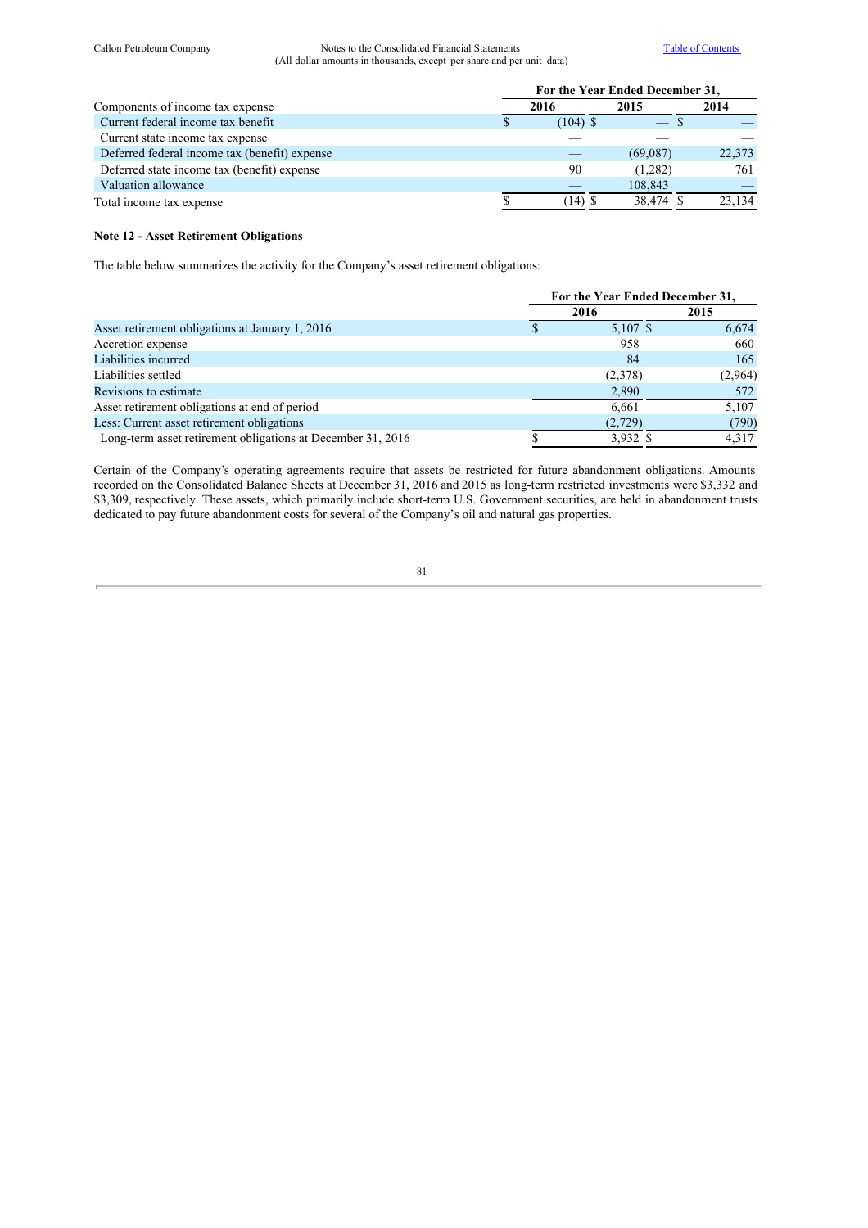#### Callon Petroleum Company Notes to the Consolidated Financial Statements (All dollar amounts in thousands, except per share and per unit data)

|                                               | For the Year Ended December 31, |            |          |        |  |  |  |
|-----------------------------------------------|---------------------------------|------------|----------|--------|--|--|--|
| Components of income tax expense              |                                 | 2016       | 2015     | 2014   |  |  |  |
| Current federal income tax benefit            |                                 | $(104)$ \$ | $-$ S    |        |  |  |  |
| Current state income tax expense              |                                 |            |          |        |  |  |  |
| Deferred federal income tax (benefit) expense |                                 |            | (69,087) | 22,373 |  |  |  |
| Deferred state income tax (benefit) expense   |                                 | 90         | (1,282)  | 761    |  |  |  |
| Valuation allowance                           |                                 |            | 108,843  |        |  |  |  |
| Total income tax expense                      |                                 | (14) S     | 38.474   | 23.134 |  |  |  |

# **Note 12 - Asset Retirement Obligations**

The table below summarizes the activity for the Company's asset retirement obligations:

|                                                             | For the Year Ended December 31, |          |         |  |
|-------------------------------------------------------------|---------------------------------|----------|---------|--|
|                                                             |                                 | 2016     | 2015    |  |
| Asset retirement obligations at January 1, 2016             |                                 | 5,107 \$ | 6,674   |  |
| Accretion expense                                           |                                 | 958      | 660     |  |
| Liabilities incurred                                        |                                 | 84       | 165     |  |
| Liabilities settled                                         |                                 | (2,378)  | (2,964) |  |
| Revisions to estimate                                       |                                 | 2,890    | 572     |  |
| Asset retirement obligations at end of period               |                                 | 6.661    | 5,107   |  |
| Less: Current asset retirement obligations                  |                                 | (2,729)  | (790)   |  |
| Long-term asset retirement obligations at December 31, 2016 |                                 | 3,932 \$ | 4.317   |  |

Certain of the Company's operating agreements require that assets be restricted for future abandonment obligations. Amounts recorded on the Consolidated Balance Sheets at December 31, 2016 and 2015 as long-term restricted investments were \$3,332 and \$3,309, respectively. These assets, which primarily include short-term U.S. Government securities, are held in abandonment trusts dedicated to pay future abandonment costs for several of the Company's oil and natural gas properties.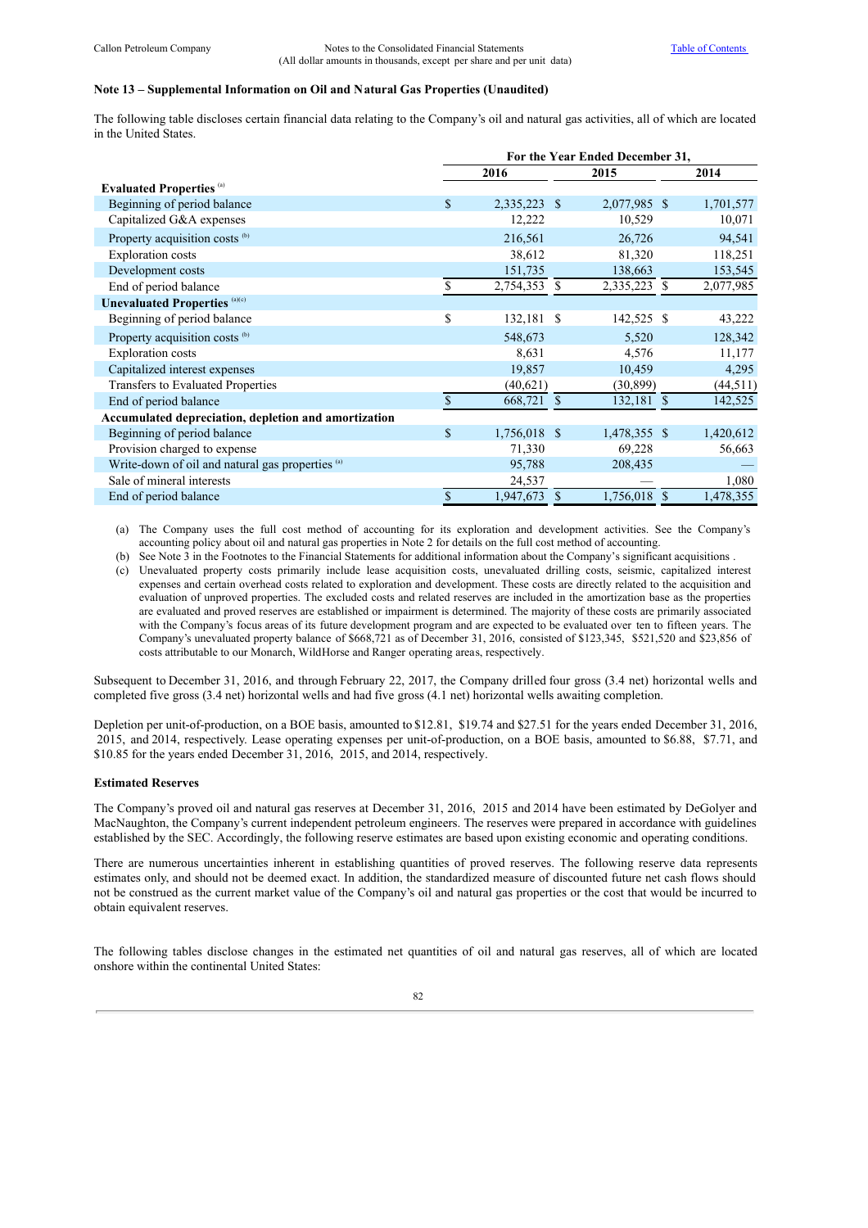# **Note 13 – Supplemental Information on Oil and Natural Gas Properties (Unaudited)**

The following table discloses certain financial data relating to the Company's oil and natural gas activities, all of which are located in the United States.

|                                                             | For the Year Ended December 31, |              |               |              |  |           |  |
|-------------------------------------------------------------|---------------------------------|--------------|---------------|--------------|--|-----------|--|
|                                                             |                                 | 2016         |               | 2015         |  | 2014      |  |
| <b>Evaluated Properties</b> (a)                             |                                 |              |               |              |  |           |  |
| Beginning of period balance                                 | \$                              | 2,335,223 \$ |               | 2,077,985 \$ |  | 1,701,577 |  |
| Capitalized G&A expenses                                    |                                 | 12,222       |               | 10,529       |  | 10,071    |  |
| Property acquisition costs <sup>(b)</sup>                   |                                 | 216,561      |               | 26,726       |  | 94,541    |  |
| <b>Exploration</b> costs                                    |                                 | 38,612       |               | 81,320       |  | 118,251   |  |
| Development costs                                           |                                 | 151,735      |               | 138,663      |  | 153,545   |  |
| End of period balance                                       |                                 | 2,754,353 \$ |               | 2,335,223 \$ |  | 2,077,985 |  |
| <b>Unevaluated Properties</b> (a)(c)                        |                                 |              |               |              |  |           |  |
| Beginning of period balance                                 | \$                              | 132,181 \$   |               | 142,525 \$   |  | 43,222    |  |
| Property acquisition costs <sup>(b)</sup>                   |                                 | 548,673      |               | 5,520        |  | 128,342   |  |
| <b>Exploration</b> costs                                    |                                 | 8,631        |               | 4,576        |  | 11,177    |  |
| Capitalized interest expenses                               |                                 | 19,857       |               | 10,459       |  | 4,295     |  |
| <b>Transfers to Evaluated Properties</b>                    |                                 | (40,621)     |               | (30, 899)    |  | (44, 511) |  |
| End of period balance                                       | $\mathbf{\hat{S}}$              | 668,721 \$   |               | 132,181 \$   |  | 142,525   |  |
| Accumulated depreciation, depletion and amortization        |                                 |              |               |              |  |           |  |
| Beginning of period balance                                 | \$                              | 1,756,018 \$ |               | 1,478,355 \$ |  | 1,420,612 |  |
| Provision charged to expense                                |                                 | 71,330       |               | 69,228       |  | 56,663    |  |
| Write-down of oil and natural gas properties <sup>(a)</sup> |                                 | 95,788       |               | 208,435      |  |           |  |
| Sale of mineral interests                                   |                                 | 24,537       |               |              |  | 1,080     |  |
| End of period balance                                       | \$                              | 1,947,673    | <sup>\$</sup> | 1,756,018 \$ |  | 1,478,355 |  |

(a) The Company uses the full cost method of accounting for its exploration and development activities. See the Company's accounting policy about oil and natural gas properties in Note 2 for details on the full cost method of accounting.

(b) See Note 3 in the Footnotes to the Financial Statements for additional information about the Company's significant acquisitions .

(c) Unevaluated property costs primarily include lease acquisition costs, unevaluated drilling costs, seismic, capitalized interest expenses and certain overhead costs related to exploration and development. These costs are directly related to the acquisition and evaluation of unproved properties. The excluded costs and related reserves are included in the amortization base as the properties are evaluated and proved reserves are established or impairment is determined. The majority of these costs are primarily associated with the Company's focus areas of its future development program and are expected to be evaluated over ten to fifteen years. The Company's unevaluated property balance of \$668,721 as of December 31, 2016, consisted of \$123,345, \$521,520 and \$23,856 of costs attributable to our Monarch, WildHorse and Ranger operating areas, respectively.

Subsequent to December 31, 2016, and through February 22, 2017, the Company drilled four gross (3.4 net) horizontal wells and completed five gross (3.4 net) horizontal wells and had five gross (4.1 net) horizontal wells awaiting completion.

Depletion per unit-of-production, on a BOE basis, amounted to\$12.81, \$19.74 and \$27.51 for the years ended December 31, 2016, 2015, and 2014, respectively. Lease operating expenses per unit-of-production, on a BOE basis, amounted to \$6.88, \$7.71, and \$10.85 for the years ended December 31, 2016, 2015, and 2014, respectively.

# **Estimated Reserves**

The Company's proved oil and natural gas reserves at December 31, 2016, 2015 and 2014 have been estimated by DeGolyer and MacNaughton, the Company's current independent petroleum engineers. The reserves were prepared in accordance with guidelines established by the SEC. Accordingly, the following reserve estimates are based upon existing economic and operating conditions.

There are numerous uncertainties inherent in establishing quantities of proved reserves. The following reserve data represents estimates only, and should not be deemed exact. In addition, the standardized measure of discounted future net cash flows should not be construed as the current market value of the Company's oil and natural gas properties or the cost that would be incurred to obtain equivalent reserves.

The following tables disclose changes in the estimated net quantities of oil and natural gas reserves, all of which are located onshore within the continental United States: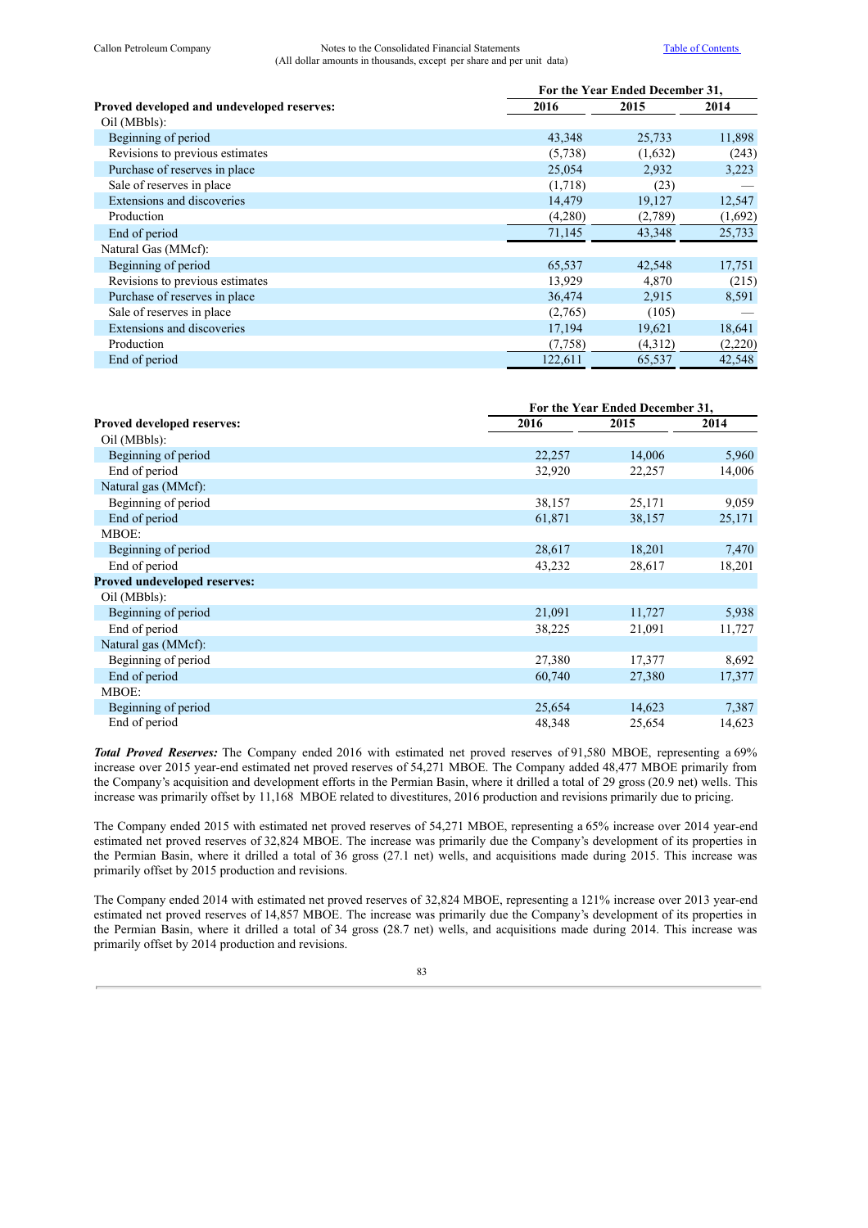#### Callon Petroleum Company Notes to the Consolidated Financial Statements (All dollar amounts in thousands, except per share and per unit data)

|                                            |         | For the Year Ended December 31, |         |  |  |  |  |
|--------------------------------------------|---------|---------------------------------|---------|--|--|--|--|
| Proved developed and undeveloped reserves: | 2016    | 2015                            | 2014    |  |  |  |  |
| Oil (MBbls):                               |         |                                 |         |  |  |  |  |
| Beginning of period                        | 43,348  | 25,733                          | 11,898  |  |  |  |  |
| Revisions to previous estimates            | (5,738) | (1,632)                         | (243)   |  |  |  |  |
| Purchase of reserves in place              | 25,054  | 2,932                           | 3,223   |  |  |  |  |
| Sale of reserves in place                  | (1,718) | (23)                            |         |  |  |  |  |
| Extensions and discoveries                 | 14,479  | 19,127                          | 12,547  |  |  |  |  |
| Production                                 | (4,280) | (2,789)                         | (1,692) |  |  |  |  |
| End of period                              | 71,145  | 43,348                          | 25,733  |  |  |  |  |
| Natural Gas (MMcf):                        |         |                                 |         |  |  |  |  |
| Beginning of period                        | 65,537  | 42,548                          | 17,751  |  |  |  |  |
| Revisions to previous estimates            | 13,929  | 4,870                           | (215)   |  |  |  |  |
| Purchase of reserves in place              | 36,474  | 2,915                           | 8,591   |  |  |  |  |
| Sale of reserves in place                  | (2,765) | (105)                           |         |  |  |  |  |
| Extensions and discoveries                 | 17,194  | 19,621                          | 18,641  |  |  |  |  |
| Production                                 | (7,758) | (4,312)                         | (2,220) |  |  |  |  |
| End of period                              | 122,611 | 65,537                          | 42,548  |  |  |  |  |

|                                   | For the Year Ended December 31, |        |        |  |  |  |
|-----------------------------------|---------------------------------|--------|--------|--|--|--|
| <b>Proved developed reserves:</b> | 2016                            | 2015   | 2014   |  |  |  |
| Oil (MBbls):                      |                                 |        |        |  |  |  |
| Beginning of period               | 22,257                          | 14,006 | 5,960  |  |  |  |
| End of period                     | 32,920                          | 22,257 | 14,006 |  |  |  |
| Natural gas (MMcf):               |                                 |        |        |  |  |  |
| Beginning of period               | 38,157                          | 25,171 | 9,059  |  |  |  |
| End of period                     | 61,871                          | 38,157 | 25,171 |  |  |  |
| MBOE:                             |                                 |        |        |  |  |  |
| Beginning of period               | 28,617                          | 18,201 | 7,470  |  |  |  |
| End of period                     | 43,232                          | 28,617 | 18,201 |  |  |  |
| Proved undeveloped reserves:      |                                 |        |        |  |  |  |
| Oil (MBbls):                      |                                 |        |        |  |  |  |
| Beginning of period               | 21,091                          | 11,727 | 5,938  |  |  |  |
| End of period                     | 38,225                          | 21,091 | 11,727 |  |  |  |
| Natural gas (MMcf):               |                                 |        |        |  |  |  |
| Beginning of period               | 27,380                          | 17,377 | 8,692  |  |  |  |
| End of period                     | 60,740                          | 27,380 | 17,377 |  |  |  |
| MBOE:                             |                                 |        |        |  |  |  |
| Beginning of period               | 25,654                          | 14,623 | 7,387  |  |  |  |
| End of period                     | 48,348                          | 25,654 | 14,623 |  |  |  |

*Total Proved Reserves:* The Company ended 2016 with estimated net proved reserves of 91,580 MBOE, representing a 69% increase over 2015 year-end estimated net proved reserves of 54,271 MBOE. The Company added 48,477 MBOE primarily from the Company's acquisition and development efforts in the Permian Basin, where it drilled a total of 29 gross (20.9 net) wells. This increase was primarily offset by 11,168 MBOE related to divestitures, 2016 production and revisions primarily due to pricing.

The Company ended 2015 with estimated net proved reserves of 54,271 MBOE, representing a 65% increase over 2014 year-end estimated net proved reserves of 32,824 MBOE. The increase was primarily due the Company's development of its properties in the Permian Basin, where it drilled a total of 36 gross (27.1 net) wells, and acquisitions made during 2015. This increase was primarily offset by 2015 production and revisions.

The Company ended 2014 with estimated net proved reserves of 32,824 MBOE, representing a 121% increase over 2013 year-end estimated net proved reserves of 14,857 MBOE. The increase was primarily due the Company's development of its properties in the Permian Basin, where it drilled a total of 34 gross (28.7 net) wells, and acquisitions made during 2014. This increase was primarily offset by 2014 production and revisions.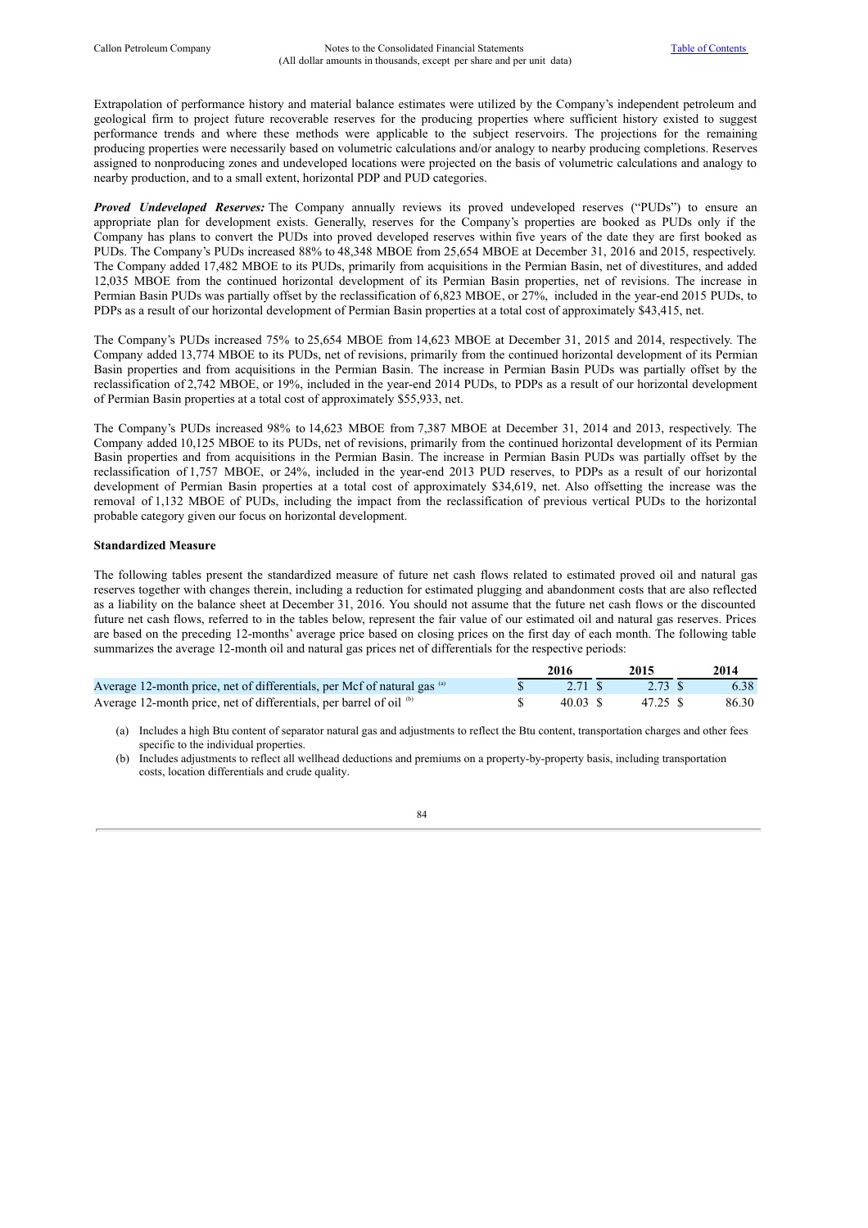Extrapolation of performance history and material balance estimates were utilized by the Company's independent petroleum and geological firm to project future recoverable reserves for the producing properties where sufficient history existed to suggest performance trends and where these methods were applicable to the subject reservoirs. The projections for the remaining producing properties were necessarily based on volumetric calculations and/or analogy to nearby producing completions. Reserves assigned to nonproducing zones and undeveloped locations were projected on the basis of volumetric calculations and analogy to nearby production, and to a small extent, horizontal PDP and PUD categories.

*Proved Undeveloped Reserves:* The Company annually reviews its proved undeveloped reserves ("PUDs") to ensure an appropriate plan for development exists. Generally, reserves for the Company's properties are booked as PUDs only if the Company has plans to convert the PUDs into proved developed reserves within five years of the date they are first booked as PUDs. The Company's PUDs increased 88% to 48,348 MBOE from 25,654 MBOE at December 31, 2016 and 2015, respectively. The Company added 17,482 MBOE to its PUDs, primarily from acquisitions in the Permian Basin, net of divestitures, and added 12,035 MBOE from the continued horizontal development of its Permian Basin properties, net of revisions. The increase in Permian Basin PUDs was partially offset by the reclassification of 6,823 MBOE, or 27%, included in the year-end 2015 PUDs, to PDPs as a result of our horizontal development of Permian Basin properties at a total cost of approximately \$43,415, net.

The Company's PUDs increased 75% to 25,654 MBOE from 14,623 MBOE at December 31, 2015 and 2014, respectively. The Company added 13,774 MBOE to its PUDs, net of revisions, primarily from the continued horizontal development of its Permian Basin properties and from acquisitions in the Permian Basin. The increase in Permian Basin PUDs was partially offset by the reclassification of 2,742 MBOE, or 19%, included in the year-end 2014 PUDs, to PDPs as a result of our horizontal development of Permian Basin properties at a total cost of approximately \$55,933, net.

The Company's PUDs increased 98% to 14,623 MBOE from 7,387 MBOE at December 31, 2014 and 2013, respectively. The Company added 10,125 MBOE to its PUDs, net of revisions, primarily from the continued horizontal development of its Permian Basin properties and from acquisitions in the Permian Basin. The increase in Permian Basin PUDs was partially offset by the reclassification of 1,757 MBOE, or 24%, included in the year-end 2013 PUD reserves, to PDPs as a result of our horizontal development of Permian Basin properties at a total cost of approximately \$34,619, net. Also offsetting the increase was the removal of 1,132 MBOE of PUDs, including the impact from the reclassification of previous vertical PUDs to the horizontal probable category given our focus on horizontal development.

## **Standardized Measure**

The following tables present the standardized measure of future net cash flows related to estimated proved oil and natural gas reserves together with changes therein, including a reduction for estimated plugging and abandonment costs that are also reflected as a liability on the balance sheet at December 31, 2016. You should not assume that the future net cash flows or the discounted future net cash flows, referred to in the tables below, represent the fair value of our estimated oil and natural gas reserves. Prices are based on the preceding 12-months' average price based on closing prices on the first day of each month. The following table summarizes the average 12-month oil and natural gas prices net of differentials for the respective periods:

|                                                                                     | 2016    | 2015    | 2014  |
|-------------------------------------------------------------------------------------|---------|---------|-------|
| Average 12-month price, net of differentials, per Mcf of natural gas <sup>(a)</sup> | 2.71 \$ | 2.73 \$ | 6.38  |
| Average 12-month price, net of differentials, per barrel of oil $\phi$              | 40.03 S | 47.25 S | 86.30 |

(a) Includes a high Btu content of separator natural gas and adjustments to reflect the Btu content, transportation charges and other fees specific to the individual properties.

(b) Includes adjustments to reflect all wellhead deductions and premiums on a property-by-property basis, including transportation costs, location differentials and crude quality.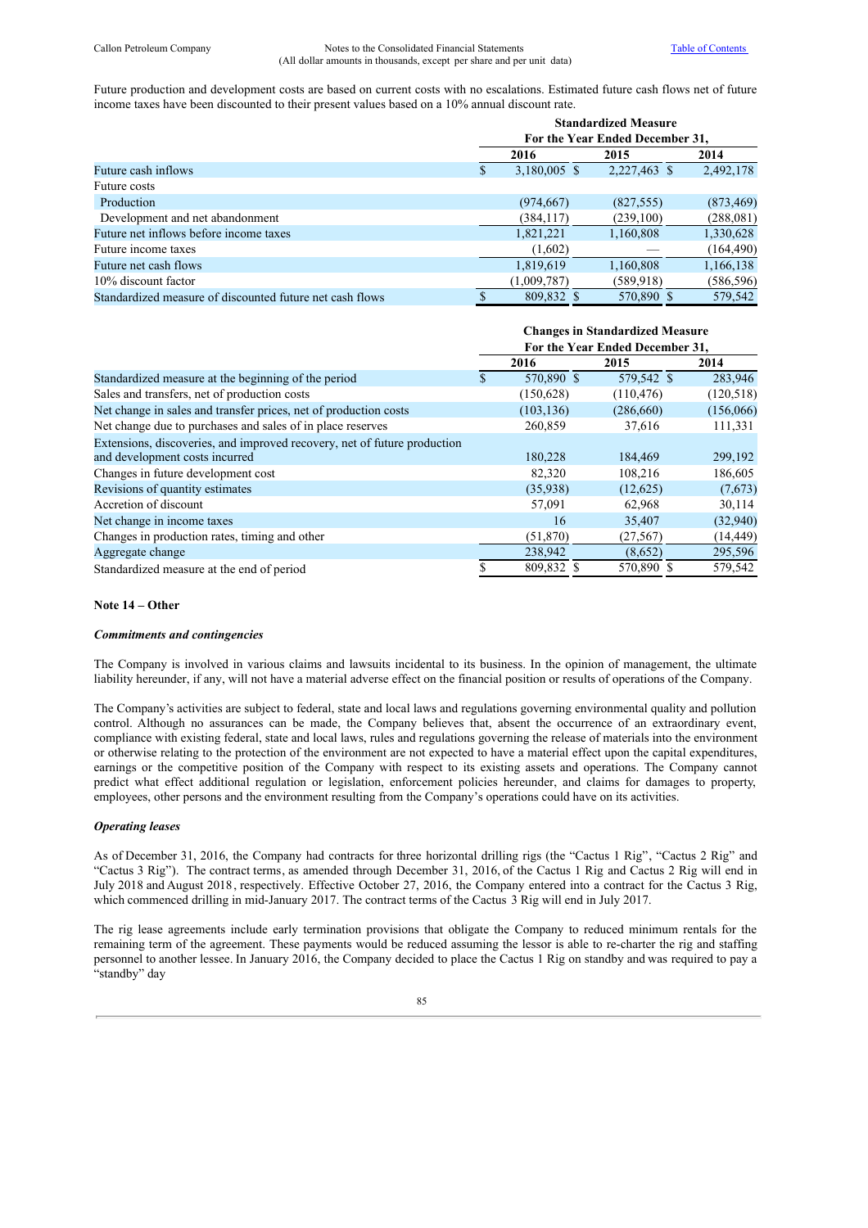#### Callon Petroleum Company Notes to the Consolidated Financial Statements (All dollar amounts in thousands, except per share and per unit data)

Future production and development costs are based on current costs with no escalations. Estimated future cash flows net of future income taxes have been discounted to their present values based on a 10% annual discount rate.

|                                                          |    | <b>Standardized Measure</b><br>For the Year Ended December 31, |              |            |  |  |  |
|----------------------------------------------------------|----|----------------------------------------------------------------|--------------|------------|--|--|--|
|                                                          |    |                                                                |              |            |  |  |  |
|                                                          |    | 2016                                                           | 2015         | 2014       |  |  |  |
| Future cash inflows                                      | S. | 3,180,005 \$                                                   | 2,227,463 \$ | 2,492,178  |  |  |  |
| <b>Future costs</b>                                      |    |                                                                |              |            |  |  |  |
| Production                                               |    | (974, 667)                                                     | (827, 555)   | (873, 469) |  |  |  |
| Development and net abandonment                          |    | (384, 117)                                                     | (239, 100)   | (288,081)  |  |  |  |
| Future net inflows before income taxes                   |    | 1,821,221                                                      | 1,160,808    | 1,330,628  |  |  |  |
| Future income taxes                                      |    | (1,602)                                                        |              | (164, 490) |  |  |  |
| Future net cash flows                                    |    | 1,819,619                                                      | 1,160,808    | 1,166,138  |  |  |  |
| 10% discount factor                                      |    | (1,009,787)                                                    | (589, 918)   | (586, 596) |  |  |  |
| Standardized measure of discounted future net cash flows |    | 809.832 \$                                                     | 570,890 \$   | 579,542    |  |  |  |

|                                                                          | <b>Changes in Standardized Measure</b><br>For the Year Ended December 31, |            |            |            |  |  |
|--------------------------------------------------------------------------|---------------------------------------------------------------------------|------------|------------|------------|--|--|
|                                                                          |                                                                           |            |            |            |  |  |
|                                                                          |                                                                           | 2016       | 2015       | 2014       |  |  |
| Standardized measure at the beginning of the period                      |                                                                           | 570,890 \$ | 579,542 \$ | 283,946    |  |  |
| Sales and transfers, net of production costs                             |                                                                           | (150, 628) | (110, 476) | (120, 518) |  |  |
| Net change in sales and transfer prices, net of production costs         |                                                                           | (103, 136) | (286,660)  | (156,066)  |  |  |
| Net change due to purchases and sales of in place reserves               |                                                                           | 260,859    | 37,616     | 111,331    |  |  |
| Extensions, discoveries, and improved recovery, net of future production |                                                                           |            |            |            |  |  |
| and development costs incurred                                           |                                                                           | 180,228    | 184,469    | 299,192    |  |  |
| Changes in future development cost                                       |                                                                           | 82,320     | 108,216    | 186,605    |  |  |
| Revisions of quantity estimates                                          |                                                                           | (35,938)   | (12,625)   | (7,673)    |  |  |
| Accretion of discount                                                    |                                                                           | 57,091     | 62,968     | 30,114     |  |  |
| Net change in income taxes                                               |                                                                           | 16         | 35,407     | (32,940)   |  |  |
| Changes in production rates, timing and other                            |                                                                           | (51, 870)  | (27, 567)  | (14, 449)  |  |  |
| Aggregate change                                                         |                                                                           | 238,942    | (8,652)    | 295,596    |  |  |
| Standardized measure at the end of period                                |                                                                           | 809,832 \$ | 570,890 \$ | 579,542    |  |  |
|                                                                          |                                                                           |            |            |            |  |  |

# **Note 14 – Other**

#### *Commitments and contingencies*

The Company is involved in various claims and lawsuits incidental to its business. In the opinion of management, the ultimate liability hereunder, if any, will not have a material adverse effect on the financial position or results of operations of the Company.

The Company's activities are subject to federal, state and local laws and regulations governing environmental quality and pollution control. Although no assurances can be made, the Company believes that, absent the occurrence of an extraordinary event, compliance with existing federal, state and local laws, rules and regulations governing the release of materials into the environment or otherwise relating to the protection of the environment are not expected to have a material effect upon the capital expenditures, earnings or the competitive position of the Company with respect to its existing assets and operations. The Company cannot predict what effect additional regulation or legislation, enforcement policies hereunder, and claims for damages to property, employees, other persons and the environment resulting from the Company's operations could have on its activities.

# *Operating leases*

As of December 31, 2016, the Company had contracts for three horizontal drilling rigs (the "Cactus 1 Rig", "Cactus 2 Rig" and "Cactus 3 Rig"). The contract terms, as amended through December 31, 2016, of the Cactus 1 Rig and Cactus 2 Rig will end in July 2018 and August 2018, respectively. Effective October 27, 2016, the Company entered into a contract for the Cactus 3 Rig, which commenced drilling in mid-January 2017. The contract terms of the Cactus 3 Rig will end in July 2017.

The rig lease agreements include early termination provisions that obligate the Company to reduced minimum rentals for the remaining term of the agreement. These payments would be reduced assuming the lessor is able to re-charter the rig and staffing personnel to another lessee. In January 2016, the Company decided to place the Cactus 1 Rig on standby and was required to pay a "standby" day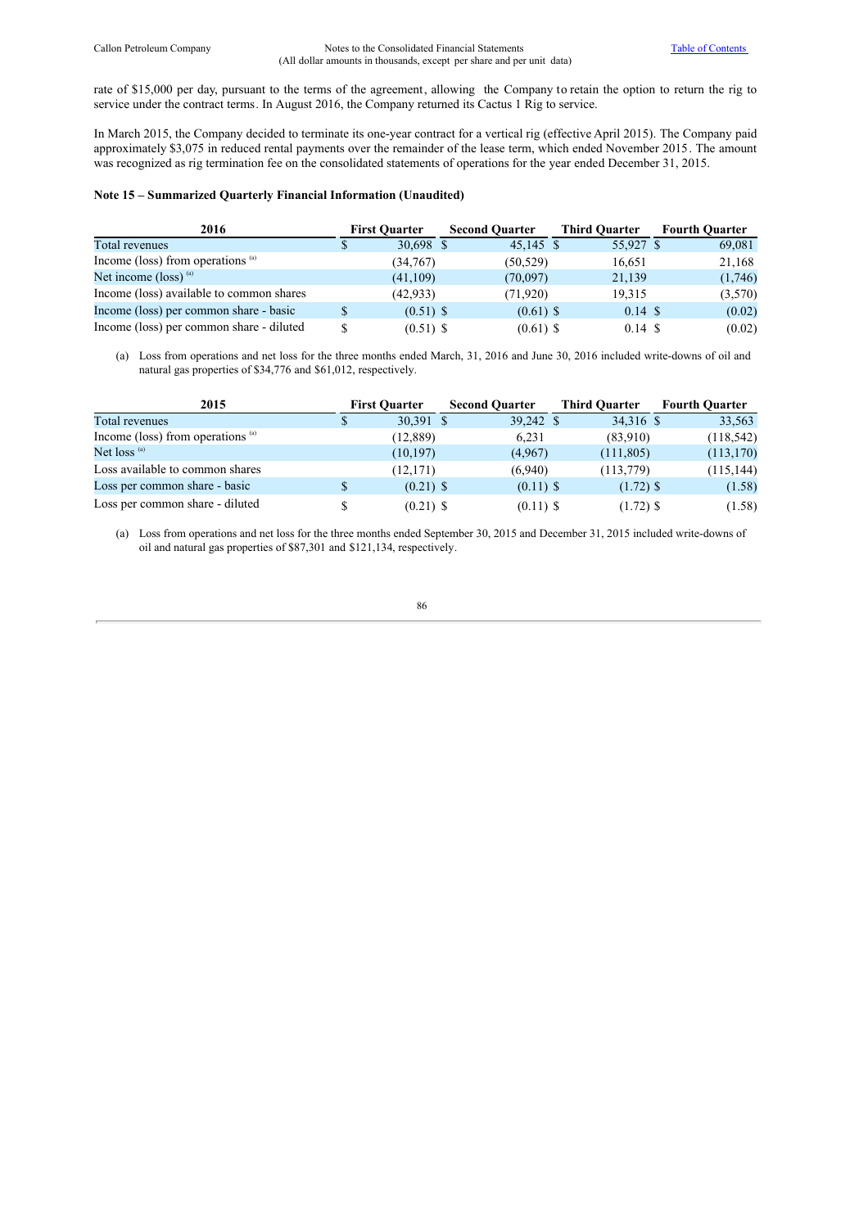rate of \$15,000 per day, pursuant to the terms of the agreement, allowing the Company to retain the option to return the rig to service under the contract terms. In August 2016, the Company returned its Cactus 1 Rig to service.

In March 2015, the Company decided to terminate its one-year contract for a vertical rig (effective April 2015). The Company paid approximately \$3,075 in reduced rental payments over the remainder of the lease term, which ended November 2015. The amount was recognized as rig termination fee on the consolidated statements of operations for the year ended December 31, 2015.

# **Note 15 – Summarized Quarterly Financial Information (Unaudited)**

| 2016                                         |    | <b>First Quarter</b> | <b>Second Quarter</b> | <b>Third Quarter</b> | <b>Fourth Quarter</b> |
|----------------------------------------------|----|----------------------|-----------------------|----------------------|-----------------------|
| Total revenues                               | S  | 30.698 \$            | 45.145 \$             | 55,927 \$            | 69,081                |
| Income (loss) from operations $\binom{a}{b}$ |    | (34,767)             | (50, 529)             | 16.651               | 21,168                |
| Net income $(\text{loss})^{\text{(a)}}$      |    | (41,109)             | (70,097)              | 21,139               | (1,746)               |
| Income (loss) available to common shares     |    | (42, 933)            | (71, 920)             | 19.315               | (3,570)               |
| Income (loss) per common share - basic       | S  | $(0.51)$ \$          | $(0.61)$ \$           | 0.14S                | (0.02)                |
| Income (loss) per common share - diluted     | \$ | $(0.51)$ \$          | $(0.61)$ \$           | 0.14S                | (0.02)                |

(a) Loss from operations and net loss for the three months ended March, 31, 2016 and June 30, 2016 included write-downs of oil and natural gas properties of \$34,776 and \$61,012, respectively.

| 2015                                |    | <b>First Quarter</b> | <b>Second Quarter</b> | <b>Third Quarter</b> | <b>Fourth Quarter</b> |
|-------------------------------------|----|----------------------|-----------------------|----------------------|-----------------------|
| Total revenues                      | S  | 30.391 \$            | 39.242 \$             | 34,316 \$            | 33,563                |
| Income (loss) from operations $(4)$ |    | (12, 889)            | 6.231                 | (83,910)             | (118, 542)            |
| Net $loss$ <sup>(a)</sup>           |    | (10, 197)            | (4,967)               | (111, 805)           | (113, 170)            |
| Loss available to common shares     |    | (12, 171)            | (6.940)               | (113,779)            | (115, 144)            |
| Loss per common share - basic       | \$ | $(0.21)$ \$          | $(0.11)$ \$           | $(1.72)$ \$          | (1.58)                |
| Loss per common share - diluted     | \$ | $(0.21)$ \$          | $(0.11)$ \$           | $(1.72)$ \$          | (1.58)                |

(a) Loss from operations and net loss for the three months ended September 30, 2015 and December 31, 2015 included write-downs of oil and natural gas properties of \$87,301 and \$121,134, respectively.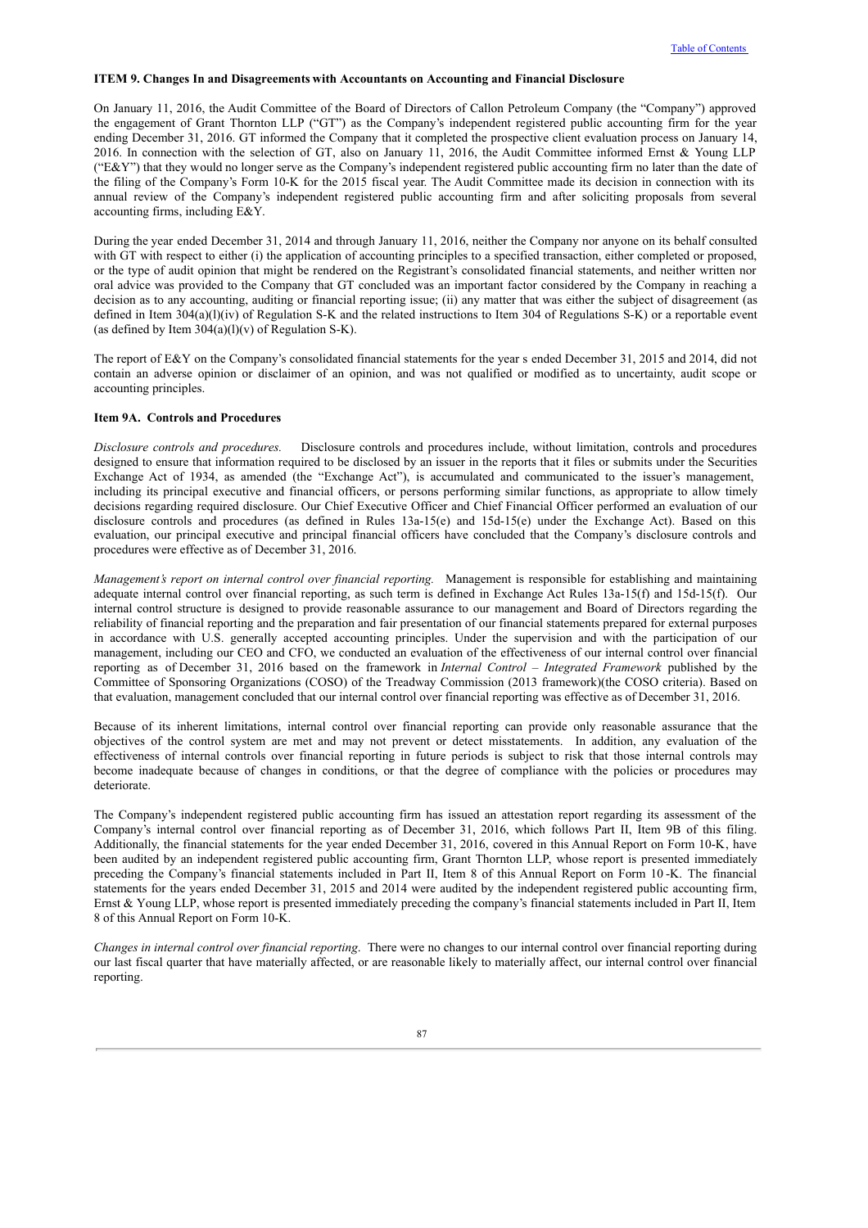### **ITEM 9. Changes In and Disagreements with Accountants on Accounting and Financial Disclosure**

On January 11, 2016, the Audit Committee of the Board of Directors of Callon Petroleum Company (the "Company") approved the engagement of Grant Thornton LLP ("GT") as the Company's independent registered public accounting firm for the year ending December 31, 2016. GT informed the Company that it completed the prospective client evaluation process on January 14, 2016. In connection with the selection of GT, also on January 11, 2016, the Audit Committee informed Ernst & Young LLP ("E&Y") that they would no longer serve as the Company's independent registered public accounting firm no later than the date of the filing of the Company's Form 10-K for the 2015 fiscal year. The Audit Committee made its decision in connection with its annual review of the Company's independent registered public accounting firm and after soliciting proposals from several accounting firms, including E&Y.

During the year ended December 31, 2014 and through January 11, 2016, neither the Company nor anyone on its behalf consulted with GT with respect to either (i) the application of accounting principles to a specified transaction, either completed or proposed, or the type of audit opinion that might be rendered on the Registrant's consolidated financial statements, and neither written nor oral advice was provided to the Company that GT concluded was an important factor considered by the Company in reaching a decision as to any accounting, auditing or financial reporting issue; (ii) any matter that was either the subject of disagreement (as defined in Item 304(a)(l)(iv) of Regulation S-K and the related instructions to Item 304 of Regulations S-K) or a reportable event (as defined by Item  $304(a)(1)(v)$  of Regulation S-K).

The report of E&Y on the Company's consolidated financial statements for the year s ended December 31, 2015 and 2014, did not contain an adverse opinion or disclaimer of an opinion, and was not qualified or modified as to uncertainty, audit scope or accounting principles.

## **Item 9A. Controls and Procedures**

*Disclosure controls and procedures.* Disclosure controls and procedures include, without limitation, controls and procedures designed to ensure that information required to be disclosed by an issuer in the reports that it files or submits under the Securities Exchange Act of 1934, as amended (the "Exchange Act"), is accumulated and communicated to the issuer's management, including its principal executive and financial officers, or persons performing similar functions, as appropriate to allow timely decisions regarding required disclosure. Our Chief Executive Officer and Chief Financial Officer performed an evaluation of our disclosure controls and procedures (as defined in Rules 13a-15(e) and 15d-15(e) under the Exchange Act). Based on this evaluation, our principal executive and principal financial officers have concluded that the Company's disclosure controls and procedures were effective as of December 31, 2016.

*Management's report on internal control over financial reporting.* Management is responsible for establishing and maintaining adequate internal control over financial reporting, as such term is defined in Exchange Act Rules 13a-15(f) and 15d-15(f). Our internal control structure is designed to provide reasonable assurance to our management and Board of Directors regarding the reliability of financial reporting and the preparation and fair presentation of our financial statements prepared for external purposes in accordance with U.S. generally accepted accounting principles. Under the supervision and with the participation of our management, including our CEO and CFO, we conducted an evaluation of the effectiveness of our internal control over financial reporting as of December 31, 2016 based on the framework in *Internal Control – Integrated Framework* published by the Committee of Sponsoring Organizations (COSO) of the Treadway Commission (2013 framework)(the COSO criteria). Based on that evaluation, management concluded that our internal control over financial reporting was effective as of December 31, 2016.

Because of its inherent limitations, internal control over financial reporting can provide only reasonable assurance that the objectives of the control system are met and may not prevent or detect misstatements. In addition, any evaluation of the effectiveness of internal controls over financial reporting in future periods is subject to risk that those internal controls may become inadequate because of changes in conditions, or that the degree of compliance with the policies or procedures may deteriorate.

The Company's independent registered public accounting firm has issued an attestation report regarding its assessment of the Company's internal control over financial reporting as of December 31, 2016, which follows Part II, Item 9B of this filing. Additionally, the financial statements for the year ended December 31, 2016, covered in this Annual Report on Form 10-K, have been audited by an independent registered public accounting firm, Grant Thornton LLP, whose report is presented immediately preceding the Company's financial statements included in Part II, Item 8 of this Annual Report on Form 10 -K. The financial statements for the years ended December 31, 2015 and 2014 were audited by the independent registered public accounting firm, Ernst & Young LLP, whose report is presented immediately preceding the company's financial statements included in Part II, Item 8 of this Annual Report on Form 10-K.

*Changes in internal control over financial reporting*. There were no changes to our internal control over financial reporting during our last fiscal quarter that have materially affected, or are reasonable likely to materially affect, our internal control over financial reporting.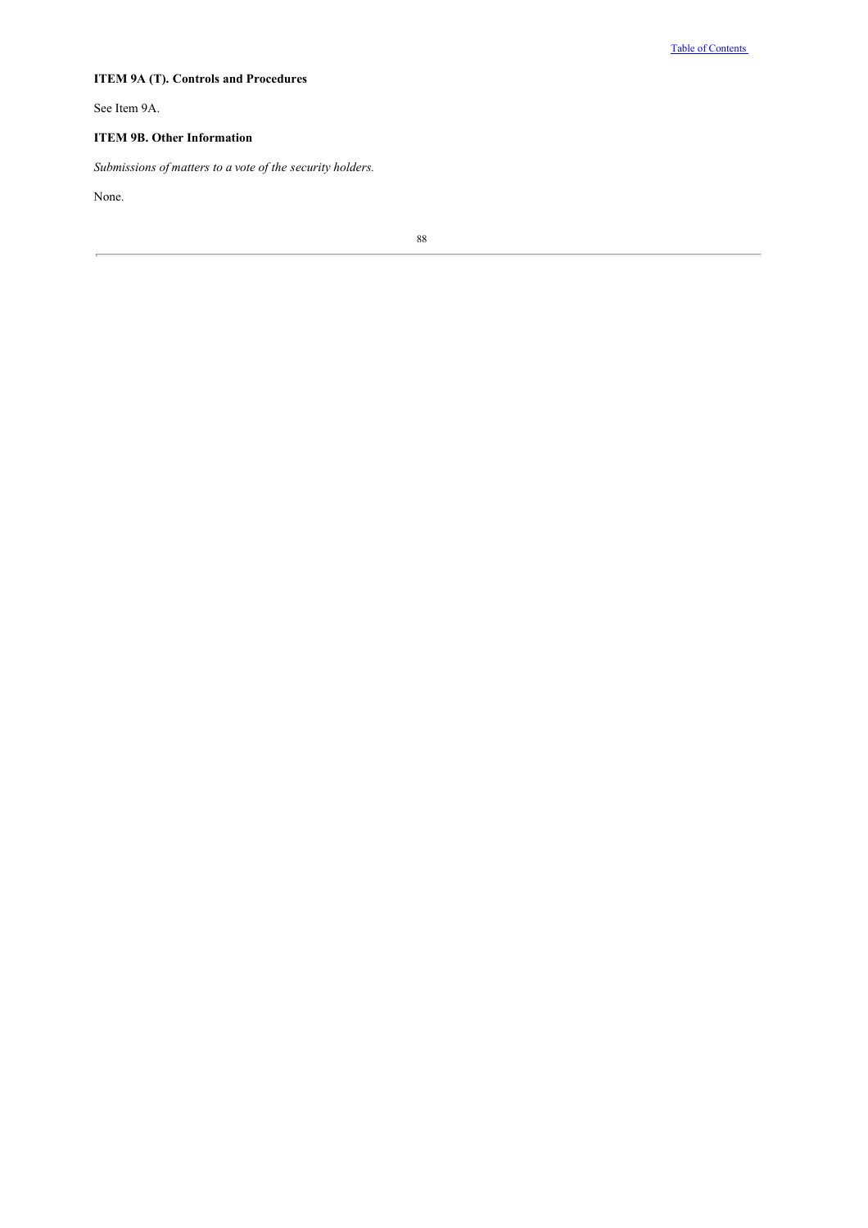# **ITEM 9A (T). Controls and Procedures**

See Item 9A.

# **ITEM 9B. Other Information**

*Submissions of matters to a vote of the security holders.*

None.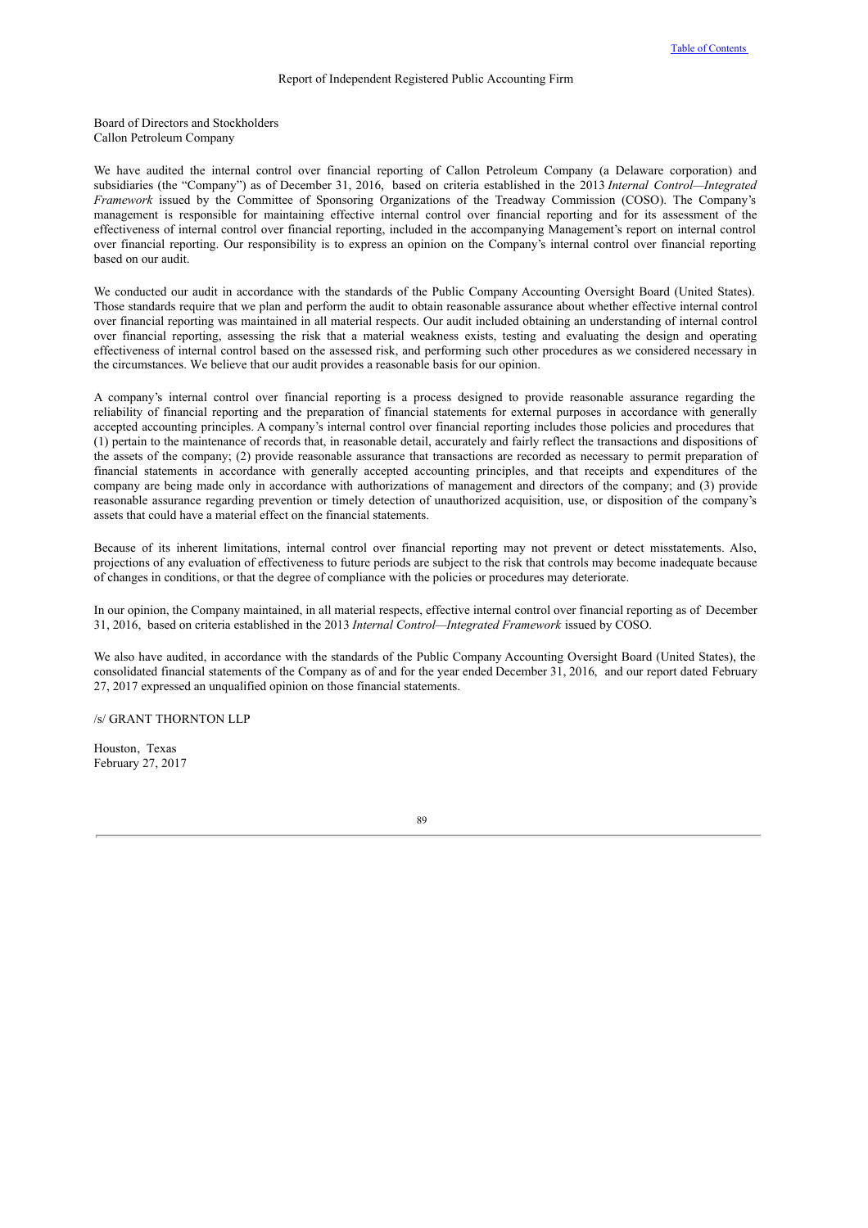Board of Directors and Stockholders Callon Petroleum Company

We have audited the internal control over financial reporting of Callon Petroleum Company (a Delaware corporation) and subsidiaries (the "Company") as of December 31, 2016, based on criteria established in the 2013 *Internal Control—Integrated Framework* issued by the Committee of Sponsoring Organizations of the Treadway Commission (COSO). The Company's management is responsible for maintaining effective internal control over financial reporting and for its assessment of the effectiveness of internal control over financial reporting, included in the accompanying Management's report on internal control over financial reporting. Our responsibility is to express an opinion on the Company's internal control over financial reporting based on our audit.

We conducted our audit in accordance with the standards of the Public Company Accounting Oversight Board (United States). Those standards require that we plan and perform the audit to obtain reasonable assurance about whether effective internal control over financial reporting was maintained in all material respects. Our audit included obtaining an understanding of internal control over financial reporting, assessing the risk that a material weakness exists, testing and evaluating the design and operating effectiveness of internal control based on the assessed risk, and performing such other procedures as we considered necessary in the circumstances. We believe that our audit provides a reasonable basis for our opinion.

A company's internal control over financial reporting is a process designed to provide reasonable assurance regarding the reliability of financial reporting and the preparation of financial statements for external purposes in accordance with generally accepted accounting principles. A company's internal control over financial reporting includes those policies and procedures that (1) pertain to the maintenance of records that, in reasonable detail, accurately and fairly reflect the transactions and dispositions of the assets of the company; (2) provide reasonable assurance that transactions are recorded as necessary to permit preparation of financial statements in accordance with generally accepted accounting principles, and that receipts and expenditures of the company are being made only in accordance with authorizations of management and directors of the company; and (3) provide reasonable assurance regarding prevention or timely detection of unauthorized acquisition, use, or disposition of the company's assets that could have a material effect on the financial statements.

Because of its inherent limitations, internal control over financial reporting may not prevent or detect misstatements. Also, projections of any evaluation of effectiveness to future periods are subject to the risk that controls may become inadequate because of changes in conditions, or that the degree of compliance with the policies or procedures may deteriorate.

In our opinion, the Company maintained, in all material respects, effective internal control over financial reporting as of December 31, 2016, based on criteria established in the 2013 *Internal Control—Integrated Framework* issued by COSO.

We also have audited, in accordance with the standards of the Public Company Accounting Oversight Board (United States), the consolidated financial statements of the Company as of and for the year ended December 31, 2016, and our report dated February 27, 2017 expressed an unqualified opinion on those financial statements.

/s/ GRANT THORNTON LLP

Houston, Texas February 27, 2017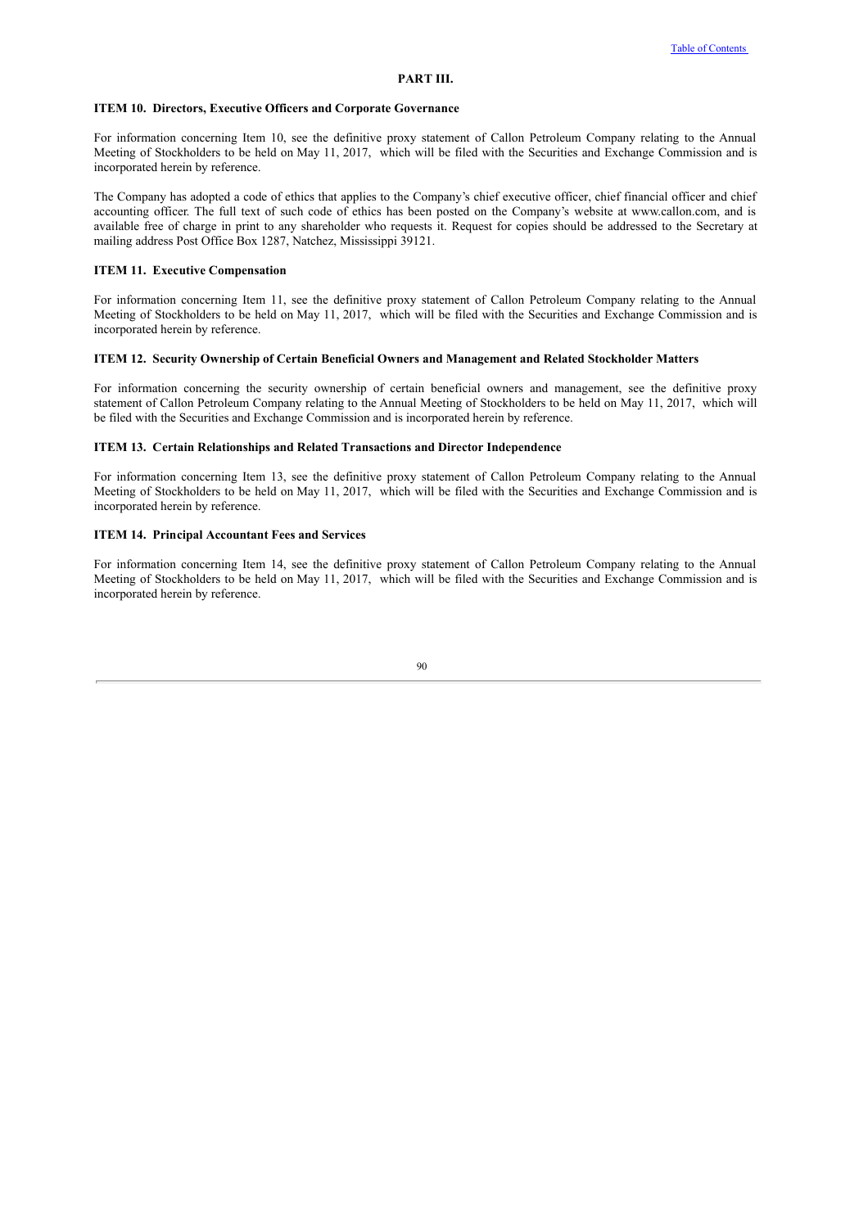# **PART III.**

# **ITEM 10. Directors, Executive Officers and Corporate Governance**

For information concerning Item 10, see the definitive proxy statement of Callon Petroleum Company relating to the Annual Meeting of Stockholders to be held on May 11, 2017, which will be filed with the Securities and Exchange Commission and is incorporated herein by reference.

The Company has adopted a code of ethics that applies to the Company's chief executive officer, chief financial officer and chief accounting officer. The full text of such code of ethics has been posted on the Company's website at www.callon.com, and is available free of charge in print to any shareholder who requests it. Request for copies should be addressed to the Secretary at mailing address Post Office Box 1287, Natchez, Mississippi 39121.

# **ITEM 11. Executive Compensation**

For information concerning Item 11, see the definitive proxy statement of Callon Petroleum Company relating to the Annual Meeting of Stockholders to be held on May 11, 2017, which will be filed with the Securities and Exchange Commission and is incorporated herein by reference.

#### **ITEM 12. Security Ownership of Certain Beneficial Owners and Management and Related Stockholder Matters**

For information concerning the security ownership of certain beneficial owners and management, see the definitive proxy statement of Callon Petroleum Company relating to the Annual Meeting of Stockholders to be held on May 11, 2017, which will be filed with the Securities and Exchange Commission and is incorporated herein by reference.

#### **ITEM 13. Certain Relationships and Related Transactions and Director Independence**

For information concerning Item 13, see the definitive proxy statement of Callon Petroleum Company relating to the Annual Meeting of Stockholders to be held on May 11, 2017, which will be filed with the Securities and Exchange Commission and is incorporated herein by reference.

## **ITEM 14. Principal Accountant Fees and Services**

For information concerning Item 14, see the definitive proxy statement of Callon Petroleum Company relating to the Annual Meeting of Stockholders to be held on May 11, 2017, which will be filed with the Securities and Exchange Commission and is incorporated herein by reference.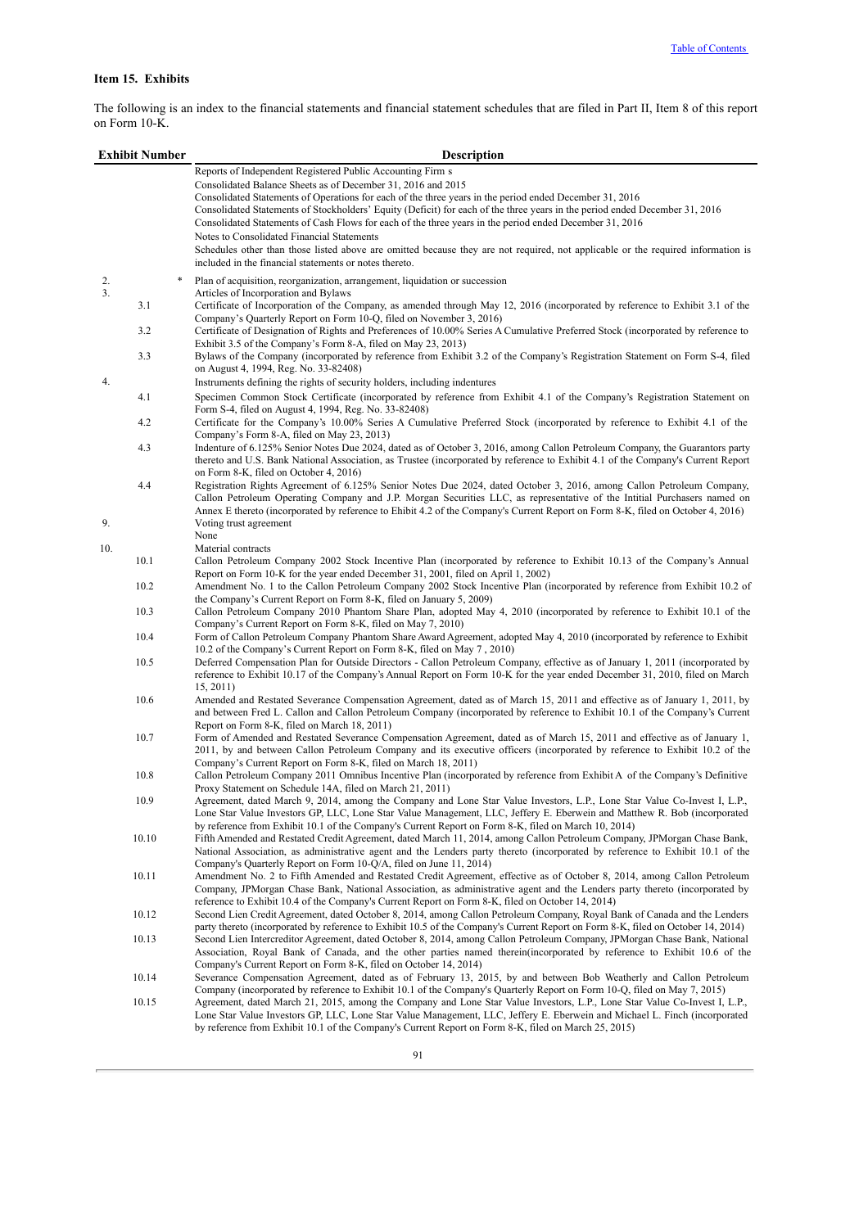# **Item 15. Exhibits**

The following is an index to the financial statements and financial statement schedules that are filed in Part II, Item 8 of this report on Form 10-K.

|     | <b>Exhibit Number</b> | <b>Description</b>                                                                                                                                                                                                                                                                                                                                                                                                                                                                                                                                                                                                                                                                                                          |
|-----|-----------------------|-----------------------------------------------------------------------------------------------------------------------------------------------------------------------------------------------------------------------------------------------------------------------------------------------------------------------------------------------------------------------------------------------------------------------------------------------------------------------------------------------------------------------------------------------------------------------------------------------------------------------------------------------------------------------------------------------------------------------------|
|     |                       | Reports of Independent Registered Public Accounting Firm s<br>Consolidated Balance Sheets as of December 31, 2016 and 2015<br>Consolidated Statements of Operations for each of the three years in the period ended December 31, 2016<br>Consolidated Statements of Stockholders' Equity (Deficit) for each of the three years in the period ended December 31, 2016<br>Consolidated Statements of Cash Flows for each of the three years in the period ended December 31, 2016<br>Notes to Consolidated Financial Statements<br>Schedules other than those listed above are omitted because they are not required, not applicable or the required information is<br>included in the financial statements or notes thereto. |
| 2.  |                       | Plan of acquisition, reorganization, arrangement, liquidation or succession                                                                                                                                                                                                                                                                                                                                                                                                                                                                                                                                                                                                                                                 |
| 3.  | 3.1                   | Articles of Incorporation and Bylaws<br>Certificate of Incorporation of the Company, as amended through May 12, 2016 (incorporated by reference to Exhibit 3.1 of the                                                                                                                                                                                                                                                                                                                                                                                                                                                                                                                                                       |
|     |                       | Company's Quarterly Report on Form 10-Q, filed on November 3, 2016)                                                                                                                                                                                                                                                                                                                                                                                                                                                                                                                                                                                                                                                         |
|     | 3.2                   | Certificate of Designation of Rights and Preferences of 10.00% Series A Cumulative Preferred Stock (incorporated by reference to<br>Exhibit 3.5 of the Company's Form 8-A, filed on May 23, 2013)                                                                                                                                                                                                                                                                                                                                                                                                                                                                                                                           |
|     | 3.3                   | Bylaws of the Company (incorporated by reference from Exhibit 3.2 of the Company's Registration Statement on Form S-4, filed                                                                                                                                                                                                                                                                                                                                                                                                                                                                                                                                                                                                |
| 4.  |                       | on August 4, 1994, Reg. No. 33-82408)<br>Instruments defining the rights of security holders, including indentures                                                                                                                                                                                                                                                                                                                                                                                                                                                                                                                                                                                                          |
|     | 4.1                   | Specimen Common Stock Certificate (incorporated by reference from Exhibit 4.1 of the Company's Registration Statement on                                                                                                                                                                                                                                                                                                                                                                                                                                                                                                                                                                                                    |
|     |                       | Form S-4, filed on August 4, 1994, Reg. No. 33-82408)                                                                                                                                                                                                                                                                                                                                                                                                                                                                                                                                                                                                                                                                       |
|     | 4.2                   | Certificate for the Company's 10.00% Series A Cumulative Preferred Stock (incorporated by reference to Exhibit 4.1 of the<br>Company's Form 8-A, filed on May 23, 2013)                                                                                                                                                                                                                                                                                                                                                                                                                                                                                                                                                     |
|     | 4.3                   | Indenture of 6.125% Senior Notes Due 2024, dated as of October 3, 2016, among Callon Petroleum Company, the Guarantors party<br>thereto and U.S. Bank National Association, as Trustee (incorporated by reference to Exhibit 4.1 of the Company's Current Report<br>on Form 8-K, filed on October 4, 2016)                                                                                                                                                                                                                                                                                                                                                                                                                  |
|     | 4.4                   | Registration Rights Agreement of 6.125% Senior Notes Due 2024, dated October 3, 2016, among Callon Petroleum Company,<br>Callon Petroleum Operating Company and J.P. Morgan Securities LLC, as representative of the Intitial Purchasers named on<br>Annex E thereto (incorporated by reference to Ehibit 4.2 of the Company's Current Report on Form 8-K, filed on October 4, 2016)                                                                                                                                                                                                                                                                                                                                        |
| 9.  |                       | Voting trust agreement<br>None                                                                                                                                                                                                                                                                                                                                                                                                                                                                                                                                                                                                                                                                                              |
| 10. |                       | Material contracts                                                                                                                                                                                                                                                                                                                                                                                                                                                                                                                                                                                                                                                                                                          |
|     | 10.1                  | Callon Petroleum Company 2002 Stock Incentive Plan (incorporated by reference to Exhibit 10.13 of the Company's Annual<br>Report on Form 10-K for the year ended December 31, 2001, filed on April 1, 2002)                                                                                                                                                                                                                                                                                                                                                                                                                                                                                                                 |
|     | 10.2                  | Amendment No. 1 to the Callon Petroleum Company 2002 Stock Incentive Plan (incorporated by reference from Exhibit 10.2 of<br>the Company's Current Report on Form 8-K, filed on January 5, 2009)                                                                                                                                                                                                                                                                                                                                                                                                                                                                                                                            |
|     | 10.3                  | Callon Petroleum Company 2010 Phantom Share Plan, adopted May 4, 2010 (incorporated by reference to Exhibit 10.1 of the<br>Company's Current Report on Form 8-K, filed on May 7, 2010)                                                                                                                                                                                                                                                                                                                                                                                                                                                                                                                                      |
|     | 10.4                  | Form of Callon Petroleum Company Phantom Share Award Agreement, adopted May 4, 2010 (incorporated by reference to Exhibit<br>10.2 of the Company's Current Report on Form 8-K, filed on May 7, 2010)                                                                                                                                                                                                                                                                                                                                                                                                                                                                                                                        |
|     | 10.5                  | Deferred Compensation Plan for Outside Directors - Callon Petroleum Company, effective as of January 1, 2011 (incorporated by<br>reference to Exhibit 10.17 of the Company's Annual Report on Form 10-K for the year ended December 31, 2010, filed on March<br>15, 2011)                                                                                                                                                                                                                                                                                                                                                                                                                                                   |
|     | 10.6                  | Amended and Restated Severance Compensation Agreement, dated as of March 15, 2011 and effective as of January 1, 2011, by<br>and between Fred L. Callon and Callon Petroleum Company (incorporated by reference to Exhibit 10.1 of the Company's Current<br>Report on Form 8-K, filed on March 18, 2011)                                                                                                                                                                                                                                                                                                                                                                                                                    |
|     | 10.7                  | Form of Amended and Restated Severance Compensation Agreement, dated as of March 15, 2011 and effective as of January 1,<br>2011, by and between Callon Petroleum Company and its executive officers (incorporated by reference to Exhibit 10.2 of the<br>Company's Current Report on Form 8-K, filed on March 18, 2011)                                                                                                                                                                                                                                                                                                                                                                                                    |
|     | 10.8                  | Callon Petroleum Company 2011 Omnibus Incentive Plan (incorporated by reference from Exhibit A of the Company's Definitive<br>Proxy Statement on Schedule 14A, filed on March 21, 2011)                                                                                                                                                                                                                                                                                                                                                                                                                                                                                                                                     |
|     | 10.9                  | Agreement, dated March 9, 2014, among the Company and Lone Star Value Investors, L.P., Lone Star Value Co-Invest I, L.P.,<br>Lone Star Value Investors GP, LLC, Lone Star Value Management, LLC, Jeffery E. Eberwein and Matthew R. Bob (incorporated<br>by reference from Exhibit 10.1 of the Company's Current Report on Form 8-K, filed on March 10, 2014)                                                                                                                                                                                                                                                                                                                                                               |
|     | 10.10                 | Fifth Amended and Restated Credit Agreement, dated March 11, 2014, among Callon Petroleum Company, JPMorgan Chase Bank,<br>National Association, as administrative agent and the Lenders party thereto (incorporated by reference to Exhibit 10.1 of the<br>Company's Quarterly Report on Form 10-Q/A, filed on June 11, 2014)                                                                                                                                                                                                                                                                                                                                                                                              |
|     | 10.11                 | Amendment No. 2 to Fifth Amended and Restated Credit Agreement, effective as of October 8, 2014, among Callon Petroleum<br>Company, JPMorgan Chase Bank, National Association, as administrative agent and the Lenders party thereto (incorporated by                                                                                                                                                                                                                                                                                                                                                                                                                                                                       |
|     | 10.12                 | reference to Exhibit 10.4 of the Company's Current Report on Form 8-K, filed on October 14, 2014)<br>Second Lien Credit Agreement, dated October 8, 2014, among Callon Petroleum Company, Royal Bank of Canada and the Lenders                                                                                                                                                                                                                                                                                                                                                                                                                                                                                              |
|     | 10.13                 | party thereto (incorporated by reference to Exhibit 10.5 of the Company's Current Report on Form 8-K, filed on October 14, 2014)<br>Second Lien Intercreditor Agreement, dated October 8, 2014, among Callon Petroleum Company, JPMorgan Chase Bank, National<br>Association, Royal Bank of Canada, and the other parties named therein(incorporated by reference to Exhibit 10.6 of the<br>Company's Current Report on Form 8-K, filed on October 14, 2014)                                                                                                                                                                                                                                                                |
|     | 10.14                 | Severance Compensation Agreement, dated as of February 13, 2015, by and between Bob Weatherly and Callon Petroleum                                                                                                                                                                                                                                                                                                                                                                                                                                                                                                                                                                                                          |
|     | 10.15                 | Company (incorporated by reference to Exhibit 10.1 of the Company's Quarterly Report on Form 10-Q, filed on May 7, 2015)<br>Agreement, dated March 21, 2015, among the Company and Lone Star Value Investors, L.P., Lone Star Value Co-Invest I, L.P.,<br>Lone Star Value Investors GP, LLC, Lone Star Value Management, LLC, Jeffery E. Eberwein and Michael L. Finch (incorporated                                                                                                                                                                                                                                                                                                                                        |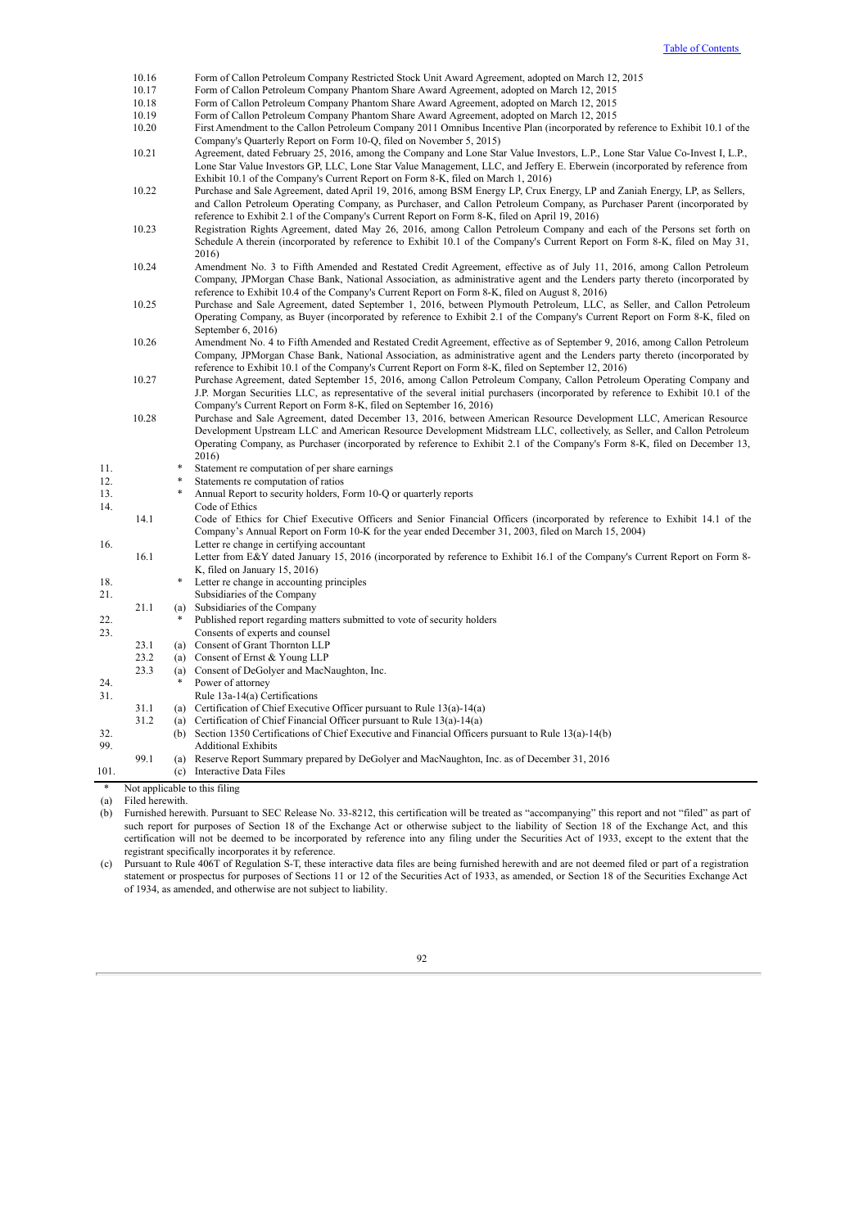|        | 10.16 |        | Form of Callon Petroleum Company Restricted Stock Unit Award Agreement, adopted on March 12, 2015                                 |
|--------|-------|--------|-----------------------------------------------------------------------------------------------------------------------------------|
|        | 10.17 |        | Form of Callon Petroleum Company Phantom Share Award Agreement, adopted on March 12, 2015                                         |
|        | 10.18 |        | Form of Callon Petroleum Company Phantom Share Award Agreement, adopted on March 12, 2015                                         |
|        | 10.19 |        | Form of Callon Petroleum Company Phantom Share Award Agreement, adopted on March 12, 2015                                         |
|        | 10.20 |        | First Amendment to the Callon Petroleum Company 2011 Omnibus Incentive Plan (incorporated by reference to Exhibit 10.1 of the     |
|        |       |        | Company's Quarterly Report on Form 10-Q, filed on November 5, 2015)                                                               |
|        | 10.21 |        | Agreement, dated February 25, 2016, among the Company and Lone Star Value Investors, L.P., Lone Star Value Co-Invest I, L.P.,     |
|        |       |        | Lone Star Value Investors GP, LLC, Lone Star Value Management, LLC, and Jeffery E. Eberwein (incorporated by reference from       |
|        |       |        | Exhibit 10.1 of the Company's Current Report on Form 8-K, filed on March 1, 2016)                                                 |
|        | 10.22 |        | Purchase and Sale Agreement, dated April 19, 2016, among BSM Energy LP, Crux Energy, LP and Zaniah Energy, LP, as Sellers,        |
|        |       |        |                                                                                                                                   |
|        |       |        | and Callon Petroleum Operating Company, as Purchaser, and Callon Petroleum Company, as Purchaser Parent (incorporated by          |
|        |       |        | reference to Exhibit 2.1 of the Company's Current Report on Form 8-K, filed on April 19, 2016)                                    |
|        | 10.23 |        | Registration Rights Agreement, dated May 26, 2016, among Callon Petroleum Company and each of the Persons set forth on            |
|        |       |        | Schedule A therein (incorporated by reference to Exhibit 10.1 of the Company's Current Report on Form 8-K, filed on May 31,       |
|        |       |        | 2016)                                                                                                                             |
|        | 10.24 |        | Amendment No. 3 to Fifth Amended and Restated Credit Agreement, effective as of July 11, 2016, among Callon Petroleum             |
|        |       |        | Company, JPMorgan Chase Bank, National Association, as administrative agent and the Lenders party thereto (incorporated by        |
|        |       |        | reference to Exhibit 10.4 of the Company's Current Report on Form 8-K, filed on August 8, 2016)                                   |
|        | 10.25 |        | Purchase and Sale Agreement, dated September 1, 2016, between Plymouth Petroleum, LLC, as Seller, and Callon Petroleum            |
|        |       |        | Operating Company, as Buyer (incorporated by reference to Exhibit 2.1 of the Company's Current Report on Form 8-K, filed on       |
|        |       |        | September $6, 2016$                                                                                                               |
|        | 10.26 |        | Amendment No. 4 to Fifth Amended and Restated Credit Agreement, effective as of September 9, 2016, among Callon Petroleum         |
|        |       |        | Company, JPMorgan Chase Bank, National Association, as administrative agent and the Lenders party thereto (incorporated by        |
|        |       |        | reference to Exhibit 10.1 of the Company's Current Report on Form 8-K, filed on September 12, 2016)                               |
|        | 10.27 |        | Purchase Agreement, dated September 15, 2016, among Callon Petroleum Company, Callon Petroleum Operating Company and              |
|        |       |        | J.P. Morgan Securities LLC, as representative of the several initial purchasers (incorporated by reference to Exhibit 10.1 of the |
|        |       |        | Company's Current Report on Form 8-K, filed on September 16, 2016)                                                                |
|        | 10.28 |        | Purchase and Sale Agreement, dated December 13, 2016, between American Resource Development LLC, American Resource                |
|        |       |        | Development Upstream LLC and American Resource Development Midstream LLC, collectively, as Seller, and Callon Petroleum           |
|        |       |        | Operating Company, as Purchaser (incorporated by reference to Exhibit 2.1 of the Company's Form 8-K, filed on December 13,        |
|        |       |        | 2016)                                                                                                                             |
| 11.    |       | *      | Statement re computation of per share earnings                                                                                    |
| 12.    |       |        | Statements re computation of ratios                                                                                               |
| 13.    |       | *      | Annual Report to security holders, Form 10-Q or quarterly reports                                                                 |
| 14.    |       |        | Code of Ethics                                                                                                                    |
|        | 14.1  |        | Code of Ethics for Chief Executive Officers and Senior Financial Officers (incorporated by reference to Exhibit 14.1 of the       |
|        |       |        | Company's Annual Report on Form 10-K for the year ended December 31, 2003, filed on March 15, 2004)                               |
| 16.    |       |        | Letter re change in certifying accountant                                                                                         |
|        | 16.1  |        | Letter from E&Y dated January 15, 2016 (incorporated by reference to Exhibit 16.1 of the Company's Current Report on Form 8-      |
|        |       |        | K, filed on January 15, 2016)                                                                                                     |
| 18.    |       | $\ast$ | Letter re change in accounting principles                                                                                         |
| 21.    |       |        | Subsidiaries of the Company                                                                                                       |
|        | 21.1  |        | (a) Subsidiaries of the Company                                                                                                   |
| 22.    |       | *      | Published report regarding matters submitted to vote of security holders                                                          |
| 23.    |       |        | Consents of experts and counsel                                                                                                   |
|        | 23.1  |        | (a) Consent of Grant Thornton LLP                                                                                                 |
|        | 23.2  |        |                                                                                                                                   |
|        | 23.3  |        | (a) Consent of Ernst & Young LLP                                                                                                  |
|        |       |        | (a) Consent of DeGolyer and MacNaughton, Inc.                                                                                     |
| 24.    |       |        | Power of attorney                                                                                                                 |
| 31.    |       |        | Rule 13a-14(a) Certifications                                                                                                     |
|        | 31.1  |        | (a) Certification of Chief Executive Officer pursuant to Rule $13(a) - 14(a)$                                                     |
|        | 31.2  |        | (a) Certification of Chief Financial Officer pursuant to Rule $13(a)-14(a)$                                                       |
| 32.    |       |        | (b) Section 1350 Certifications of Chief Executive and Financial Officers pursuant to Rule 13(a)-14(b)                            |
| 99.    |       |        | <b>Additional Exhibits</b>                                                                                                        |
|        | 99.1  | (a)    | Reserve Report Summary prepared by DeGolyer and MacNaughton, Inc. as of December 31, 2016                                         |
| 101.   |       |        | (c) Interactive Data Files                                                                                                        |
| $\ast$ |       |        | Not applicable to this filing                                                                                                     |

(a) Filed herewith.

(b) Furnished herewith. Pursuant to SEC Release No. 33-8212, this certification will be treated as "accompanying" this report and not "filed" as part of such report for purposes of Section 18 of the Exchange Act or otherwise subject to the liability of Section 18 of the Exchange Act, and this certification will not be deemed to be incorporated by reference into any filing under the Securities Act of 1933, except to the extent that the registrant specifically incorporates it by reference.

(c) Pursuant to Rule 406T of Regulation S-T, these interactive data files are being furnished herewith and are not deemed filed or part of a registration statement or prospectus for purposes of Sections 11 or 12 of the Securities Act of 1933, as amended, or Section 18 of the Securities Exchange Act of 1934, as amended, and otherwise are not subject to liability.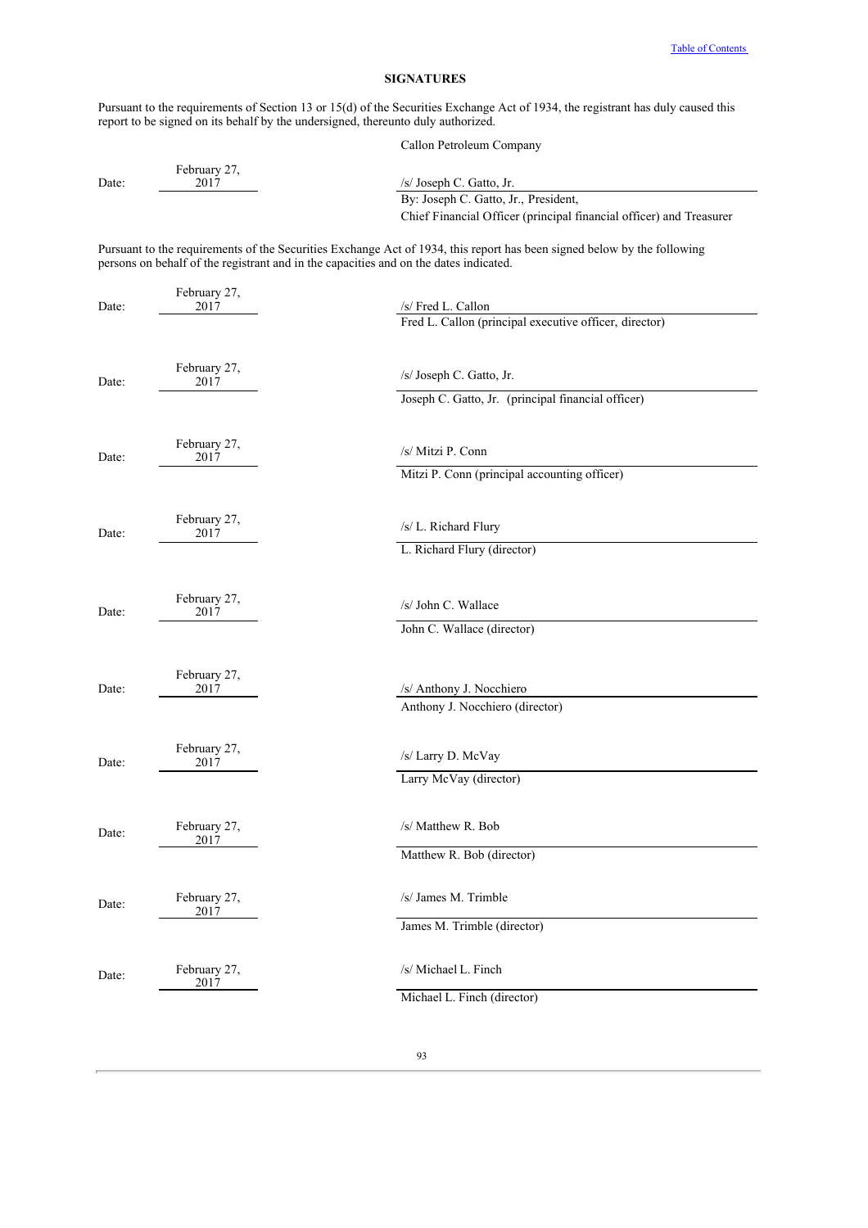# **SIGNATURES**

Pursuant to the requirements of Section 13 or 15(d) of the Securities Exchange Act of 1934, the registrant has duly caused this report to be signed on its behalf by the undersigned, thereunto duly authorized.

|       |                      | Callon Petroleum Company                                                                                                                                                                                         |
|-------|----------------------|------------------------------------------------------------------------------------------------------------------------------------------------------------------------------------------------------------------|
|       | February 27,         |                                                                                                                                                                                                                  |
| Date: | 2017                 | /s/ Joseph C. Gatto, Jr.                                                                                                                                                                                         |
|       |                      | By: Joseph C. Gatto, Jr., President,                                                                                                                                                                             |
|       |                      | Chief Financial Officer (principal financial officer) and Treasurer                                                                                                                                              |
|       |                      | Pursuant to the requirements of the Securities Exchange Act of 1934, this report has been signed below by the following<br>persons on behalf of the registrant and in the capacities and on the dates indicated. |
|       | February 27,         |                                                                                                                                                                                                                  |
| Date: | 2017                 | /s/ Fred L. Callon                                                                                                                                                                                               |
|       |                      | Fred L. Callon (principal executive officer, director)                                                                                                                                                           |
|       |                      |                                                                                                                                                                                                                  |
|       | February 27,         | /s/ Joseph C. Gatto, Jr.                                                                                                                                                                                         |
| Date: | 2017                 | Joseph C. Gatto, Jr. (principal financial officer)                                                                                                                                                               |
|       |                      |                                                                                                                                                                                                                  |
|       |                      |                                                                                                                                                                                                                  |
| Date: | February 27,<br>2017 | /s/ Mitzi P. Conn                                                                                                                                                                                                |
|       |                      | Mitzi P. Conn (principal accounting officer)                                                                                                                                                                     |
|       |                      |                                                                                                                                                                                                                  |
|       | February 27,         |                                                                                                                                                                                                                  |
| Date: | 2017                 | /s/ L. Richard Flury                                                                                                                                                                                             |
|       |                      | L. Richard Flury (director)                                                                                                                                                                                      |
|       |                      |                                                                                                                                                                                                                  |
|       | February 27,         | /s/ John C. Wallace                                                                                                                                                                                              |
| Date: | 2017                 |                                                                                                                                                                                                                  |
|       |                      | John C. Wallace (director)                                                                                                                                                                                       |
|       |                      |                                                                                                                                                                                                                  |
| Date: | February 27,<br>2017 | /s/ Anthony J. Nocchiero                                                                                                                                                                                         |
|       |                      | Anthony J. Nocchiero (director)                                                                                                                                                                                  |
|       |                      |                                                                                                                                                                                                                  |
|       | February 27,         |                                                                                                                                                                                                                  |
| Date: | 2017                 | /s/ Larry D. McVay                                                                                                                                                                                               |
|       |                      | Larry McVay (director)                                                                                                                                                                                           |
|       |                      |                                                                                                                                                                                                                  |
| Date: | February 27,         | /s/ Matthew R. Bob                                                                                                                                                                                               |
|       | 2017                 | Matthew R. Bob (director)                                                                                                                                                                                        |
|       |                      |                                                                                                                                                                                                                  |
|       |                      |                                                                                                                                                                                                                  |
| Date: | February 27,<br>2017 | /s/ James M. Trimble                                                                                                                                                                                             |
|       |                      | James M. Trimble (director)                                                                                                                                                                                      |
|       |                      |                                                                                                                                                                                                                  |
| Date: | February 27,         | /s/ Michael L. Finch                                                                                                                                                                                             |
|       | 2017                 | Michael L. Finch (director)                                                                                                                                                                                      |
|       |                      |                                                                                                                                                                                                                  |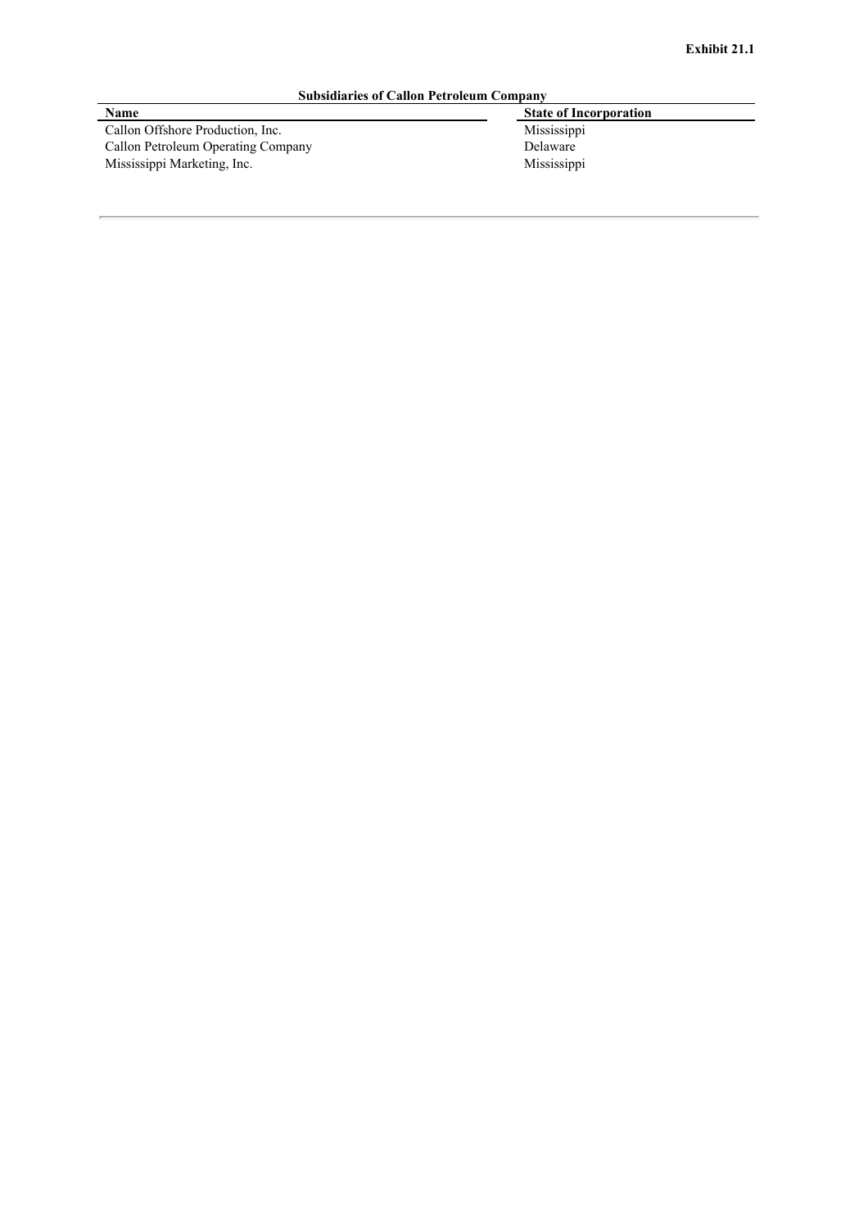# **Subsidiaries of Callon Petroleum Company**

| Callon Offshore Production, Inc.   | Mississippi |
|------------------------------------|-------------|
| Callon Petroleum Operating Company | Delaware    |
| Mississippi Marketing, Inc.        | Mississippi |

**Name State** of **Incorporation**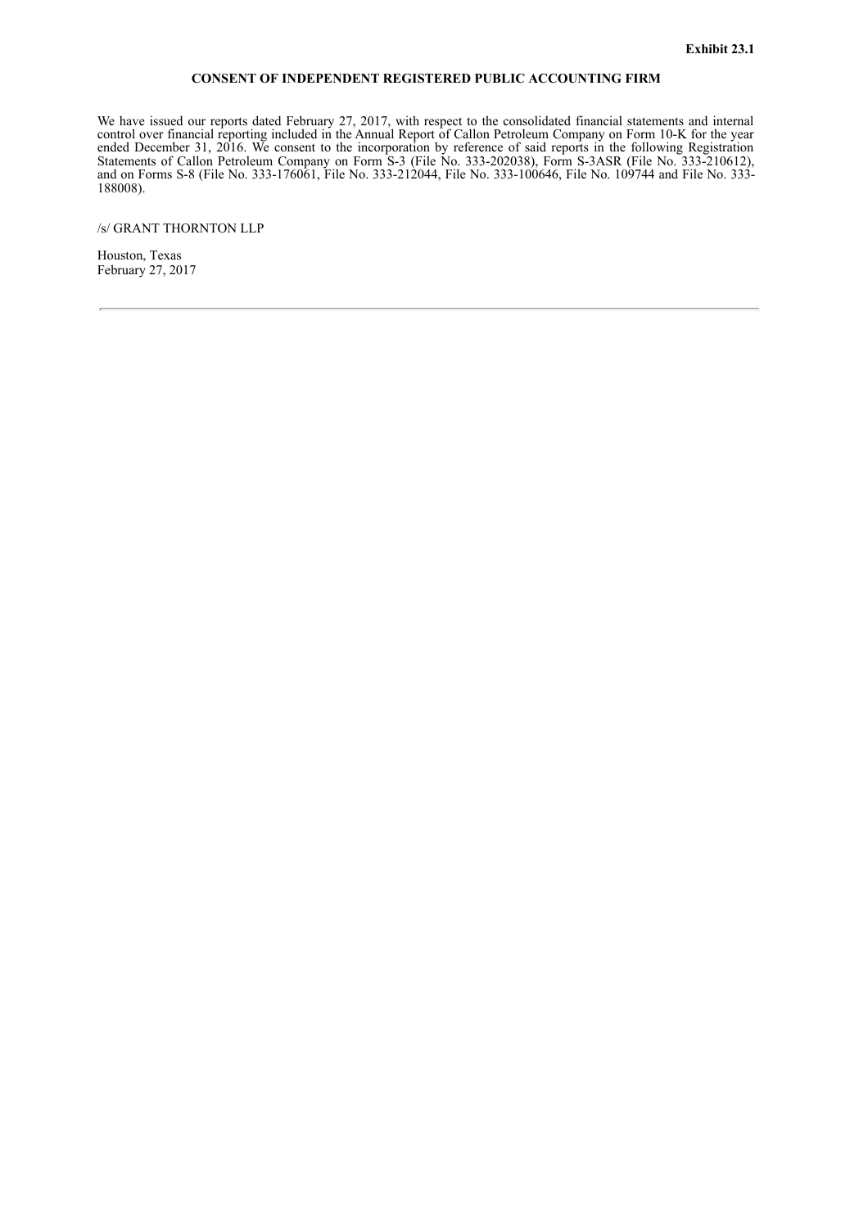# **CONSENT OF INDEPENDENT REGISTERED PUBLIC ACCOUNTING FIRM**

We have issued our reports dated February 27, 2017, with respect to the consolidated financial statements and internal control over financial reporting included in the Annual Report of Callon Petroleum Company on Form 10-K for the year ended December 31, 2016. We consent to the incorporation by reference of said reports in the following Registration Statements of Callon Petroleum Company on Form S-3 (File No. 333-202038), Form S-3ASR (File No. 333-210612), and on Forms S-8 (File No. 333-176061, File No. 333-212044, File No. 333-100646, File No. 109744 and File No. 333- 188008).

/s/ GRANT THORNTON LLP

Houston, Texas February 27, 2017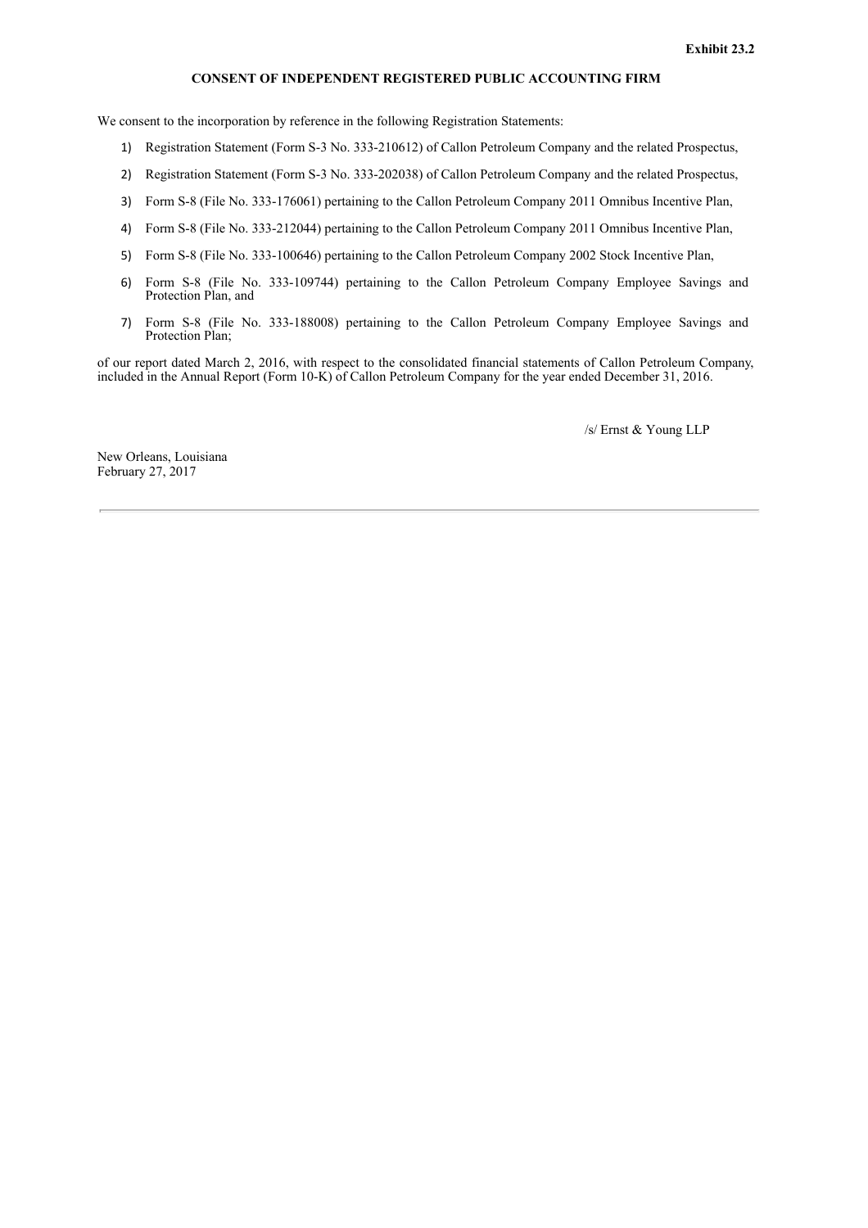# **CONSENT OF INDEPENDENT REGISTERED PUBLIC ACCOUNTING FIRM**

We consent to the incorporation by reference in the following Registration Statements:

- 1) Registration Statement (Form S-3 No. 333-210612) of Callon Petroleum Company and the related Prospectus,
- 2) Registration Statement (Form S-3 No. 333-202038) of Callon Petroleum Company and the related Prospectus,
- 3) Form S-8 (File No. 333-176061) pertaining to the Callon Petroleum Company 2011 Omnibus Incentive Plan,
- 4) Form S-8 (File No. 333-212044) pertaining to the Callon Petroleum Company 2011 Omnibus Incentive Plan,
- 5) Form S-8 (File No. 333-100646) pertaining to the Callon Petroleum Company 2002 Stock Incentive Plan,
- 6) Form S-8 (File No. 333-109744) pertaining to the Callon Petroleum Company Employee Savings and Protection Plan, and
- 7) Form S-8 (File No. 333-188008) pertaining to the Callon Petroleum Company Employee Savings and Protection Plan;

of our report dated March 2, 2016, with respect to the consolidated financial statements of Callon Petroleum Company, included in the Annual Report (Form 10-K) of Callon Petroleum Company for the year ended December 31, 2016.

/s/ Ernst & Young LLP

New Orleans, Louisiana February 27, 2017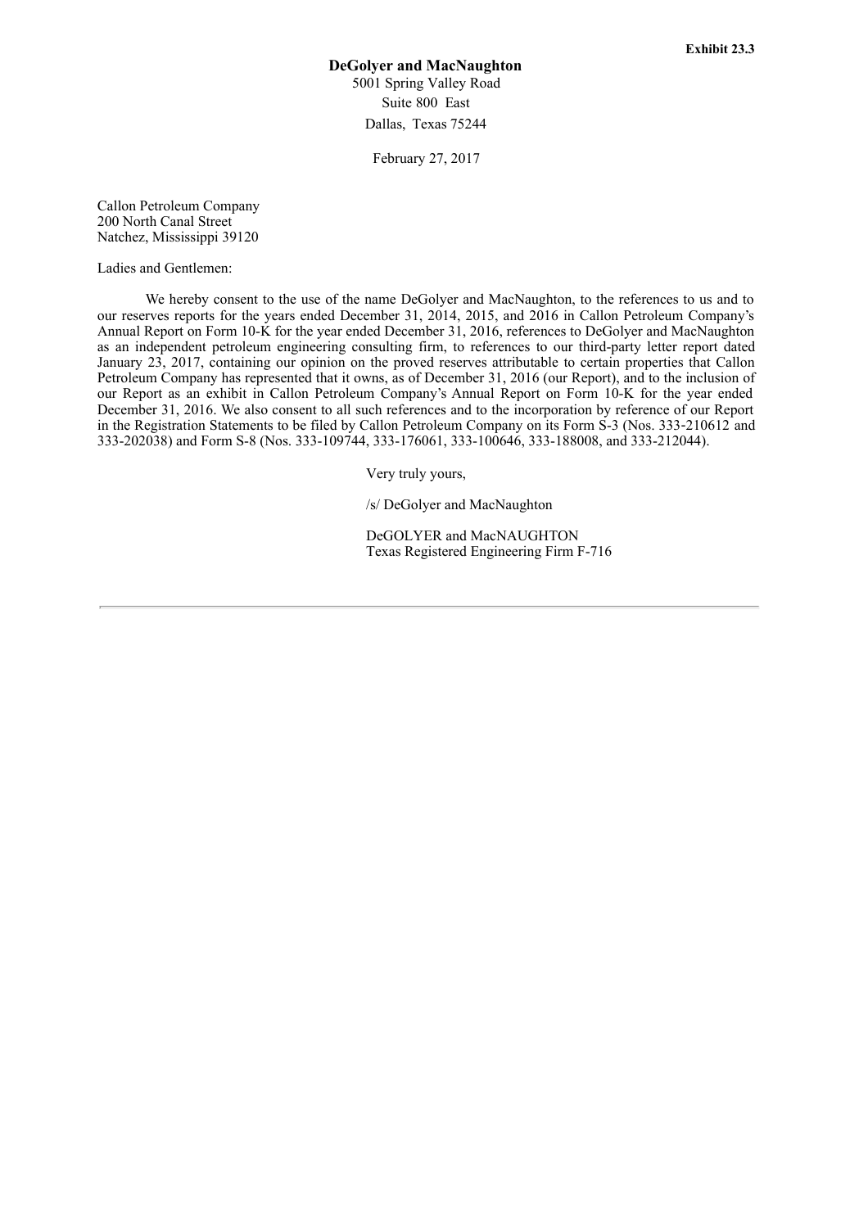February 27, 2017

Callon Petroleum Company 200 North Canal Street Natchez, Mississippi 39120

Ladies and Gentlemen:

We hereby consent to the use of the name DeGolyer and MacNaughton, to the references to us and to our reserves reports for the years ended December 31, 2014, 2015, and 2016 in Callon Petroleum Company's Annual Report on Form 10-K for the year ended December 31, 2016, references to DeGolyer and MacNaughton as an independent petroleum engineering consulting firm, to references to our third-party letter report dated January 23, 2017, containing our opinion on the proved reserves attributable to certain properties that Callon Petroleum Company has represented that it owns, as of December 31, 2016 (our Report), and to the inclusion of our Report as an exhibit in Callon Petroleum Company's Annual Report on Form 10-K for the year ended December 31, 2016. We also consent to all such references and to the incorporation by reference of our Report in the Registration Statements to be filed by Callon Petroleum Company on its Form S-3 (Nos. 333-210612 and 333-202038) and Form S-8 (Nos. 333-109744, 333-176061, 333-100646, 333-188008, and 333-212044).

Very truly yours,

/s/ DeGolyer and MacNaughton

DeGOLYER and MacNAUGHTON Texas Registered Engineering Firm F-716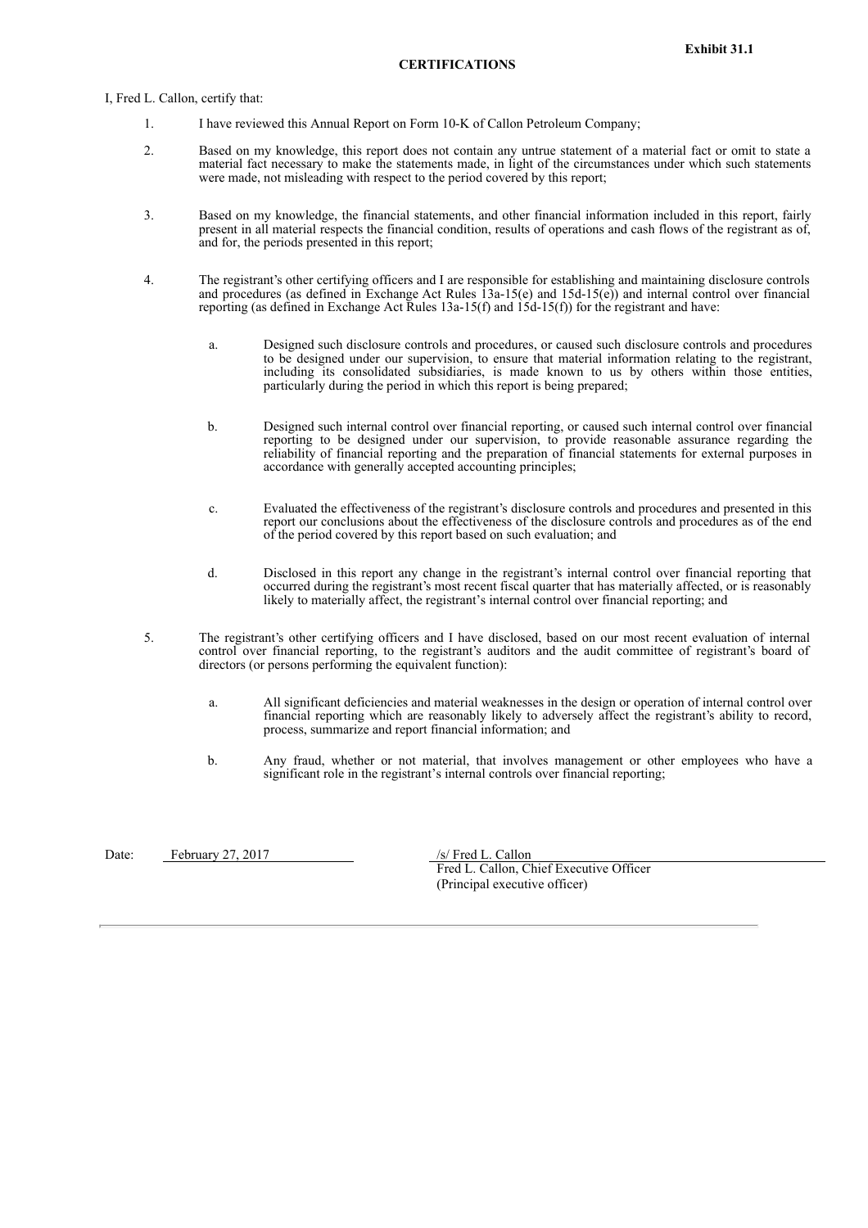I, Fred L. Callon, certify that:

- 1. I have reviewed this Annual Report on Form 10-K of Callon Petroleum Company;
- 2. Based on my knowledge, this report does not contain any untrue statement of a material fact or omit to state a material fact necessary to make the statements made, in light of the circumstances under which such statements were made, not misleading with respect to the period covered by this report;

**CERTIFICATIONS**

- 3. Based on my knowledge, the financial statements, and other financial information included in this report, fairly present in all material respects the financial condition, results of operations and cash flows of the registrant as of, and for, the periods presented in this report;
- 4. The registrant's other certifying officers and I are responsible for establishing and maintaining disclosure controls and procedures (as defined in Exchange Act Rules 13a-15(e) and 15d-15(e)) and internal control over financial reporting (as defined in Exchange Act Rules 13a-15(f) and 15d-15(f)) for the registrant and have:
	- a. Designed such disclosure controls and procedures, or caused such disclosure controls and procedures to be designed under our supervision, to ensure that material information relating to the registrant, including its consolidated subsidiaries, is made known to us by others within those entities, particularly during the period in which this report is being prepared;
	- b. Designed such internal control over financial reporting, or caused such internal control over financial reporting to be designed under our supervision, to provide reasonable assurance regarding the reliability of financial reporting and the preparation of financial statements for external purposes in accordance with generally accepted accounting principles;
	- c. Evaluated the effectiveness of the registrant's disclosure controls and procedures and presented in this report our conclusions about the effectiveness of the disclosure controls and procedures as of the end of the period covered by this report based on such evaluation; and
	- d. Disclosed in this report any change in the registrant's internal control over financial reporting that occurred during the registrant's most recent fiscal quarter that has materially affected, or is reasonably likely to materially affect, the registrant's internal control over financial reporting; and
- 5. The registrant's other certifying officers and I have disclosed, based on our most recent evaluation of internal control over financial reporting, to the registrant's auditors and the audit committee of registrant's board of directors (or persons performing the equivalent function):
	- a. All significant deficiencies and material weaknesses in the design or operation of internal control over financial reporting which are reasonably likely to adversely affect the registrant's ability to record, process, summarize and report financial information; and
	- b. Any fraud, whether or not material, that involves management or other employees who have a significant role in the registrant's internal controls over financial reporting;

Date: February 27, 2017 /s/ Fred L. Callon

Fred L. Callon, Chief Executive Officer (Principal executive officer)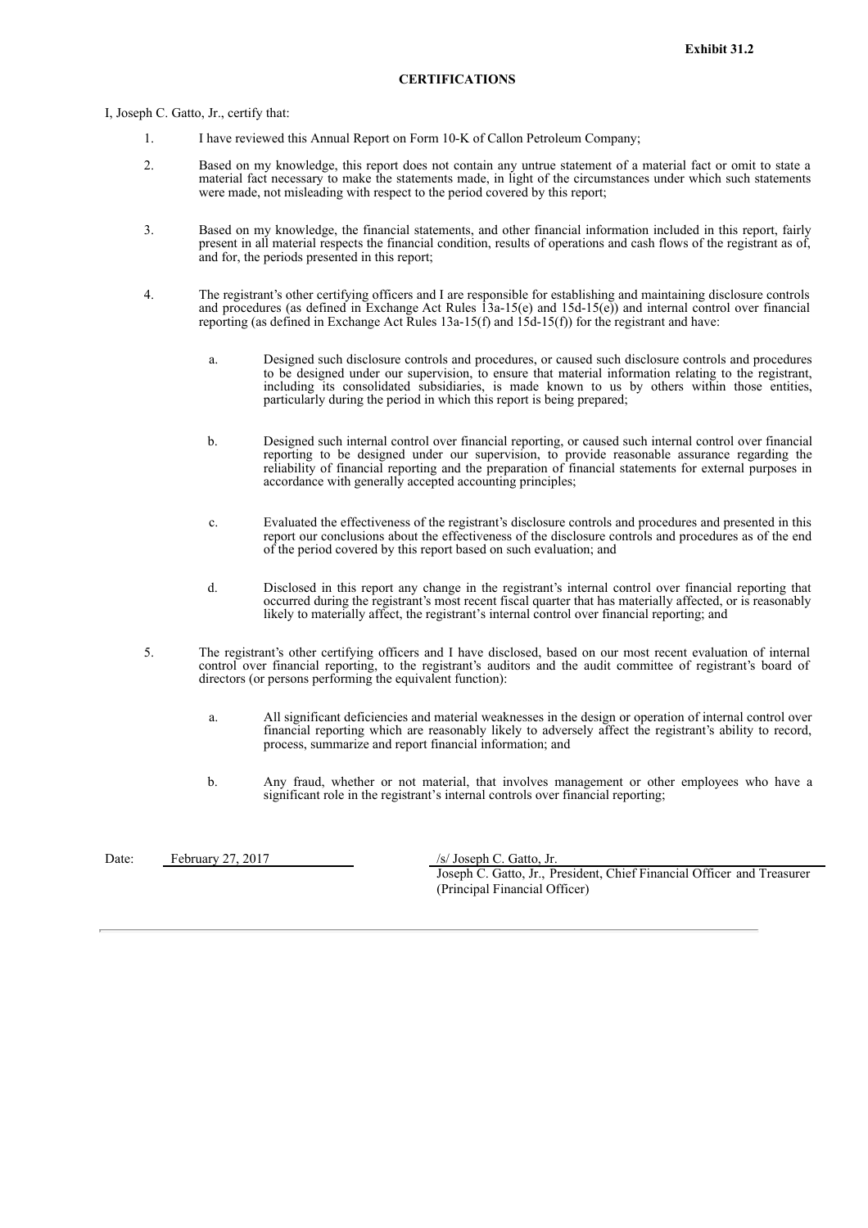I, Joseph C. Gatto, Jr., certify that:

- 1. I have reviewed this Annual Report on Form 10-K of Callon Petroleum Company;
- 2. Based on my knowledge, this report does not contain any untrue statement of a material fact or omit to state a material fact necessary to make the statements made, in light of the circumstances under which such statements were made, not misleading with respect to the period covered by this report;
- 3. Based on my knowledge, the financial statements, and other financial information included in this report, fairly present in all material respects the financial condition, results of operations and cash flows of the registrant as of, and for, the periods presented in this report;
- 4. The registrant's other certifying officers and I are responsible for establishing and maintaining disclosure controls and procedures (as defined in Exchange Act Rules 13a-15(e) and 15d-15(e)) and internal control over financial reporting (as defined in Exchange Act Rules 13a-15(f) and 15d-15(f)) for the registrant and have:
	- a. Designed such disclosure controls and procedures, or caused such disclosure controls and procedures to be designed under our supervision, to ensure that material information relating to the registrant, including its consolidated subsidiaries, is made known to us by others within those entities, particularly during the period in which this report is being prepared;
	- b. Designed such internal control over financial reporting, or caused such internal control over financial reporting to be designed under our supervision, to provide reasonable assurance regarding the reliability of financial reporting and the preparation of financial statements for external purposes in accordance with generally accepted accounting principles;
	- c. Evaluated the effectiveness of the registrant's disclosure controls and procedures and presented in this report our conclusions about the effectiveness of the disclosure controls and procedures as of the end of the period covered by this report based on such evaluation; and
	- d. Disclosed in this report any change in the registrant's internal control over financial reporting that occurred during the registrant's most recent fiscal quarter that has materially affected, or is reasonably likely to materially affect, the registrant's internal control over financial reporting; and
- 5. The registrant's other certifying officers and I have disclosed, based on our most recent evaluation of internal control over financial reporting, to the registrant's auditors and the audit committee of registrant's board of directors (or persons performing the equivalent function):
	- a. All significant deficiencies and material weaknesses in the design or operation of internal control over financial reporting which are reasonably likely to adversely affect the registrant's ability to record, process, summarize and report financial information; and
	- b. Any fraud, whether or not material, that involves management or other employees who have a significant role in the registrant's internal controls over financial reporting;

Date: February 27, 2017 /s/ Joseph C. Gatto, Jr.

Joseph C. Gatto, Jr., President, Chief Financial Officer and Treasurer (Principal Financial Officer)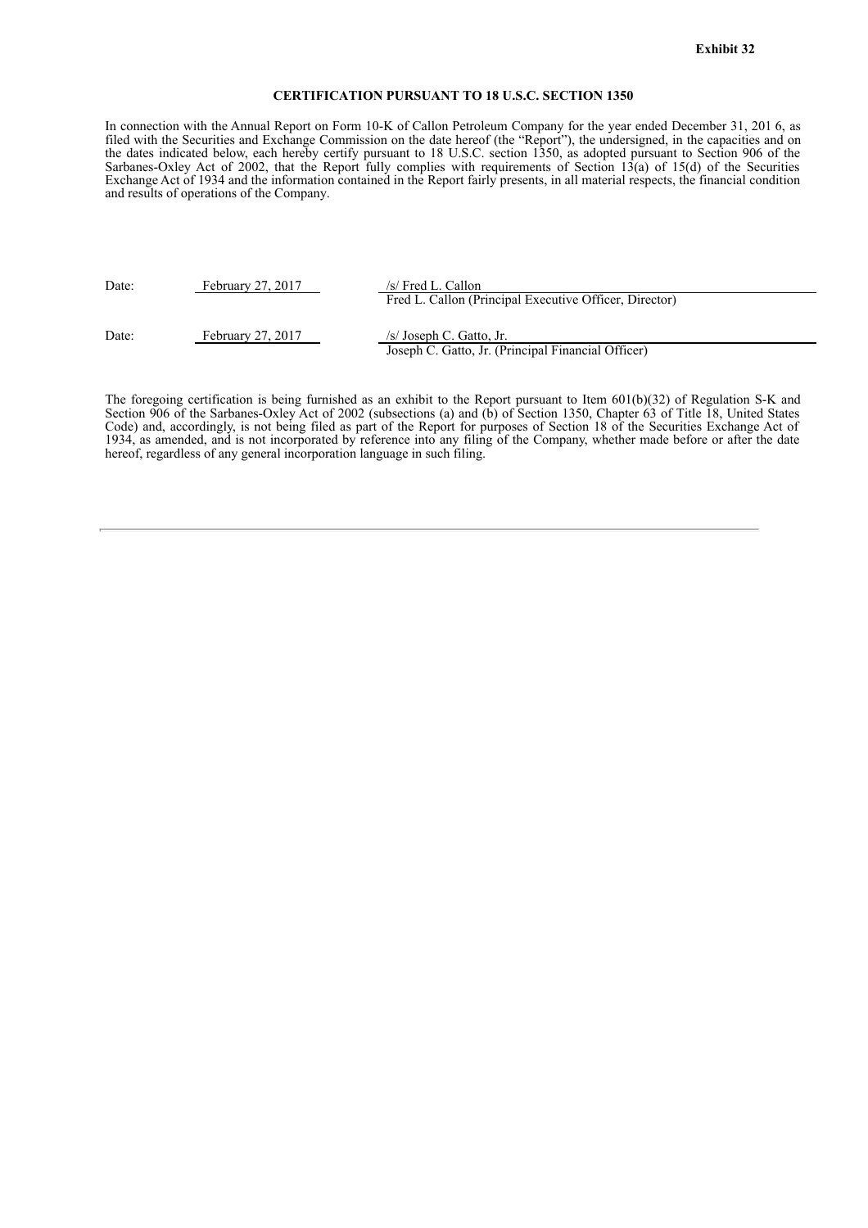# **CERTIFICATION PURSUANT TO 18 U.S.C. SECTION 1350**

In connection with the Annual Report on Form 10-K of Callon Petroleum Company for the year ended December 31, 201 6, as filed with the Securities and Exchange Commission on the date hereof (the "Report"), the undersigned, in the capacities and on the dates indicated below, each hereby certify pursuant to 18 U.S.C. section 1350, as adopted pursuant to Section 906 of the Sarbanes-Oxley Act of 2002, that the Report fully complies with requirements of Section 13(a) of 15(d) of the Securities Exchange Act of 1934 and the information contained in the Report fairly presents, in all material respects, the financial condition and results of operations of the Company.

| Date: | February 27, 2017 | /s/ Fred L. Callon                                     |
|-------|-------------------|--------------------------------------------------------|
|       |                   | Fred L. Callon (Principal Executive Officer, Director) |
|       |                   |                                                        |
| Date: | February 27, 2017 | /s/ Joseph C. Gatto, Jr.                               |
|       |                   | Joseph C. Gatto, Jr. (Principal Financial Officer)     |
|       |                   |                                                        |

The foregoing certification is being furnished as an exhibit to the Report pursuant to Item 601(b)(32) of Regulation S-K and Section 906 of the Sarbanes-Oxley Act of 2002 (subsections (a) and (b) of Section 1350, Chapter 63 of Title 18, United States Code) and, accordingly, is not being filed as part of the Report for purposes of Section 18 of the Securities Exchange Act of 1934, as amended, and is not incorporated by reference into any filing of the Company, whether made before or after the date hereof, regardless of any general incorporation language in such filing.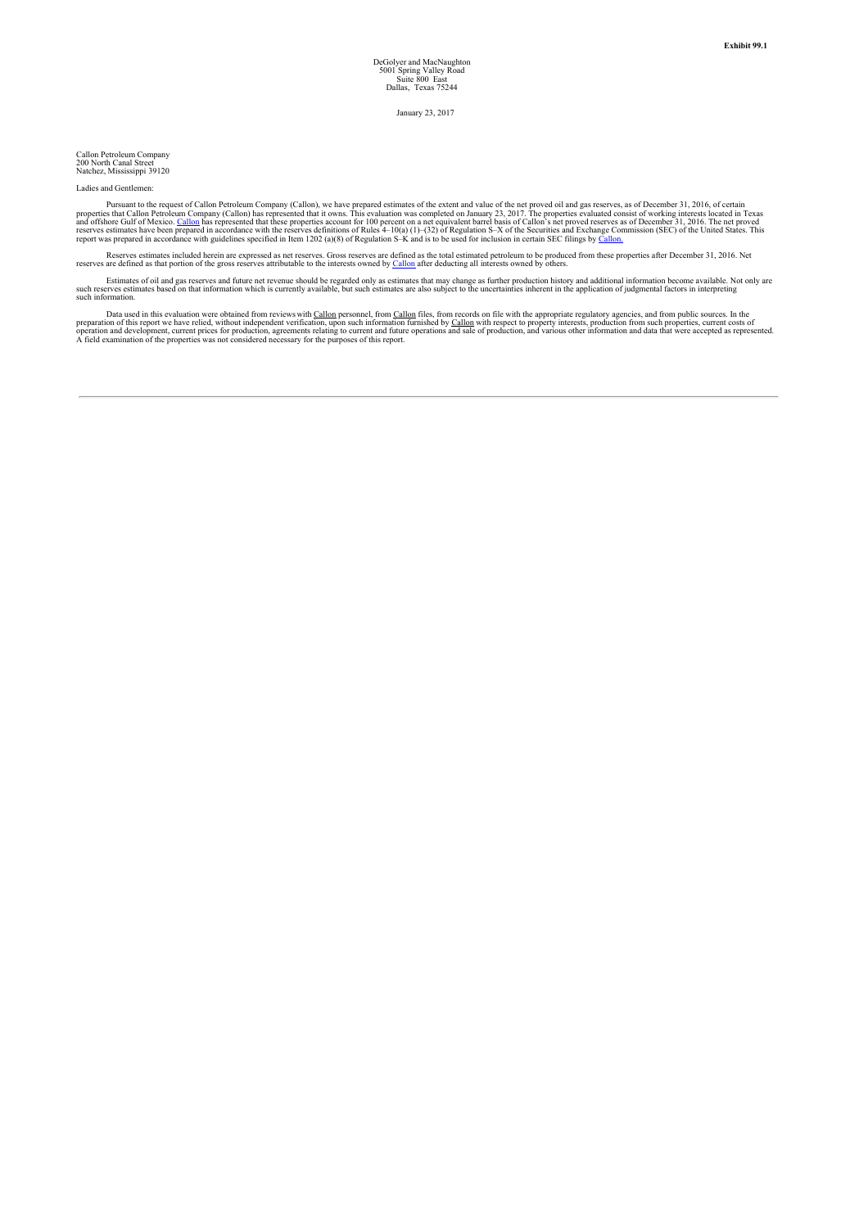January 23, 2017

Callon Petroleum Company <sup>200</sup> North Canal Street Natchez, Mississippi <sup>39120</sup>

Ladies and Gentlemen:

Pursuant to the request of Callon Petroleum Company (Callon), we have prepared estimates of the extent and value of the axportion and gas reserves, as of December 31, 2016, of certain<br>properties that Callon Petroleum Compa

Reserves estimates included herein are expressed as net reserves. Gross reserves are defined as the total estimated petroleum to be produced from these properties after December 31, 2016. Net reserves are defined as that p

Estimates of oil and gas reserves and future net revenue should be regarded only as estimates that may change as further production history and additional information become available. Not only are such estrumes based on t

Data used in this evaluation were obtained from reviews with Callon personnel, from Callon files, from records on file with the appropriate regulatory agencies, and from public sources. In the propration of this report we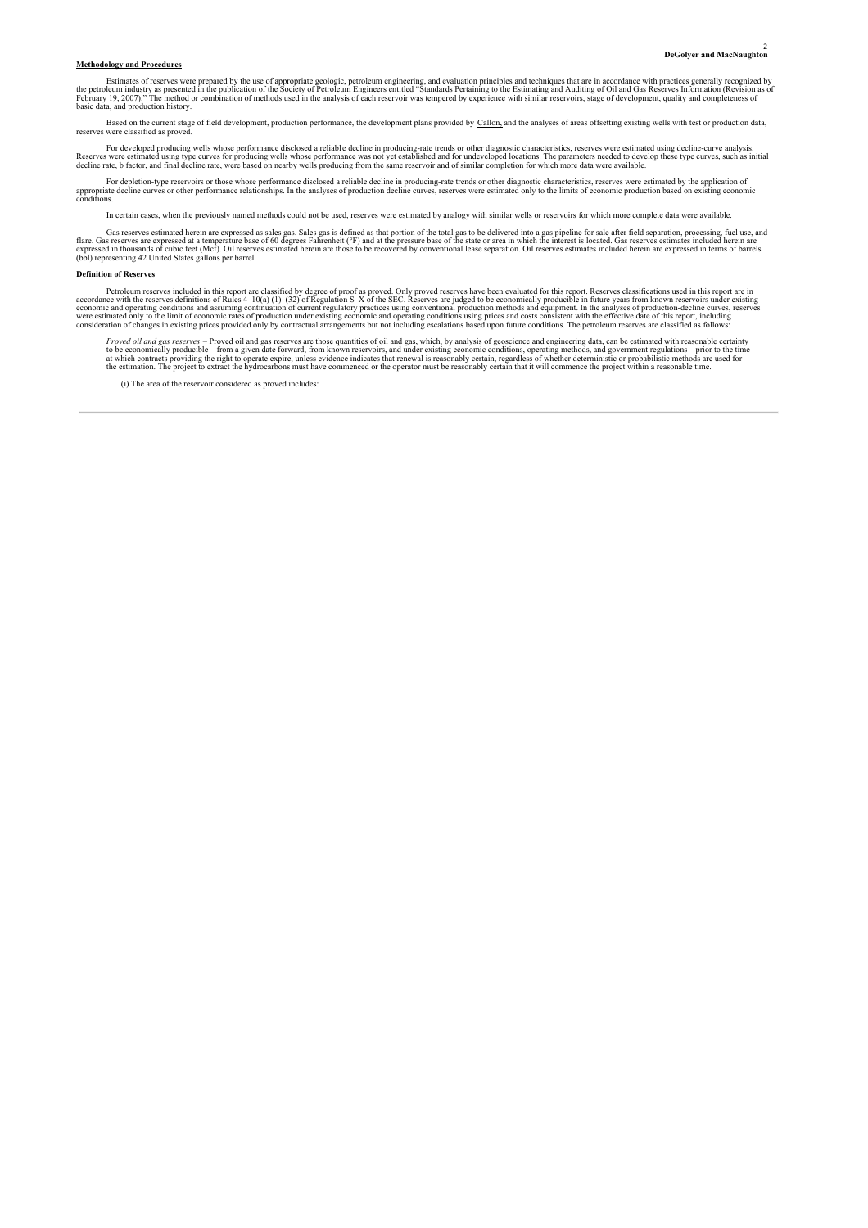#### **Methodology and Procedures**

Estimates of reserves were prepared by the use of appropriate geologic, petroleum engineering, and evaluation principles and techniques that are in accordance with practices generally recognized by the use of appropriate g

Based on the current stage of field development, production performance, the development plans provided by Callon, and the analyses of areas offsetting existing wells with test or production data, reserves were classified as proved.

For developed producing wells whose performance disclosed a reliable decline in producing-rate trends or other diagnostic characteristics, reserves were estimated using decline-curve analysis.<br>Reserves were estimated using

For depletion-type reservoirs or those whose performance disclosed a reliable decline in producing-rate trends or other diagnostic characteristics, reserves were estimated by the application of application of application o

In certain cases, when the previously named methods could not be used, reserves were estimated by analogy with similar wells or reservoirs for which more complete data were available.

Gas reserves estimated herein are expressed as sales gas. Sales gas is defined as that portion of the total gas to be delivered into a gas pipeline for sale after field separation, processing, fuel use, and flare fields ex

#### **Definition of Reserves**

Petroleum reserves included in this report are classified by degree of proof as proved. Only proved reserves have been evaluated for this report in strevers exassifications used in this report are in<br>accordance with the re

*Proved oil and gas reserves* – Proved oil and gas reserves are those quantities of oil and gas, which, by analysis of geoscience and engineering data, can be estimated with reasonable certainty to be economically producib

(i) The area of the reservoir considered as proved includes: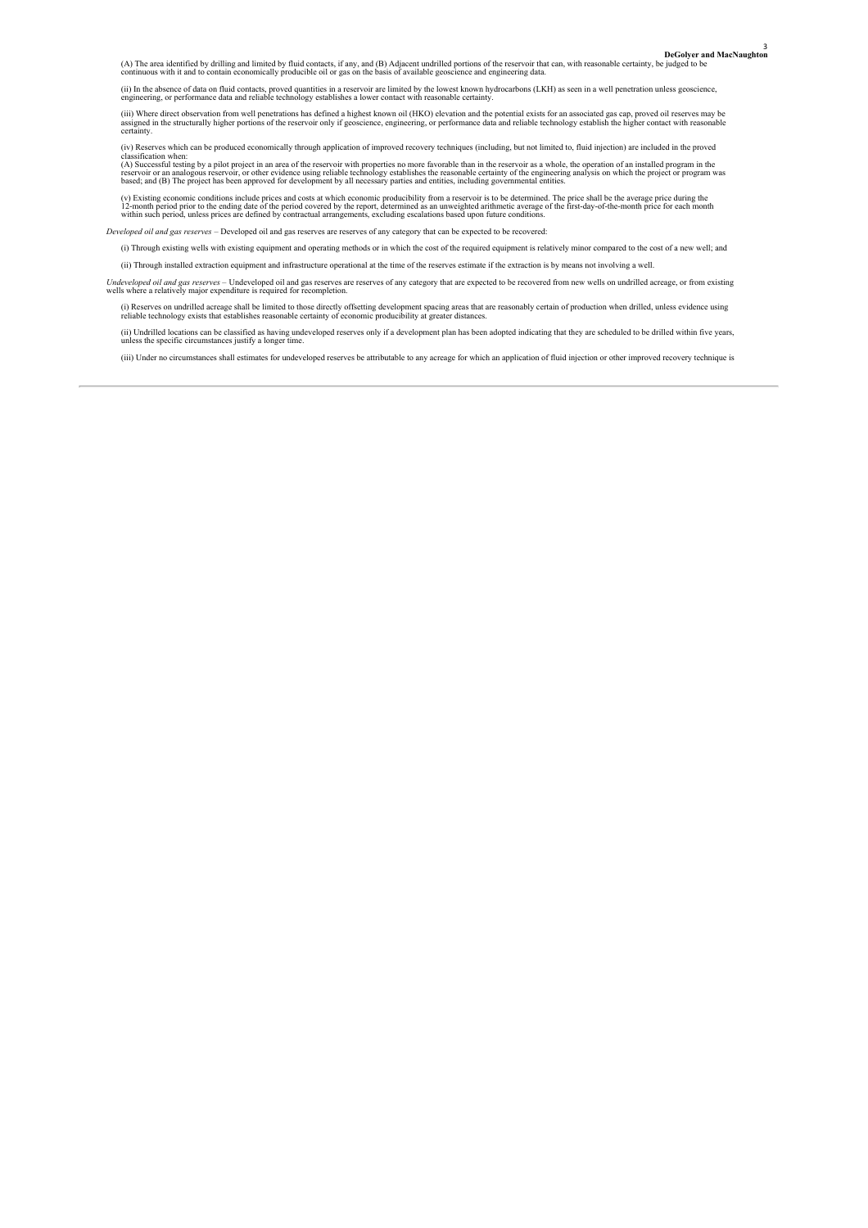(ii) In the absence of data on fluid contacts, proved quantities in a reservoir are limited by the lowest known hydrocarbons (LKH) as seen in a well penetration unless geoscience,<br>engineering, or performance data and relia

(iii) Where direct observation from well penetrations has defined a highest known oil (HKO) elevation and the potential exists for an associated gas cap, proved oil reserves may be<br>assigned in the structurally higher porti assigned is

(iv) Reserves which can be produced economically through application of improved recovery techniques (including, but not limited to, fluid injection) are included in the proved<br>classification when:<br>(A) Successful testing b

(v) Existing economic conditions include prices and costs at which economic producibility from a reservoir is to be determined. The price shall be the average price during the<br>12-month period prior to the ending date of th

*Developed oil and gas reserves* – Developed oil and gas reserves are reserves of any category that can be expected to be recovered:

(i) Through existing wells with existing equipment and operating methods or in which the cost of the required equipment is relatively minor compared to the cost of a new well; and

(ii) Through installed extraction equipment and infrastructure operational at the time of the reserves estimate if the extraction is by means not involving a well.

Undeveloped oil and gas reserves - Undeveloped oil and gas reserves are reserves of any category that are expected to be recovered from new wells on undrilled acreage, or from existing<br>wells where a relatively major expend

(i) Reserves on undrilled acreage shall be limited to those directly offsetting development spacing areas that are reasonably certain of production when drilled, unless evidence using<br>reliable technology exists that establ

(ii) Undrilled locations can be classified as having undeveloped reserves only if a development plan has been adopted indicating that they are scheduled to be drilled within five years,<br>unless the specific circumstances ju

(iii) Under no circumstances shall estimates for undeveloped reserves be attributable to any acreage for which an application of fluid injection or other improved recovery technique is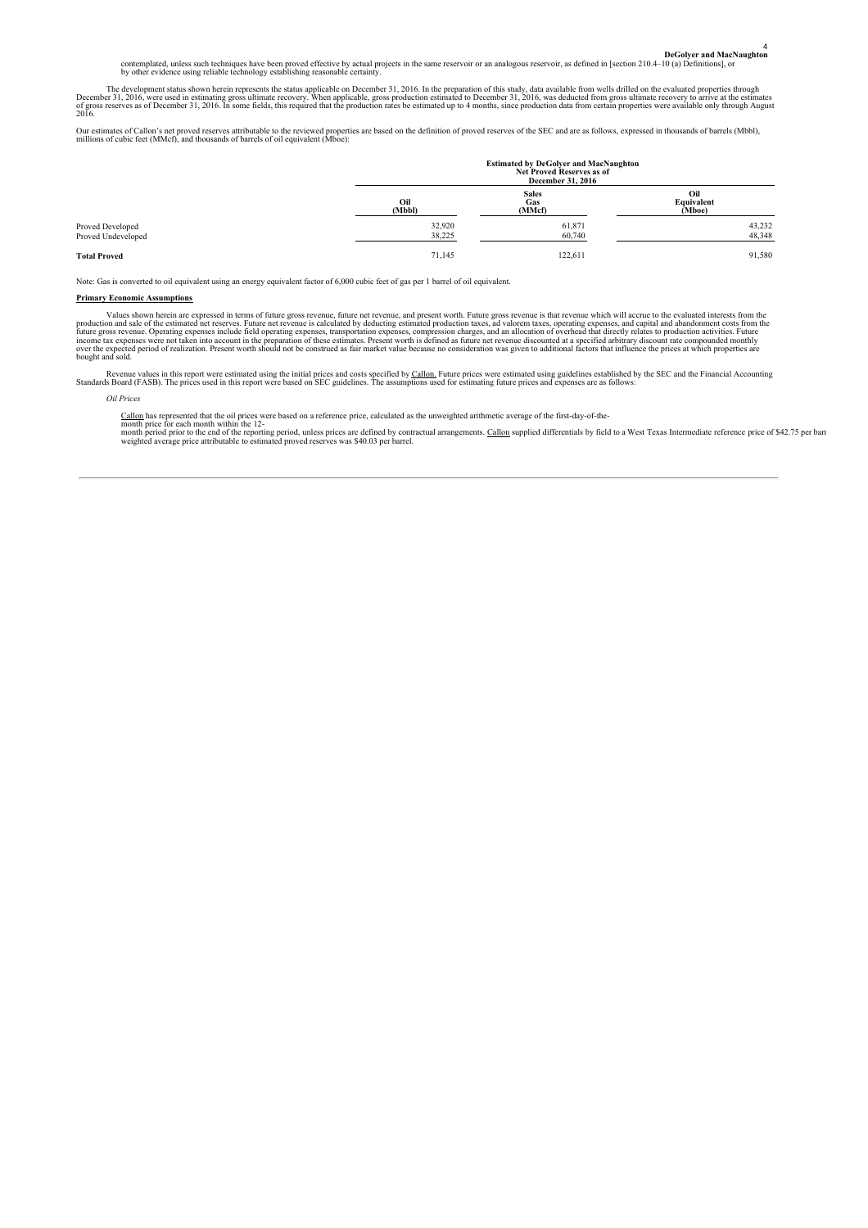The development status shown herein represents the status applicable on December 31, 2016. In the preparation of this study, data available from wells drilled on the evaluated properties through<br>December 31, 2016, were use

Our estimates of Callon's net proved reserves attributable to the reviewed properties are based on the definition of proved reserves of the SEC and are as follows, expressed in thousands of barrels (Mbbl), millions of cubi

|                                        |                  | <b>Estimated by DeGolver and MacNaughton</b><br>Net Proved Reserves as of<br><b>December 31, 2016</b> |                             |  |
|----------------------------------------|------------------|-------------------------------------------------------------------------------------------------------|-----------------------------|--|
|                                        | Oil<br>(Mbbl)    | <b>Sales</b><br>Gas<br>(MMcf)                                                                         | Oil<br>Equivalent<br>(Mboe) |  |
| Proved Developed<br>Proved Undeveloped | 32,920<br>38,225 | 61.871<br>60,740                                                                                      | 43,232<br>48,348            |  |
| <b>Total Proved</b>                    | 71,145           | 122.611                                                                                               | 91,580                      |  |

Note: Gas is converted to oil equivalent using an energy equivalent factor of 6,000 cubic feet of gas per 1 barrel of oil equivalent.

#### **Primary Economic Assumptions**

Values shown herein are expressed in terms of future gross revenue, future net revenue, and present worth. Future gross revenue is that revenue which will accrue to the evaluated interests from the production and sale of t

Revenue values in this report were estimated using the initial prices and costs specified by Callon. Future prices were estimated using guidelines established by the SEC and the Financial Accounting Standards Board (FASB).

*Oil Prices*

Callon has represented that the oil prices were based on a reference price, calculated as the unweighted arithmetic average of the first-day-of-the-<br>month price for each month within the 12-<br>month period prior to the end o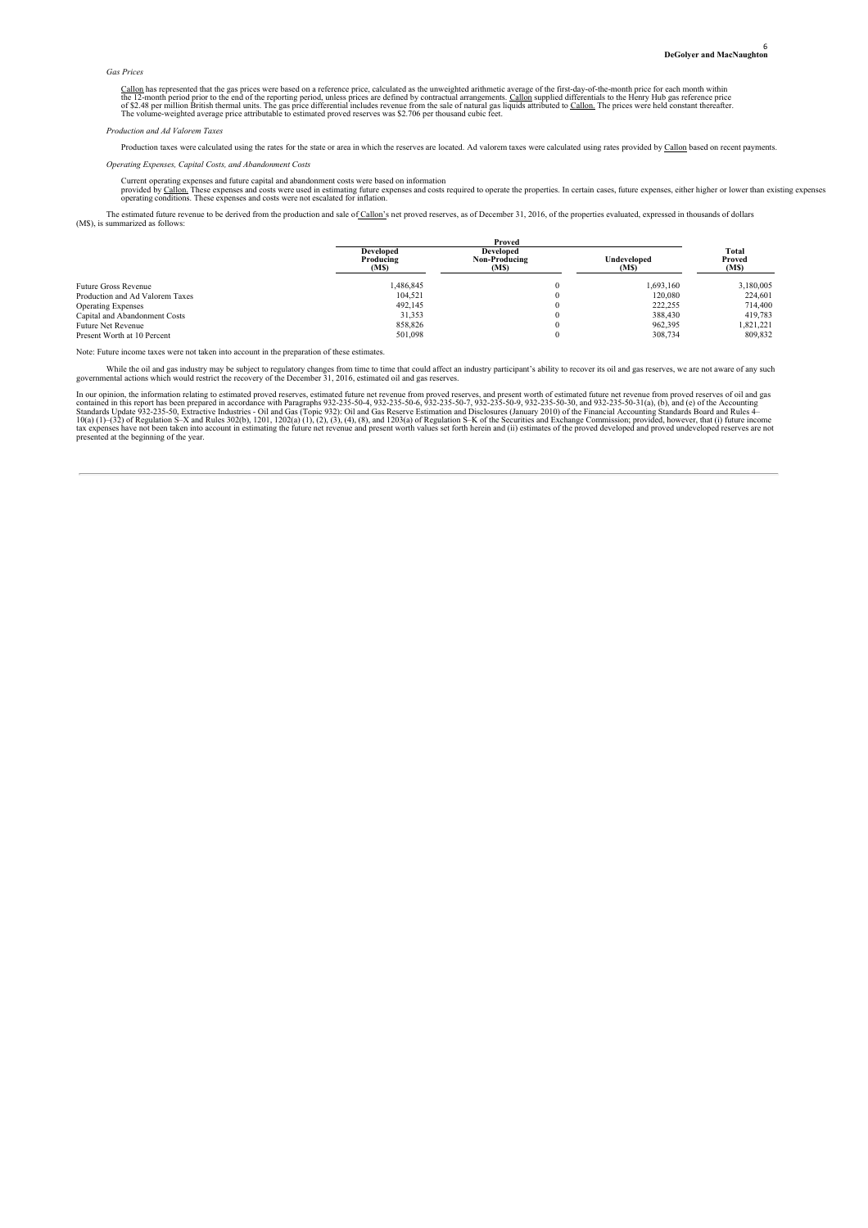#### *Gas Prices*

Callon has represented that the gas prices were based on a reference price, calculated as the unweighted arithmetic average of the first-day-of-the-month price for each month within the 12-month price for each month within

#### *Production and Ad Valorem Taxes*

Production taxes were calculated using the rates for the state or area in which the reserves are located. Ad valorem taxes were calculated using rates provided by Callon based on recent payments.

*Operating Expenses, Capital Costs, and Abandonment Costs*

Current operating expenses and future capital and abandonment costs were based on information<br>provided by Callon, These expenses and costs were used in estimating future expenses and costs required to operate the propertie

The estimated future revenue to be derived from the production and sale of Callon's net proved reserves, as of December 31, 2016, of the properties evaluated, expressed in thousands of dollars (M\$), is summarized as follows:

| Proved                          |                                    |                     |                         |  |
|---------------------------------|------------------------------------|---------------------|-------------------------|--|
| Developed<br>Producing<br>(M\$) | Developed<br>Non-Producing<br>(MS) | Undeveloped<br>(MS) | Total<br>Proved<br>(MS) |  |
| 1.486.845                       |                                    | 1.693.160           | 3.180.005               |  |
| 104.521                         |                                    | 120,080             | 224,601                 |  |
| 492.145                         |                                    | 222.255             | 714,400                 |  |
| 31.353                          |                                    | 388,430             | 419.783                 |  |
| 858,826                         |                                    | 962,395             | 1,821,221               |  |
| 501,098                         |                                    | 308,734             | 809.832                 |  |
|                                 |                                    |                     |                         |  |

Note: Future income taxes were not taken into account in the preparation of these estimates.

While the oil and gas industry may be subject to regulatory changes from time to time that could affect an industry participant's ability to recover its oil and gas reserves, we are not aware of any such governmental actio

In our opinion, the information relating to estimated proved reserves, estimated future net revenue from proved reserves, and present worth of estimated future net revenue from proved reserves of oil and gas contained in t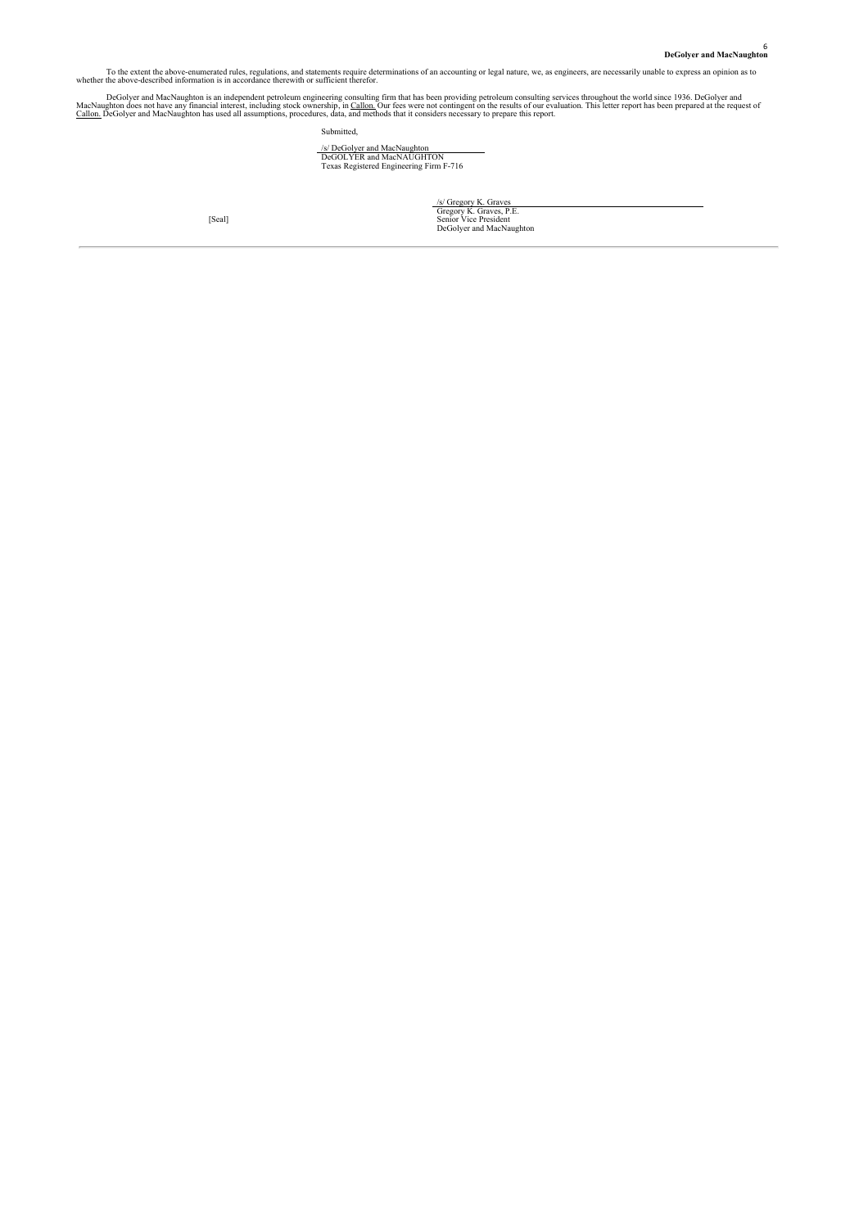To the extent the above-enumerated rules, regulations, and statements require determinations of an accounting or legal nature, we, as engineers, are necessarily unable to express an opinion as to whether the above-describe

DeGolyer and MacNaughton is an independent petroleum engineering consulting firm that has been providing petroleum consulting services throughout the world since 1936. DeGolyer and<br>MacNaughton does not have any financial i

Submitted,

/s/ DeGolyer and MacNaughton DeGOLYER and MacNAUGHTON Texas Registered Engineering Firm F-716

/s/ Gregory K. Graves Gregory K. Graves, P.E. [Seal] Senior Vice President DeGolyer and MacNaughton